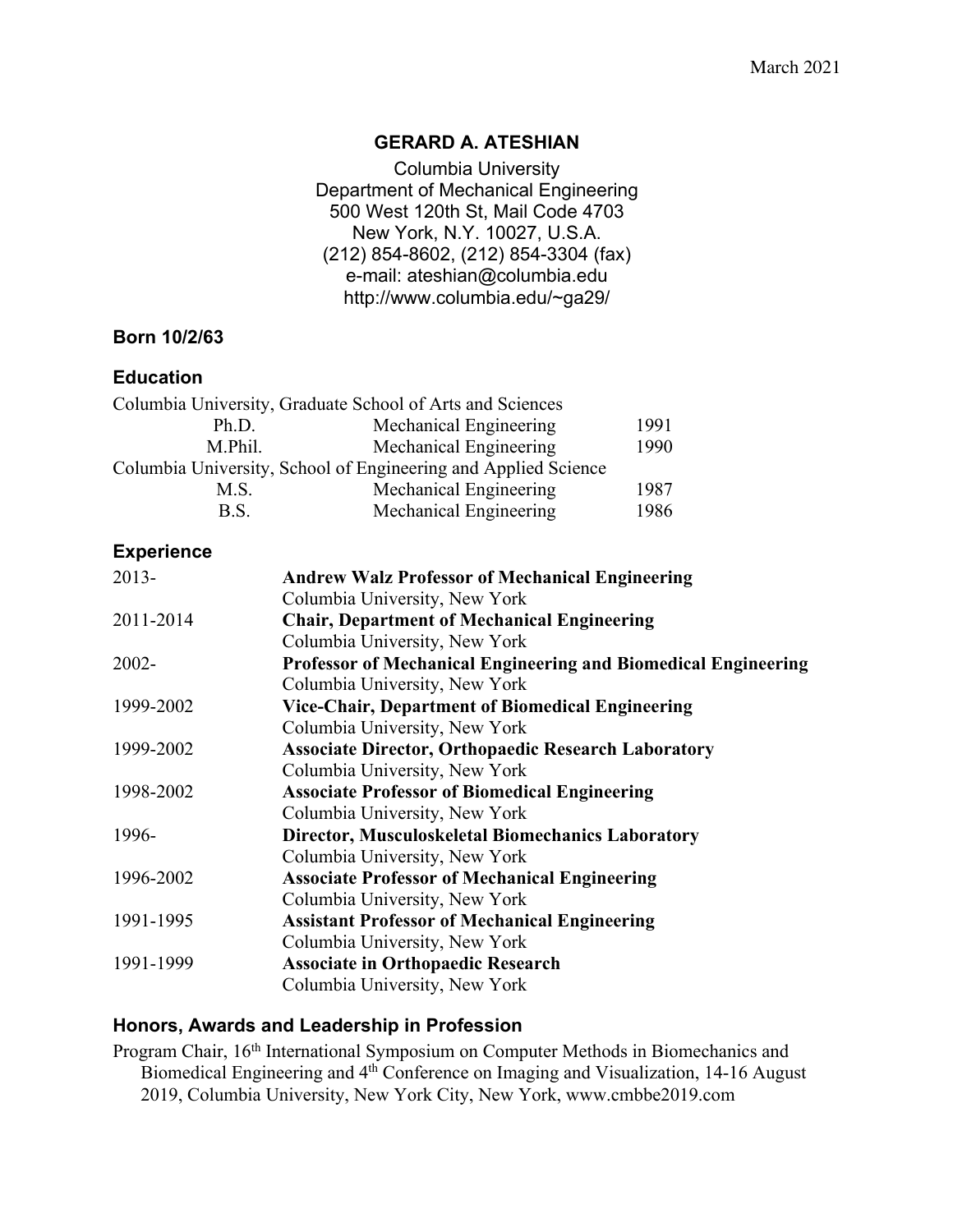#### **GERARD A. ATESHIAN**

Columbia University Department of Mechanical Engineering 500 West 120th St, Mail Code 4703 New York, N.Y. 10027, U.S.A. (212) 854-8602, (212) 854-3304 (fax) e-mail: ateshian@columbia.edu http://www.columbia.edu/~ga29/

#### **Born 10/2/63**

#### **Education**

| Columbia University, Graduate School of Arts and Sciences      |                        |      |
|----------------------------------------------------------------|------------------------|------|
| Ph.D.                                                          | Mechanical Engineering | 1991 |
| M.Phil.                                                        | Mechanical Engineering | 1990 |
| Columbia University, School of Engineering and Applied Science |                        |      |
| M.S.                                                           | Mechanical Engineering | 1987 |
| B.S.                                                           | Mechanical Engineering | 1986 |

#### **Experience**

| $2013 -$  | <b>Andrew Walz Professor of Mechanical Engineering</b>                |
|-----------|-----------------------------------------------------------------------|
|           | Columbia University, New York                                         |
| 2011-2014 | <b>Chair, Department of Mechanical Engineering</b>                    |
|           | Columbia University, New York                                         |
| $2002 -$  | <b>Professor of Mechanical Engineering and Biomedical Engineering</b> |
|           | Columbia University, New York                                         |
| 1999-2002 | <b>Vice-Chair, Department of Biomedical Engineering</b>               |
|           | Columbia University, New York                                         |
| 1999-2002 | <b>Associate Director, Orthopaedic Research Laboratory</b>            |
|           | Columbia University, New York                                         |
| 1998-2002 | <b>Associate Professor of Biomedical Engineering</b>                  |
|           | Columbia University, New York                                         |
| 1996-     | <b>Director, Musculoskeletal Biomechanics Laboratory</b>              |
|           | Columbia University, New York                                         |
| 1996-2002 | <b>Associate Professor of Mechanical Engineering</b>                  |
|           | Columbia University, New York                                         |
| 1991-1995 | <b>Assistant Professor of Mechanical Engineering</b>                  |
|           | Columbia University, New York                                         |
| 1991-1999 | <b>Associate in Orthopaedic Research</b>                              |
|           | Columbia University, New York                                         |
|           |                                                                       |

#### **Honors, Awards and Leadership in Profession**

Program Chair, 16<sup>th</sup> International Symposium on Computer Methods in Biomechanics and Biomedical Engineering and 4th Conference on Imaging and Visualization, 14-16 August 2019, Columbia University, New York City, New York, www.cmbbe2019.com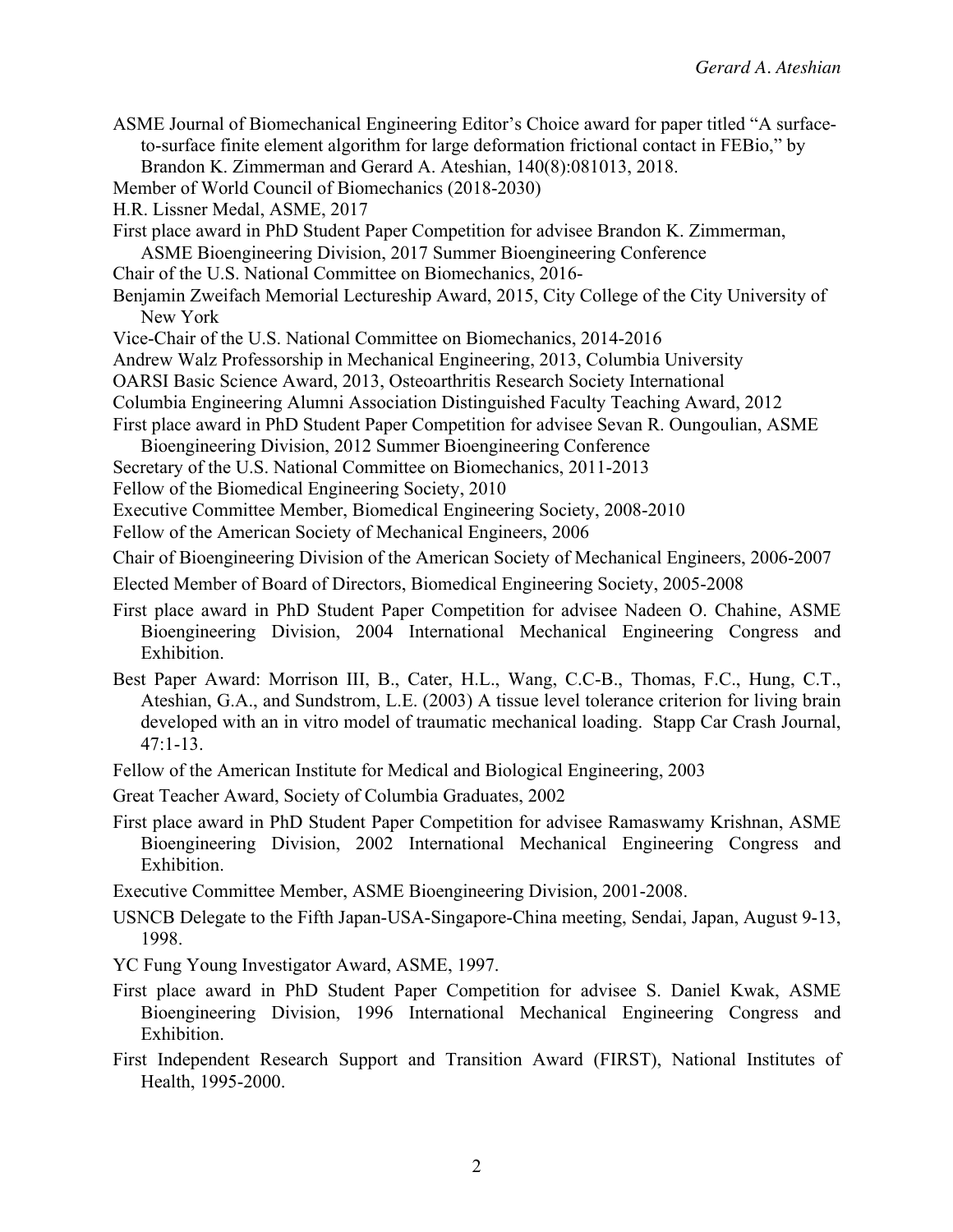| ASME Journal of Biomechanical Engineering Editor's Choice award for paper titled "A surface-<br>to-surface finite element algorithm for large deformation frictional contact in FEBio," by<br>Brandon K. Zimmerman and Gerard A. Ateshian, 140(8):081013, 2018. |  |  |
|-----------------------------------------------------------------------------------------------------------------------------------------------------------------------------------------------------------------------------------------------------------------|--|--|
| Member of World Council of Biomechanics (2018-2030)                                                                                                                                                                                                             |  |  |
| H.R. Lissner Medal, ASME, 2017                                                                                                                                                                                                                                  |  |  |
| First place award in PhD Student Paper Competition for advisee Brandon K. Zimmerman,                                                                                                                                                                            |  |  |
| ASME Bioengineering Division, 2017 Summer Bioengineering Conference                                                                                                                                                                                             |  |  |
| Chair of the U.S. National Committee on Biomechanics, 2016-                                                                                                                                                                                                     |  |  |
| Benjamin Zweifach Memorial Lectureship Award, 2015, City College of the City University of<br>New York                                                                                                                                                          |  |  |
| Vice-Chair of the U.S. National Committee on Biomechanics, 2014-2016                                                                                                                                                                                            |  |  |
| Andrew Walz Professorship in Mechanical Engineering, 2013, Columbia University                                                                                                                                                                                  |  |  |
| OARSI Basic Science Award, 2013, Osteoarthritis Research Society International                                                                                                                                                                                  |  |  |
| Columbia Engineering Alumni Association Distinguished Faculty Teaching Award, 2012                                                                                                                                                                              |  |  |
| First place award in PhD Student Paper Competition for advisee Sevan R. Oungoulian, ASME                                                                                                                                                                        |  |  |
| Bioengineering Division, 2012 Summer Bioengineering Conference                                                                                                                                                                                                  |  |  |
| Secretary of the U.S. National Committee on Biomechanics, 2011-2013<br>Fellow of the Biomedical Engineering Society, 2010                                                                                                                                       |  |  |
| Executive Committee Member, Biomedical Engineering Society, 2008-2010                                                                                                                                                                                           |  |  |
| Fellow of the American Society of Mechanical Engineers, 2006                                                                                                                                                                                                    |  |  |
| Chair of Bioengineering Division of the American Society of Mechanical Engineers, 2006-2007                                                                                                                                                                     |  |  |
|                                                                                                                                                                                                                                                                 |  |  |
| Elected Member of Board of Directors, Biomedical Engineering Society, 2005-2008                                                                                                                                                                                 |  |  |
| First place award in PhD Student Paper Competition for advisee Nadeen O. Chahine, ASME<br>Bioengineering Division, 2004 International Mechanical Engineering Congress and<br>Exhibition.                                                                        |  |  |
| Best Paper Award: Morrison III, B., Cater, H.L., Wang, C.C-B., Thomas, F.C., Hung, C.T.,                                                                                                                                                                        |  |  |
| Ateshian, G.A., and Sundstrom, L.E. (2003) A tissue level tolerance criterion for living brain<br>developed with an in vitro model of traumatic mechanical loading. Stapp Car Crash Journal,                                                                    |  |  |
| $47:1-13.$                                                                                                                                                                                                                                                      |  |  |
| Fellow of the American Institute for Medical and Biological Engineering, 2003                                                                                                                                                                                   |  |  |
|                                                                                                                                                                                                                                                                 |  |  |
| Great Teacher Award, Society of Columbia Graduates, 2002                                                                                                                                                                                                        |  |  |
| First place award in PhD Student Paper Competition for advisee Ramaswamy Krishnan, ASME<br>Bioengineering Division, 2002 International Mechanical Engineering Congress and<br>Exhibition.                                                                       |  |  |
|                                                                                                                                                                                                                                                                 |  |  |

Executive Committee Member, ASME Bioengineering Division, 2001-2008.

USNCB Delegate to the Fifth Japan-USA-Singapore-China meeting, Sendai, Japan, August 9-13, 1998.

YC Fung Young Investigator Award, ASME, 1997.

- First place award in PhD Student Paper Competition for advisee S. Daniel Kwak, ASME Bioengineering Division, 1996 International Mechanical Engineering Congress and Exhibition.
- First Independent Research Support and Transition Award (FIRST), National Institutes of Health, 1995-2000.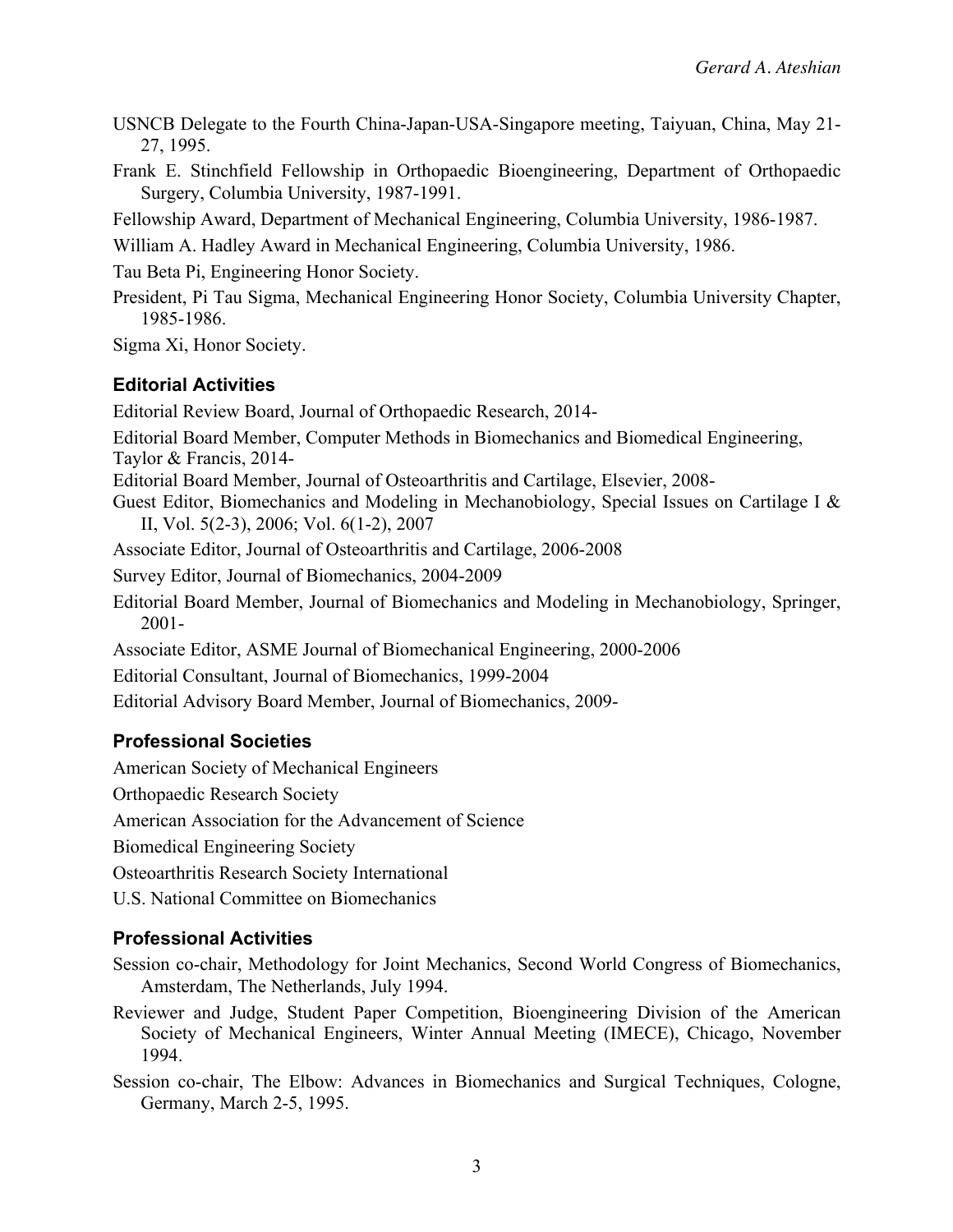- USNCB Delegate to the Fourth China-Japan-USA-Singapore meeting, Taiyuan, China, May 21- 27, 1995.
- Frank E. Stinchfield Fellowship in Orthopaedic Bioengineering, Department of Orthopaedic Surgery, Columbia University, 1987-1991.

Fellowship Award, Department of Mechanical Engineering, Columbia University, 1986-1987.

William A. Hadley Award in Mechanical Engineering, Columbia University, 1986.

Tau Beta Pi, Engineering Honor Society.

President, Pi Tau Sigma, Mechanical Engineering Honor Society, Columbia University Chapter, 1985-1986.

Sigma Xi, Honor Society.

## **Editorial Activities**

Editorial Review Board, Journal of Orthopaedic Research, 2014-

Editorial Board Member, Computer Methods in Biomechanics and Biomedical Engineering, Taylor & Francis, 2014-

Editorial Board Member, Journal of Osteoarthritis and Cartilage, Elsevier, 2008-

Guest Editor, Biomechanics and Modeling in Mechanobiology, Special Issues on Cartilage I & II, Vol. 5(2-3), 2006; Vol. 6(1-2), 2007

Associate Editor, Journal of Osteoarthritis and Cartilage, 2006-2008

Survey Editor, Journal of Biomechanics, 2004-2009

Editorial Board Member, Journal of Biomechanics and Modeling in Mechanobiology, Springer, 2001-

Associate Editor, ASME Journal of Biomechanical Engineering, 2000-2006

Editorial Consultant, Journal of Biomechanics, 1999-2004

Editorial Advisory Board Member, Journal of Biomechanics, 2009-

# **Professional Societies**

American Society of Mechanical Engineers

Orthopaedic Research Society

American Association for the Advancement of Science

Biomedical Engineering Society

Osteoarthritis Research Society International

U.S. National Committee on Biomechanics

# **Professional Activities**

Session co-chair, Methodology for Joint Mechanics, Second World Congress of Biomechanics, Amsterdam, The Netherlands, July 1994.

Reviewer and Judge, Student Paper Competition, Bioengineering Division of the American Society of Mechanical Engineers, Winter Annual Meeting (IMECE), Chicago, November 1994.

Session co-chair, The Elbow: Advances in Biomechanics and Surgical Techniques, Cologne, Germany, March 2-5, 1995.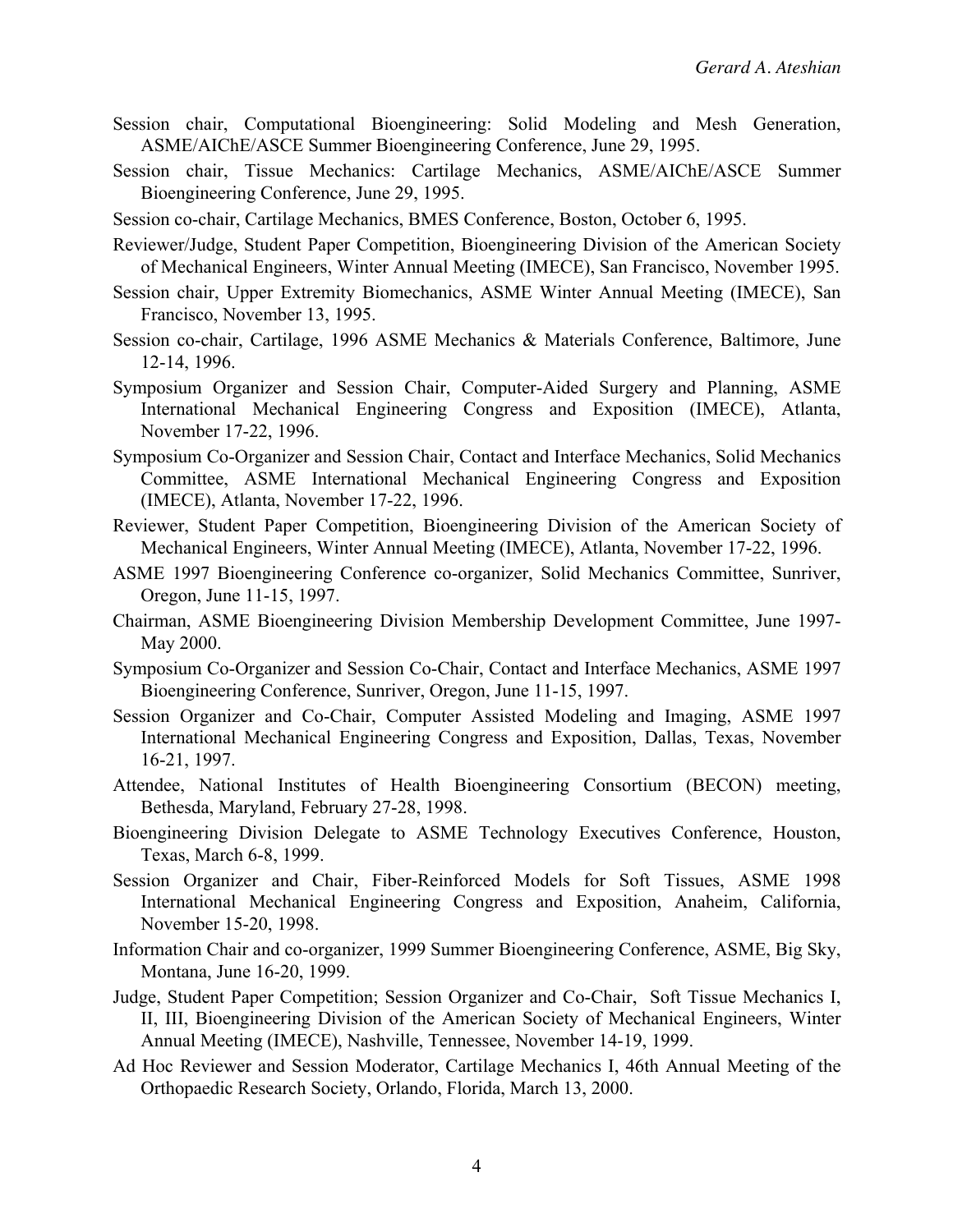- Session chair, Computational Bioengineering: Solid Modeling and Mesh Generation, ASME/AIChE/ASCE Summer Bioengineering Conference, June 29, 1995.
- Session chair, Tissue Mechanics: Cartilage Mechanics, ASME/AIChE/ASCE Summer Bioengineering Conference, June 29, 1995.
- Session co-chair, Cartilage Mechanics, BMES Conference, Boston, October 6, 1995.
- Reviewer/Judge, Student Paper Competition, Bioengineering Division of the American Society of Mechanical Engineers, Winter Annual Meeting (IMECE), San Francisco, November 1995.
- Session chair, Upper Extremity Biomechanics, ASME Winter Annual Meeting (IMECE), San Francisco, November 13, 1995.
- Session co-chair, Cartilage, 1996 ASME Mechanics & Materials Conference, Baltimore, June 12-14, 1996.
- Symposium Organizer and Session Chair, Computer-Aided Surgery and Planning, ASME International Mechanical Engineering Congress and Exposition (IMECE), Atlanta, November 17-22, 1996.
- Symposium Co-Organizer and Session Chair, Contact and Interface Mechanics, Solid Mechanics Committee, ASME International Mechanical Engineering Congress and Exposition (IMECE), Atlanta, November 17-22, 1996.
- Reviewer, Student Paper Competition, Bioengineering Division of the American Society of Mechanical Engineers, Winter Annual Meeting (IMECE), Atlanta, November 17-22, 1996.
- ASME 1997 Bioengineering Conference co-organizer, Solid Mechanics Committee, Sunriver, Oregon, June 11-15, 1997.
- Chairman, ASME Bioengineering Division Membership Development Committee, June 1997- May 2000.
- Symposium Co-Organizer and Session Co-Chair, Contact and Interface Mechanics, ASME 1997 Bioengineering Conference, Sunriver, Oregon, June 11-15, 1997.
- Session Organizer and Co-Chair, Computer Assisted Modeling and Imaging, ASME 1997 International Mechanical Engineering Congress and Exposition, Dallas, Texas, November 16-21, 1997.
- Attendee, National Institutes of Health Bioengineering Consortium (BECON) meeting, Bethesda, Maryland, February 27-28, 1998.
- Bioengineering Division Delegate to ASME Technology Executives Conference, Houston, Texas, March 6-8, 1999.
- Session Organizer and Chair, Fiber-Reinforced Models for Soft Tissues, ASME 1998 International Mechanical Engineering Congress and Exposition, Anaheim, California, November 15-20, 1998.
- Information Chair and co-organizer, 1999 Summer Bioengineering Conference, ASME, Big Sky, Montana, June 16-20, 1999.
- Judge, Student Paper Competition; Session Organizer and Co-Chair, Soft Tissue Mechanics I, II, III, Bioengineering Division of the American Society of Mechanical Engineers, Winter Annual Meeting (IMECE), Nashville, Tennessee, November 14-19, 1999.
- Ad Hoc Reviewer and Session Moderator, Cartilage Mechanics I, 46th Annual Meeting of the Orthopaedic Research Society, Orlando, Florida, March 13, 2000.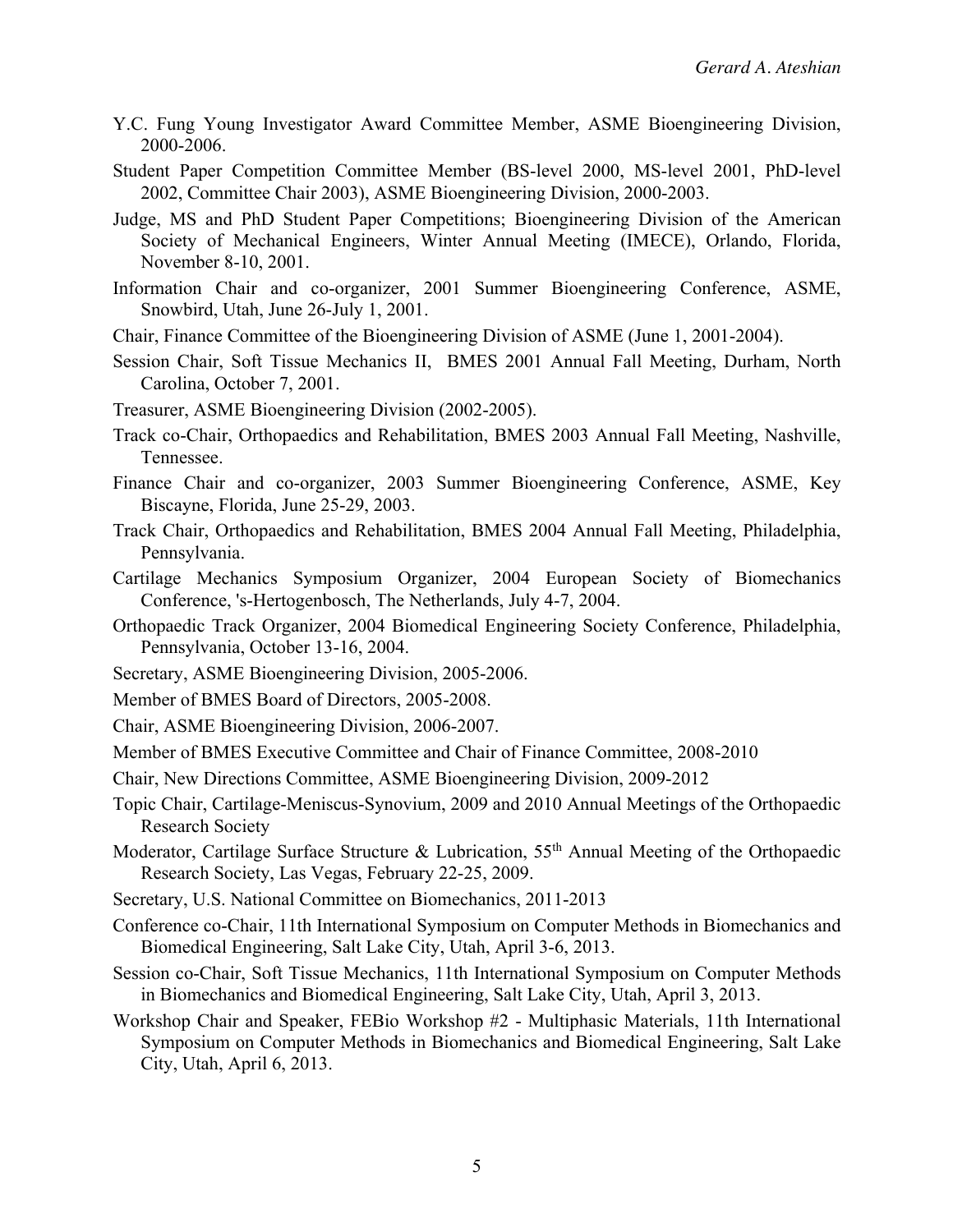- Y.C. Fung Young Investigator Award Committee Member, ASME Bioengineering Division, 2000-2006.
- Student Paper Competition Committee Member (BS-level 2000, MS-level 2001, PhD-level 2002, Committee Chair 2003), ASME Bioengineering Division, 2000-2003.
- Judge, MS and PhD Student Paper Competitions; Bioengineering Division of the American Society of Mechanical Engineers, Winter Annual Meeting (IMECE), Orlando, Florida, November 8-10, 2001.
- Information Chair and co-organizer, 2001 Summer Bioengineering Conference, ASME, Snowbird, Utah, June 26-July 1, 2001.
- Chair, Finance Committee of the Bioengineering Division of ASME (June 1, 2001-2004).
- Session Chair, Soft Tissue Mechanics II, BMES 2001 Annual Fall Meeting, Durham, North Carolina, October 7, 2001.
- Treasurer, ASME Bioengineering Division (2002-2005).
- Track co-Chair, Orthopaedics and Rehabilitation, BMES 2003 Annual Fall Meeting, Nashville, Tennessee.
- Finance Chair and co-organizer, 2003 Summer Bioengineering Conference, ASME, Key Biscayne, Florida, June 25-29, 2003.
- Track Chair, Orthopaedics and Rehabilitation, BMES 2004 Annual Fall Meeting, Philadelphia, Pennsylvania.
- Cartilage Mechanics Symposium Organizer, 2004 European Society of Biomechanics Conference, 's-Hertogenbosch, The Netherlands, July 4-7, 2004.
- Orthopaedic Track Organizer, 2004 Biomedical Engineering Society Conference, Philadelphia, Pennsylvania, October 13-16, 2004.
- Secretary, ASME Bioengineering Division, 2005-2006.
- Member of BMES Board of Directors, 2005-2008.
- Chair, ASME Bioengineering Division, 2006-2007.
- Member of BMES Executive Committee and Chair of Finance Committee, 2008-2010
- Chair, New Directions Committee, ASME Bioengineering Division, 2009-2012
- Topic Chair, Cartilage-Meniscus-Synovium, 2009 and 2010 Annual Meetings of the Orthopaedic Research Society
- Moderator, Cartilage Surface Structure & Lubrication, 55<sup>th</sup> Annual Meeting of the Orthopaedic Research Society, Las Vegas, February 22-25, 2009.
- Secretary, U.S. National Committee on Biomechanics, 2011-2013
- Conference co-Chair, 11th International Symposium on Computer Methods in Biomechanics and Biomedical Engineering, Salt Lake City, Utah, April 3-6, 2013.
- Session co-Chair, Soft Tissue Mechanics, 11th International Symposium on Computer Methods in Biomechanics and Biomedical Engineering, Salt Lake City, Utah, April 3, 2013.
- Workshop Chair and Speaker, FEBio Workshop #2 Multiphasic Materials, 11th International Symposium on Computer Methods in Biomechanics and Biomedical Engineering, Salt Lake City, Utah, April 6, 2013.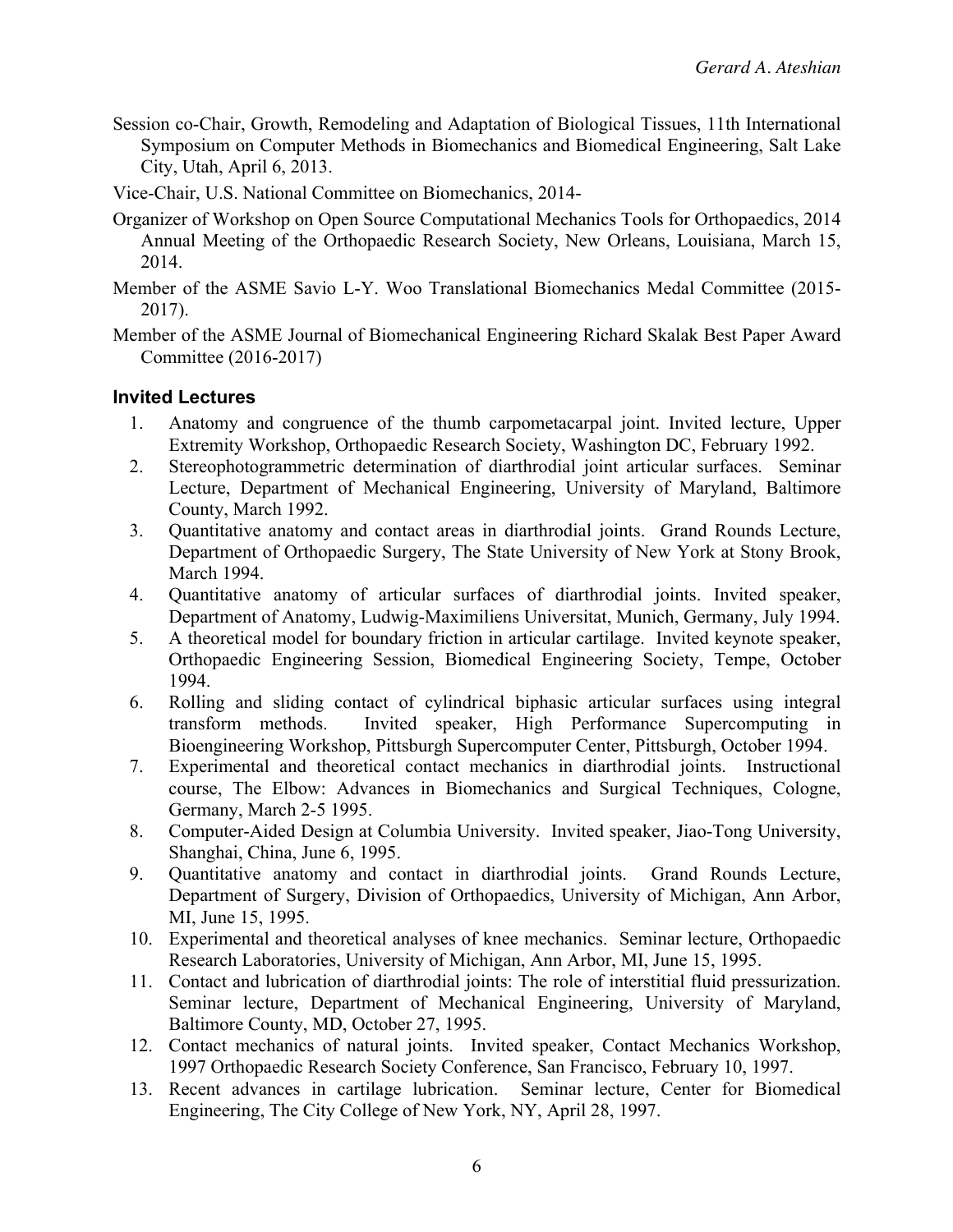Session co-Chair, Growth, Remodeling and Adaptation of Biological Tissues, 11th International Symposium on Computer Methods in Biomechanics and Biomedical Engineering, Salt Lake City, Utah, April 6, 2013.

Vice-Chair, U.S. National Committee on Biomechanics, 2014-

- Organizer of Workshop on Open Source Computational Mechanics Tools for Orthopaedics, 2014 Annual Meeting of the Orthopaedic Research Society, New Orleans, Louisiana, March 15, 2014.
- Member of the ASME Savio L-Y. Woo Translational Biomechanics Medal Committee (2015- 2017).
- Member of the ASME Journal of Biomechanical Engineering Richard Skalak Best Paper Award Committee (2016-2017)

#### **Invited Lectures**

- 1. Anatomy and congruence of the thumb carpometacarpal joint. Invited lecture, Upper Extremity Workshop, Orthopaedic Research Society, Washington DC, February 1992.
- 2. Stereophotogrammetric determination of diarthrodial joint articular surfaces. Seminar Lecture, Department of Mechanical Engineering, University of Maryland, Baltimore County, March 1992.
- 3. Quantitative anatomy and contact areas in diarthrodial joints. Grand Rounds Lecture, Department of Orthopaedic Surgery, The State University of New York at Stony Brook, March 1994.
- 4. Quantitative anatomy of articular surfaces of diarthrodial joints. Invited speaker, Department of Anatomy, Ludwig-Maximiliens Universitat, Munich, Germany, July 1994.
- 5. A theoretical model for boundary friction in articular cartilage. Invited keynote speaker, Orthopaedic Engineering Session, Biomedical Engineering Society, Tempe, October 1994.
- 6. Rolling and sliding contact of cylindrical biphasic articular surfaces using integral transform methods. Invited speaker, High Performance Supercomputing in Bioengineering Workshop, Pittsburgh Supercomputer Center, Pittsburgh, October 1994.
- 7. Experimental and theoretical contact mechanics in diarthrodial joints. Instructional course, The Elbow: Advances in Biomechanics and Surgical Techniques, Cologne, Germany, March 2-5 1995.
- 8. Computer-Aided Design at Columbia University. Invited speaker, Jiao-Tong University, Shanghai, China, June 6, 1995.
- 9. Quantitative anatomy and contact in diarthrodial joints. Grand Rounds Lecture, Department of Surgery, Division of Orthopaedics, University of Michigan, Ann Arbor, MI, June 15, 1995.
- 10. Experimental and theoretical analyses of knee mechanics. Seminar lecture, Orthopaedic Research Laboratories, University of Michigan, Ann Arbor, MI, June 15, 1995.
- 11. Contact and lubrication of diarthrodial joints: The role of interstitial fluid pressurization. Seminar lecture, Department of Mechanical Engineering, University of Maryland, Baltimore County, MD, October 27, 1995.
- 12. Contact mechanics of natural joints. Invited speaker, Contact Mechanics Workshop, 1997 Orthopaedic Research Society Conference, San Francisco, February 10, 1997.
- 13. Recent advances in cartilage lubrication. Seminar lecture, Center for Biomedical Engineering, The City College of New York, NY, April 28, 1997.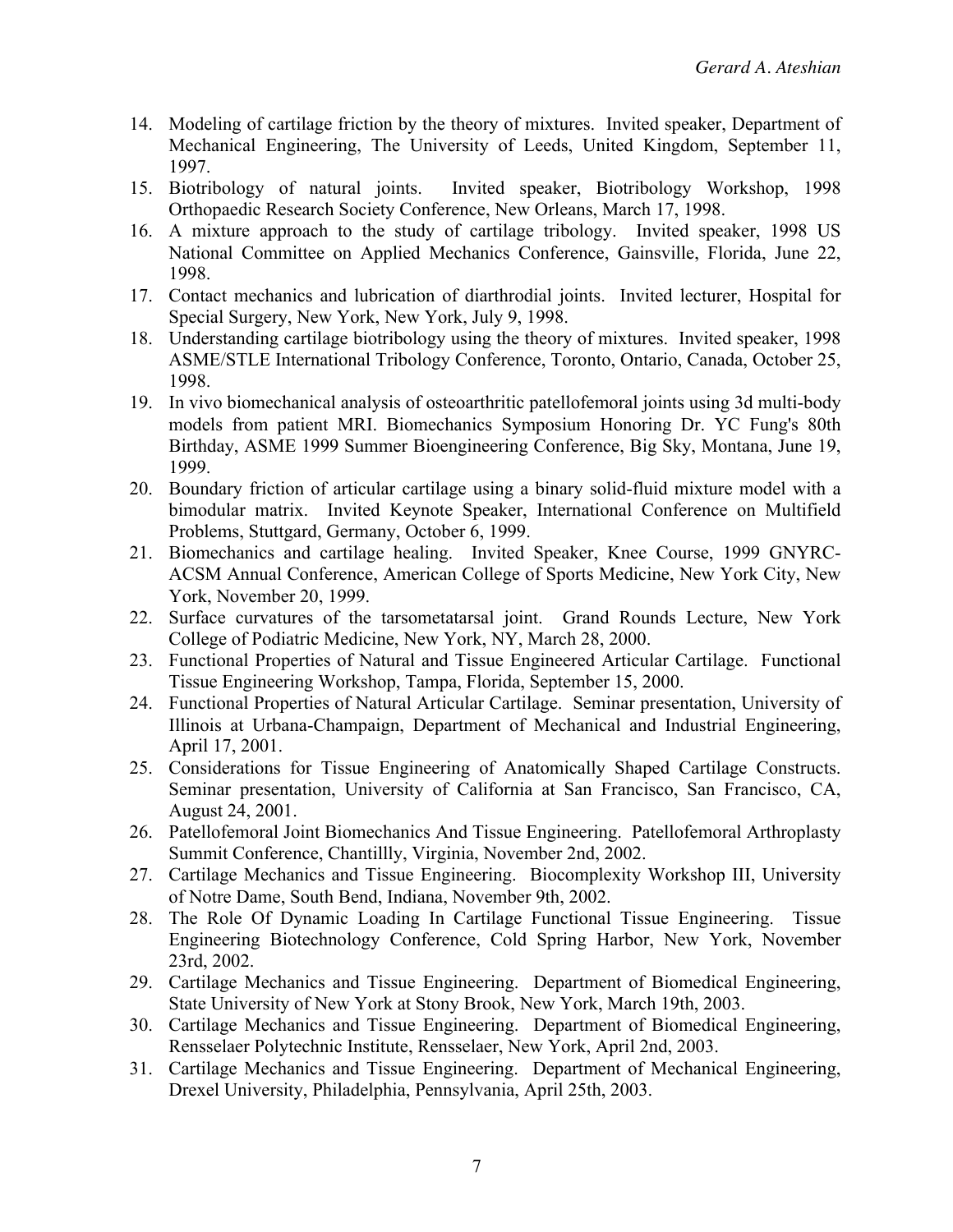- 14. Modeling of cartilage friction by the theory of mixtures. Invited speaker, Department of Mechanical Engineering, The University of Leeds, United Kingdom, September 11, 1997.
- 15. Biotribology of natural joints. Invited speaker, Biotribology Workshop, 1998 Orthopaedic Research Society Conference, New Orleans, March 17, 1998.
- 16. A mixture approach to the study of cartilage tribology. Invited speaker, 1998 US National Committee on Applied Mechanics Conference, Gainsville, Florida, June 22, 1998.
- 17. Contact mechanics and lubrication of diarthrodial joints. Invited lecturer, Hospital for Special Surgery, New York, New York, July 9, 1998.
- 18. Understanding cartilage biotribology using the theory of mixtures. Invited speaker, 1998 ASME/STLE International Tribology Conference, Toronto, Ontario, Canada, October 25, 1998.
- 19. In vivo biomechanical analysis of osteoarthritic patellofemoral joints using 3d multi-body models from patient MRI. Biomechanics Symposium Honoring Dr. YC Fung's 80th Birthday, ASME 1999 Summer Bioengineering Conference, Big Sky, Montana, June 19, 1999.
- 20. Boundary friction of articular cartilage using a binary solid-fluid mixture model with a bimodular matrix. Invited Keynote Speaker, International Conference on Multifield Problems, Stuttgard, Germany, October 6, 1999.
- 21. Biomechanics and cartilage healing. Invited Speaker, Knee Course, 1999 GNYRC-ACSM Annual Conference, American College of Sports Medicine, New York City, New York, November 20, 1999.
- 22. Surface curvatures of the tarsometatarsal joint. Grand Rounds Lecture, New York College of Podiatric Medicine, New York, NY, March 28, 2000.
- 23. Functional Properties of Natural and Tissue Engineered Articular Cartilage. Functional Tissue Engineering Workshop, Tampa, Florida, September 15, 2000.
- 24. Functional Properties of Natural Articular Cartilage. Seminar presentation, University of Illinois at Urbana-Champaign, Department of Mechanical and Industrial Engineering, April 17, 2001.
- 25. Considerations for Tissue Engineering of Anatomically Shaped Cartilage Constructs. Seminar presentation, University of California at San Francisco, San Francisco, CA, August 24, 2001.
- 26. Patellofemoral Joint Biomechanics And Tissue Engineering. Patellofemoral Arthroplasty Summit Conference, Chantillly, Virginia, November 2nd, 2002.
- 27. Cartilage Mechanics and Tissue Engineering. Biocomplexity Workshop III, University of Notre Dame, South Bend, Indiana, November 9th, 2002.
- 28. The Role Of Dynamic Loading In Cartilage Functional Tissue Engineering. Tissue Engineering Biotechnology Conference, Cold Spring Harbor, New York, November 23rd, 2002.
- 29. Cartilage Mechanics and Tissue Engineering. Department of Biomedical Engineering, State University of New York at Stony Brook, New York, March 19th, 2003.
- 30. Cartilage Mechanics and Tissue Engineering. Department of Biomedical Engineering, Rensselaer Polytechnic Institute, Rensselaer, New York, April 2nd, 2003.
- 31. Cartilage Mechanics and Tissue Engineering. Department of Mechanical Engineering, Drexel University, Philadelphia, Pennsylvania, April 25th, 2003.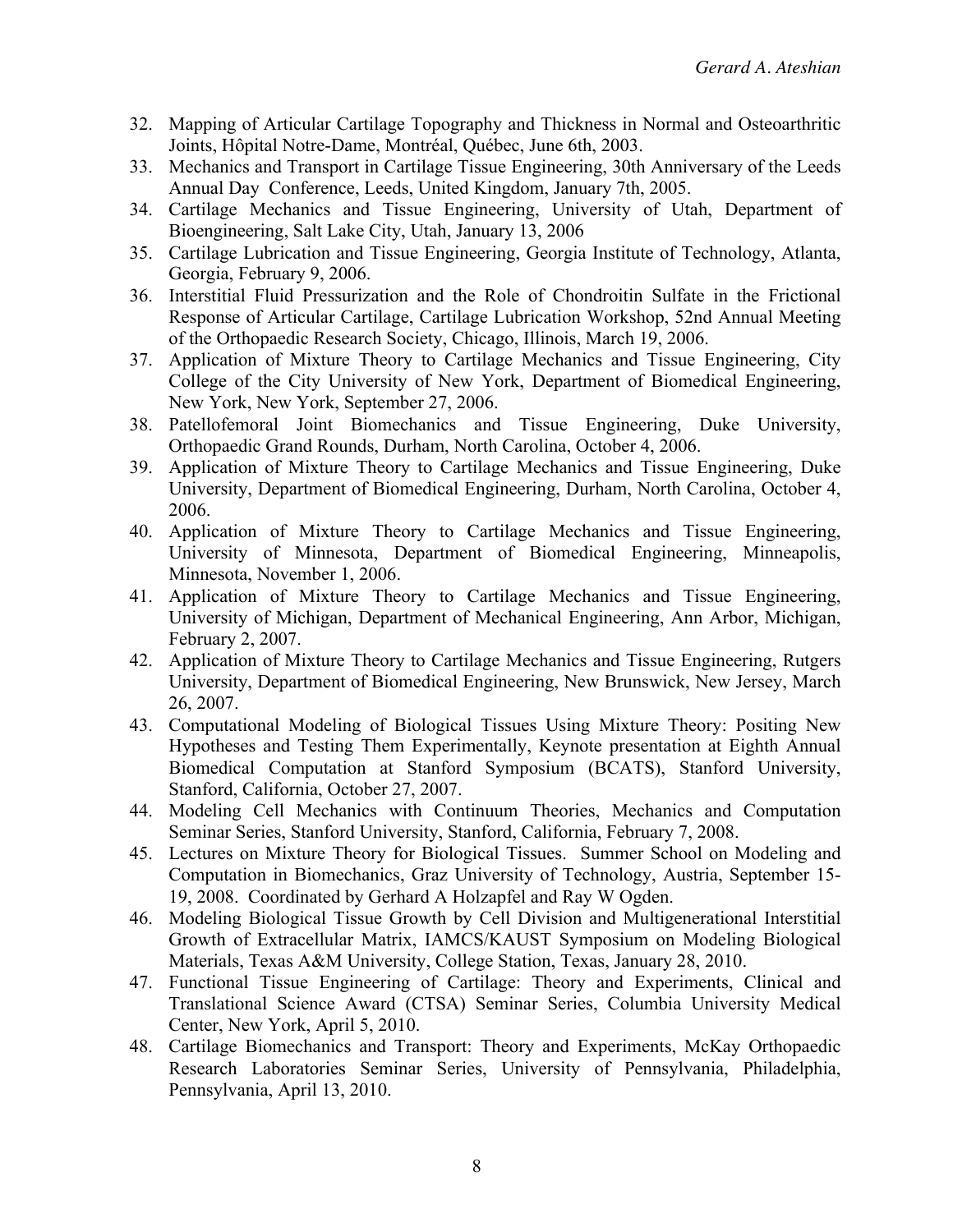- 32. Mapping of Articular Cartilage Topography and Thickness in Normal and Osteoarthritic Joints, Hôpital Notre-Dame, Montréal, Québec, June 6th, 2003.
- 33. Mechanics and Transport in Cartilage Tissue Engineering, 30th Anniversary of the Leeds Annual Day Conference, Leeds, United Kingdom, January 7th, 2005.
- 34. Cartilage Mechanics and Tissue Engineering, University of Utah, Department of Bioengineering, Salt Lake City, Utah, January 13, 2006
- 35. Cartilage Lubrication and Tissue Engineering, Georgia Institute of Technology, Atlanta, Georgia, February 9, 2006.
- 36. Interstitial Fluid Pressurization and the Role of Chondroitin Sulfate in the Frictional Response of Articular Cartilage, Cartilage Lubrication Workshop, 52nd Annual Meeting of the Orthopaedic Research Society, Chicago, Illinois, March 19, 2006.
- 37. Application of Mixture Theory to Cartilage Mechanics and Tissue Engineering, City College of the City University of New York, Department of Biomedical Engineering, New York, New York, September 27, 2006.
- 38. Patellofemoral Joint Biomechanics and Tissue Engineering, Duke University, Orthopaedic Grand Rounds, Durham, North Carolina, October 4, 2006.
- 39. Application of Mixture Theory to Cartilage Mechanics and Tissue Engineering, Duke University, Department of Biomedical Engineering, Durham, North Carolina, October 4, 2006.
- 40. Application of Mixture Theory to Cartilage Mechanics and Tissue Engineering, University of Minnesota, Department of Biomedical Engineering, Minneapolis, Minnesota, November 1, 2006.
- 41. Application of Mixture Theory to Cartilage Mechanics and Tissue Engineering, University of Michigan, Department of Mechanical Engineering, Ann Arbor, Michigan, February 2, 2007.
- 42. Application of Mixture Theory to Cartilage Mechanics and Tissue Engineering, Rutgers University, Department of Biomedical Engineering, New Brunswick, New Jersey, March 26, 2007.
- 43. Computational Modeling of Biological Tissues Using Mixture Theory: Positing New Hypotheses and Testing Them Experimentally, Keynote presentation at Eighth Annual Biomedical Computation at Stanford Symposium (BCATS), Stanford University, Stanford, California, October 27, 2007.
- 44. Modeling Cell Mechanics with Continuum Theories, Mechanics and Computation Seminar Series, Stanford University, Stanford, California, February 7, 2008.
- 45. Lectures on Mixture Theory for Biological Tissues. Summer School on Modeling and Computation in Biomechanics, Graz University of Technology, Austria, September 15- 19, 2008. Coordinated by Gerhard A Holzapfel and Ray W Ogden.
- 46. Modeling Biological Tissue Growth by Cell Division and Multigenerational Interstitial Growth of Extracellular Matrix, IAMCS/KAUST Symposium on Modeling Biological Materials, Texas A&M University, College Station, Texas, January 28, 2010.
- 47. Functional Tissue Engineering of Cartilage: Theory and Experiments, Clinical and Translational Science Award (CTSA) Seminar Series, Columbia University Medical Center, New York, April 5, 2010.
- 48. Cartilage Biomechanics and Transport: Theory and Experiments, McKay Orthopaedic Research Laboratories Seminar Series, University of Pennsylvania, Philadelphia, Pennsylvania, April 13, 2010.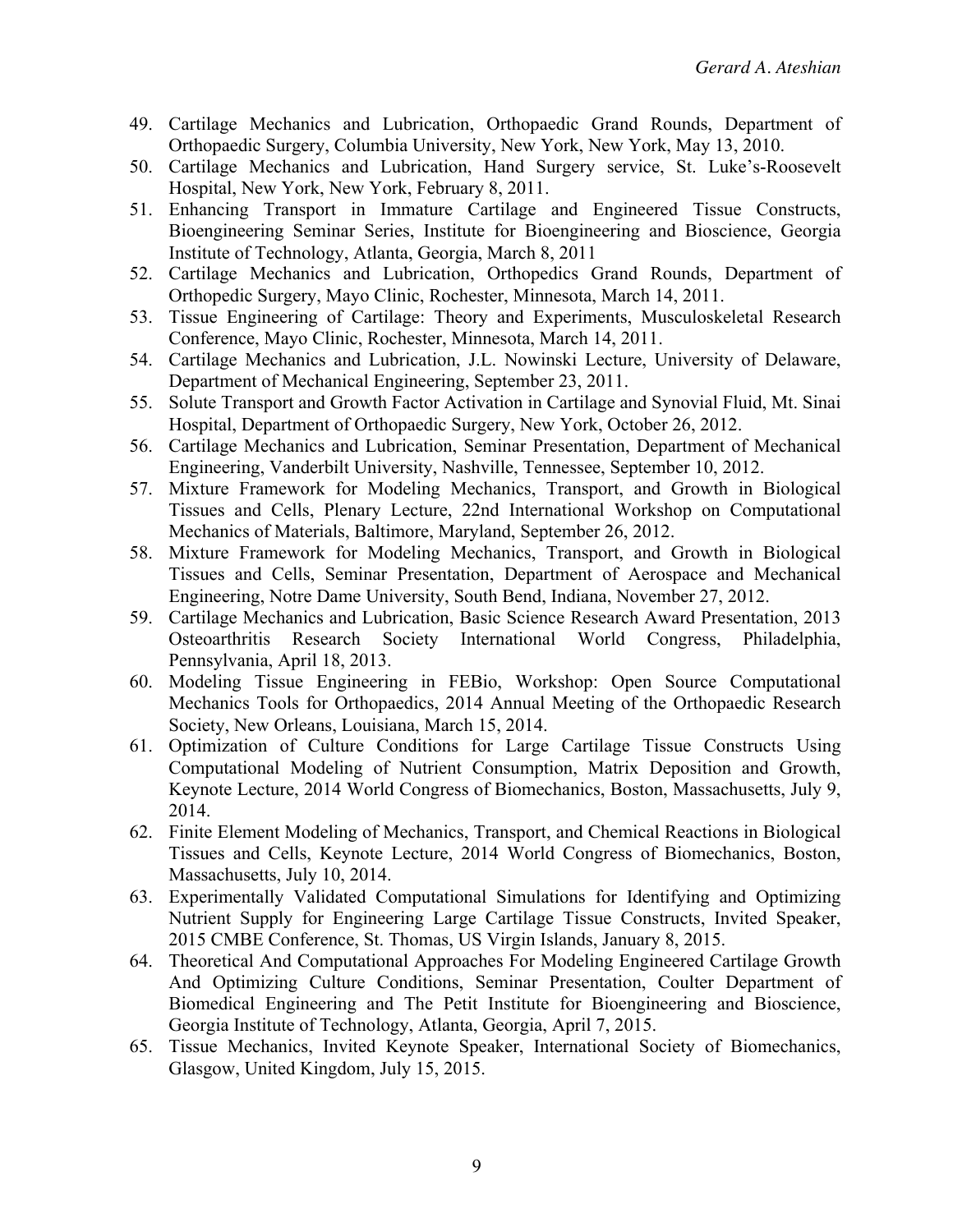- 49. Cartilage Mechanics and Lubrication, Orthopaedic Grand Rounds, Department of Orthopaedic Surgery, Columbia University, New York, New York, May 13, 2010.
- 50. Cartilage Mechanics and Lubrication, Hand Surgery service, St. Luke's-Roosevelt Hospital, New York, New York, February 8, 2011.
- 51. Enhancing Transport in Immature Cartilage and Engineered Tissue Constructs, Bioengineering Seminar Series, Institute for Bioengineering and Bioscience, Georgia Institute of Technology, Atlanta, Georgia, March 8, 2011
- 52. Cartilage Mechanics and Lubrication, Orthopedics Grand Rounds, Department of Orthopedic Surgery, Mayo Clinic, Rochester, Minnesota, March 14, 2011.
- 53. Tissue Engineering of Cartilage: Theory and Experiments, Musculoskeletal Research Conference, Mayo Clinic, Rochester, Minnesota, March 14, 2011.
- 54. Cartilage Mechanics and Lubrication, J.L. Nowinski Lecture, University of Delaware, Department of Mechanical Engineering, September 23, 2011.
- 55. Solute Transport and Growth Factor Activation in Cartilage and Synovial Fluid, Mt. Sinai Hospital, Department of Orthopaedic Surgery, New York, October 26, 2012.
- 56. Cartilage Mechanics and Lubrication, Seminar Presentation, Department of Mechanical Engineering, Vanderbilt University, Nashville, Tennessee, September 10, 2012.
- 57. Mixture Framework for Modeling Mechanics, Transport, and Growth in Biological Tissues and Cells, Plenary Lecture, 22nd International Workshop on Computational Mechanics of Materials, Baltimore, Maryland, September 26, 2012.
- 58. Mixture Framework for Modeling Mechanics, Transport, and Growth in Biological Tissues and Cells, Seminar Presentation, Department of Aerospace and Mechanical Engineering, Notre Dame University, South Bend, Indiana, November 27, 2012.
- 59. Cartilage Mechanics and Lubrication, Basic Science Research Award Presentation, 2013 Osteoarthritis Research Society International World Congress, Philadelphia, Pennsylvania, April 18, 2013.
- 60. Modeling Tissue Engineering in FEBio, Workshop: Open Source Computational Mechanics Tools for Orthopaedics, 2014 Annual Meeting of the Orthopaedic Research Society, New Orleans, Louisiana, March 15, 2014.
- 61. Optimization of Culture Conditions for Large Cartilage Tissue Constructs Using Computational Modeling of Nutrient Consumption, Matrix Deposition and Growth, Keynote Lecture, 2014 World Congress of Biomechanics, Boston, Massachusetts, July 9, 2014.
- 62. Finite Element Modeling of Mechanics, Transport, and Chemical Reactions in Biological Tissues and Cells, Keynote Lecture, 2014 World Congress of Biomechanics, Boston, Massachusetts, July 10, 2014.
- 63. Experimentally Validated Computational Simulations for Identifying and Optimizing Nutrient Supply for Engineering Large Cartilage Tissue Constructs, Invited Speaker, 2015 CMBE Conference, St. Thomas, US Virgin Islands, January 8, 2015.
- 64. Theoretical And Computational Approaches For Modeling Engineered Cartilage Growth And Optimizing Culture Conditions, Seminar Presentation, Coulter Department of Biomedical Engineering and The Petit Institute for Bioengineering and Bioscience, Georgia Institute of Technology, Atlanta, Georgia, April 7, 2015.
- 65. Tissue Mechanics, Invited Keynote Speaker, International Society of Biomechanics, Glasgow, United Kingdom, July 15, 2015.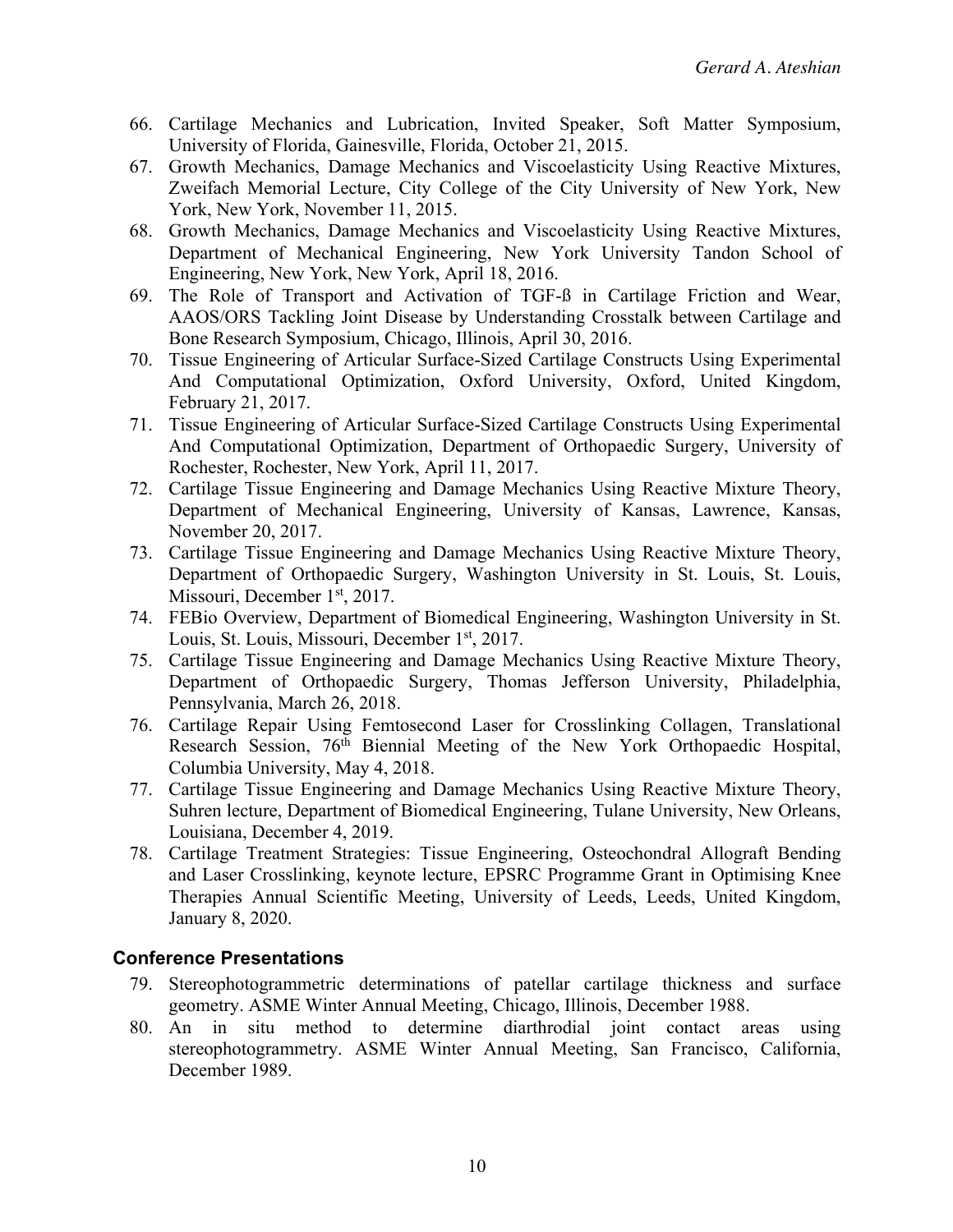- 66. Cartilage Mechanics and Lubrication, Invited Speaker, Soft Matter Symposium, University of Florida, Gainesville, Florida, October 21, 2015.
- 67. Growth Mechanics, Damage Mechanics and Viscoelasticity Using Reactive Mixtures, Zweifach Memorial Lecture, City College of the City University of New York, New York, New York, November 11, 2015.
- 68. Growth Mechanics, Damage Mechanics and Viscoelasticity Using Reactive Mixtures, Department of Mechanical Engineering, New York University Tandon School of Engineering, New York, New York, April 18, 2016.
- 69. The Role of Transport and Activation of TGF-ß in Cartilage Friction and Wear, AAOS/ORS Tackling Joint Disease by Understanding Crosstalk between Cartilage and Bone Research Symposium, Chicago, Illinois, April 30, 2016.
- 70. Tissue Engineering of Articular Surface-Sized Cartilage Constructs Using Experimental And Computational Optimization, Oxford University, Oxford, United Kingdom, February 21, 2017.
- 71. Tissue Engineering of Articular Surface-Sized Cartilage Constructs Using Experimental And Computational Optimization, Department of Orthopaedic Surgery, University of Rochester, Rochester, New York, April 11, 2017.
- 72. Cartilage Tissue Engineering and Damage Mechanics Using Reactive Mixture Theory, Department of Mechanical Engineering, University of Kansas, Lawrence, Kansas, November 20, 2017.
- 73. Cartilage Tissue Engineering and Damage Mechanics Using Reactive Mixture Theory, Department of Orthopaedic Surgery, Washington University in St. Louis, St. Louis, Missouri, December 1<sup>st</sup>, 2017.
- 74. FEBio Overview, Department of Biomedical Engineering, Washington University in St. Louis, St. Louis, Missouri, December 1<sup>st</sup>, 2017.
- 75. Cartilage Tissue Engineering and Damage Mechanics Using Reactive Mixture Theory, Department of Orthopaedic Surgery, Thomas Jefferson University, Philadelphia, Pennsylvania, March 26, 2018.
- 76. Cartilage Repair Using Femtosecond Laser for Crosslinking Collagen, Translational Research Session, 76th Biennial Meeting of the New York Orthopaedic Hospital, Columbia University, May 4, 2018.
- 77. Cartilage Tissue Engineering and Damage Mechanics Using Reactive Mixture Theory, Suhren lecture, Department of Biomedical Engineering, Tulane University, New Orleans, Louisiana, December 4, 2019.
- 78. Cartilage Treatment Strategies: Tissue Engineering, Osteochondral Allograft Bending and Laser Crosslinking, keynote lecture, EPSRC Programme Grant in Optimising Knee Therapies Annual Scientific Meeting, University of Leeds, Leeds, United Kingdom, January 8, 2020.

#### **Conference Presentations**

- 79. Stereophotogrammetric determinations of patellar cartilage thickness and surface geometry. ASME Winter Annual Meeting, Chicago, Illinois, December 1988.
- 80. An in situ method to determine diarthrodial joint contact areas using stereophotogrammetry. ASME Winter Annual Meeting, San Francisco, California, December 1989.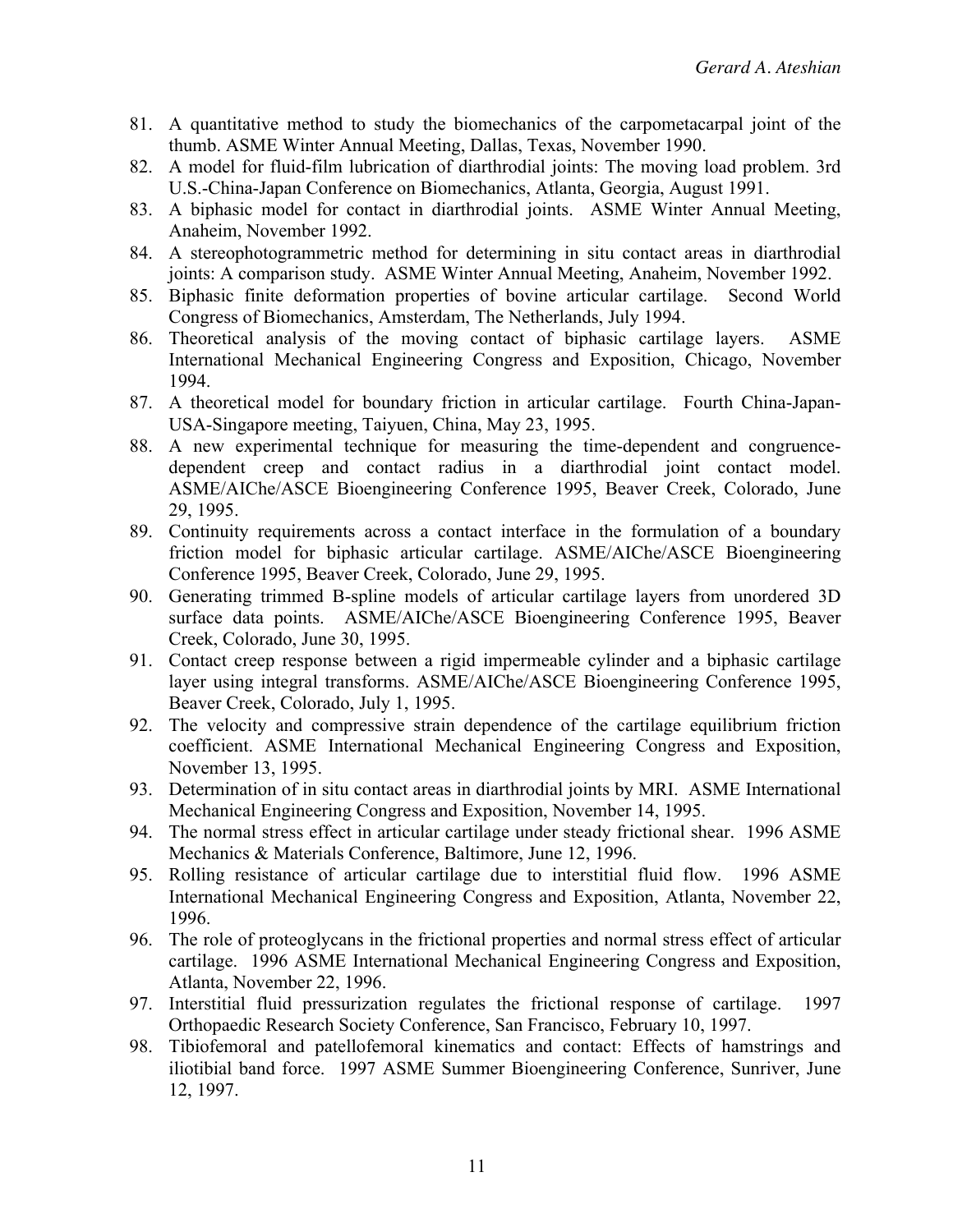- 81. A quantitative method to study the biomechanics of the carpometacarpal joint of the thumb. ASME Winter Annual Meeting, Dallas, Texas, November 1990.
- 82. A model for fluid-film lubrication of diarthrodial joints: The moving load problem. 3rd U.S.-China-Japan Conference on Biomechanics, Atlanta, Georgia, August 1991.
- 83. A biphasic model for contact in diarthrodial joints. ASME Winter Annual Meeting, Anaheim, November 1992.
- 84. A stereophotogrammetric method for determining in situ contact areas in diarthrodial joints: A comparison study. ASME Winter Annual Meeting, Anaheim, November 1992.
- 85. Biphasic finite deformation properties of bovine articular cartilage. Second World Congress of Biomechanics, Amsterdam, The Netherlands, July 1994.
- 86. Theoretical analysis of the moving contact of biphasic cartilage layers. ASME International Mechanical Engineering Congress and Exposition, Chicago, November 1994.
- 87. A theoretical model for boundary friction in articular cartilage. Fourth China-Japan-USA-Singapore meeting, Taiyuen, China, May 23, 1995.
- 88. A new experimental technique for measuring the time-dependent and congruencedependent creep and contact radius in a diarthrodial joint contact model. ASME/AIChe/ASCE Bioengineering Conference 1995, Beaver Creek, Colorado, June 29, 1995.
- 89. Continuity requirements across a contact interface in the formulation of a boundary friction model for biphasic articular cartilage. ASME/AIChe/ASCE Bioengineering Conference 1995, Beaver Creek, Colorado, June 29, 1995.
- 90. Generating trimmed B-spline models of articular cartilage layers from unordered 3D surface data points. ASME/AIChe/ASCE Bioengineering Conference 1995, Beaver Creek, Colorado, June 30, 1995.
- 91. Contact creep response between a rigid impermeable cylinder and a biphasic cartilage layer using integral transforms. ASME/AIChe/ASCE Bioengineering Conference 1995, Beaver Creek, Colorado, July 1, 1995.
- 92. The velocity and compressive strain dependence of the cartilage equilibrium friction coefficient. ASME International Mechanical Engineering Congress and Exposition, November 13, 1995.
- 93. Determination of in situ contact areas in diarthrodial joints by MRI. ASME International Mechanical Engineering Congress and Exposition, November 14, 1995.
- 94. The normal stress effect in articular cartilage under steady frictional shear. 1996 ASME Mechanics & Materials Conference, Baltimore, June 12, 1996.
- 95. Rolling resistance of articular cartilage due to interstitial fluid flow. 1996 ASME International Mechanical Engineering Congress and Exposition, Atlanta, November 22, 1996.
- 96. The role of proteoglycans in the frictional properties and normal stress effect of articular cartilage. 1996 ASME International Mechanical Engineering Congress and Exposition, Atlanta, November 22, 1996.
- 97. Interstitial fluid pressurization regulates the frictional response of cartilage. 1997 Orthopaedic Research Society Conference, San Francisco, February 10, 1997.
- 98. Tibiofemoral and patellofemoral kinematics and contact: Effects of hamstrings and iliotibial band force. 1997 ASME Summer Bioengineering Conference, Sunriver, June 12, 1997.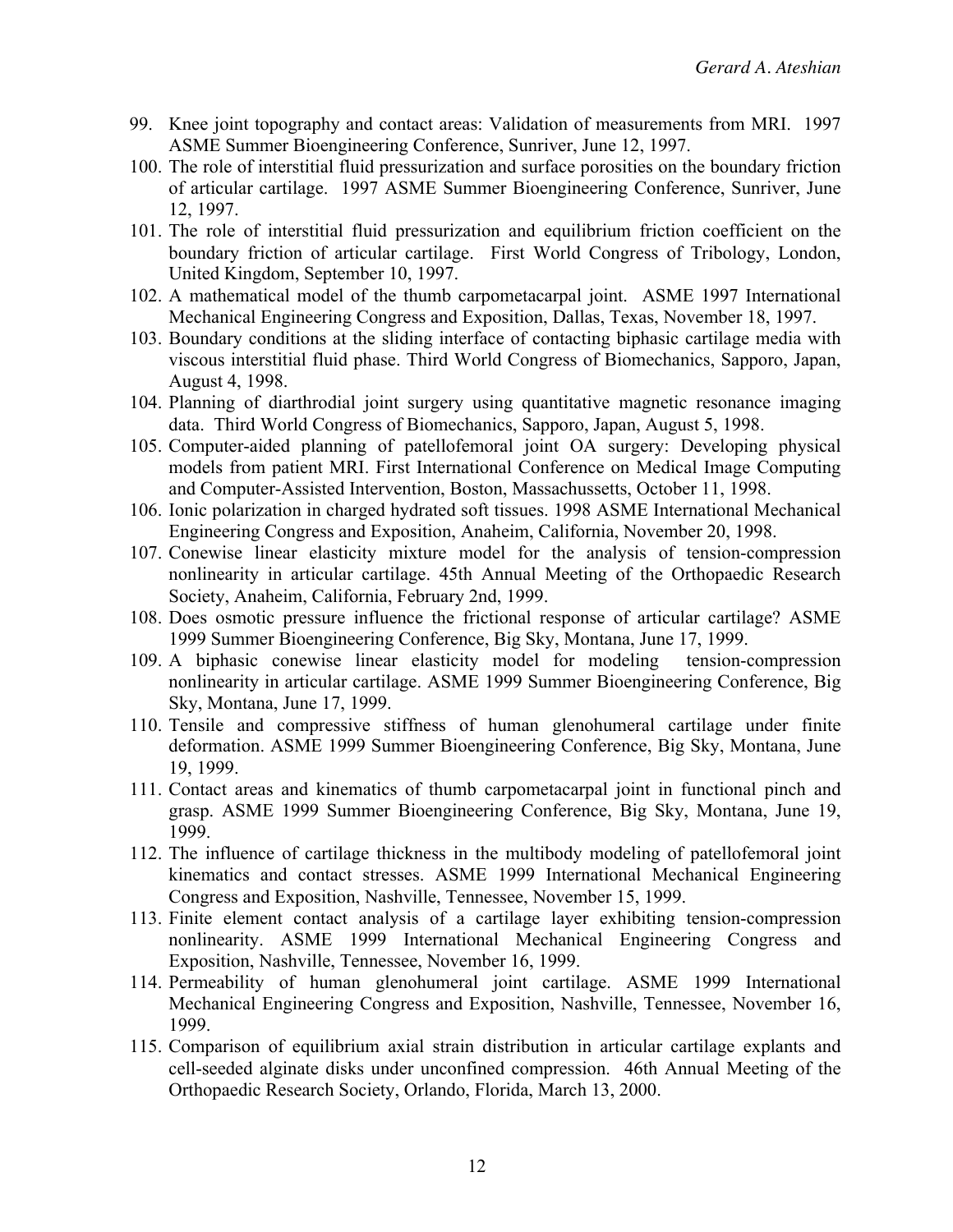- 99. Knee joint topography and contact areas: Validation of measurements from MRI. 1997 ASME Summer Bioengineering Conference, Sunriver, June 12, 1997.
- 100. The role of interstitial fluid pressurization and surface porosities on the boundary friction of articular cartilage. 1997 ASME Summer Bioengineering Conference, Sunriver, June 12, 1997.
- 101. The role of interstitial fluid pressurization and equilibrium friction coefficient on the boundary friction of articular cartilage. First World Congress of Tribology, London, United Kingdom, September 10, 1997.
- 102. A mathematical model of the thumb carpometacarpal joint. ASME 1997 International Mechanical Engineering Congress and Exposition, Dallas, Texas, November 18, 1997.
- 103. Boundary conditions at the sliding interface of contacting biphasic cartilage media with viscous interstitial fluid phase. Third World Congress of Biomechanics, Sapporo, Japan, August 4, 1998.
- 104. Planning of diarthrodial joint surgery using quantitative magnetic resonance imaging data. Third World Congress of Biomechanics, Sapporo, Japan, August 5, 1998.
- 105. Computer-aided planning of patellofemoral joint OA surgery: Developing physical models from patient MRI. First International Conference on Medical Image Computing and Computer-Assisted Intervention, Boston, Massachussetts, October 11, 1998.
- 106. Ionic polarization in charged hydrated soft tissues. 1998 ASME International Mechanical Engineering Congress and Exposition, Anaheim, California, November 20, 1998.
- 107. Conewise linear elasticity mixture model for the analysis of tension-compression nonlinearity in articular cartilage. 45th Annual Meeting of the Orthopaedic Research Society, Anaheim, California, February 2nd, 1999.
- 108. Does osmotic pressure influence the frictional response of articular cartilage? ASME 1999 Summer Bioengineering Conference, Big Sky, Montana, June 17, 1999.
- 109. A biphasic conewise linear elasticity model for modeling tension-compression nonlinearity in articular cartilage. ASME 1999 Summer Bioengineering Conference, Big Sky, Montana, June 17, 1999.
- 110. Tensile and compressive stiffness of human glenohumeral cartilage under finite deformation. ASME 1999 Summer Bioengineering Conference, Big Sky, Montana, June 19, 1999.
- 111. Contact areas and kinematics of thumb carpometacarpal joint in functional pinch and grasp. ASME 1999 Summer Bioengineering Conference, Big Sky, Montana, June 19, 1999.
- 112. The influence of cartilage thickness in the multibody modeling of patellofemoral joint kinematics and contact stresses. ASME 1999 International Mechanical Engineering Congress and Exposition, Nashville, Tennessee, November 15, 1999.
- 113. Finite element contact analysis of a cartilage layer exhibiting tension-compression nonlinearity. ASME 1999 International Mechanical Engineering Congress and Exposition, Nashville, Tennessee, November 16, 1999.
- 114. Permeability of human glenohumeral joint cartilage. ASME 1999 International Mechanical Engineering Congress and Exposition, Nashville, Tennessee, November 16, 1999.
- 115. Comparison of equilibrium axial strain distribution in articular cartilage explants and cell-seeded alginate disks under unconfined compression. 46th Annual Meeting of the Orthopaedic Research Society, Orlando, Florida, March 13, 2000.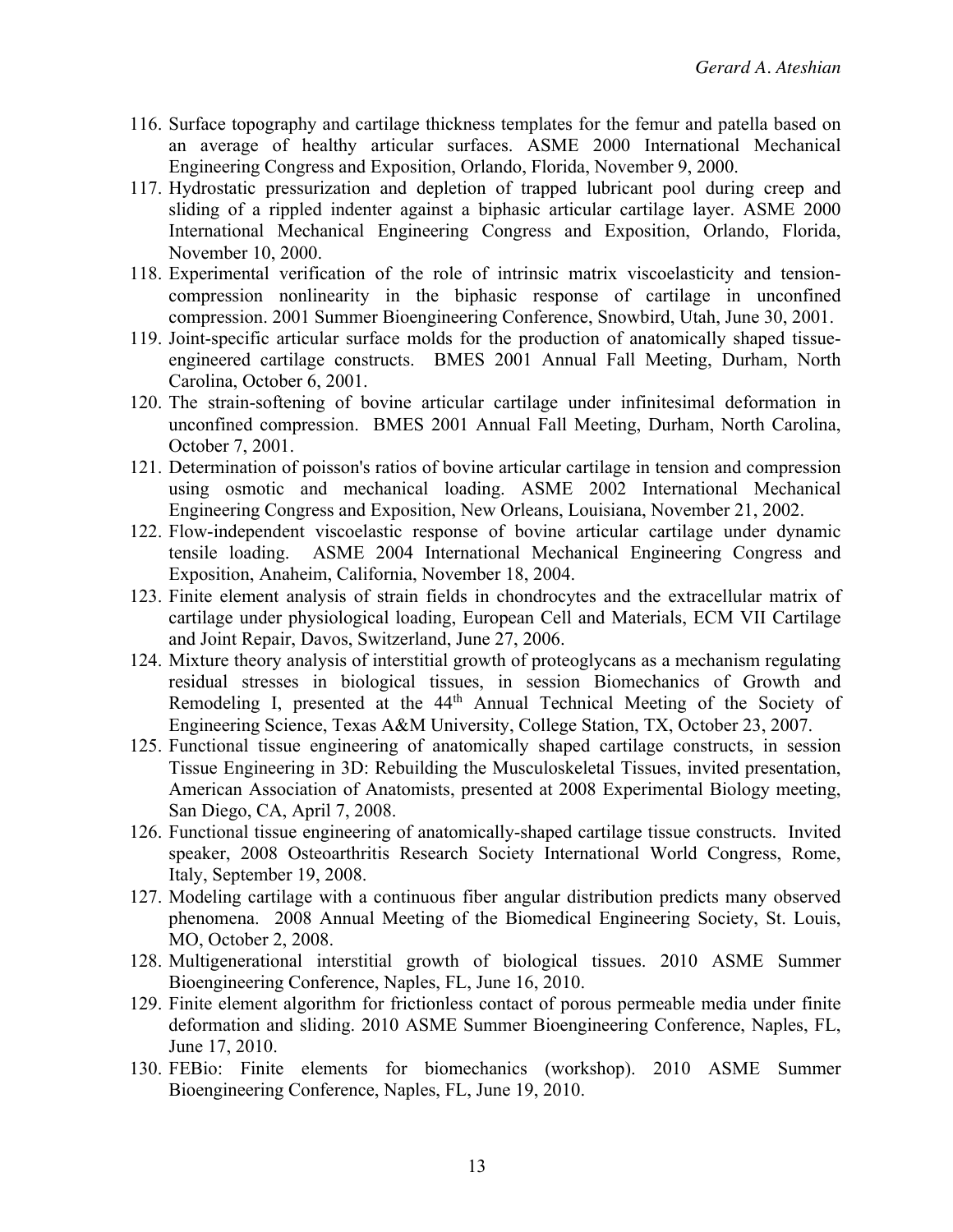- 116. Surface topography and cartilage thickness templates for the femur and patella based on an average of healthy articular surfaces. ASME 2000 International Mechanical Engineering Congress and Exposition, Orlando, Florida, November 9, 2000.
- 117. Hydrostatic pressurization and depletion of trapped lubricant pool during creep and sliding of a rippled indenter against a biphasic articular cartilage layer. ASME 2000 International Mechanical Engineering Congress and Exposition, Orlando, Florida, November 10, 2000.
- 118. Experimental verification of the role of intrinsic matrix viscoelasticity and tensioncompression nonlinearity in the biphasic response of cartilage in unconfined compression. 2001 Summer Bioengineering Conference, Snowbird, Utah, June 30, 2001.
- 119. Joint-specific articular surface molds for the production of anatomically shaped tissueengineered cartilage constructs. BMES 2001 Annual Fall Meeting, Durham, North Carolina, October 6, 2001.
- 120. The strain-softening of bovine articular cartilage under infinitesimal deformation in unconfined compression. BMES 2001 Annual Fall Meeting, Durham, North Carolina, October 7, 2001.
- 121. Determination of poisson's ratios of bovine articular cartilage in tension and compression using osmotic and mechanical loading. ASME 2002 International Mechanical Engineering Congress and Exposition, New Orleans, Louisiana, November 21, 2002.
- 122. Flow-independent viscoelastic response of bovine articular cartilage under dynamic tensile loading. ASME 2004 International Mechanical Engineering Congress and Exposition, Anaheim, California, November 18, 2004.
- 123. Finite element analysis of strain fields in chondrocytes and the extracellular matrix of cartilage under physiological loading, European Cell and Materials, ECM VII Cartilage and Joint Repair, Davos, Switzerland, June 27, 2006.
- 124. Mixture theory analysis of interstitial growth of proteoglycans as a mechanism regulating residual stresses in biological tissues, in session Biomechanics of Growth and Remodeling I, presented at the 44th Annual Technical Meeting of the Society of Engineering Science, Texas A&M University, College Station, TX, October 23, 2007.
- 125. Functional tissue engineering of anatomically shaped cartilage constructs, in session Tissue Engineering in 3D: Rebuilding the Musculoskeletal Tissues, invited presentation, American Association of Anatomists, presented at 2008 Experimental Biology meeting, San Diego, CA, April 7, 2008.
- 126. Functional tissue engineering of anatomically-shaped cartilage tissue constructs. Invited speaker, 2008 Osteoarthritis Research Society International World Congress, Rome, Italy, September 19, 2008.
- 127. Modeling cartilage with a continuous fiber angular distribution predicts many observed phenomena. 2008 Annual Meeting of the Biomedical Engineering Society, St. Louis, MO, October 2, 2008.
- 128. Multigenerational interstitial growth of biological tissues. 2010 ASME Summer Bioengineering Conference, Naples, FL, June 16, 2010.
- 129. Finite element algorithm for frictionless contact of porous permeable media under finite deformation and sliding. 2010 ASME Summer Bioengineering Conference, Naples, FL, June 17, 2010.
- 130. FEBio: Finite elements for biomechanics (workshop). 2010 ASME Summer Bioengineering Conference, Naples, FL, June 19, 2010.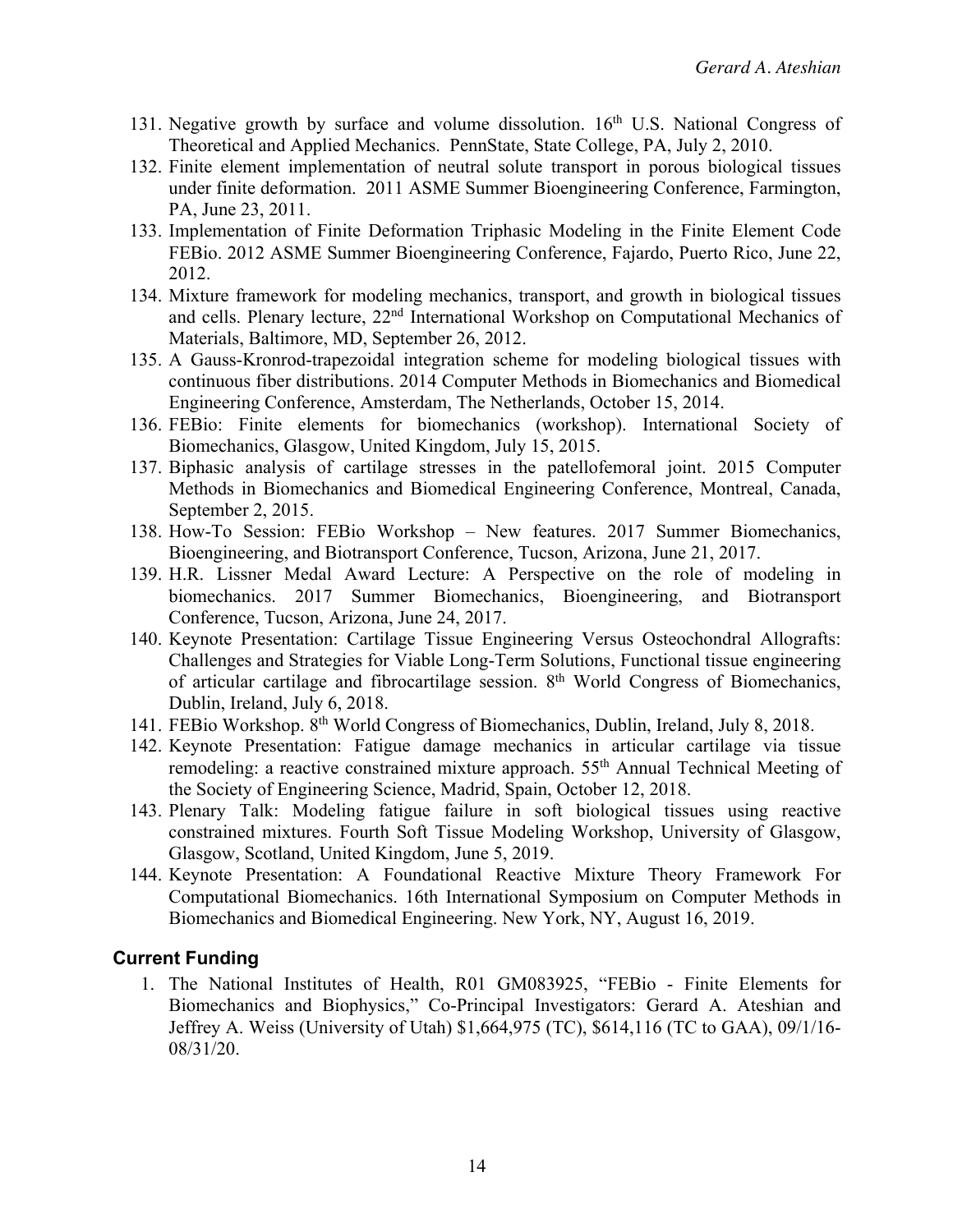- 131. Negative growth by surface and volume dissolution.  $16<sup>th</sup>$  U.S. National Congress of Theoretical and Applied Mechanics. PennState, State College, PA, July 2, 2010.
- 132. Finite element implementation of neutral solute transport in porous biological tissues under finite deformation. 2011 ASME Summer Bioengineering Conference, Farmington, PA, June 23, 2011.
- 133. Implementation of Finite Deformation Triphasic Modeling in the Finite Element Code FEBio. 2012 ASME Summer Bioengineering Conference, Fajardo, Puerto Rico, June 22, 2012.
- 134. Mixture framework for modeling mechanics, transport, and growth in biological tissues and cells. Plenary lecture, 22nd International Workshop on Computational Mechanics of Materials, Baltimore, MD, September 26, 2012.
- 135. A Gauss-Kronrod-trapezoidal integration scheme for modeling biological tissues with continuous fiber distributions. 2014 Computer Methods in Biomechanics and Biomedical Engineering Conference, Amsterdam, The Netherlands, October 15, 2014.
- 136. FEBio: Finite elements for biomechanics (workshop). International Society of Biomechanics, Glasgow, United Kingdom, July 15, 2015.
- 137. Biphasic analysis of cartilage stresses in the patellofemoral joint. 2015 Computer Methods in Biomechanics and Biomedical Engineering Conference, Montreal, Canada, September 2, 2015.
- 138. How-To Session: FEBio Workshop New features. 2017 Summer Biomechanics, Bioengineering, and Biotransport Conference, Tucson, Arizona, June 21, 2017.
- 139. H.R. Lissner Medal Award Lecture: A Perspective on the role of modeling in biomechanics. 2017 Summer Biomechanics, Bioengineering, and Biotransport Conference, Tucson, Arizona, June 24, 2017.
- 140. Keynote Presentation: Cartilage Tissue Engineering Versus Osteochondral Allografts: Challenges and Strategies for Viable Long-Term Solutions, Functional tissue engineering of articular cartilage and fibrocartilage session. 8th World Congress of Biomechanics, Dublin, Ireland, July 6, 2018.
- 141. FEBio Workshop. 8th World Congress of Biomechanics, Dublin, Ireland, July 8, 2018.
- 142. Keynote Presentation: Fatigue damage mechanics in articular cartilage via tissue remodeling: a reactive constrained mixture approach. 55<sup>th</sup> Annual Technical Meeting of the Society of Engineering Science, Madrid, Spain, October 12, 2018.
- 143. Plenary Talk: Modeling fatigue failure in soft biological tissues using reactive constrained mixtures. Fourth Soft Tissue Modeling Workshop, University of Glasgow, Glasgow, Scotland, United Kingdom, June 5, 2019.
- 144. Keynote Presentation: A Foundational Reactive Mixture Theory Framework For Computational Biomechanics. 16th International Symposium on Computer Methods in Biomechanics and Biomedical Engineering. New York, NY, August 16, 2019.

#### **Current Funding**

1. The National Institutes of Health, R01 GM083925, "FEBio - Finite Elements for Biomechanics and Biophysics," Co-Principal Investigators: Gerard A. Ateshian and Jeffrey A. Weiss (University of Utah) \$1,664,975 (TC), \$614,116 (TC to GAA), 09/1/16- 08/31/20.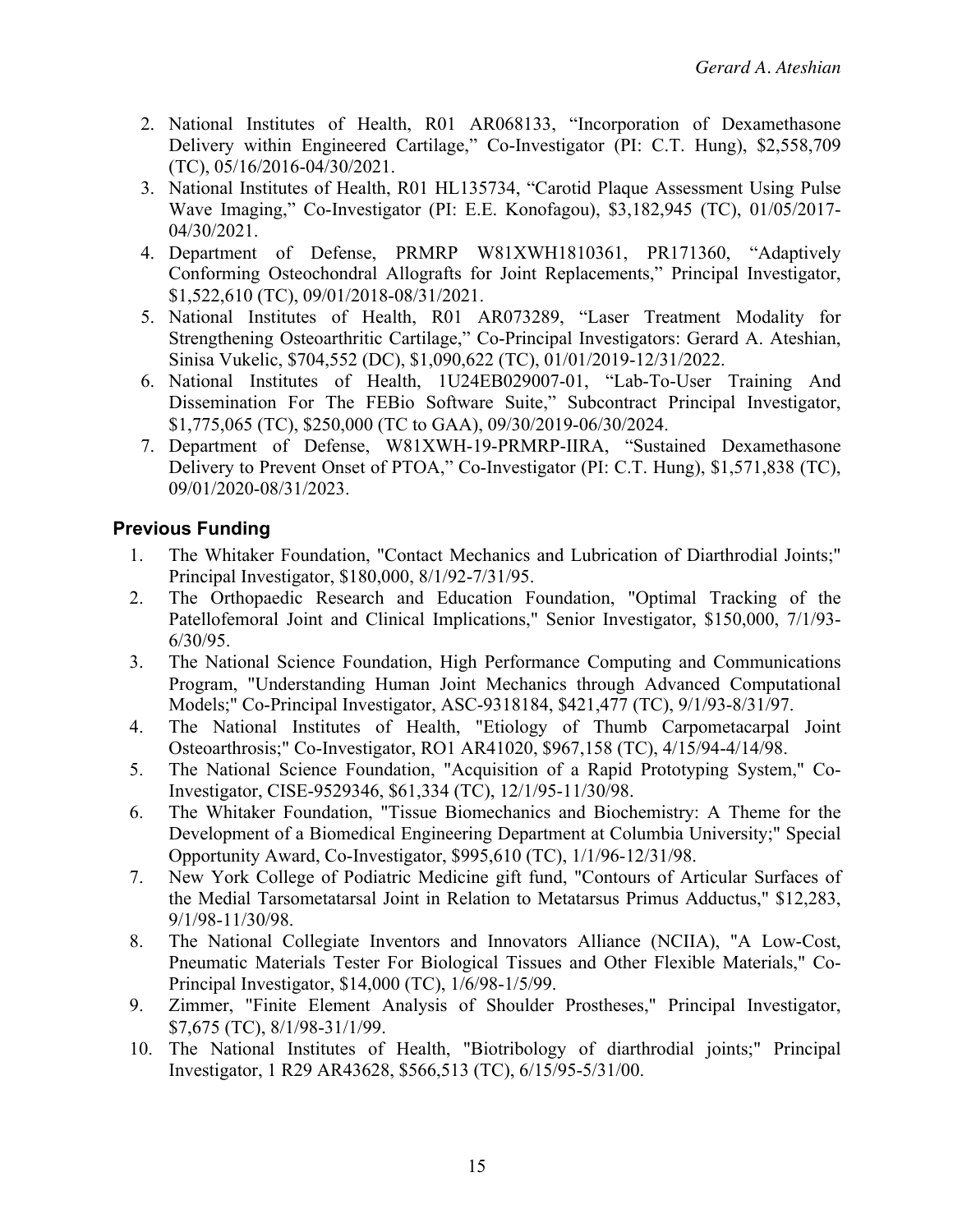- 2. National Institutes of Health, R01 AR068133, "Incorporation of Dexamethasone Delivery within Engineered Cartilage," Co-Investigator (PI: C.T. Hung), \$2,558,709 (TC), 05/16/2016-04/30/2021.
- 3. National Institutes of Health, R01 HL135734, "Carotid Plaque Assessment Using Pulse Wave Imaging," Co-Investigator (PI: E.E. Konofagou), \$3,182,945 (TC), 01/05/2017- 04/30/2021.
- 4. Department of Defense, PRMRP W81XWH1810361, PR171360, "Adaptively Conforming Osteochondral Allografts for Joint Replacements," Principal Investigator, \$1,522,610 (TC), 09/01/2018-08/31/2021.
- 5. National Institutes of Health, R01 AR073289, "Laser Treatment Modality for Strengthening Osteoarthritic Cartilage," Co-Principal Investigators: Gerard A. Ateshian, Sinisa Vukelic, \$704,552 (DC), \$1,090,622 (TC), 01/01/2019-12/31/2022.
- 6. National Institutes of Health, 1U24EB029007-01, "Lab-To-User Training And Dissemination For The FEBio Software Suite," Subcontract Principal Investigator, \$1,775,065 (TC), \$250,000 (TC to GAA), 09/30/2019-06/30/2024.
- 7. Department of Defense, W81XWH-19-PRMRP-IIRA, "Sustained Dexamethasone Delivery to Prevent Onset of PTOA," Co-Investigator (PI: C.T. Hung), \$1,571,838 (TC), 09/01/2020-08/31/2023.

## **Previous Funding**

- 1. The Whitaker Foundation, "Contact Mechanics and Lubrication of Diarthrodial Joints;" Principal Investigator, \$180,000, 8/1/92-7/31/95.
- 2. The Orthopaedic Research and Education Foundation, "Optimal Tracking of the Patellofemoral Joint and Clinical Implications," Senior Investigator, \$150,000, 7/1/93- 6/30/95.
- 3. The National Science Foundation, High Performance Computing and Communications Program, "Understanding Human Joint Mechanics through Advanced Computational Models;" Co-Principal Investigator, ASC-9318184, \$421,477 (TC), 9/1/93-8/31/97.
- 4. The National Institutes of Health, "Etiology of Thumb Carpometacarpal Joint Osteoarthrosis;" Co-Investigator, RO1 AR41020, \$967,158 (TC), 4/15/94-4/14/98.
- 5. The National Science Foundation, "Acquisition of a Rapid Prototyping System," Co-Investigator, CISE-9529346, \$61,334 (TC), 12/1/95-11/30/98.
- 6. The Whitaker Foundation, "Tissue Biomechanics and Biochemistry: A Theme for the Development of a Biomedical Engineering Department at Columbia University;" Special Opportunity Award, Co-Investigator, \$995,610 (TC), 1/1/96-12/31/98.
- 7. New York College of Podiatric Medicine gift fund, "Contours of Articular Surfaces of the Medial Tarsometatarsal Joint in Relation to Metatarsus Primus Adductus," \$12,283, 9/1/98-11/30/98.
- 8. The National Collegiate Inventors and Innovators Alliance (NCIIA), "A Low-Cost, Pneumatic Materials Tester For Biological Tissues and Other Flexible Materials," Co-Principal Investigator, \$14,000 (TC), 1/6/98-1/5/99.
- 9. Zimmer, "Finite Element Analysis of Shoulder Prostheses," Principal Investigator, \$7,675 (TC), 8/1/98-31/1/99.
- 10. The National Institutes of Health, "Biotribology of diarthrodial joints;" Principal Investigator, 1 R29 AR43628, \$566,513 (TC), 6/15/95-5/31/00.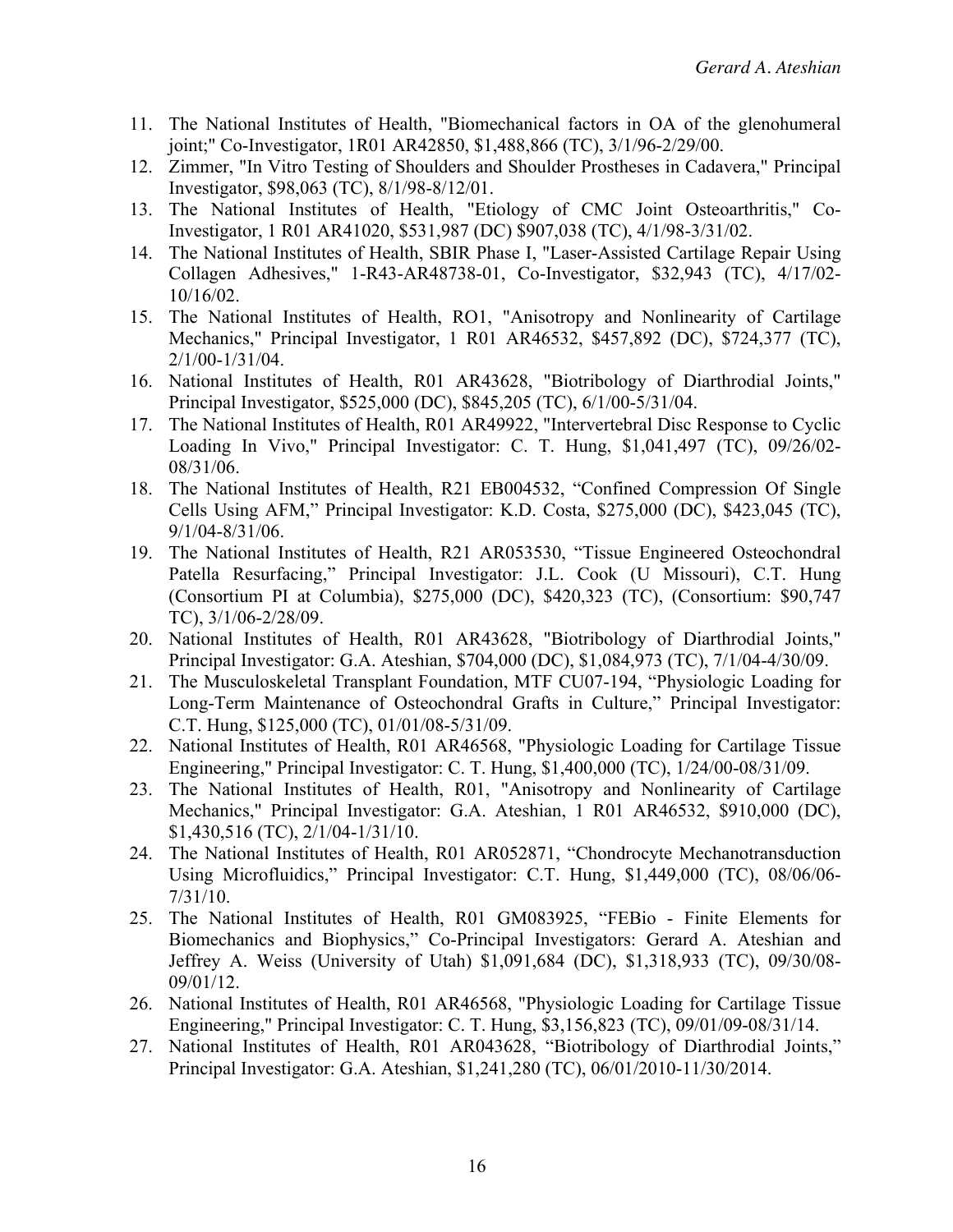- 11. The National Institutes of Health, "Biomechanical factors in OA of the glenohumeral joint;" Co-Investigator, 1R01 AR42850, \$1,488,866 (TC), 3/1/96-2/29/00.
- 12. Zimmer, "In Vitro Testing of Shoulders and Shoulder Prostheses in Cadavera," Principal Investigator, \$98,063 (TC), 8/1/98-8/12/01.
- 13. The National Institutes of Health, "Etiology of CMC Joint Osteoarthritis," Co-Investigator, 1 R01 AR41020, \$531,987 (DC) \$907,038 (TC), 4/1/98-3/31/02.
- 14. The National Institutes of Health, SBIR Phase I, "Laser-Assisted Cartilage Repair Using Collagen Adhesives," 1-R43-AR48738-01, Co-Investigator, \$32,943 (TC), 4/17/02- 10/16/02.
- 15. The National Institutes of Health, RO1, "Anisotropy and Nonlinearity of Cartilage Mechanics," Principal Investigator, 1 R01 AR46532, \$457,892 (DC), \$724,377 (TC), 2/1/00-1/31/04.
- 16. National Institutes of Health, R01 AR43628, "Biotribology of Diarthrodial Joints," Principal Investigator, \$525,000 (DC), \$845,205 (TC), 6/1/00-5/31/04.
- 17. The National Institutes of Health, R01 AR49922, "Intervertebral Disc Response to Cyclic Loading In Vivo," Principal Investigator: C. T. Hung, \$1,041,497 (TC), 09/26/02- 08/31/06.
- 18. The National Institutes of Health, R21 EB004532, "Confined Compression Of Single Cells Using AFM," Principal Investigator: K.D. Costa, \$275,000 (DC), \$423,045 (TC), 9/1/04-8/31/06.
- 19. The National Institutes of Health, R21 AR053530, "Tissue Engineered Osteochondral Patella Resurfacing," Principal Investigator: J.L. Cook (U Missouri), C.T. Hung (Consortium PI at Columbia), \$275,000 (DC), \$420,323 (TC), (Consortium: \$90,747 TC), 3/1/06-2/28/09.
- 20. National Institutes of Health, R01 AR43628, "Biotribology of Diarthrodial Joints," Principal Investigator: G.A. Ateshian, \$704,000 (DC), \$1,084,973 (TC), 7/1/04-4/30/09.
- 21. The Musculoskeletal Transplant Foundation, MTF CU07-194, "Physiologic Loading for Long-Term Maintenance of Osteochondral Grafts in Culture," Principal Investigator: C.T. Hung, \$125,000 (TC), 01/01/08-5/31/09.
- 22. National Institutes of Health, R01 AR46568, "Physiologic Loading for Cartilage Tissue Engineering," Principal Investigator: C. T. Hung, \$1,400,000 (TC), 1/24/00-08/31/09.
- 23. The National Institutes of Health, R01, "Anisotropy and Nonlinearity of Cartilage Mechanics," Principal Investigator: G.A. Ateshian, 1 R01 AR46532, \$910,000 (DC), \$1,430,516 (TC), 2/1/04-1/31/10.
- 24. The National Institutes of Health, R01 AR052871, "Chondrocyte Mechanotransduction Using Microfluidics," Principal Investigator: C.T. Hung, \$1,449,000 (TC), 08/06/06- 7/31/10.
- 25. The National Institutes of Health, R01 GM083925, "FEBio Finite Elements for Biomechanics and Biophysics," Co-Principal Investigators: Gerard A. Ateshian and Jeffrey A. Weiss (University of Utah) \$1,091,684 (DC), \$1,318,933 (TC), 09/30/08- 09/01/12.
- 26. National Institutes of Health, R01 AR46568, "Physiologic Loading for Cartilage Tissue Engineering," Principal Investigator: C. T. Hung, \$3,156,823 (TC), 09/01/09-08/31/14.
- 27. National Institutes of Health, R01 AR043628, "Biotribology of Diarthrodial Joints," Principal Investigator: G.A. Ateshian, \$1,241,280 (TC), 06/01/2010-11/30/2014.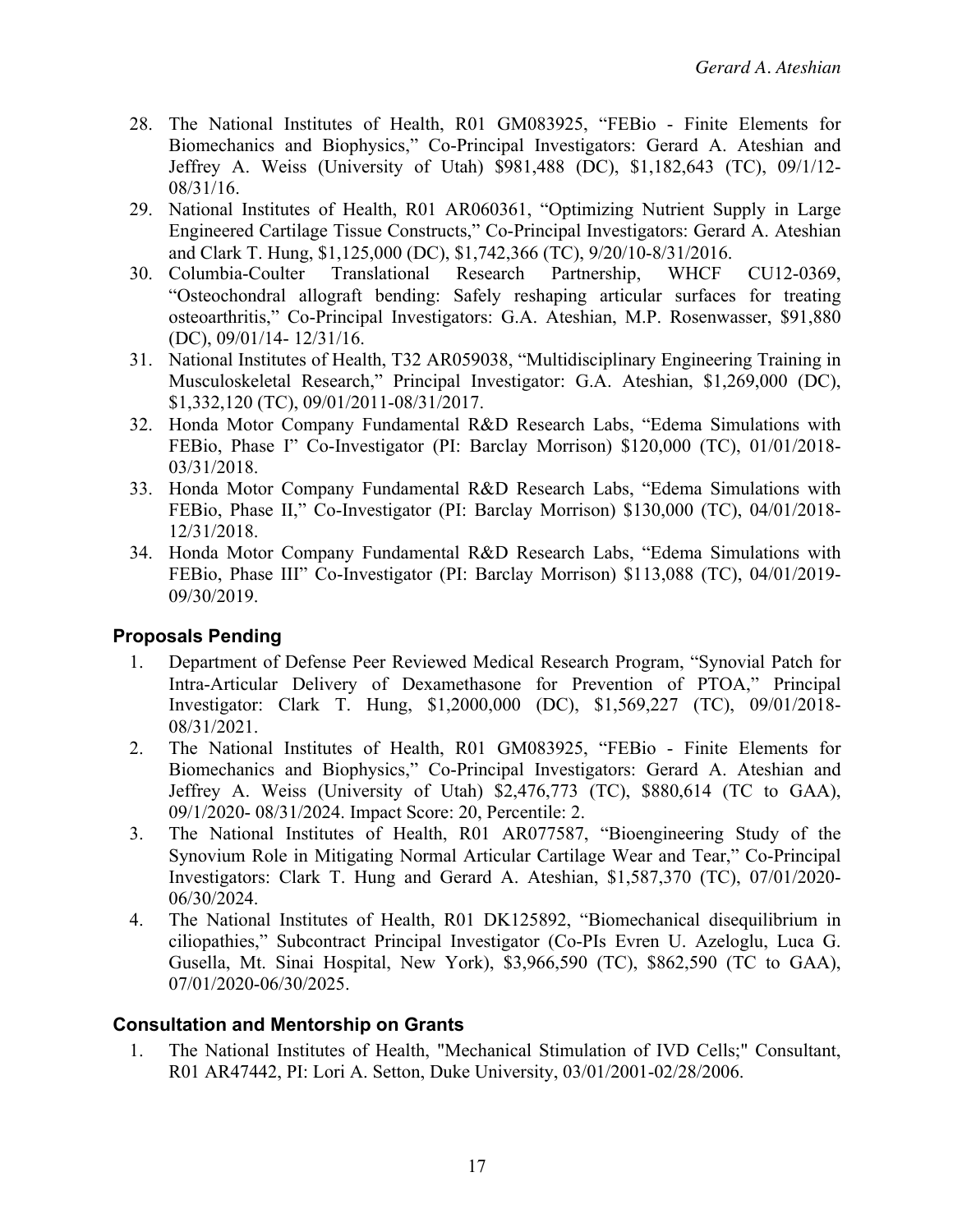- 28. The National Institutes of Health, R01 GM083925, "FEBio Finite Elements for Biomechanics and Biophysics," Co-Principal Investigators: Gerard A. Ateshian and Jeffrey A. Weiss (University of Utah) \$981,488 (DC), \$1,182,643 (TC), 09/1/12- 08/31/16.
- 29. National Institutes of Health, R01 AR060361, "Optimizing Nutrient Supply in Large Engineered Cartilage Tissue Constructs," Co-Principal Investigators: Gerard A. Ateshian and Clark T. Hung, \$1,125,000 (DC), \$1,742,366 (TC), 9/20/10-8/31/2016.
- 30. Columbia-Coulter Translational Research Partnership, WHCF CU12-0369, "Osteochondral allograft bending: Safely reshaping articular surfaces for treating osteoarthritis," Co-Principal Investigators: G.A. Ateshian, M.P. Rosenwasser, \$91,880 (DC), 09/01/14- 12/31/16.
- 31. National Institutes of Health, T32 AR059038, "Multidisciplinary Engineering Training in Musculoskeletal Research," Principal Investigator: G.A. Ateshian, \$1,269,000 (DC), \$1,332,120 (TC), 09/01/2011-08/31/2017.
- 32. Honda Motor Company Fundamental R&D Research Labs, "Edema Simulations with FEBio, Phase I" Co-Investigator (PI: Barclay Morrison) \$120,000 (TC), 01/01/2018- 03/31/2018.
- 33. Honda Motor Company Fundamental R&D Research Labs, "Edema Simulations with FEBio, Phase II," Co-Investigator (PI: Barclay Morrison) \$130,000 (TC), 04/01/2018- 12/31/2018.
- 34. Honda Motor Company Fundamental R&D Research Labs, "Edema Simulations with FEBio, Phase III" Co-Investigator (PI: Barclay Morrison) \$113,088 (TC), 04/01/2019- 09/30/2019.

## **Proposals Pending**

- 1. Department of Defense Peer Reviewed Medical Research Program, "Synovial Patch for Intra-Articular Delivery of Dexamethasone for Prevention of PTOA," Principal Investigator: Clark T. Hung, \$1,2000,000 (DC), \$1,569,227 (TC), 09/01/2018- 08/31/2021.
- 2. The National Institutes of Health, R01 GM083925, "FEBio Finite Elements for Biomechanics and Biophysics," Co-Principal Investigators: Gerard A. Ateshian and Jeffrey A. Weiss (University of Utah) \$2,476,773 (TC), \$880,614 (TC to GAA), 09/1/2020- 08/31/2024. Impact Score: 20, Percentile: 2.
- 3. The National Institutes of Health, R01 AR077587, "Bioengineering Study of the Synovium Role in Mitigating Normal Articular Cartilage Wear and Tear," Co-Principal Investigators: Clark T. Hung and Gerard A. Ateshian, \$1,587,370 (TC), 07/01/2020- 06/30/2024.
- 4. The National Institutes of Health, R01 DK125892, "Biomechanical disequilibrium in ciliopathies," Subcontract Principal Investigator (Co-PIs Evren U. Azeloglu, Luca G. Gusella, Mt. Sinai Hospital, New York), \$3,966,590 (TC), \$862,590 (TC to GAA), 07/01/2020-06/30/2025.

#### **Consultation and Mentorship on Grants**

1. The National Institutes of Health, "Mechanical Stimulation of IVD Cells;" Consultant, R01 AR47442, PI: Lori A. Setton, Duke University, 03/01/2001-02/28/2006.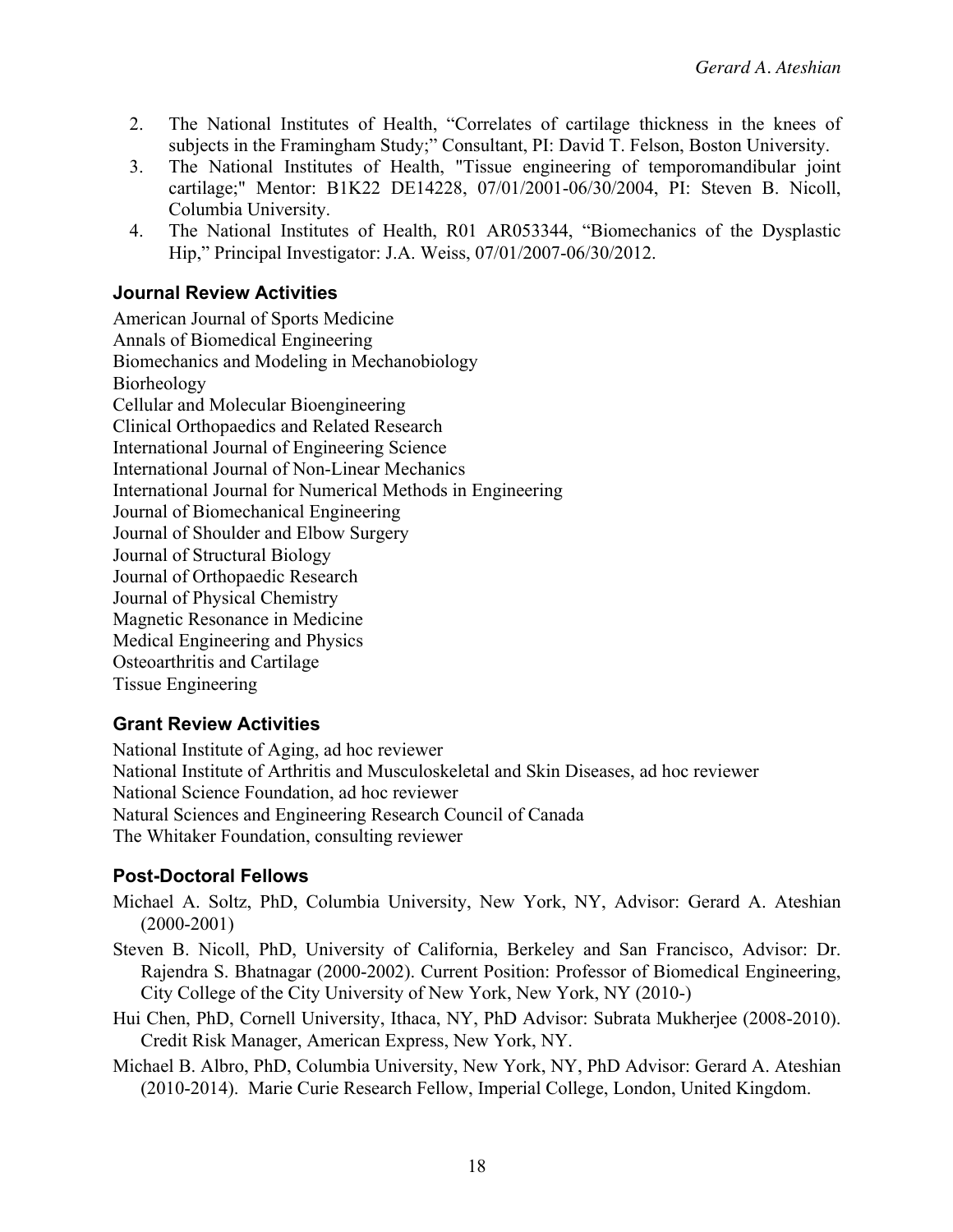- 2. The National Institutes of Health, "Correlates of cartilage thickness in the knees of subjects in the Framingham Study;" Consultant, PI: David T. Felson, Boston University.
- 3. The National Institutes of Health, "Tissue engineering of temporomandibular joint cartilage;" Mentor: B1K22 DE14228, 07/01/2001-06/30/2004, PI: Steven B. Nicoll, Columbia University.
- 4. The National Institutes of Health, R01 AR053344, "Biomechanics of the Dysplastic Hip," Principal Investigator: J.A. Weiss, 07/01/2007-06/30/2012.

### **Journal Review Activities**

American Journal of Sports Medicine Annals of Biomedical Engineering Biomechanics and Modeling in Mechanobiology Biorheology Cellular and Molecular Bioengineering Clinical Orthopaedics and Related Research International Journal of Engineering Science International Journal of Non-Linear Mechanics International Journal for Numerical Methods in Engineering Journal of Biomechanical Engineering Journal of Shoulder and Elbow Surgery Journal of Structural Biology Journal of Orthopaedic Research Journal of Physical Chemistry Magnetic Resonance in Medicine Medical Engineering and Physics Osteoarthritis and Cartilage Tissue Engineering

#### **Grant Review Activities**

National Institute of Aging, ad hoc reviewer National Institute of Arthritis and Musculoskeletal and Skin Diseases, ad hoc reviewer National Science Foundation, ad hoc reviewer Natural Sciences and Engineering Research Council of Canada The Whitaker Foundation, consulting reviewer

#### **Post-Doctoral Fellows**

- Michael A. Soltz, PhD, Columbia University, New York, NY, Advisor: Gerard A. Ateshian (2000-2001)
- Steven B. Nicoll, PhD, University of California, Berkeley and San Francisco, Advisor: Dr. Rajendra S. Bhatnagar (2000-2002). Current Position: Professor of Biomedical Engineering, City College of the City University of New York, New York, NY (2010-)
- Hui Chen, PhD, Cornell University, Ithaca, NY, PhD Advisor: Subrata Mukherjee (2008-2010). Credit Risk Manager, American Express, New York, NY.
- Michael B. Albro, PhD, Columbia University, New York, NY, PhD Advisor: Gerard A. Ateshian (2010-2014). Marie Curie Research Fellow, Imperial College, London, United Kingdom.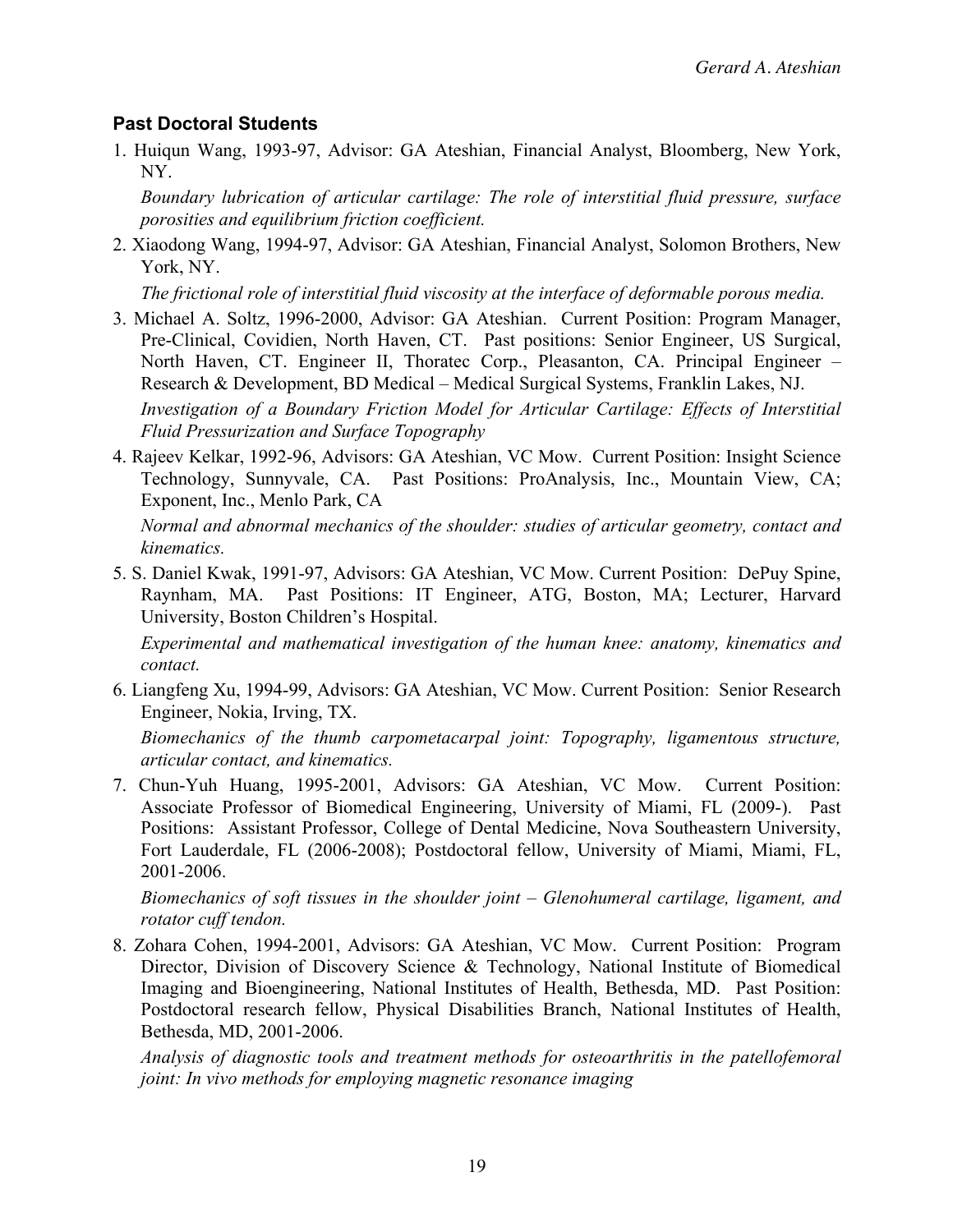#### **Past Doctoral Students**

1. Huiqun Wang, 1993-97, Advisor: GA Ateshian, Financial Analyst, Bloomberg, New York, NY.

*Boundary lubrication of articular cartilage: The role of interstitial fluid pressure, surface porosities and equilibrium friction coefficient.*

2. Xiaodong Wang, 1994-97, Advisor: GA Ateshian, Financial Analyst, Solomon Brothers, New York, NY.

*The frictional role of interstitial fluid viscosity at the interface of deformable porous media.*

3. Michael A. Soltz, 1996-2000, Advisor: GA Ateshian. Current Position: Program Manager, Pre-Clinical, Covidien, North Haven, CT. Past positions: Senior Engineer, US Surgical, North Haven, CT. Engineer II, Thoratec Corp., Pleasanton, CA. Principal Engineer – Research & Development, BD Medical – Medical Surgical Systems, Franklin Lakes, NJ.

*Investigation of a Boundary Friction Model for Articular Cartilage: Effects of Interstitial Fluid Pressurization and Surface Topography*

4. Rajeev Kelkar, 1992-96, Advisors: GA Ateshian, VC Mow. Current Position: Insight Science Technology, Sunnyvale, CA. Past Positions: ProAnalysis, Inc., Mountain View, CA; Exponent, Inc., Menlo Park, CA

*Normal and abnormal mechanics of the shoulder: studies of articular geometry, contact and kinematics.*

5. S. Daniel Kwak, 1991-97, Advisors: GA Ateshian, VC Mow. Current Position: DePuy Spine, Raynham, MA. Past Positions: IT Engineer, ATG, Boston, MA; Lecturer, Harvard University, Boston Children's Hospital.

*Experimental and mathematical investigation of the human knee: anatomy, kinematics and contact.*

6. Liangfeng Xu, 1994-99, Advisors: GA Ateshian, VC Mow. Current Position: Senior Research Engineer, Nokia, Irving, TX.

*Biomechanics of the thumb carpometacarpal joint: Topography, ligamentous structure, articular contact, and kinematics.*

7. Chun-Yuh Huang, 1995-2001, Advisors: GA Ateshian, VC Mow. Current Position: Associate Professor of Biomedical Engineering, University of Miami, FL (2009-). Past Positions: Assistant Professor, College of Dental Medicine, Nova Southeastern University, Fort Lauderdale, FL (2006-2008); Postdoctoral fellow, University of Miami, Miami, FL, 2001-2006.

*Biomechanics of soft tissues in the shoulder joint – Glenohumeral cartilage, ligament, and rotator cuff tendon.*

8. Zohara Cohen, 1994-2001, Advisors: GA Ateshian, VC Mow. Current Position: Program Director, Division of Discovery Science & Technology, National Institute of Biomedical Imaging and Bioengineering, National Institutes of Health, Bethesda, MD. Past Position: Postdoctoral research fellow, Physical Disabilities Branch, National Institutes of Health, Bethesda, MD, 2001-2006.

*Analysis of diagnostic tools and treatment methods for osteoarthritis in the patellofemoral joint: In vivo methods for employing magnetic resonance imaging*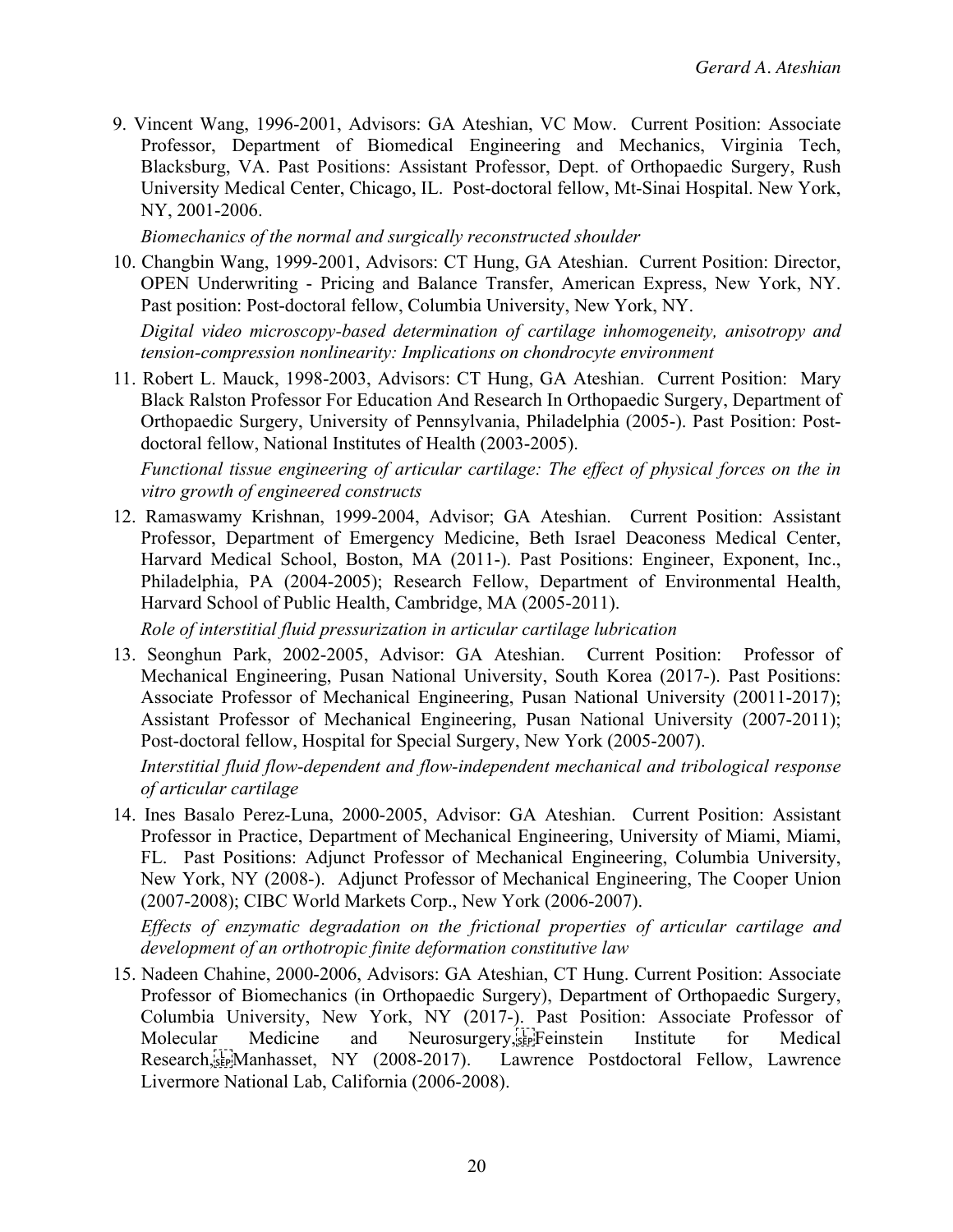9. Vincent Wang, 1996-2001, Advisors: GA Ateshian, VC Mow. Current Position: Associate Professor, Department of Biomedical Engineering and Mechanics, Virginia Tech, Blacksburg, VA. Past Positions: Assistant Professor, Dept. of Orthopaedic Surgery, Rush University Medical Center, Chicago, IL. Post-doctoral fellow, Mt-Sinai Hospital. New York, NY, 2001-2006.

*Biomechanics of the normal and surgically reconstructed shoulder*

10. Changbin Wang, 1999-2001, Advisors: CT Hung, GA Ateshian. Current Position: Director, OPEN Underwriting - Pricing and Balance Transfer, American Express, New York, NY. Past position: Post-doctoral fellow, Columbia University, New York, NY.

*Digital video microscopy-based determination of cartilage inhomogeneity, anisotropy and tension-compression nonlinearity: Implications on chondrocyte environment*

11. Robert L. Mauck, 1998-2003, Advisors: CT Hung, GA Ateshian. Current Position: Mary Black Ralston Professor For Education And Research In Orthopaedic Surgery, Department of Orthopaedic Surgery, University of Pennsylvania, Philadelphia (2005-). Past Position: Postdoctoral fellow, National Institutes of Health (2003-2005).

*Functional tissue engineering of articular cartilage: The effect of physical forces on the in vitro growth of engineered constructs*

12. Ramaswamy Krishnan, 1999-2004, Advisor; GA Ateshian. Current Position: Assistant Professor, Department of Emergency Medicine, Beth Israel Deaconess Medical Center, Harvard Medical School, Boston, MA (2011-). Past Positions: Engineer, Exponent, Inc., Philadelphia, PA (2004-2005); Research Fellow, Department of Environmental Health, Harvard School of Public Health, Cambridge, MA (2005-2011).

*Role of interstitial fluid pressurization in articular cartilage lubrication*

13. Seonghun Park, 2002-2005, Advisor: GA Ateshian. Current Position: Professor of Mechanical Engineering, Pusan National University, South Korea (2017-). Past Positions: Associate Professor of Mechanical Engineering, Pusan National University (20011-2017); Assistant Professor of Mechanical Engineering, Pusan National University (2007-2011); Post-doctoral fellow, Hospital for Special Surgery, New York (2005-2007).

*Interstitial fluid flow-dependent and flow-independent mechanical and tribological response of articular cartilage*

14. Ines Basalo Perez-Luna, 2000-2005, Advisor: GA Ateshian. Current Position: Assistant Professor in Practice, Department of Mechanical Engineering, University of Miami, Miami, FL. Past Positions: Adjunct Professor of Mechanical Engineering, Columbia University, New York, NY (2008-). Adjunct Professor of Mechanical Engineering, The Cooper Union (2007-2008); CIBC World Markets Corp., New York (2006-2007).

*Effects of enzymatic degradation on the frictional properties of articular cartilage and development of an orthotropic finite deformation constitutive law*

15. Nadeen Chahine, 2000-2006, Advisors: GA Ateshian, CT Hung. Current Position: Associate Professor of Biomechanics (in Orthopaedic Surgery), Department of Orthopaedic Surgery, Columbia University, New York, NY (2017-). Past Position: Associate Professor of Molecular Medicine and Neurosurgery, Feinstein Institute for Medical Research,
Manhasset, NY (2008-2017). Lawrence Postdoctoral Fellow, Lawrence Livermore National Lab, California (2006-2008).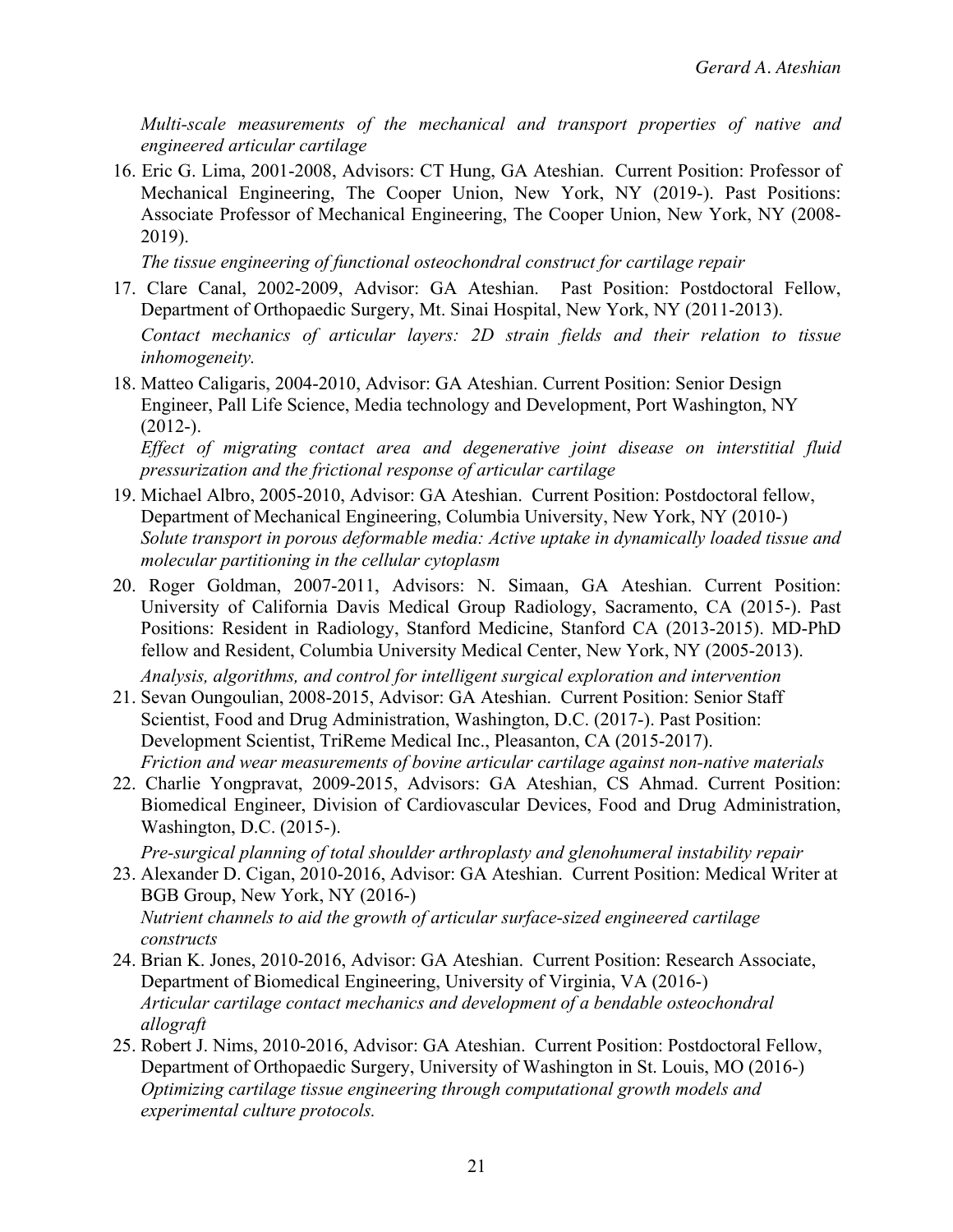*Multi-scale measurements of the mechanical and transport properties of native and engineered articular cartilage*

16. Eric G. Lima, 2001-2008, Advisors: CT Hung, GA Ateshian. Current Position: Professor of Mechanical Engineering, The Cooper Union, New York, NY (2019-). Past Positions: Associate Professor of Mechanical Engineering, The Cooper Union, New York, NY (2008- 2019).

*The tissue engineering of functional osteochondral construct for cartilage repair*

17. Clare Canal, 2002-2009, Advisor: GA Ateshian. Past Position: Postdoctoral Fellow, Department of Orthopaedic Surgery, Mt. Sinai Hospital, New York, NY (2011-2013).

*Contact mechanics of articular layers: 2D strain fields and their relation to tissue inhomogeneity.*

18. Matteo Caligaris, 2004-2010, Advisor: GA Ateshian. Current Position: Senior Design Engineer, Pall Life Science, Media technology and Development, Port Washington, NY  $(2012-).$ 

*Effect of migrating contact area and degenerative joint disease on interstitial fluid pressurization and the frictional response of articular cartilage*

- 19. Michael Albro, 2005-2010, Advisor: GA Ateshian. Current Position: Postdoctoral fellow, Department of Mechanical Engineering, Columbia University, New York, NY (2010-) *Solute transport in porous deformable media: Active uptake in dynamically loaded tissue and molecular partitioning in the cellular cytoplasm*
- 20. Roger Goldman, 2007-2011, Advisors: N. Simaan, GA Ateshian. Current Position: University of California Davis Medical Group Radiology, Sacramento, CA (2015-). Past Positions: Resident in Radiology, Stanford Medicine, Stanford CA (2013-2015). MD-PhD fellow and Resident, Columbia University Medical Center, New York, NY (2005-2013).
- *Analysis, algorithms, and control for intelligent surgical exploration and intervention* 21. Sevan Oungoulian, 2008-2015, Advisor: GA Ateshian. Current Position: Senior Staff Scientist, Food and Drug Administration, Washington, D.C. (2017-). Past Position: Development Scientist, TriReme Medical Inc., Pleasanton, CA (2015-2017).

*Friction and wear measurements of bovine articular cartilage against non-native materials* 22. Charlie Yongpravat, 2009-2015, Advisors: GA Ateshian, CS Ahmad. Current Position:

Biomedical Engineer, Division of Cardiovascular Devices, Food and Drug Administration, Washington, D.C. (2015-).

*Pre-surgical planning of total shoulder arthroplasty and glenohumeral instability repair*

- 23. Alexander D. Cigan, 2010-2016, Advisor: GA Ateshian. Current Position: Medical Writer at BGB Group, New York, NY (2016-) *Nutrient channels to aid the growth of articular surface-sized engineered cartilage constructs*
- 24. Brian K. Jones, 2010-2016, Advisor: GA Ateshian. Current Position: Research Associate, Department of Biomedical Engineering, University of Virginia, VA (2016-) *Articular cartilage contact mechanics and development of a bendable osteochondral allograft*
- 25. Robert J. Nims, 2010-2016, Advisor: GA Ateshian. Current Position: Postdoctoral Fellow, Department of Orthopaedic Surgery, University of Washington in St. Louis, MO (2016-) *Optimizing cartilage tissue engineering through computational growth models and experimental culture protocols.*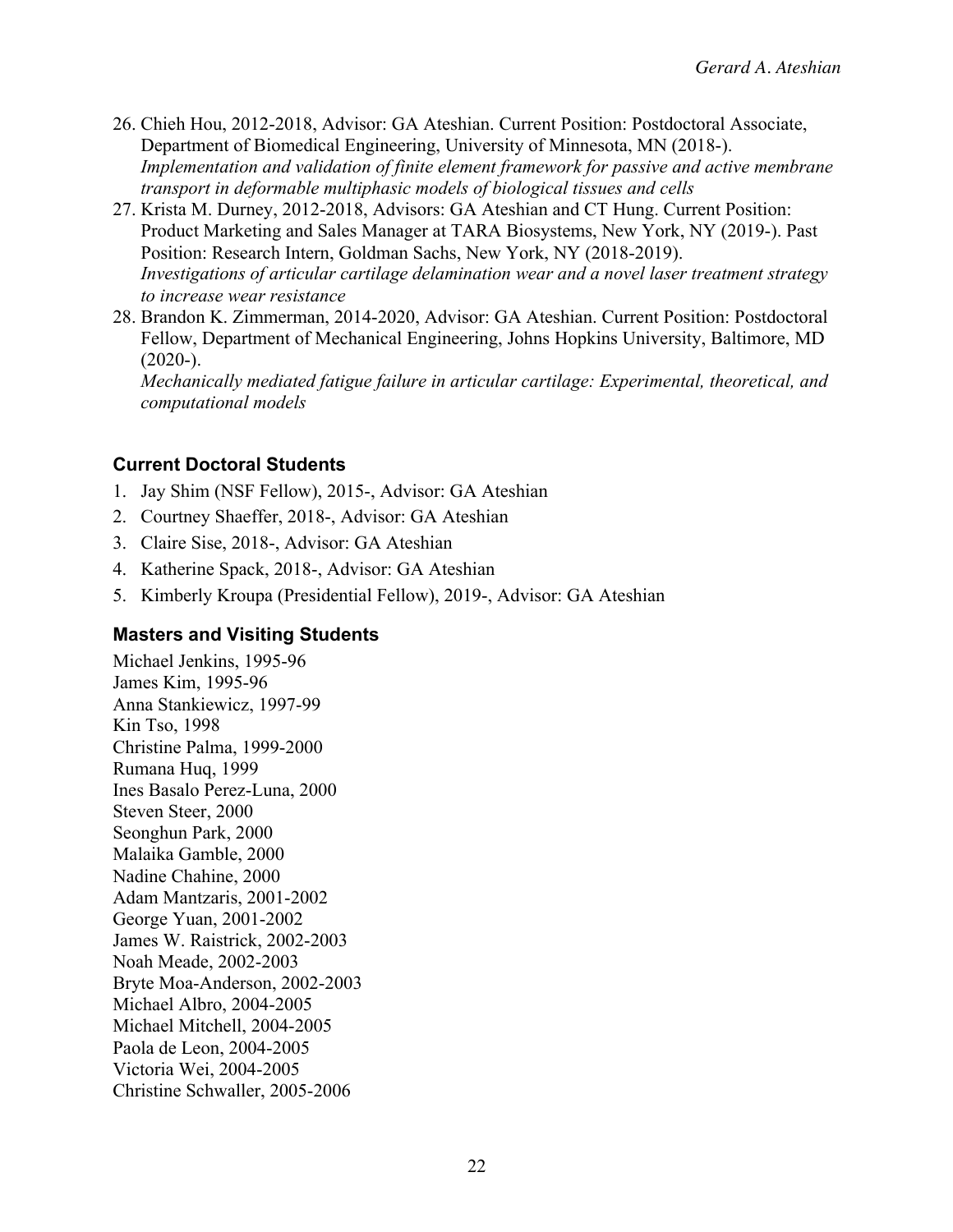- 26. Chieh Hou, 2012-2018, Advisor: GA Ateshian. Current Position: Postdoctoral Associate, Department of Biomedical Engineering, University of Minnesota, MN (2018-). *Implementation and validation of finite element framework for passive and active membrane transport in deformable multiphasic models of biological tissues and cells*
- 27. Krista M. Durney, 2012-2018, Advisors: GA Ateshian and CT Hung. Current Position: Product Marketing and Sales Manager at TARA Biosystems, New York, NY (2019-). Past Position: Research Intern, Goldman Sachs, New York, NY (2018-2019). *Investigations of articular cartilage delamination wear and a novel laser treatment strategy to increase wear resistance*
- 28. Brandon K. Zimmerman, 2014-2020, Advisor: GA Ateshian. Current Position: Postdoctoral Fellow, Department of Mechanical Engineering, Johns Hopkins University, Baltimore, MD  $(2020-).$

*Mechanically mediated fatigue failure in articular cartilage: Experimental, theoretical, and computational models*

### **Current Doctoral Students**

- 1. Jay Shim (NSF Fellow), 2015-, Advisor: GA Ateshian
- 2. Courtney Shaeffer, 2018-, Advisor: GA Ateshian
- 3. Claire Sise, 2018-, Advisor: GA Ateshian
- 4. Katherine Spack, 2018-, Advisor: GA Ateshian
- 5. Kimberly Kroupa (Presidential Fellow), 2019-, Advisor: GA Ateshian

#### **Masters and Visiting Students**

Michael Jenkins, 1995-96 James Kim, 1995-96 Anna Stankiewicz, 1997-99 Kin Tso, 1998 Christine Palma, 1999-2000 Rumana Huq, 1999 Ines Basalo Perez-Luna, 2000 Steven Steer, 2000 Seonghun Park, 2000 Malaika Gamble, 2000 Nadine Chahine, 2000 Adam Mantzaris, 2001-2002 George Yuan, 2001-2002 James W. Raistrick, 2002-2003 Noah Meade, 2002-2003 Bryte Moa-Anderson, 2002-2003 Michael Albro, 2004-2005 Michael Mitchell, 2004-2005 Paola de Leon, 2004-2005 Victoria Wei, 2004-2005 Christine Schwaller, 2005-2006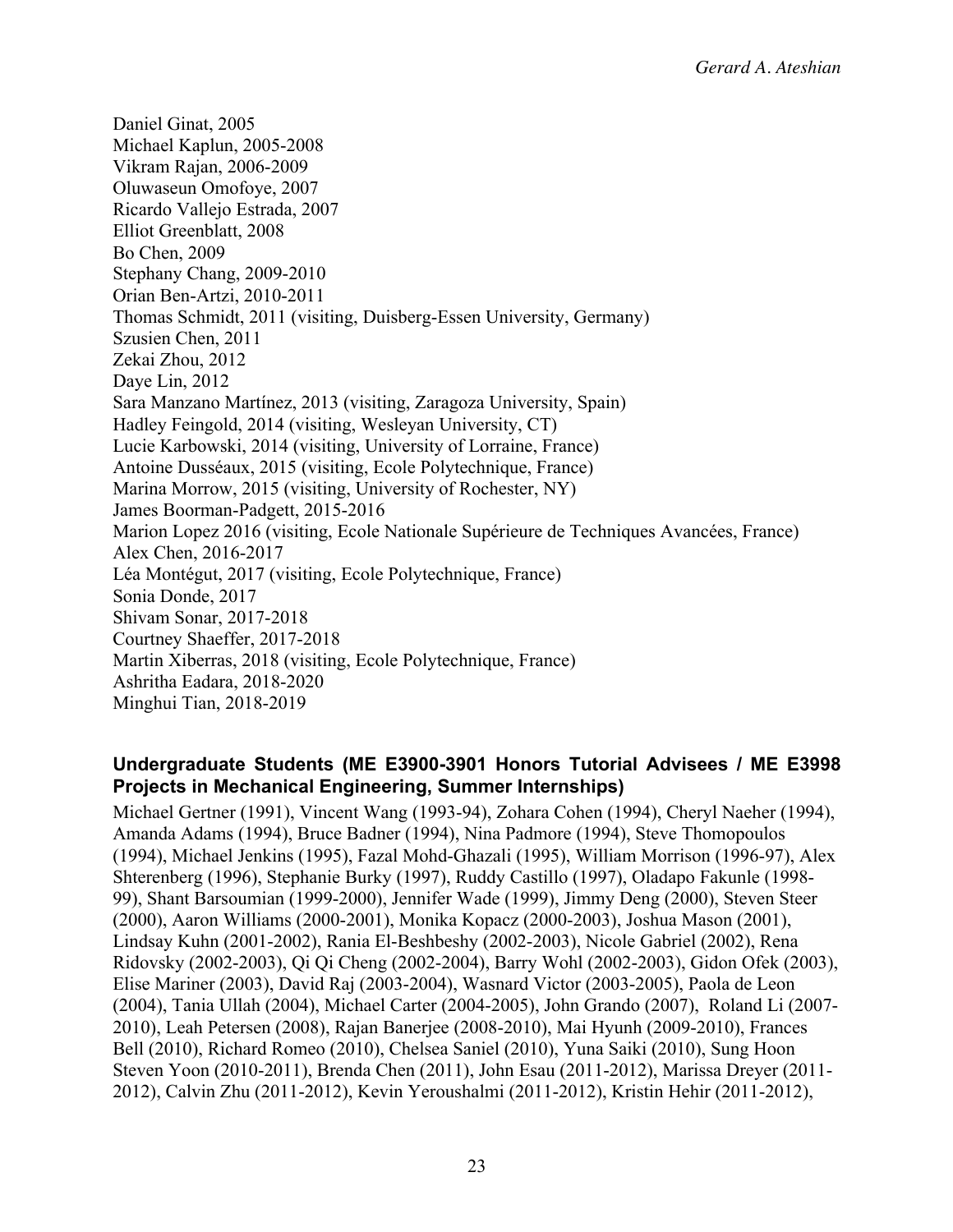Daniel Ginat, 2005 Michael Kaplun, 2005-2008 Vikram Rajan, 2006-2009 Oluwaseun Omofoye, 2007 Ricardo Vallejo Estrada, 2007 Elliot Greenblatt, 2008 Bo Chen, 2009 Stephany Chang, 2009-2010 Orian Ben-Artzi, 2010-2011 Thomas Schmidt, 2011 (visiting, Duisberg-Essen University, Germany) Szusien Chen, 2011 Zekai Zhou, 2012 Daye Lin, 2012 Sara Manzano Martínez, 2013 (visiting, Zaragoza University, Spain) Hadley Feingold, 2014 (visiting, Wesleyan University, CT) Lucie Karbowski, 2014 (visiting, University of Lorraine, France) Antoine Dusséaux, 2015 (visiting, Ecole Polytechnique, France) Marina Morrow, 2015 (visiting, University of Rochester, NY) James Boorman-Padgett, 2015-2016 Marion Lopez 2016 (visiting, Ecole Nationale Supérieure de Techniques Avancées, France) Alex Chen, 2016-2017 Léa Montégut, 2017 (visiting, Ecole Polytechnique, France) Sonia Donde, 2017 Shivam Sonar, 2017-2018 Courtney Shaeffer, 2017-2018 Martin Xiberras, 2018 (visiting, Ecole Polytechnique, France) Ashritha Eadara, 2018-2020 Minghui Tian, 2018-2019

### **Undergraduate Students (ME E3900-3901 Honors Tutorial Advisees / ME E3998 Projects in Mechanical Engineering, Summer Internships)**

Michael Gertner (1991), Vincent Wang (1993-94), Zohara Cohen (1994), Cheryl Naeher (1994), Amanda Adams (1994), Bruce Badner (1994), Nina Padmore (1994), Steve Thomopoulos (1994), Michael Jenkins (1995), Fazal Mohd-Ghazali (1995), William Morrison (1996-97), Alex Shterenberg (1996), Stephanie Burky (1997), Ruddy Castillo (1997), Oladapo Fakunle (1998- 99), Shant Barsoumian (1999-2000), Jennifer Wade (1999), Jimmy Deng (2000), Steven Steer (2000), Aaron Williams (2000-2001), Monika Kopacz (2000-2003), Joshua Mason (2001), Lindsay Kuhn (2001-2002), Rania El-Beshbeshy (2002-2003), Nicole Gabriel (2002), Rena Ridovsky (2002-2003), Qi Qi Cheng (2002-2004), Barry Wohl (2002-2003), Gidon Ofek (2003), Elise Mariner (2003), David Raj (2003-2004), Wasnard Victor (2003-2005), Paola de Leon (2004), Tania Ullah (2004), Michael Carter (2004-2005), John Grando (2007), Roland Li (2007- 2010), Leah Petersen (2008), Rajan Banerjee (2008-2010), Mai Hyunh (2009-2010), Frances Bell (2010), Richard Romeo (2010), Chelsea Saniel (2010), Yuna Saiki (2010), Sung Hoon Steven Yoon (2010-2011), Brenda Chen (2011), John Esau (2011-2012), Marissa Dreyer (2011- 2012), Calvin Zhu (2011-2012), Kevin Yeroushalmi (2011-2012), Kristin Hehir (2011-2012),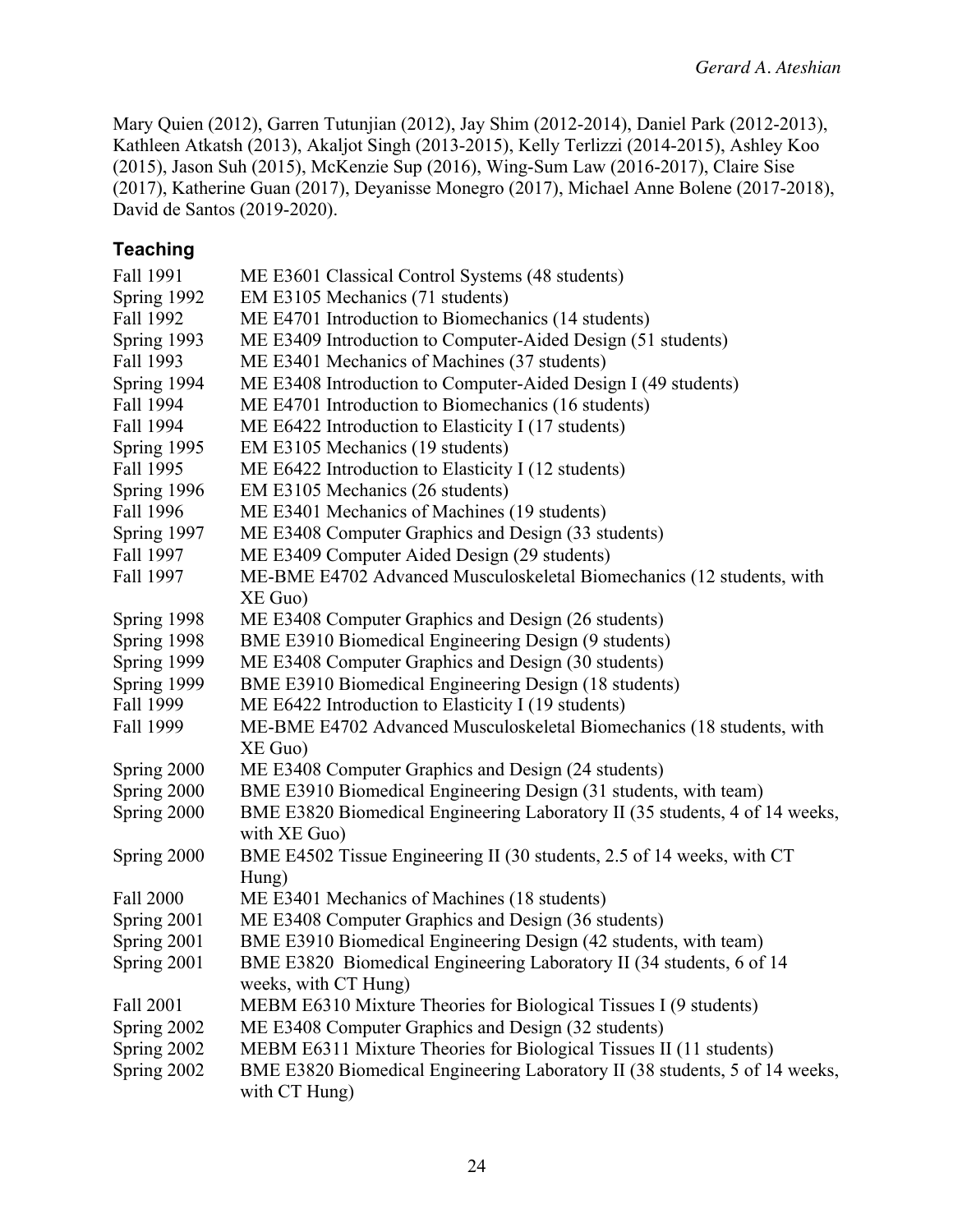Mary Quien (2012), Garren Tutunjian (2012), Jay Shim (2012-2014), Daniel Park (2012-2013), Kathleen Atkatsh (2013), Akaljot Singh (2013-2015), Kelly Terlizzi (2014-2015), Ashley Koo (2015), Jason Suh (2015), McKenzie Sup (2016), Wing-Sum Law (2016-2017), Claire Sise (2017), Katherine Guan (2017), Deyanisse Monegro (2017), Michael Anne Bolene (2017-2018), David de Santos (2019-2020).

## **Teaching**

| Fall 1991   | ME E3601 Classical Control Systems (48 students)                                            |
|-------------|---------------------------------------------------------------------------------------------|
| Spring 1992 | EM E3105 Mechanics (71 students)                                                            |
| Fall 1992   | ME E4701 Introduction to Biomechanics (14 students)                                         |
| Spring 1993 | ME E3409 Introduction to Computer-Aided Design (51 students)                                |
| Fall 1993   | ME E3401 Mechanics of Machines (37 students)                                                |
| Spring 1994 | ME E3408 Introduction to Computer-Aided Design I (49 students)                              |
| Fall 1994   | ME E4701 Introduction to Biomechanics (16 students)                                         |
| Fall 1994   | ME E6422 Introduction to Elasticity I (17 students)                                         |
| Spring 1995 | EM E3105 Mechanics (19 students)                                                            |
| Fall 1995   | ME E6422 Introduction to Elasticity I (12 students)                                         |
| Spring 1996 | EM E3105 Mechanics (26 students)                                                            |
| Fall 1996   | ME E3401 Mechanics of Machines (19 students)                                                |
| Spring 1997 | ME E3408 Computer Graphics and Design (33 students)                                         |
| Fall 1997   | ME E3409 Computer Aided Design (29 students)                                                |
| Fall 1997   | ME-BME E4702 Advanced Musculoskeletal Biomechanics (12 students, with                       |
|             | $XE$ Guo)                                                                                   |
| Spring 1998 | ME E3408 Computer Graphics and Design (26 students)                                         |
| Spring 1998 | BME E3910 Biomedical Engineering Design (9 students)                                        |
| Spring 1999 | ME E3408 Computer Graphics and Design (30 students)                                         |
| Spring 1999 | BME E3910 Biomedical Engineering Design (18 students)                                       |
| Fall 1999   | ME E6422 Introduction to Elasticity I (19 students)                                         |
| Fall 1999   | ME-BME E4702 Advanced Musculoskeletal Biomechanics (18 students, with                       |
|             | $XE$ Guo)                                                                                   |
| Spring 2000 | ME E3408 Computer Graphics and Design (24 students)                                         |
| Spring 2000 | BME E3910 Biomedical Engineering Design (31 students, with team)                            |
| Spring 2000 | BME E3820 Biomedical Engineering Laboratory II (35 students, 4 of 14 weeks,<br>with XE Guo) |
| Spring 2000 | BME E4502 Tissue Engineering II (30 students, 2.5 of 14 weeks, with CT                      |
|             | Hung)                                                                                       |
| Fall 2000   | ME E3401 Mechanics of Machines (18 students)                                                |
| Spring 2001 | ME E3408 Computer Graphics and Design (36 students)                                         |
| Spring 2001 | BME E3910 Biomedical Engineering Design (42 students, with team)                            |
| Spring 2001 | BME E3820 Biomedical Engineering Laboratory II (34 students, 6 of 14                        |
|             | weeks, with CT Hung)                                                                        |
| Fall 2001   | MEBM E6310 Mixture Theories for Biological Tissues I (9 students)                           |
| Spring 2002 | ME E3408 Computer Graphics and Design (32 students)                                         |
| Spring 2002 | MEBM E6311 Mixture Theories for Biological Tissues II (11 students)                         |
| Spring 2002 | BME E3820 Biomedical Engineering Laboratory II (38 students, 5 of 14 weeks,                 |
|             | with CT Hung)                                                                               |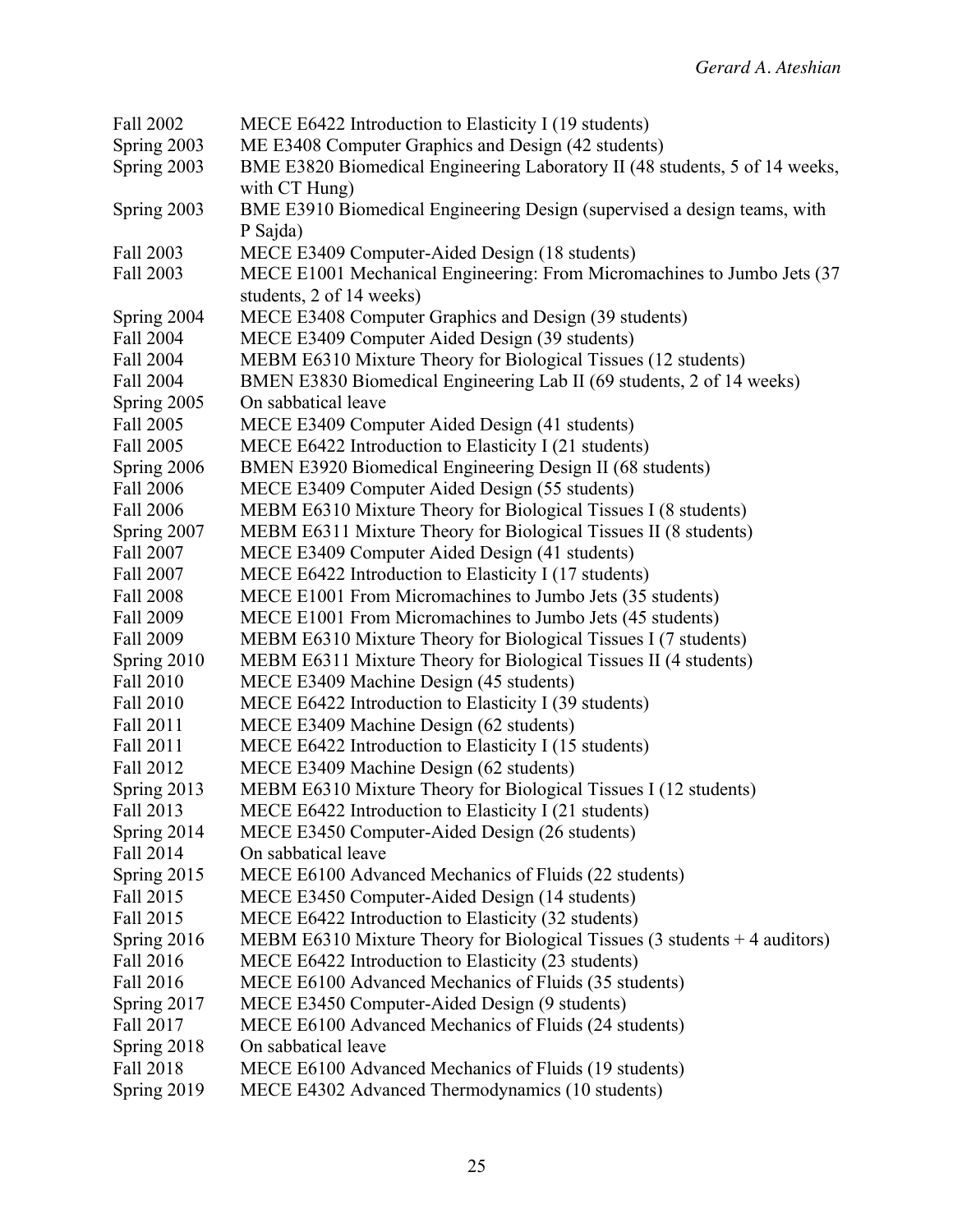| Fall 2002   | MECE E6422 Introduction to Elasticity I (19 students)                                        |
|-------------|----------------------------------------------------------------------------------------------|
| Spring 2003 | ME E3408 Computer Graphics and Design (42 students)                                          |
| Spring 2003 | BME E3820 Biomedical Engineering Laboratory II (48 students, 5 of 14 weeks,<br>with CT Hung) |
| Spring 2003 | BME E3910 Biomedical Engineering Design (supervised a design teams, with                     |
|             | P Sajda)                                                                                     |
| Fall 2003   | MECE E3409 Computer-Aided Design (18 students)                                               |
| Fall 2003   | MECE E1001 Mechanical Engineering: From Micromachines to Jumbo Jets (37                      |
|             | students, 2 of 14 weeks)                                                                     |
| Spring 2004 | MECE E3408 Computer Graphics and Design (39 students)                                        |
| Fall 2004   | MECE E3409 Computer Aided Design (39 students)                                               |
| Fall 2004   | MEBM E6310 Mixture Theory for Biological Tissues (12 students)                               |
| Fall 2004   | BMEN E3830 Biomedical Engineering Lab II (69 students, 2 of 14 weeks)                        |
| Spring 2005 | On sabbatical leave                                                                          |
| Fall 2005   | MECE E3409 Computer Aided Design (41 students)                                               |
| Fall 2005   | MECE E6422 Introduction to Elasticity I (21 students)                                        |
| Spring 2006 | BMEN E3920 Biomedical Engineering Design II (68 students)                                    |
| Fall 2006   | MECE E3409 Computer Aided Design (55 students)                                               |
| Fall 2006   | MEBM E6310 Mixture Theory for Biological Tissues I (8 students)                              |
| Spring 2007 | MEBM E6311 Mixture Theory for Biological Tissues II (8 students)                             |
| Fall 2007   | MECE E3409 Computer Aided Design (41 students)                                               |
| Fall 2007   | MECE E6422 Introduction to Elasticity I (17 students)                                        |
| Fall 2008   | MECE E1001 From Micromachines to Jumbo Jets (35 students)                                    |
| Fall 2009   | MECE E1001 From Micromachines to Jumbo Jets (45 students)                                    |
| Fall 2009   | MEBM E6310 Mixture Theory for Biological Tissues I (7 students)                              |
| Spring 2010 | MEBM E6311 Mixture Theory for Biological Tissues II (4 students)                             |
| Fall 2010   | MECE E3409 Machine Design (45 students)                                                      |
| Fall 2010   | MECE E6422 Introduction to Elasticity I (39 students)                                        |
| Fall 2011   | MECE E3409 Machine Design (62 students)                                                      |
| Fall 2011   | MECE E6422 Introduction to Elasticity I (15 students)                                        |
| Fall 2012   | MECE E3409 Machine Design (62 students)                                                      |
| Spring 2013 | MEBM E6310 Mixture Theory for Biological Tissues I (12 students)                             |
| Fall 2013   | MECE E6422 Introduction to Elasticity I (21 students)                                        |
| Spring 2014 | MECE E3450 Computer-Aided Design (26 students)                                               |
| Fall 2014   | On sabbatical leave                                                                          |
| Spring 2015 | MECE E6100 Advanced Mechanics of Fluids (22 students)                                        |
| Fall 2015   | MECE E3450 Computer-Aided Design (14 students)                                               |
| Fall 2015   | MECE E6422 Introduction to Elasticity (32 students)                                          |
| Spring 2016 | MEBM E6310 Mixture Theory for Biological Tissues $(3 \text{ students} + 4 \text{ auditors})$ |
| Fall 2016   | MECE E6422 Introduction to Elasticity (23 students)                                          |
| Fall 2016   | MECE E6100 Advanced Mechanics of Fluids (35 students)                                        |
| Spring 2017 | MECE E3450 Computer-Aided Design (9 students)                                                |
| Fall 2017   | MECE E6100 Advanced Mechanics of Fluids (24 students)                                        |
| Spring 2018 | On sabbatical leave                                                                          |
| Fall 2018   | MECE E6100 Advanced Mechanics of Fluids (19 students)                                        |
| Spring 2019 | MECE E4302 Advanced Thermodynamics (10 students)                                             |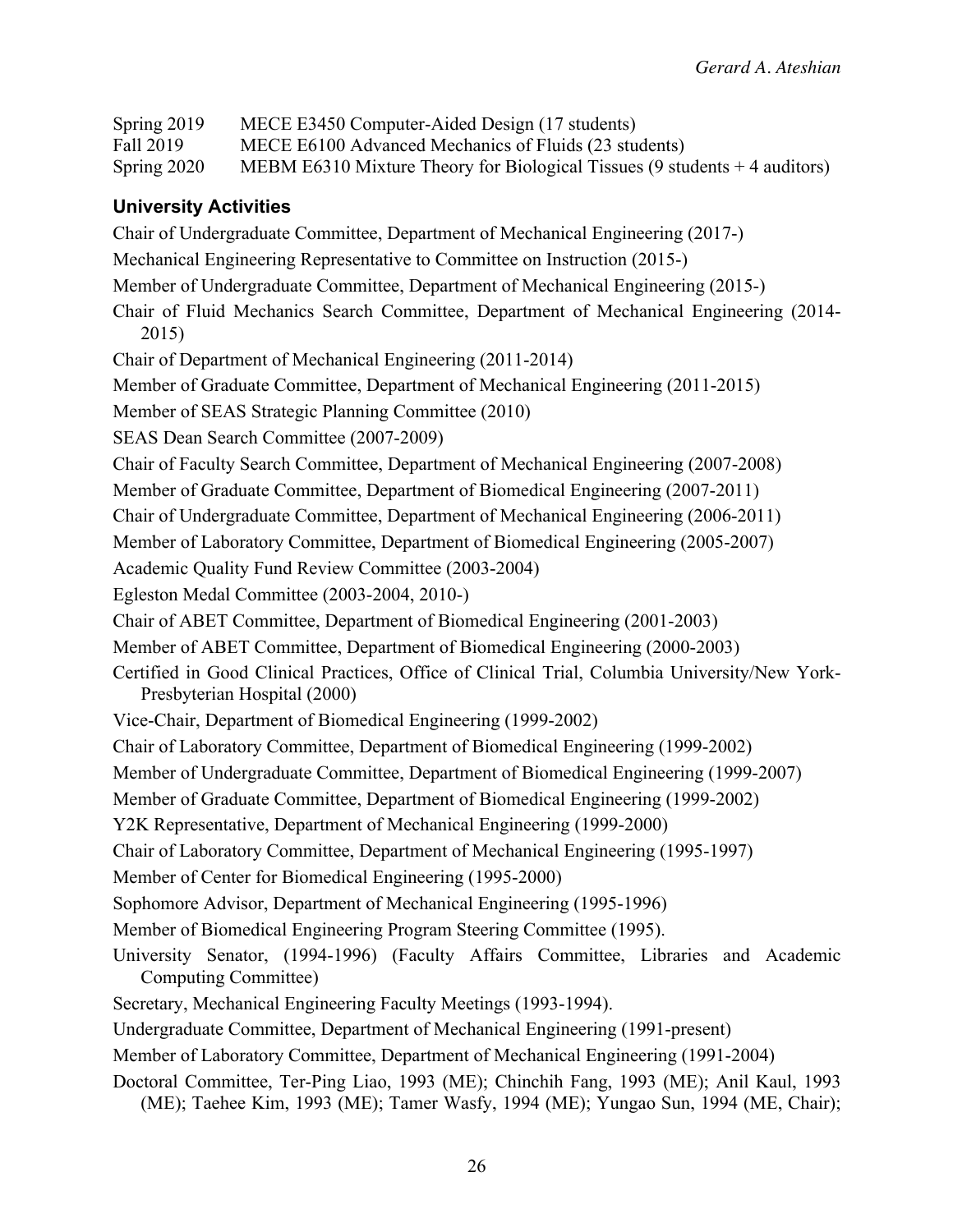| Spring 2019<br>Fall 2019<br>Spring 2020 | MECE E3450 Computer-Aided Design (17 students)<br>MECE E6100 Advanced Mechanics of Fluids (23 students)<br>MEBM E6310 Mixture Theory for Biological Tissues $(9 \text{ students} + 4 \text{ auditors})$ |
|-----------------------------------------|---------------------------------------------------------------------------------------------------------------------------------------------------------------------------------------------------------|
| <b>University Activities</b>            |                                                                                                                                                                                                         |
|                                         | Chair of Undergraduate Committee, Department of Mechanical Engineering (2017-)                                                                                                                          |
|                                         | Mechanical Engineering Representative to Committee on Instruction (2015-)                                                                                                                               |
|                                         | Member of Undergraduate Committee, Department of Mechanical Engineering (2015-)                                                                                                                         |
| 2015)                                   | Chair of Fluid Mechanics Search Committee, Department of Mechanical Engineering (2014-                                                                                                                  |
|                                         | Chair of Department of Mechanical Engineering (2011-2014)                                                                                                                                               |
|                                         | Member of Graduate Committee, Department of Mechanical Engineering (2011-2015)                                                                                                                          |
|                                         | Member of SEAS Strategic Planning Committee (2010)                                                                                                                                                      |
|                                         | SEAS Dean Search Committee (2007-2009)                                                                                                                                                                  |
|                                         | Chair of Faculty Search Committee, Department of Mechanical Engineering (2007-2008)                                                                                                                     |
|                                         | Member of Graduate Committee, Department of Biomedical Engineering (2007-2011)                                                                                                                          |
|                                         | Chair of Undergraduate Committee, Department of Mechanical Engineering (2006-2011)                                                                                                                      |
|                                         | Member of Laboratory Committee, Department of Biomedical Engineering (2005-2007)                                                                                                                        |
|                                         | Academic Quality Fund Review Committee (2003-2004)                                                                                                                                                      |
|                                         | Egleston Medal Committee (2003-2004, 2010-)                                                                                                                                                             |
|                                         | Chair of ABET Committee, Department of Biomedical Engineering (2001-2003)                                                                                                                               |
|                                         | Member of ABET Committee, Department of Biomedical Engineering (2000-2003)                                                                                                                              |
|                                         | Certified in Good Clinical Practices, Office of Clinical Trial, Columbia University/New York-<br>Presbyterian Hospital (2000)                                                                           |
|                                         | Vice-Chair, Department of Biomedical Engineering (1999-2002)                                                                                                                                            |
|                                         | Chair of Laboratory Committee, Department of Biomedical Engineering (1999-2002)                                                                                                                         |
|                                         | Member of Undergraduate Committee, Department of Biomedical Engineering (1999-2007)                                                                                                                     |
|                                         | Member of Graduate Committee, Department of Biomedical Engineering (1999-2002)                                                                                                                          |
|                                         | Y2K Representative, Department of Mechanical Engineering (1999-2000)                                                                                                                                    |
|                                         | Chair of Laboratory Committee, Department of Mechanical Engineering (1995-1997)                                                                                                                         |
|                                         | Member of Center for Biomedical Engineering (1995-2000)                                                                                                                                                 |
|                                         | Sophomore Advisor, Department of Mechanical Engineering (1995-1996)                                                                                                                                     |
|                                         | Member of Biomedical Engineering Program Steering Committee (1995).                                                                                                                                     |
| Computing Committee)                    | University Senator, (1994-1996) (Faculty Affairs Committee, Libraries and Academic                                                                                                                      |
|                                         | Secretary, Mechanical Engineering Faculty Meetings (1993-1994).                                                                                                                                         |
|                                         | Undergraduate Committee, Department of Mechanical Engineering (1991-present)                                                                                                                            |
|                                         | Member of Laboratory Committee, Department of Mechanical Engineering (1991-2004)                                                                                                                        |
|                                         | Doctoral Committee, Ter-Ping Liao, 1993 (ME); Chinchih Fang, 1993 (ME); Anil Kaul, 1993<br>(ME); Taehee Kim, 1993 (ME); Tamer Wasfy, 1994 (ME); Yungao Sun, 1994 (ME, Chair);                           |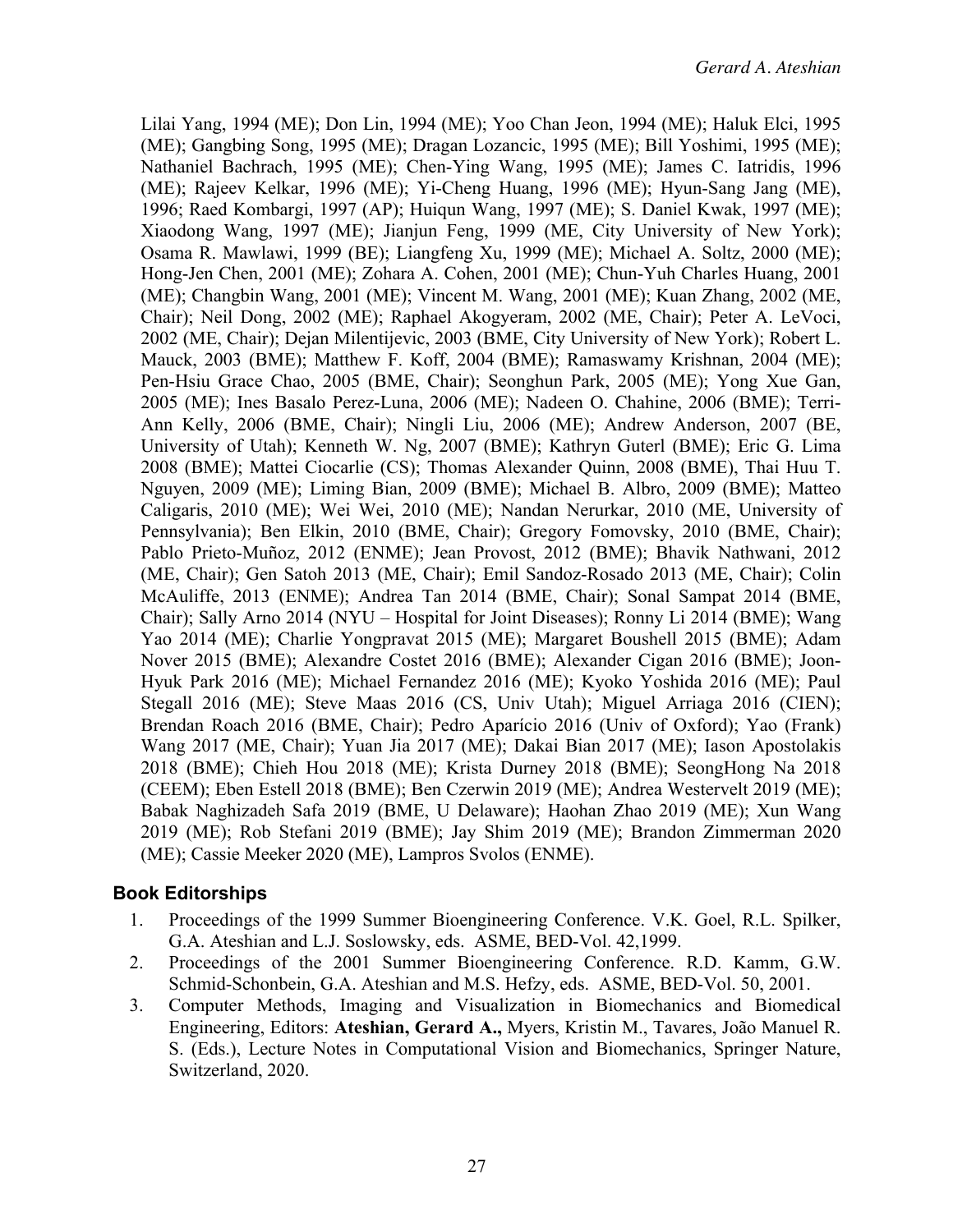Lilai Yang, 1994 (ME); Don Lin, 1994 (ME); Yoo Chan Jeon, 1994 (ME); Haluk Elci, 1995 (ME); Gangbing Song, 1995 (ME); Dragan Lozancic, 1995 (ME); Bill Yoshimi, 1995 (ME); Nathaniel Bachrach, 1995 (ME); Chen-Ying Wang, 1995 (ME); James C. Iatridis, 1996 (ME); Rajeev Kelkar, 1996 (ME); Yi-Cheng Huang, 1996 (ME); Hyun-Sang Jang (ME), 1996; Raed Kombargi, 1997 (AP); Huiqun Wang, 1997 (ME); S. Daniel Kwak, 1997 (ME); Xiaodong Wang, 1997 (ME); Jianjun Feng, 1999 (ME, City University of New York); Osama R. Mawlawi, 1999 (BE); Liangfeng Xu, 1999 (ME); Michael A. Soltz, 2000 (ME); Hong-Jen Chen, 2001 (ME); Zohara A. Cohen, 2001 (ME); Chun-Yuh Charles Huang, 2001 (ME); Changbin Wang, 2001 (ME); Vincent M. Wang, 2001 (ME); Kuan Zhang, 2002 (ME, Chair); Neil Dong, 2002 (ME); Raphael Akogyeram, 2002 (ME, Chair); Peter A. LeVoci, 2002 (ME, Chair); Dejan Milentijevic, 2003 (BME, City University of New York); Robert L. Mauck, 2003 (BME); Matthew F. Koff, 2004 (BME); Ramaswamy Krishnan, 2004 (ME); Pen-Hsiu Grace Chao, 2005 (BME, Chair); Seonghun Park, 2005 (ME); Yong Xue Gan, 2005 (ME); Ines Basalo Perez-Luna, 2006 (ME); Nadeen O. Chahine, 2006 (BME); Terri-Ann Kelly, 2006 (BME, Chair); Ningli Liu, 2006 (ME); Andrew Anderson, 2007 (BE, University of Utah); Kenneth W. Ng, 2007 (BME); Kathryn Guterl (BME); Eric G. Lima 2008 (BME); Mattei Ciocarlie (CS); Thomas Alexander Quinn, 2008 (BME), Thai Huu T. Nguyen, 2009 (ME); Liming Bian, 2009 (BME); Michael B. Albro, 2009 (BME); Matteo Caligaris, 2010 (ME); Wei Wei, 2010 (ME); Nandan Nerurkar, 2010 (ME, University of Pennsylvania); Ben Elkin, 2010 (BME, Chair); Gregory Fomovsky, 2010 (BME, Chair); Pablo Prieto-Muñoz, 2012 (ENME); Jean Provost, 2012 (BME); Bhavik Nathwani, 2012 (ME, Chair); Gen Satoh 2013 (ME, Chair); Emil Sandoz-Rosado 2013 (ME, Chair); Colin McAuliffe, 2013 (ENME); Andrea Tan 2014 (BME, Chair); Sonal Sampat 2014 (BME, Chair); Sally Arno 2014 (NYU – Hospital for Joint Diseases); Ronny Li 2014 (BME); Wang Yao 2014 (ME); Charlie Yongpravat 2015 (ME); Margaret Boushell 2015 (BME); Adam Nover 2015 (BME); Alexandre Costet 2016 (BME); Alexander Cigan 2016 (BME); Joon-Hyuk Park 2016 (ME); Michael Fernandez 2016 (ME); Kyoko Yoshida 2016 (ME); Paul Stegall 2016 (ME); Steve Maas 2016 (CS, Univ Utah); Miguel Arriaga 2016 (CIEN); Brendan Roach 2016 (BME, Chair); Pedro Aparício 2016 (Univ of Oxford); Yao (Frank) Wang 2017 (ME, Chair); Yuan Jia 2017 (ME); Dakai Bian 2017 (ME); Iason Apostolakis 2018 (BME); Chieh Hou 2018 (ME); Krista Durney 2018 (BME); SeongHong Na 2018 (CEEM); Eben Estell 2018 (BME); Ben Czerwin 2019 (ME); Andrea Westervelt 2019 (ME); Babak Naghizadeh Safa 2019 (BME, U Delaware); Haohan Zhao 2019 (ME); Xun Wang 2019 (ME); Rob Stefani 2019 (BME); Jay Shim 2019 (ME); Brandon Zimmerman 2020 (ME); Cassie Meeker 2020 (ME), Lampros Svolos (ENME).

## **Book Editorships**

- 1. Proceedings of the 1999 Summer Bioengineering Conference. V.K. Goel, R.L. Spilker, G.A. Ateshian and L.J. Soslowsky, eds. ASME, BED-Vol. 42,1999.
- 2. Proceedings of the 2001 Summer Bioengineering Conference. R.D. Kamm, G.W. Schmid-Schonbein, G.A. Ateshian and M.S. Hefzy, eds. ASME, BED-Vol. 50, 2001.
- 3. Computer Methods, Imaging and Visualization in Biomechanics and Biomedical Engineering, Editors: **Ateshian, Gerard A.,** Myers, Kristin M., Tavares, João Manuel R. S. (Eds.), Lecture Notes in Computational Vision and Biomechanics, Springer Nature, Switzerland, 2020.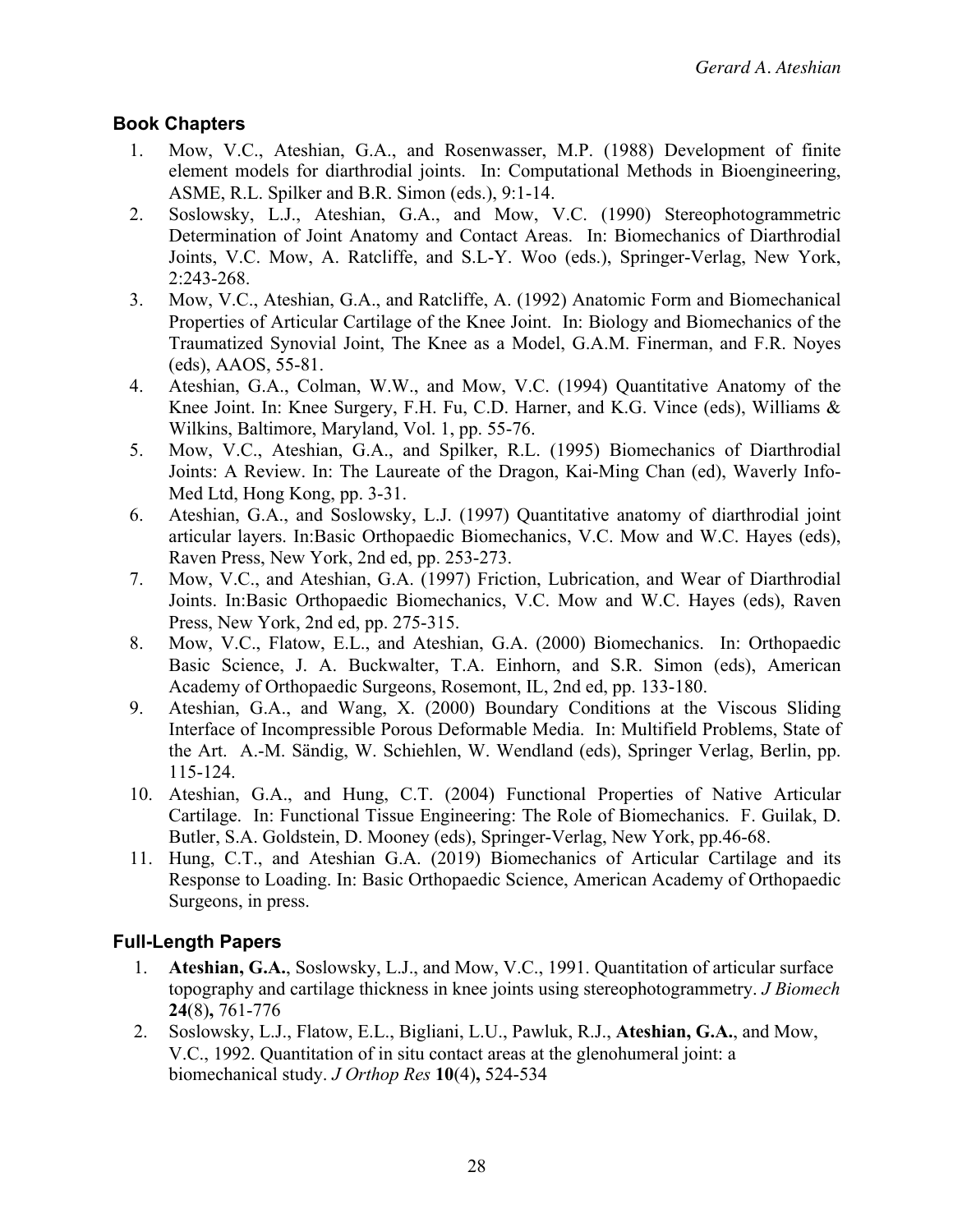## **Book Chapters**

- 1. Mow, V.C., Ateshian, G.A., and Rosenwasser, M.P. (1988) Development of finite element models for diarthrodial joints. In: Computational Methods in Bioengineering, ASME, R.L. Spilker and B.R. Simon (eds.), 9:1-14.
- 2. Soslowsky, L.J., Ateshian, G.A., and Mow, V.C. (1990) Stereophotogrammetric Determination of Joint Anatomy and Contact Areas. In: Biomechanics of Diarthrodial Joints, V.C. Mow, A. Ratcliffe, and S.L-Y. Woo (eds.), Springer-Verlag, New York, 2:243-268.
- 3. Mow, V.C., Ateshian, G.A., and Ratcliffe, A. (1992) Anatomic Form and Biomechanical Properties of Articular Cartilage of the Knee Joint. In: Biology and Biomechanics of the Traumatized Synovial Joint, The Knee as a Model, G.A.M. Finerman, and F.R. Noyes (eds), AAOS, 55-81.
- 4. Ateshian, G.A., Colman, W.W., and Mow, V.C. (1994) Quantitative Anatomy of the Knee Joint. In: Knee Surgery, F.H. Fu, C.D. Harner, and K.G. Vince (eds), Williams & Wilkins, Baltimore, Maryland, Vol. 1, pp. 55-76.
- 5. Mow, V.C., Ateshian, G.A., and Spilker, R.L. (1995) Biomechanics of Diarthrodial Joints: A Review. In: The Laureate of the Dragon, Kai-Ming Chan (ed), Waverly Info-Med Ltd, Hong Kong, pp. 3-31.
- 6. Ateshian, G.A., and Soslowsky, L.J. (1997) Quantitative anatomy of diarthrodial joint articular layers. In:Basic Orthopaedic Biomechanics, V.C. Mow and W.C. Hayes (eds), Raven Press, New York, 2nd ed, pp. 253-273.
- 7. Mow, V.C., and Ateshian, G.A. (1997) Friction, Lubrication, and Wear of Diarthrodial Joints. In:Basic Orthopaedic Biomechanics, V.C. Mow and W.C. Hayes (eds), Raven Press, New York, 2nd ed, pp. 275-315.
- 8. Mow, V.C., Flatow, E.L., and Ateshian, G.A. (2000) Biomechanics. In: Orthopaedic Basic Science, J. A. Buckwalter, T.A. Einhorn, and S.R. Simon (eds), American Academy of Orthopaedic Surgeons, Rosemont, IL, 2nd ed, pp. 133-180.
- 9. Ateshian, G.A., and Wang, X. (2000) Boundary Conditions at the Viscous Sliding Interface of Incompressible Porous Deformable Media. In: Multifield Problems, State of the Art. A.-M. Sändig, W. Schiehlen, W. Wendland (eds), Springer Verlag, Berlin, pp. 115-124.
- 10. Ateshian, G.A., and Hung, C.T. (2004) Functional Properties of Native Articular Cartilage. In: Functional Tissue Engineering: The Role of Biomechanics. F. Guilak, D. Butler, S.A. Goldstein, D. Mooney (eds), Springer-Verlag, New York, pp.46-68.
- 11. Hung, C.T., and Ateshian G.A. (2019) Biomechanics of Articular Cartilage and its Response to Loading. In: Basic Orthopaedic Science, American Academy of Orthopaedic Surgeons, in press.

# **Full-Length Papers**

- 1. **Ateshian, G.A.**, Soslowsky, L.J., and Mow, V.C., 1991. Quantitation of articular surface topography and cartilage thickness in knee joints using stereophotogrammetry. *J Biomech* **24**(8)**,** 761-776
- 2. Soslowsky, L.J., Flatow, E.L., Bigliani, L.U., Pawluk, R.J., **Ateshian, G.A.**, and Mow, V.C., 1992. Quantitation of in situ contact areas at the glenohumeral joint: a biomechanical study. *J Orthop Res* **10**(4)**,** 524-534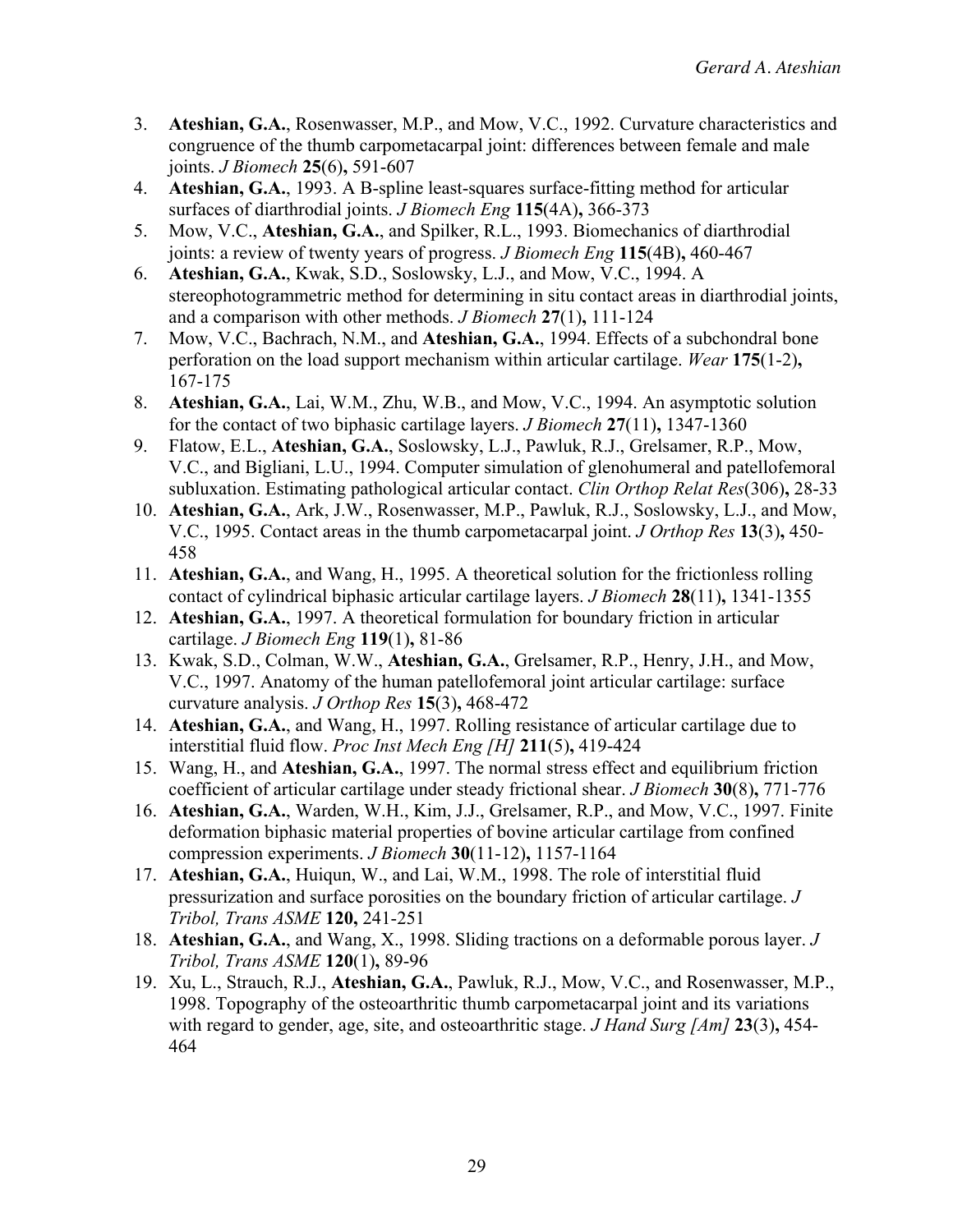- 3. **Ateshian, G.A.**, Rosenwasser, M.P., and Mow, V.C., 1992. Curvature characteristics and congruence of the thumb carpometacarpal joint: differences between female and male joints. *J Biomech* **25**(6)**,** 591-607
- 4. **Ateshian, G.A.**, 1993. A B-spline least-squares surface-fitting method for articular surfaces of diarthrodial joints. *J Biomech Eng* **115**(4A)**,** 366-373
- 5. Mow, V.C., **Ateshian, G.A.**, and Spilker, R.L., 1993. Biomechanics of diarthrodial joints: a review of twenty years of progress. *J Biomech Eng* **115**(4B)**,** 460-467
- 6. **Ateshian, G.A.**, Kwak, S.D., Soslowsky, L.J., and Mow, V.C., 1994. A stereophotogrammetric method for determining in situ contact areas in diarthrodial joints, and a comparison with other methods. *J Biomech* **27**(1)**,** 111-124
- 7. Mow, V.C., Bachrach, N.M., and **Ateshian, G.A.**, 1994. Effects of a subchondral bone perforation on the load support mechanism within articular cartilage. *Wear* **175**(1-2)**,** 167-175
- 8. **Ateshian, G.A.**, Lai, W.M., Zhu, W.B., and Mow, V.C., 1994. An asymptotic solution for the contact of two biphasic cartilage layers. *J Biomech* **27**(11)**,** 1347-1360
- 9. Flatow, E.L., **Ateshian, G.A.**, Soslowsky, L.J., Pawluk, R.J., Grelsamer, R.P., Mow, V.C., and Bigliani, L.U., 1994. Computer simulation of glenohumeral and patellofemoral subluxation. Estimating pathological articular contact. *Clin Orthop Relat Res*(306)**,** 28-33
- 10. **Ateshian, G.A.**, Ark, J.W., Rosenwasser, M.P., Pawluk, R.J., Soslowsky, L.J., and Mow, V.C., 1995. Contact areas in the thumb carpometacarpal joint. *J Orthop Res* **13**(3)**,** 450- 458
- 11. **Ateshian, G.A.**, and Wang, H., 1995. A theoretical solution for the frictionless rolling contact of cylindrical biphasic articular cartilage layers. *J Biomech* **28**(11)**,** 1341-1355
- 12. **Ateshian, G.A.**, 1997. A theoretical formulation for boundary friction in articular cartilage. *J Biomech Eng* **119**(1)**,** 81-86
- 13. Kwak, S.D., Colman, W.W., **Ateshian, G.A.**, Grelsamer, R.P., Henry, J.H., and Mow, V.C., 1997. Anatomy of the human patellofemoral joint articular cartilage: surface curvature analysis. *J Orthop Res* **15**(3)**,** 468-472
- 14. **Ateshian, G.A.**, and Wang, H., 1997. Rolling resistance of articular cartilage due to interstitial fluid flow. *Proc Inst Mech Eng [H]* **211**(5)**,** 419-424
- 15. Wang, H., and **Ateshian, G.A.**, 1997. The normal stress effect and equilibrium friction coefficient of articular cartilage under steady frictional shear. *J Biomech* **30**(8)**,** 771-776
- 16. **Ateshian, G.A.**, Warden, W.H., Kim, J.J., Grelsamer, R.P., and Mow, V.C., 1997. Finite deformation biphasic material properties of bovine articular cartilage from confined compression experiments. *J Biomech* **30**(11-12)**,** 1157-1164
- 17. **Ateshian, G.A.**, Huiqun, W., and Lai, W.M., 1998. The role of interstitial fluid pressurization and surface porosities on the boundary friction of articular cartilage. *J Tribol, Trans ASME* **120,** 241-251
- 18. **Ateshian, G.A.**, and Wang, X., 1998. Sliding tractions on a deformable porous layer. *J Tribol, Trans ASME* **120**(1)**,** 89-96
- 19. Xu, L., Strauch, R.J., **Ateshian, G.A.**, Pawluk, R.J., Mow, V.C., and Rosenwasser, M.P., 1998. Topography of the osteoarthritic thumb carpometacarpal joint and its variations with regard to gender, age, site, and osteoarthritic stage. *J Hand Surg [Am]* **23**(3)**,** 454- 464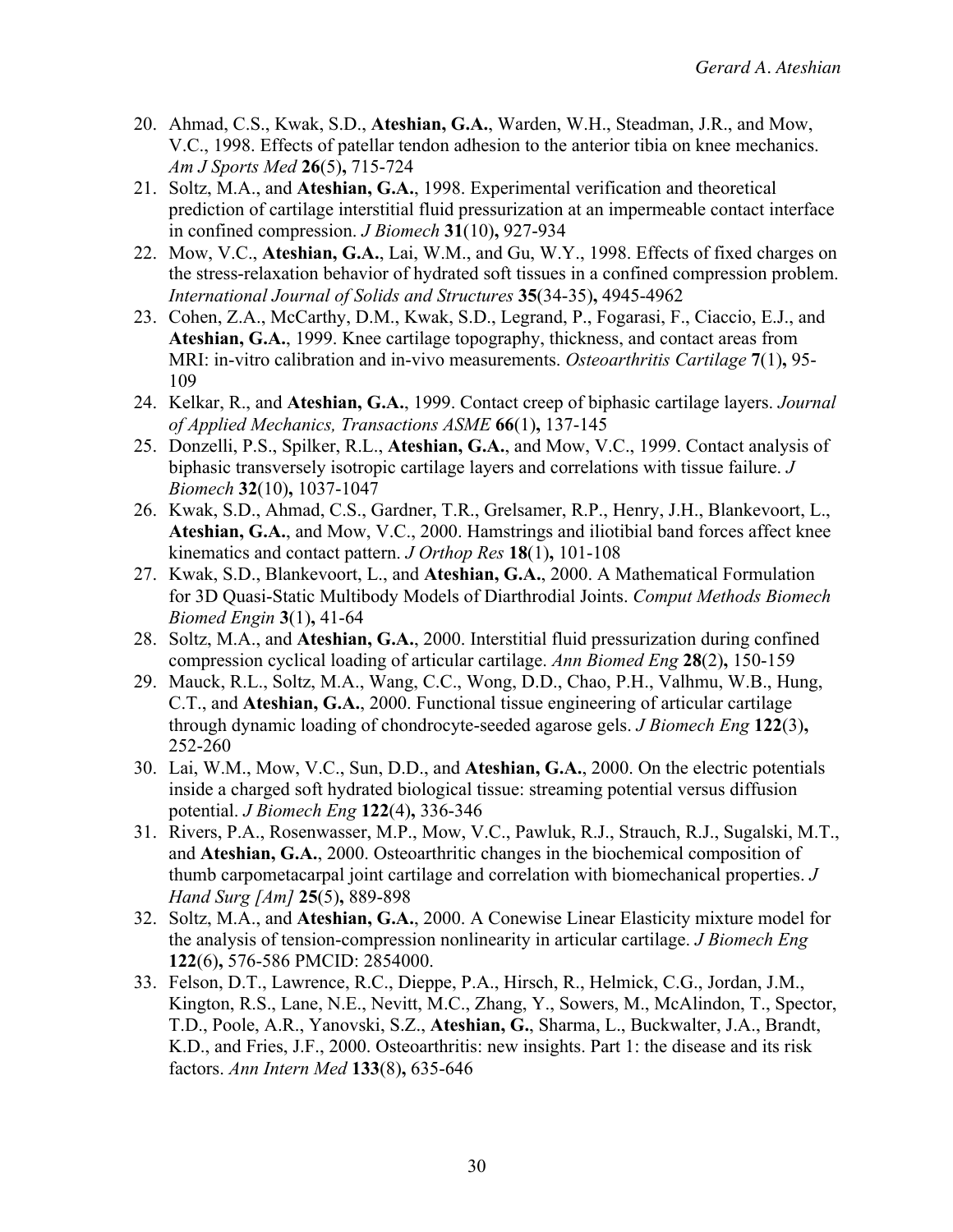- 20. Ahmad, C.S., Kwak, S.D., **Ateshian, G.A.**, Warden, W.H., Steadman, J.R., and Mow, V.C., 1998. Effects of patellar tendon adhesion to the anterior tibia on knee mechanics. *Am J Sports Med* **26**(5)**,** 715-724
- 21. Soltz, M.A., and **Ateshian, G.A.**, 1998. Experimental verification and theoretical prediction of cartilage interstitial fluid pressurization at an impermeable contact interface in confined compression. *J Biomech* **31**(10)**,** 927-934
- 22. Mow, V.C., **Ateshian, G.A.**, Lai, W.M., and Gu, W.Y., 1998. Effects of fixed charges on the stress-relaxation behavior of hydrated soft tissues in a confined compression problem. *International Journal of Solids and Structures* **35**(34-35)**,** 4945-4962
- 23. Cohen, Z.A., McCarthy, D.M., Kwak, S.D., Legrand, P., Fogarasi, F., Ciaccio, E.J., and **Ateshian, G.A.**, 1999. Knee cartilage topography, thickness, and contact areas from MRI: in-vitro calibration and in-vivo measurements. *Osteoarthritis Cartilage* **7**(1)**,** 95- 109
- 24. Kelkar, R., and **Ateshian, G.A.**, 1999. Contact creep of biphasic cartilage layers. *Journal of Applied Mechanics, Transactions ASME* **66**(1)**,** 137-145
- 25. Donzelli, P.S., Spilker, R.L., **Ateshian, G.A.**, and Mow, V.C., 1999. Contact analysis of biphasic transversely isotropic cartilage layers and correlations with tissue failure. *J Biomech* **32**(10)**,** 1037-1047
- 26. Kwak, S.D., Ahmad, C.S., Gardner, T.R., Grelsamer, R.P., Henry, J.H., Blankevoort, L., **Ateshian, G.A.**, and Mow, V.C., 2000. Hamstrings and iliotibial band forces affect knee kinematics and contact pattern. *J Orthop Res* **18**(1)**,** 101-108
- 27. Kwak, S.D., Blankevoort, L., and **Ateshian, G.A.**, 2000. A Mathematical Formulation for 3D Quasi-Static Multibody Models of Diarthrodial Joints. *Comput Methods Biomech Biomed Engin* **3**(1)**,** 41-64
- 28. Soltz, M.A., and **Ateshian, G.A.**, 2000. Interstitial fluid pressurization during confined compression cyclical loading of articular cartilage. *Ann Biomed Eng* **28**(2)**,** 150-159
- 29. Mauck, R.L., Soltz, M.A., Wang, C.C., Wong, D.D., Chao, P.H., Valhmu, W.B., Hung, C.T., and **Ateshian, G.A.**, 2000. Functional tissue engineering of articular cartilage through dynamic loading of chondrocyte-seeded agarose gels. *J Biomech Eng* **122**(3)**,** 252-260
- 30. Lai, W.M., Mow, V.C., Sun, D.D., and **Ateshian, G.A.**, 2000. On the electric potentials inside a charged soft hydrated biological tissue: streaming potential versus diffusion potential. *J Biomech Eng* **122**(4)**,** 336-346
- 31. Rivers, P.A., Rosenwasser, M.P., Mow, V.C., Pawluk, R.J., Strauch, R.J., Sugalski, M.T., and **Ateshian, G.A.**, 2000. Osteoarthritic changes in the biochemical composition of thumb carpometacarpal joint cartilage and correlation with biomechanical properties. *J Hand Surg [Am]* **25**(5)**,** 889-898
- 32. Soltz, M.A., and **Ateshian, G.A.**, 2000. A Conewise Linear Elasticity mixture model for the analysis of tension-compression nonlinearity in articular cartilage. *J Biomech Eng* **122**(6)**,** 576-586 PMCID: 2854000.
- 33. Felson, D.T., Lawrence, R.C., Dieppe, P.A., Hirsch, R., Helmick, C.G., Jordan, J.M., Kington, R.S., Lane, N.E., Nevitt, M.C., Zhang, Y., Sowers, M., McAlindon, T., Spector, T.D., Poole, A.R., Yanovski, S.Z., **Ateshian, G.**, Sharma, L., Buckwalter, J.A., Brandt, K.D., and Fries, J.F., 2000. Osteoarthritis: new insights. Part 1: the disease and its risk factors. *Ann Intern Med* **133**(8)**,** 635-646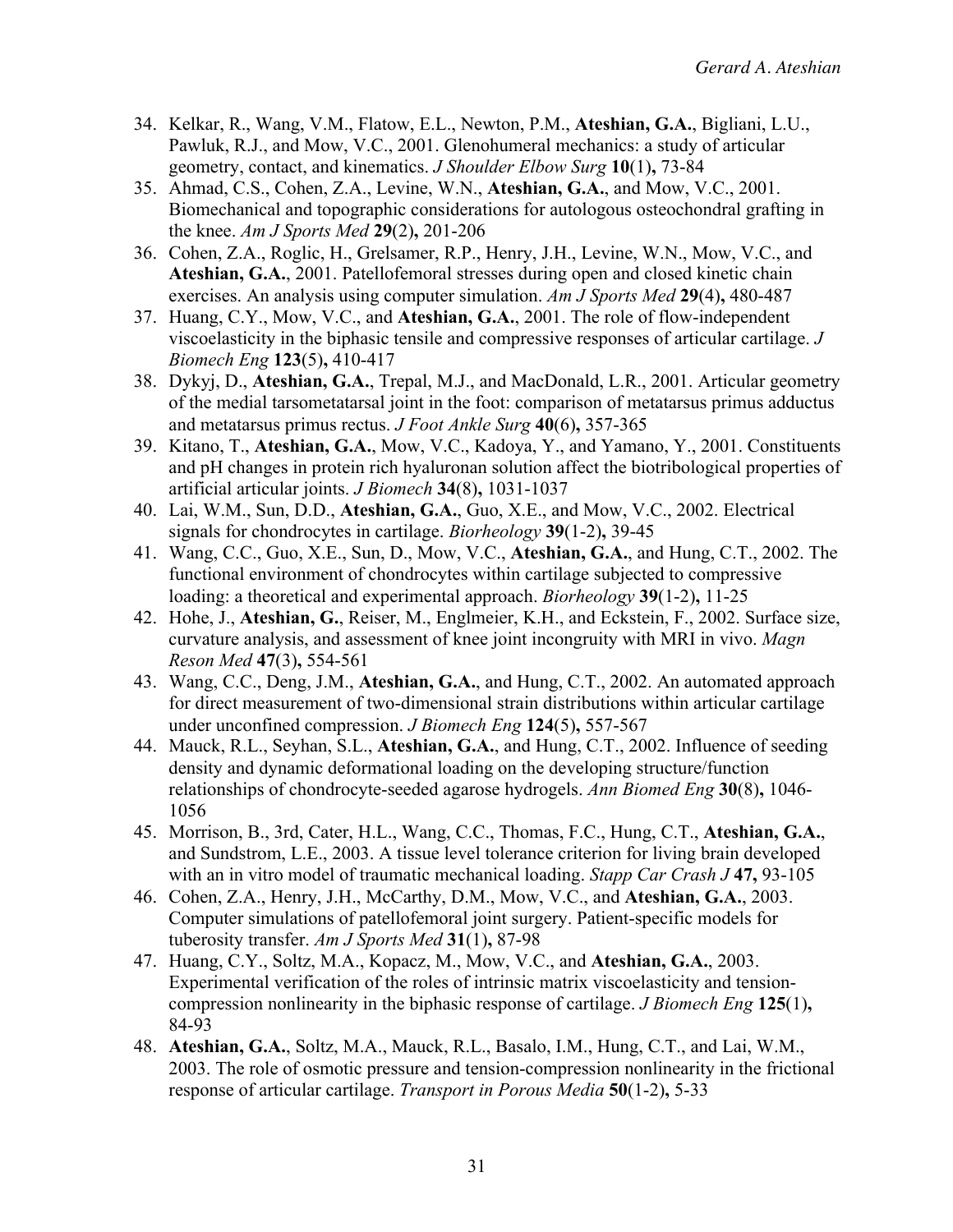- 34. Kelkar, R., Wang, V.M., Flatow, E.L., Newton, P.M., **Ateshian, G.A.**, Bigliani, L.U., Pawluk, R.J., and Mow, V.C., 2001. Glenohumeral mechanics: a study of articular geometry, contact, and kinematics. *J Shoulder Elbow Surg* **10**(1)**,** 73-84
- 35. Ahmad, C.S., Cohen, Z.A., Levine, W.N., **Ateshian, G.A.**, and Mow, V.C., 2001. Biomechanical and topographic considerations for autologous osteochondral grafting in the knee. *Am J Sports Med* **29**(2)**,** 201-206
- 36. Cohen, Z.A., Roglic, H., Grelsamer, R.P., Henry, J.H., Levine, W.N., Mow, V.C., and **Ateshian, G.A.**, 2001. Patellofemoral stresses during open and closed kinetic chain exercises. An analysis using computer simulation. *Am J Sports Med* **29**(4)**,** 480-487
- 37. Huang, C.Y., Mow, V.C., and **Ateshian, G.A.**, 2001. The role of flow-independent viscoelasticity in the biphasic tensile and compressive responses of articular cartilage. *J Biomech Eng* **123**(5)**,** 410-417
- 38. Dykyj, D., **Ateshian, G.A.**, Trepal, M.J., and MacDonald, L.R., 2001. Articular geometry of the medial tarsometatarsal joint in the foot: comparison of metatarsus primus adductus and metatarsus primus rectus. *J Foot Ankle Surg* **40**(6)**,** 357-365
- 39. Kitano, T., **Ateshian, G.A.**, Mow, V.C., Kadoya, Y., and Yamano, Y., 2001. Constituents and pH changes in protein rich hyaluronan solution affect the biotribological properties of artificial articular joints. *J Biomech* **34**(8)**,** 1031-1037
- 40. Lai, W.M., Sun, D.D., **Ateshian, G.A.**, Guo, X.E., and Mow, V.C., 2002. Electrical signals for chondrocytes in cartilage. *Biorheology* **39**(1-2)**,** 39-45
- 41. Wang, C.C., Guo, X.E., Sun, D., Mow, V.C., **Ateshian, G.A.**, and Hung, C.T., 2002. The functional environment of chondrocytes within cartilage subjected to compressive loading: a theoretical and experimental approach. *Biorheology* **39**(1-2)**,** 11-25
- 42. Hohe, J., **Ateshian, G.**, Reiser, M., Englmeier, K.H., and Eckstein, F., 2002. Surface size, curvature analysis, and assessment of knee joint incongruity with MRI in vivo. *Magn Reson Med* **47**(3)**,** 554-561
- 43. Wang, C.C., Deng, J.M., **Ateshian, G.A.**, and Hung, C.T., 2002. An automated approach for direct measurement of two-dimensional strain distributions within articular cartilage under unconfined compression. *J Biomech Eng* **124**(5)**,** 557-567
- 44. Mauck, R.L., Seyhan, S.L., **Ateshian, G.A.**, and Hung, C.T., 2002. Influence of seeding density and dynamic deformational loading on the developing structure/function relationships of chondrocyte-seeded agarose hydrogels. *Ann Biomed Eng* **30**(8)**,** 1046- 1056
- 45. Morrison, B., 3rd, Cater, H.L., Wang, C.C., Thomas, F.C., Hung, C.T., **Ateshian, G.A.**, and Sundstrom, L.E., 2003. A tissue level tolerance criterion for living brain developed with an in vitro model of traumatic mechanical loading. *Stapp Car Crash J* **47,** 93-105
- 46. Cohen, Z.A., Henry, J.H., McCarthy, D.M., Mow, V.C., and **Ateshian, G.A.**, 2003. Computer simulations of patellofemoral joint surgery. Patient-specific models for tuberosity transfer. *Am J Sports Med* **31**(1)**,** 87-98
- 47. Huang, C.Y., Soltz, M.A., Kopacz, M., Mow, V.C., and **Ateshian, G.A.**, 2003. Experimental verification of the roles of intrinsic matrix viscoelasticity and tensioncompression nonlinearity in the biphasic response of cartilage. *J Biomech Eng* **125**(1)**,** 84-93
- 48. **Ateshian, G.A.**, Soltz, M.A., Mauck, R.L., Basalo, I.M., Hung, C.T., and Lai, W.M., 2003. The role of osmotic pressure and tension-compression nonlinearity in the frictional response of articular cartilage. *Transport in Porous Media* **50**(1-2)**,** 5-33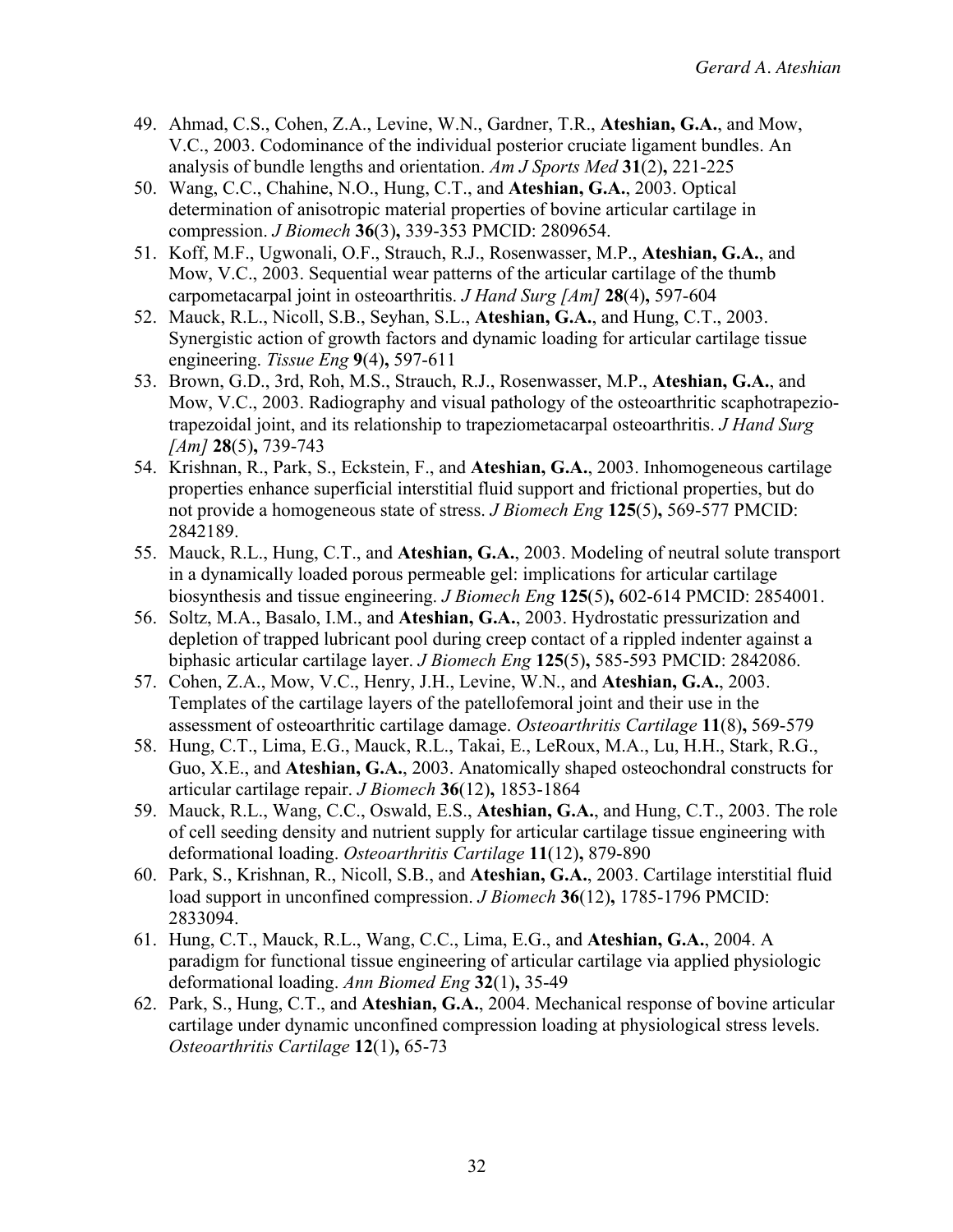- 49. Ahmad, C.S., Cohen, Z.A., Levine, W.N., Gardner, T.R., **Ateshian, G.A.**, and Mow, V.C., 2003. Codominance of the individual posterior cruciate ligament bundles. An analysis of bundle lengths and orientation. *Am J Sports Med* **31**(2)**,** 221-225
- 50. Wang, C.C., Chahine, N.O., Hung, C.T., and **Ateshian, G.A.**, 2003. Optical determination of anisotropic material properties of bovine articular cartilage in compression. *J Biomech* **36**(3)**,** 339-353 PMCID: 2809654.
- 51. Koff, M.F., Ugwonali, O.F., Strauch, R.J., Rosenwasser, M.P., **Ateshian, G.A.**, and Mow, V.C., 2003. Sequential wear patterns of the articular cartilage of the thumb carpometacarpal joint in osteoarthritis. *J Hand Surg [Am]* **28**(4)**,** 597-604
- 52. Mauck, R.L., Nicoll, S.B., Seyhan, S.L., **Ateshian, G.A.**, and Hung, C.T., 2003. Synergistic action of growth factors and dynamic loading for articular cartilage tissue engineering. *Tissue Eng* **9**(4)**,** 597-611
- 53. Brown, G.D., 3rd, Roh, M.S., Strauch, R.J., Rosenwasser, M.P., **Ateshian, G.A.**, and Mow, V.C., 2003. Radiography and visual pathology of the osteoarthritic scaphotrapeziotrapezoidal joint, and its relationship to trapeziometacarpal osteoarthritis. *J Hand Surg [Am]* **28**(5)**,** 739-743
- 54. Krishnan, R., Park, S., Eckstein, F., and **Ateshian, G.A.**, 2003. Inhomogeneous cartilage properties enhance superficial interstitial fluid support and frictional properties, but do not provide a homogeneous state of stress. *J Biomech Eng* **125**(5)**,** 569-577 PMCID: 2842189.
- 55. Mauck, R.L., Hung, C.T., and **Ateshian, G.A.**, 2003. Modeling of neutral solute transport in a dynamically loaded porous permeable gel: implications for articular cartilage biosynthesis and tissue engineering. *J Biomech Eng* **125**(5)**,** 602-614 PMCID: 2854001.
- 56. Soltz, M.A., Basalo, I.M., and **Ateshian, G.A.**, 2003. Hydrostatic pressurization and depletion of trapped lubricant pool during creep contact of a rippled indenter against a biphasic articular cartilage layer. *J Biomech Eng* **125**(5)**,** 585-593 PMCID: 2842086.
- 57. Cohen, Z.A., Mow, V.C., Henry, J.H., Levine, W.N., and **Ateshian, G.A.**, 2003. Templates of the cartilage layers of the patellofemoral joint and their use in the assessment of osteoarthritic cartilage damage. *Osteoarthritis Cartilage* **11**(8)**,** 569-579
- 58. Hung, C.T., Lima, E.G., Mauck, R.L., Takai, E., LeRoux, M.A., Lu, H.H., Stark, R.G., Guo, X.E., and **Ateshian, G.A.**, 2003. Anatomically shaped osteochondral constructs for articular cartilage repair. *J Biomech* **36**(12)**,** 1853-1864
- 59. Mauck, R.L., Wang, C.C., Oswald, E.S., **Ateshian, G.A.**, and Hung, C.T., 2003. The role of cell seeding density and nutrient supply for articular cartilage tissue engineering with deformational loading. *Osteoarthritis Cartilage* **11**(12)**,** 879-890
- 60. Park, S., Krishnan, R., Nicoll, S.B., and **Ateshian, G.A.**, 2003. Cartilage interstitial fluid load support in unconfined compression. *J Biomech* **36**(12)**,** 1785-1796 PMCID: 2833094.
- 61. Hung, C.T., Mauck, R.L., Wang, C.C., Lima, E.G., and **Ateshian, G.A.**, 2004. A paradigm for functional tissue engineering of articular cartilage via applied physiologic deformational loading. *Ann Biomed Eng* **32**(1)**,** 35-49
- 62. Park, S., Hung, C.T., and **Ateshian, G.A.**, 2004. Mechanical response of bovine articular cartilage under dynamic unconfined compression loading at physiological stress levels. *Osteoarthritis Cartilage* **12**(1)**,** 65-73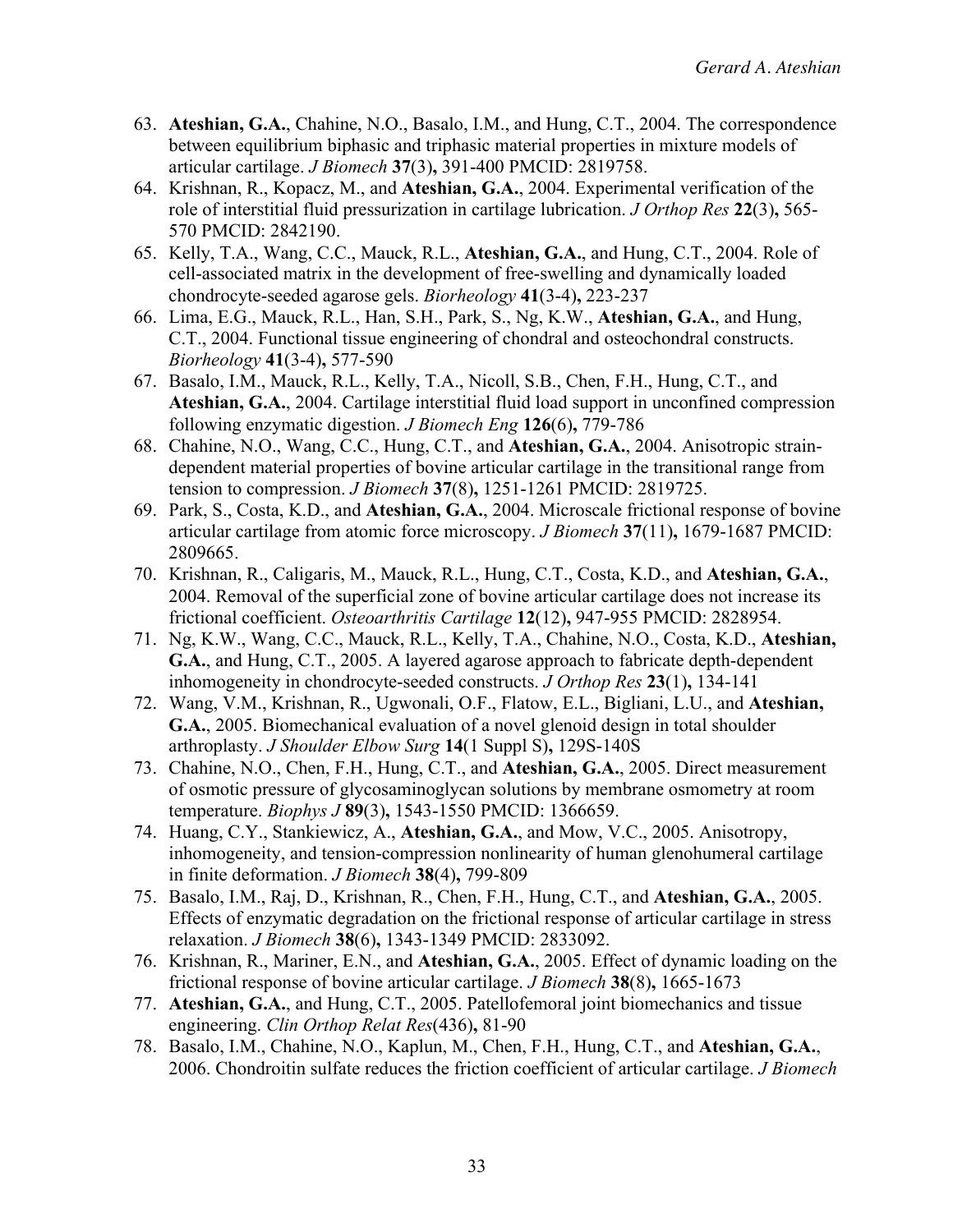- 63. **Ateshian, G.A.**, Chahine, N.O., Basalo, I.M., and Hung, C.T., 2004. The correspondence between equilibrium biphasic and triphasic material properties in mixture models of articular cartilage. *J Biomech* **37**(3)**,** 391-400 PMCID: 2819758.
- 64. Krishnan, R., Kopacz, M., and **Ateshian, G.A.**, 2004. Experimental verification of the role of interstitial fluid pressurization in cartilage lubrication. *J Orthop Res* **22**(3)**,** 565- 570 PMCID: 2842190.
- 65. Kelly, T.A., Wang, C.C., Mauck, R.L., **Ateshian, G.A.**, and Hung, C.T., 2004. Role of cell-associated matrix in the development of free-swelling and dynamically loaded chondrocyte-seeded agarose gels. *Biorheology* **41**(3-4)**,** 223-237
- 66. Lima, E.G., Mauck, R.L., Han, S.H., Park, S., Ng, K.W., **Ateshian, G.A.**, and Hung, C.T., 2004. Functional tissue engineering of chondral and osteochondral constructs. *Biorheology* **41**(3-4)**,** 577-590
- 67. Basalo, I.M., Mauck, R.L., Kelly, T.A., Nicoll, S.B., Chen, F.H., Hung, C.T., and **Ateshian, G.A.**, 2004. Cartilage interstitial fluid load support in unconfined compression following enzymatic digestion. *J Biomech Eng* **126**(6)**,** 779-786
- 68. Chahine, N.O., Wang, C.C., Hung, C.T., and **Ateshian, G.A.**, 2004. Anisotropic straindependent material properties of bovine articular cartilage in the transitional range from tension to compression. *J Biomech* **37**(8)**,** 1251-1261 PMCID: 2819725.
- 69. Park, S., Costa, K.D., and **Ateshian, G.A.**, 2004. Microscale frictional response of bovine articular cartilage from atomic force microscopy. *J Biomech* **37**(11)**,** 1679-1687 PMCID: 2809665.
- 70. Krishnan, R., Caligaris, M., Mauck, R.L., Hung, C.T., Costa, K.D., and **Ateshian, G.A.**, 2004. Removal of the superficial zone of bovine articular cartilage does not increase its frictional coefficient. *Osteoarthritis Cartilage* **12**(12)**,** 947-955 PMCID: 2828954.
- 71. Ng, K.W., Wang, C.C., Mauck, R.L., Kelly, T.A., Chahine, N.O., Costa, K.D., **Ateshian, G.A.**, and Hung, C.T., 2005. A layered agarose approach to fabricate depth-dependent inhomogeneity in chondrocyte-seeded constructs. *J Orthop Res* **23**(1)**,** 134-141
- 72. Wang, V.M., Krishnan, R., Ugwonali, O.F., Flatow, E.L., Bigliani, L.U., and **Ateshian, G.A.**, 2005. Biomechanical evaluation of a novel glenoid design in total shoulder arthroplasty. *J Shoulder Elbow Surg* **14**(1 Suppl S)**,** 129S-140S
- 73. Chahine, N.O., Chen, F.H., Hung, C.T., and **Ateshian, G.A.**, 2005. Direct measurement of osmotic pressure of glycosaminoglycan solutions by membrane osmometry at room temperature. *Biophys J* **89**(3)**,** 1543-1550 PMCID: 1366659.
- 74. Huang, C.Y., Stankiewicz, A., **Ateshian, G.A.**, and Mow, V.C., 2005. Anisotropy, inhomogeneity, and tension-compression nonlinearity of human glenohumeral cartilage in finite deformation. *J Biomech* **38**(4)**,** 799-809
- 75. Basalo, I.M., Raj, D., Krishnan, R., Chen, F.H., Hung, C.T., and **Ateshian, G.A.**, 2005. Effects of enzymatic degradation on the frictional response of articular cartilage in stress relaxation. *J Biomech* **38**(6)**,** 1343-1349 PMCID: 2833092.
- 76. Krishnan, R., Mariner, E.N., and **Ateshian, G.A.**, 2005. Effect of dynamic loading on the frictional response of bovine articular cartilage. *J Biomech* **38**(8)**,** 1665-1673
- 77. **Ateshian, G.A.**, and Hung, C.T., 2005. Patellofemoral joint biomechanics and tissue engineering. *Clin Orthop Relat Res*(436)**,** 81-90
- 78. Basalo, I.M., Chahine, N.O., Kaplun, M., Chen, F.H., Hung, C.T., and **Ateshian, G.A.**, 2006. Chondroitin sulfate reduces the friction coefficient of articular cartilage. *J Biomech*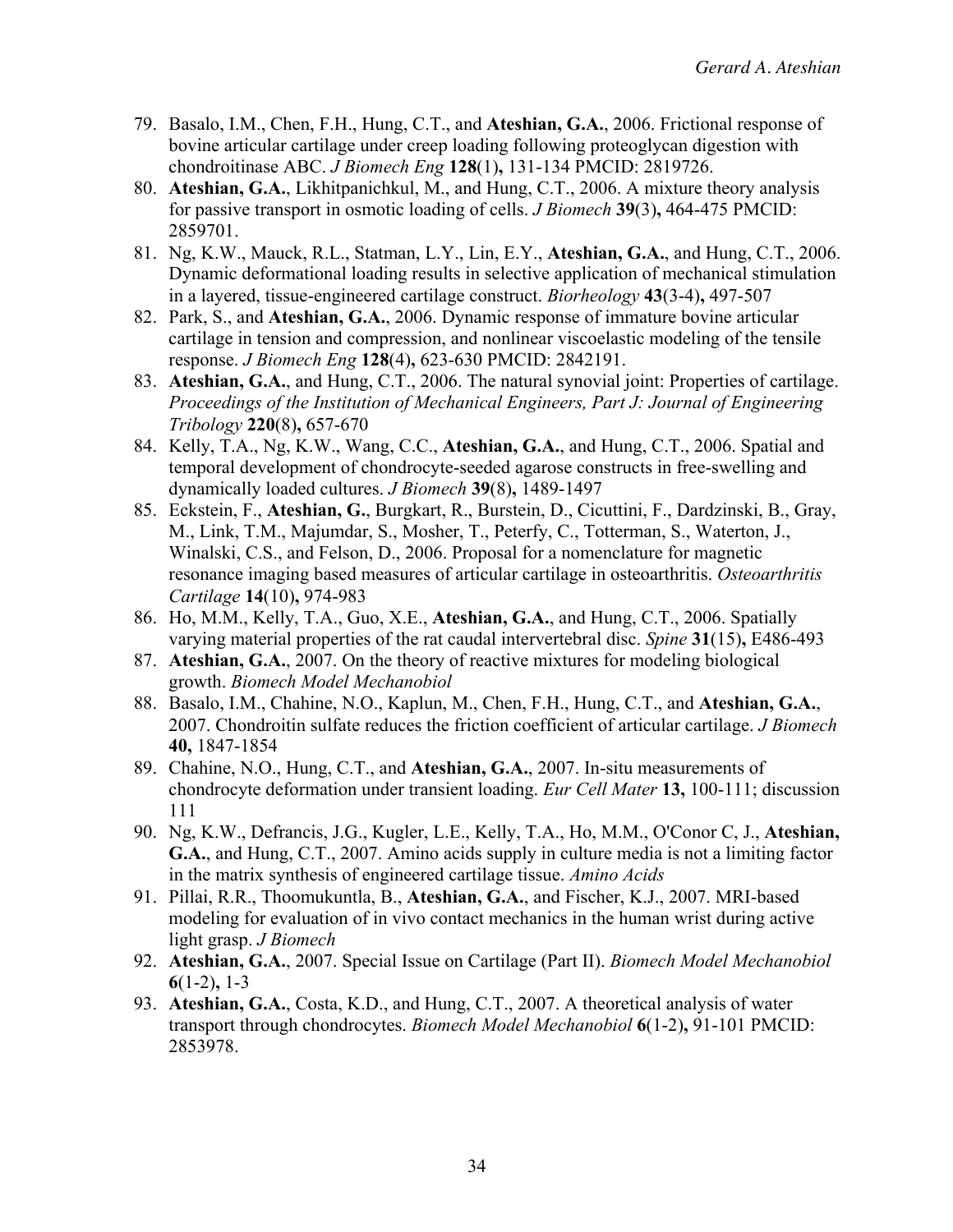- 79. Basalo, I.M., Chen, F.H., Hung, C.T., and **Ateshian, G.A.**, 2006. Frictional response of bovine articular cartilage under creep loading following proteoglycan digestion with chondroitinase ABC. *J Biomech Eng* **128**(1)**,** 131-134 PMCID: 2819726.
- 80. **Ateshian, G.A.**, Likhitpanichkul, M., and Hung, C.T., 2006. A mixture theory analysis for passive transport in osmotic loading of cells. *J Biomech* **39**(3)**,** 464-475 PMCID: 2859701.
- 81. Ng, K.W., Mauck, R.L., Statman, L.Y., Lin, E.Y., **Ateshian, G.A.**, and Hung, C.T., 2006. Dynamic deformational loading results in selective application of mechanical stimulation in a layered, tissue-engineered cartilage construct. *Biorheology* **43**(3-4)**,** 497-507
- 82. Park, S., and **Ateshian, G.A.**, 2006. Dynamic response of immature bovine articular cartilage in tension and compression, and nonlinear viscoelastic modeling of the tensile response. *J Biomech Eng* **128**(4)**,** 623-630 PMCID: 2842191.
- 83. **Ateshian, G.A.**, and Hung, C.T., 2006. The natural synovial joint: Properties of cartilage. *Proceedings of the Institution of Mechanical Engineers, Part J: Journal of Engineering Tribology* **220**(8)**,** 657-670
- 84. Kelly, T.A., Ng, K.W., Wang, C.C., **Ateshian, G.A.**, and Hung, C.T., 2006. Spatial and temporal development of chondrocyte-seeded agarose constructs in free-swelling and dynamically loaded cultures. *J Biomech* **39**(8)**,** 1489-1497
- 85. Eckstein, F., **Ateshian, G.**, Burgkart, R., Burstein, D., Cicuttini, F., Dardzinski, B., Gray, M., Link, T.M., Majumdar, S., Mosher, T., Peterfy, C., Totterman, S., Waterton, J., Winalski, C.S., and Felson, D., 2006. Proposal for a nomenclature for magnetic resonance imaging based measures of articular cartilage in osteoarthritis. *Osteoarthritis Cartilage* **14**(10)**,** 974-983
- 86. Ho, M.M., Kelly, T.A., Guo, X.E., **Ateshian, G.A.**, and Hung, C.T., 2006. Spatially varying material properties of the rat caudal intervertebral disc. *Spine* **31**(15)**,** E486-493
- 87. **Ateshian, G.A.**, 2007. On the theory of reactive mixtures for modeling biological growth. *Biomech Model Mechanobiol*
- 88. Basalo, I.M., Chahine, N.O., Kaplun, M., Chen, F.H., Hung, C.T., and **Ateshian, G.A.**, 2007. Chondroitin sulfate reduces the friction coefficient of articular cartilage. *J Biomech* **40,** 1847-1854
- 89. Chahine, N.O., Hung, C.T., and **Ateshian, G.A.**, 2007. In-situ measurements of chondrocyte deformation under transient loading. *Eur Cell Mater* **13,** 100-111; discussion 111
- 90. Ng, K.W., Defrancis, J.G., Kugler, L.E., Kelly, T.A., Ho, M.M., O'Conor C, J., **Ateshian, G.A.**, and Hung, C.T., 2007. Amino acids supply in culture media is not a limiting factor in the matrix synthesis of engineered cartilage tissue. *Amino Acids*
- 91. Pillai, R.R., Thoomukuntla, B., **Ateshian, G.A.**, and Fischer, K.J., 2007. MRI-based modeling for evaluation of in vivo contact mechanics in the human wrist during active light grasp. *J Biomech*
- 92. **Ateshian, G.A.**, 2007. Special Issue on Cartilage (Part II). *Biomech Model Mechanobiol* **6**(1-2)**,** 1-3
- 93. **Ateshian, G.A.**, Costa, K.D., and Hung, C.T., 2007. A theoretical analysis of water transport through chondrocytes. *Biomech Model Mechanobiol* **6**(1-2)**,** 91-101 PMCID: 2853978.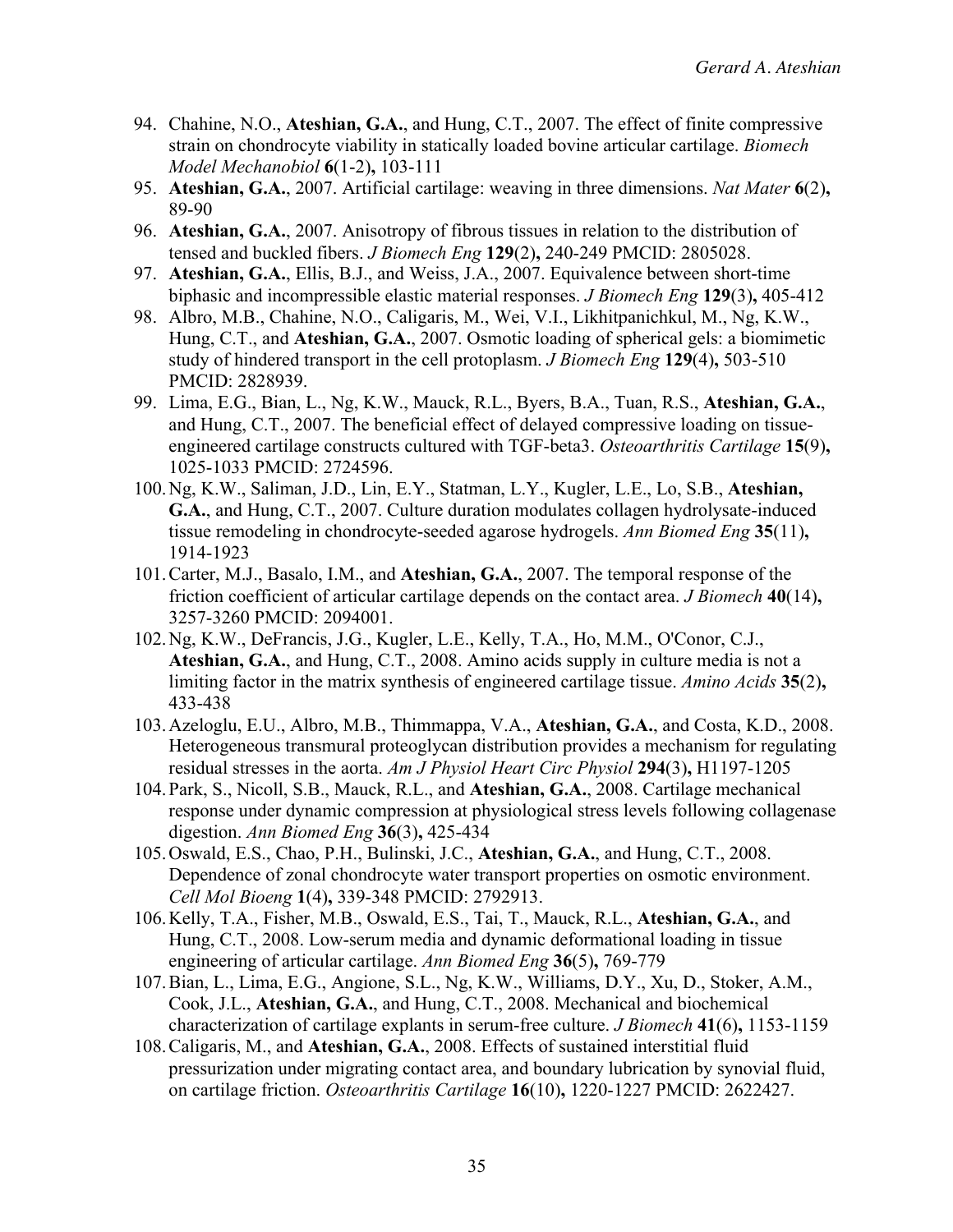- 94. Chahine, N.O., **Ateshian, G.A.**, and Hung, C.T., 2007. The effect of finite compressive strain on chondrocyte viability in statically loaded bovine articular cartilage. *Biomech Model Mechanobiol* **6**(1-2)**,** 103-111
- 95. **Ateshian, G.A.**, 2007. Artificial cartilage: weaving in three dimensions. *Nat Mater* **6**(2)**,** 89-90
- 96. **Ateshian, G.A.**, 2007. Anisotropy of fibrous tissues in relation to the distribution of tensed and buckled fibers. *J Biomech Eng* **129**(2)**,** 240-249 PMCID: 2805028.
- 97. **Ateshian, G.A.**, Ellis, B.J., and Weiss, J.A., 2007. Equivalence between short-time biphasic and incompressible elastic material responses. *J Biomech Eng* **129**(3)**,** 405-412
- 98. Albro, M.B., Chahine, N.O., Caligaris, M., Wei, V.I., Likhitpanichkul, M., Ng, K.W., Hung, C.T., and **Ateshian, G.A.**, 2007. Osmotic loading of spherical gels: a biomimetic study of hindered transport in the cell protoplasm. *J Biomech Eng* **129**(4)**,** 503-510 PMCID: 2828939.
- 99. Lima, E.G., Bian, L., Ng, K.W., Mauck, R.L., Byers, B.A., Tuan, R.S., **Ateshian, G.A.**, and Hung, C.T., 2007. The beneficial effect of delayed compressive loading on tissueengineered cartilage constructs cultured with TGF-beta3. *Osteoarthritis Cartilage* **15**(9)**,** 1025-1033 PMCID: 2724596.
- 100.Ng, K.W., Saliman, J.D., Lin, E.Y., Statman, L.Y., Kugler, L.E., Lo, S.B., **Ateshian, G.A.**, and Hung, C.T., 2007. Culture duration modulates collagen hydrolysate-induced tissue remodeling in chondrocyte-seeded agarose hydrogels. *Ann Biomed Eng* **35**(11)**,** 1914-1923
- 101.Carter, M.J., Basalo, I.M., and **Ateshian, G.A.**, 2007. The temporal response of the friction coefficient of articular cartilage depends on the contact area. *J Biomech* **40**(14)**,** 3257-3260 PMCID: 2094001.
- 102.Ng, K.W., DeFrancis, J.G., Kugler, L.E., Kelly, T.A., Ho, M.M., O'Conor, C.J., **Ateshian, G.A.**, and Hung, C.T., 2008. Amino acids supply in culture media is not a limiting factor in the matrix synthesis of engineered cartilage tissue. *Amino Acids* **35**(2)**,** 433-438
- 103.Azeloglu, E.U., Albro, M.B., Thimmappa, V.A., **Ateshian, G.A.**, and Costa, K.D., 2008. Heterogeneous transmural proteoglycan distribution provides a mechanism for regulating residual stresses in the aorta. *Am J Physiol Heart Circ Physiol* **294**(3)**,** H1197-1205
- 104.Park, S., Nicoll, S.B., Mauck, R.L., and **Ateshian, G.A.**, 2008. Cartilage mechanical response under dynamic compression at physiological stress levels following collagenase digestion. *Ann Biomed Eng* **36**(3)**,** 425-434
- 105.Oswald, E.S., Chao, P.H., Bulinski, J.C., **Ateshian, G.A.**, and Hung, C.T., 2008. Dependence of zonal chondrocyte water transport properties on osmotic environment. *Cell Mol Bioeng* **1**(4)**,** 339-348 PMCID: 2792913.
- 106.Kelly, T.A., Fisher, M.B., Oswald, E.S., Tai, T., Mauck, R.L., **Ateshian, G.A.**, and Hung, C.T., 2008. Low-serum media and dynamic deformational loading in tissue engineering of articular cartilage. *Ann Biomed Eng* **36**(5)**,** 769-779
- 107.Bian, L., Lima, E.G., Angione, S.L., Ng, K.W., Williams, D.Y., Xu, D., Stoker, A.M., Cook, J.L., **Ateshian, G.A.**, and Hung, C.T., 2008. Mechanical and biochemical characterization of cartilage explants in serum-free culture. *J Biomech* **41**(6)**,** 1153-1159
- 108.Caligaris, M., and **Ateshian, G.A.**, 2008. Effects of sustained interstitial fluid pressurization under migrating contact area, and boundary lubrication by synovial fluid, on cartilage friction. *Osteoarthritis Cartilage* **16**(10)**,** 1220-1227 PMCID: 2622427.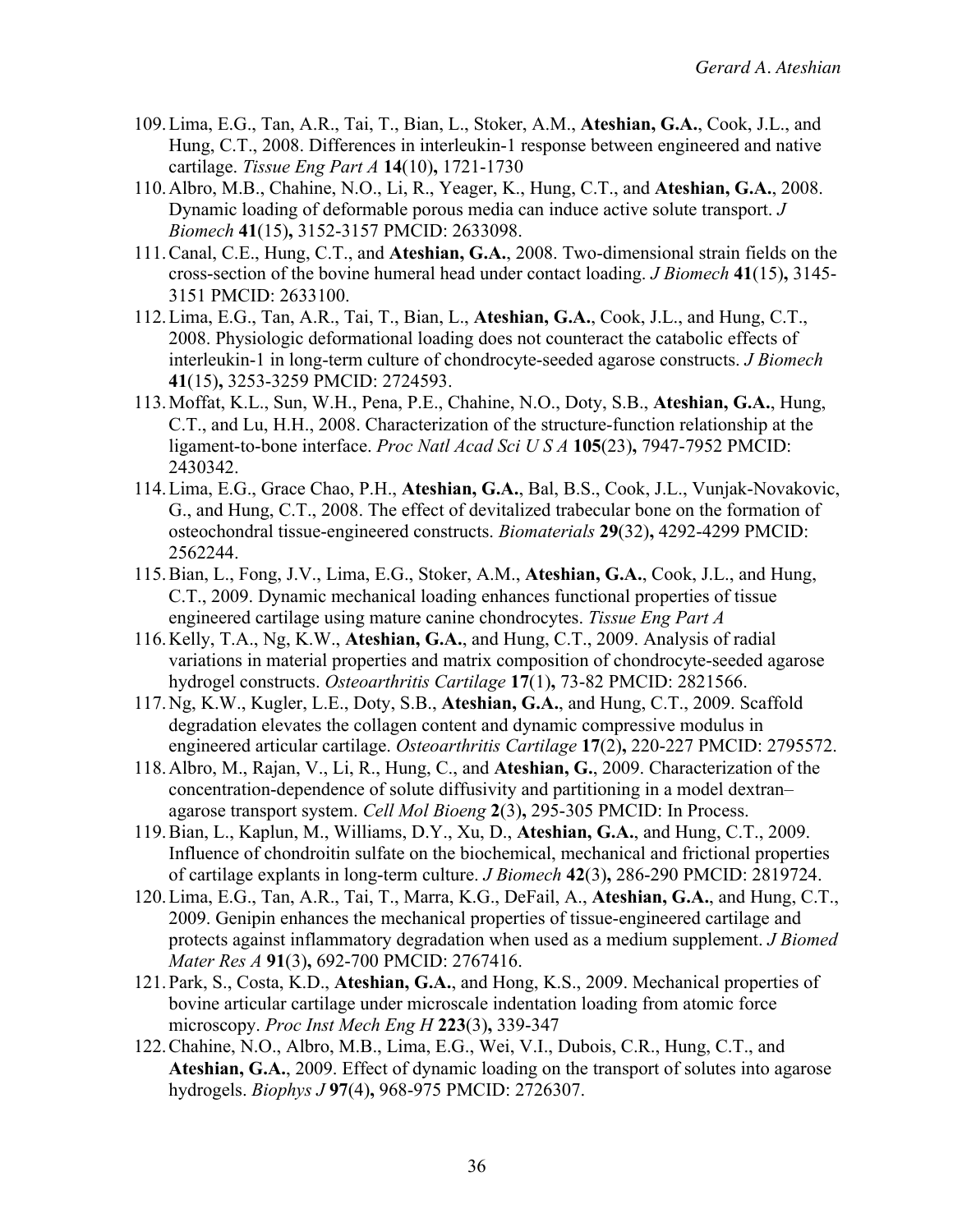- 109.Lima, E.G., Tan, A.R., Tai, T., Bian, L., Stoker, A.M., **Ateshian, G.A.**, Cook, J.L., and Hung, C.T., 2008. Differences in interleukin-1 response between engineered and native cartilage. *Tissue Eng Part A* **14**(10)**,** 1721-1730
- 110.Albro, M.B., Chahine, N.O., Li, R., Yeager, K., Hung, C.T., and **Ateshian, G.A.**, 2008. Dynamic loading of deformable porous media can induce active solute transport. *J Biomech* **41**(15)**,** 3152-3157 PMCID: 2633098.
- 111.Canal, C.E., Hung, C.T., and **Ateshian, G.A.**, 2008. Two-dimensional strain fields on the cross-section of the bovine humeral head under contact loading. *J Biomech* **41**(15)**,** 3145- 3151 PMCID: 2633100.
- 112.Lima, E.G., Tan, A.R., Tai, T., Bian, L., **Ateshian, G.A.**, Cook, J.L., and Hung, C.T., 2008. Physiologic deformational loading does not counteract the catabolic effects of interleukin-1 in long-term culture of chondrocyte-seeded agarose constructs. *J Biomech* **41**(15)**,** 3253-3259 PMCID: 2724593.
- 113.Moffat, K.L., Sun, W.H., Pena, P.E., Chahine, N.O., Doty, S.B., **Ateshian, G.A.**, Hung, C.T., and Lu, H.H., 2008. Characterization of the structure-function relationship at the ligament-to-bone interface. *Proc Natl Acad Sci U S A* **105**(23)**,** 7947-7952 PMCID: 2430342.
- 114.Lima, E.G., Grace Chao, P.H., **Ateshian, G.A.**, Bal, B.S., Cook, J.L., Vunjak-Novakovic, G., and Hung, C.T., 2008. The effect of devitalized trabecular bone on the formation of osteochondral tissue-engineered constructs. *Biomaterials* **29**(32)**,** 4292-4299 PMCID: 2562244.
- 115.Bian, L., Fong, J.V., Lima, E.G., Stoker, A.M., **Ateshian, G.A.**, Cook, J.L., and Hung, C.T., 2009. Dynamic mechanical loading enhances functional properties of tissue engineered cartilage using mature canine chondrocytes. *Tissue Eng Part A*
- 116.Kelly, T.A., Ng, K.W., **Ateshian, G.A.**, and Hung, C.T., 2009. Analysis of radial variations in material properties and matrix composition of chondrocyte-seeded agarose hydrogel constructs. *Osteoarthritis Cartilage* **17**(1)**,** 73-82 PMCID: 2821566.
- 117.Ng, K.W., Kugler, L.E., Doty, S.B., **Ateshian, G.A.**, and Hung, C.T., 2009. Scaffold degradation elevates the collagen content and dynamic compressive modulus in engineered articular cartilage. *Osteoarthritis Cartilage* **17**(2)**,** 220-227 PMCID: 2795572.
- 118.Albro, M., Rajan, V., Li, R., Hung, C., and **Ateshian, G.**, 2009. Characterization of the concentration-dependence of solute diffusivity and partitioning in a model dextran– agarose transport system. *Cell Mol Bioeng* **2**(3)**,** 295-305 PMCID: In Process.
- 119.Bian, L., Kaplun, M., Williams, D.Y., Xu, D., **Ateshian, G.A.**, and Hung, C.T., 2009. Influence of chondroitin sulfate on the biochemical, mechanical and frictional properties of cartilage explants in long-term culture. *J Biomech* **42**(3)**,** 286-290 PMCID: 2819724.
- 120.Lima, E.G., Tan, A.R., Tai, T., Marra, K.G., DeFail, A., **Ateshian, G.A.**, and Hung, C.T., 2009. Genipin enhances the mechanical properties of tissue-engineered cartilage and protects against inflammatory degradation when used as a medium supplement. *J Biomed Mater Res A* **91**(3)**,** 692-700 PMCID: 2767416.
- 121.Park, S., Costa, K.D., **Ateshian, G.A.**, and Hong, K.S., 2009. Mechanical properties of bovine articular cartilage under microscale indentation loading from atomic force microscopy. *Proc Inst Mech Eng H* **223**(3)**,** 339-347
- 122.Chahine, N.O., Albro, M.B., Lima, E.G., Wei, V.I., Dubois, C.R., Hung, C.T., and **Ateshian, G.A.**, 2009. Effect of dynamic loading on the transport of solutes into agarose hydrogels. *Biophys J* **97**(4)**,** 968-975 PMCID: 2726307.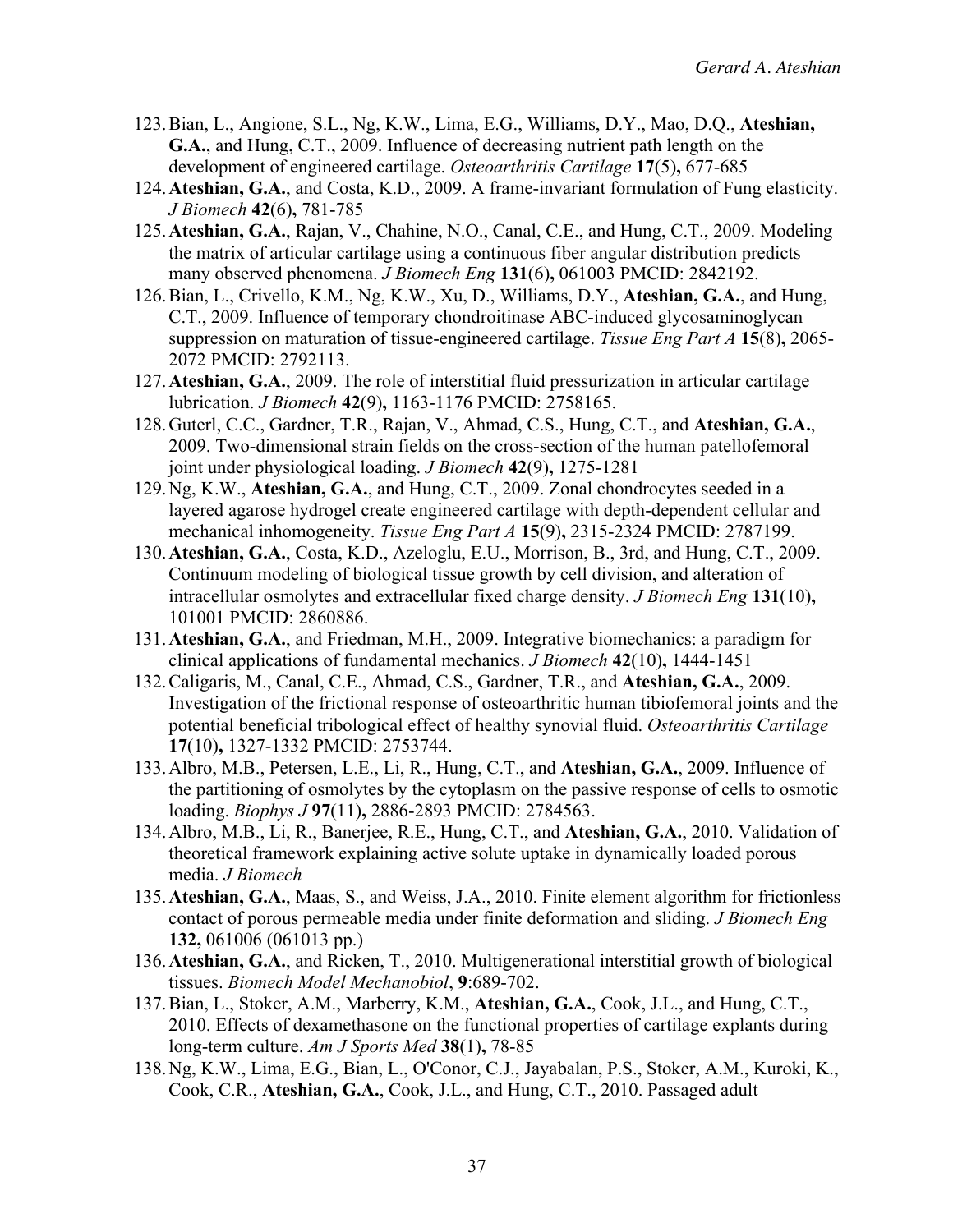- 123.Bian, L., Angione, S.L., Ng, K.W., Lima, E.G., Williams, D.Y., Mao, D.Q., **Ateshian, G.A.**, and Hung, C.T., 2009. Influence of decreasing nutrient path length on the development of engineered cartilage. *Osteoarthritis Cartilage* **17**(5)**,** 677-685
- 124.**Ateshian, G.A.**, and Costa, K.D., 2009. A frame-invariant formulation of Fung elasticity. *J Biomech* **42**(6)**,** 781-785
- 125.**Ateshian, G.A.**, Rajan, V., Chahine, N.O., Canal, C.E., and Hung, C.T., 2009. Modeling the matrix of articular cartilage using a continuous fiber angular distribution predicts many observed phenomena. *J Biomech Eng* **131**(6)**,** 061003 PMCID: 2842192.
- 126.Bian, L., Crivello, K.M., Ng, K.W., Xu, D., Williams, D.Y., **Ateshian, G.A.**, and Hung, C.T., 2009. Influence of temporary chondroitinase ABC-induced glycosaminoglycan suppression on maturation of tissue-engineered cartilage. *Tissue Eng Part A* **15**(8)**,** 2065- 2072 PMCID: 2792113.
- 127.**Ateshian, G.A.**, 2009. The role of interstitial fluid pressurization in articular cartilage lubrication. *J Biomech* **42**(9)**,** 1163-1176 PMCID: 2758165.
- 128.Guterl, C.C., Gardner, T.R., Rajan, V., Ahmad, C.S., Hung, C.T., and **Ateshian, G.A.**, 2009. Two-dimensional strain fields on the cross-section of the human patellofemoral joint under physiological loading. *J Biomech* **42**(9)**,** 1275-1281
- 129.Ng, K.W., **Ateshian, G.A.**, and Hung, C.T., 2009. Zonal chondrocytes seeded in a layered agarose hydrogel create engineered cartilage with depth-dependent cellular and mechanical inhomogeneity. *Tissue Eng Part A* **15**(9)**,** 2315-2324 PMCID: 2787199.
- 130.**Ateshian, G.A.**, Costa, K.D., Azeloglu, E.U., Morrison, B., 3rd, and Hung, C.T., 2009. Continuum modeling of biological tissue growth by cell division, and alteration of intracellular osmolytes and extracellular fixed charge density. *J Biomech Eng* **131**(10)**,** 101001 PMCID: 2860886.
- 131.**Ateshian, G.A.**, and Friedman, M.H., 2009. Integrative biomechanics: a paradigm for clinical applications of fundamental mechanics. *J Biomech* **42**(10)**,** 1444-1451
- 132.Caligaris, M., Canal, C.E., Ahmad, C.S., Gardner, T.R., and **Ateshian, G.A.**, 2009. Investigation of the frictional response of osteoarthritic human tibiofemoral joints and the potential beneficial tribological effect of healthy synovial fluid. *Osteoarthritis Cartilage* **17**(10)**,** 1327-1332 PMCID: 2753744.
- 133.Albro, M.B., Petersen, L.E., Li, R., Hung, C.T., and **Ateshian, G.A.**, 2009. Influence of the partitioning of osmolytes by the cytoplasm on the passive response of cells to osmotic loading. *Biophys J* **97**(11)**,** 2886-2893 PMCID: 2784563.
- 134.Albro, M.B., Li, R., Banerjee, R.E., Hung, C.T., and **Ateshian, G.A.**, 2010. Validation of theoretical framework explaining active solute uptake in dynamically loaded porous media. *J Biomech*
- 135.**Ateshian, G.A.**, Maas, S., and Weiss, J.A., 2010. Finite element algorithm for frictionless contact of porous permeable media under finite deformation and sliding. *J Biomech Eng* **132,** 061006 (061013 pp.)
- 136.**Ateshian, G.A.**, and Ricken, T., 2010. Multigenerational interstitial growth of biological tissues. *Biomech Model Mechanobiol*, **9**:689-702.
- 137.Bian, L., Stoker, A.M., Marberry, K.M., **Ateshian, G.A.**, Cook, J.L., and Hung, C.T., 2010. Effects of dexamethasone on the functional properties of cartilage explants during long-term culture. *Am J Sports Med* **38**(1)**,** 78-85
- 138.Ng, K.W., Lima, E.G., Bian, L., O'Conor, C.J., Jayabalan, P.S., Stoker, A.M., Kuroki, K., Cook, C.R., **Ateshian, G.A.**, Cook, J.L., and Hung, C.T., 2010. Passaged adult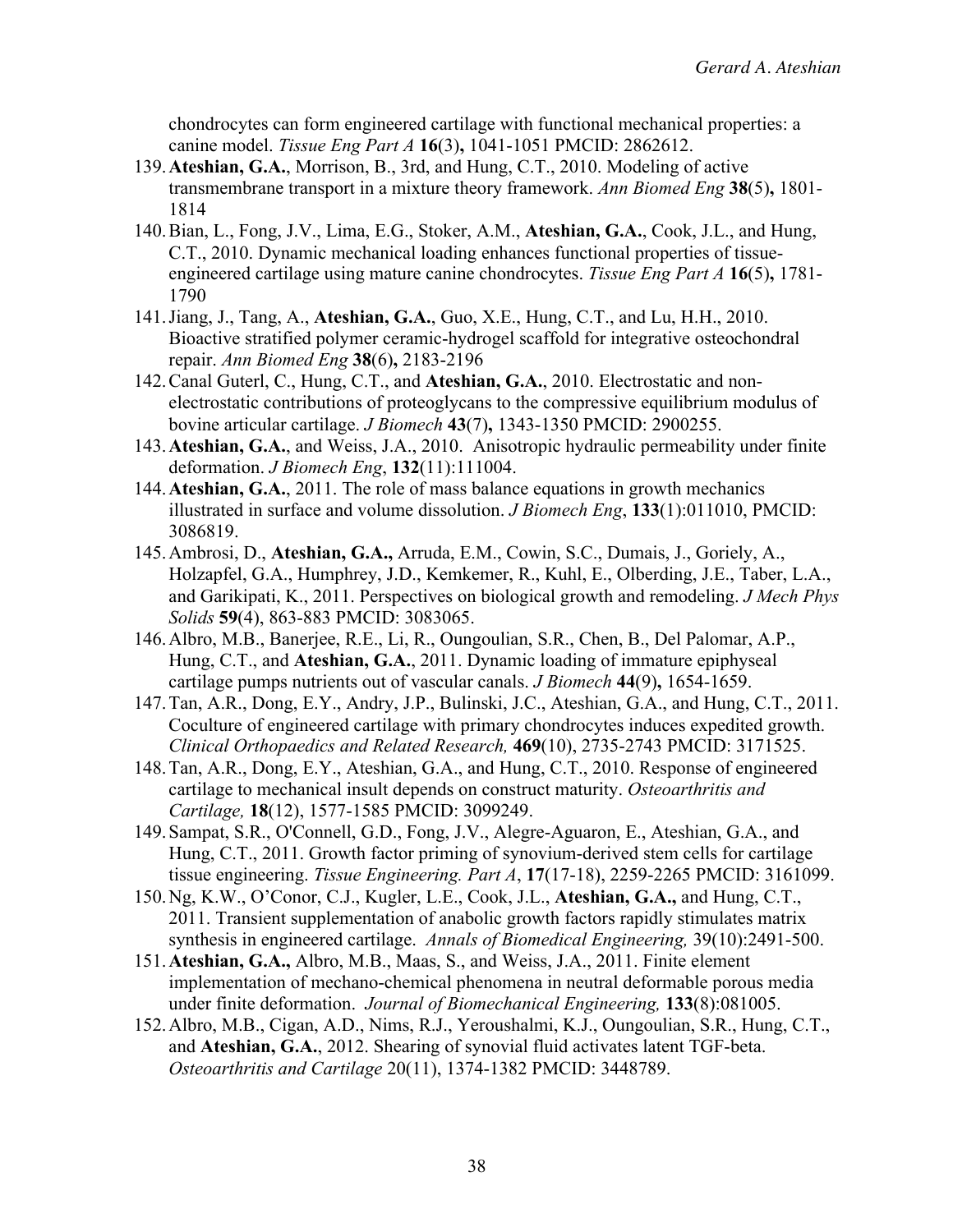chondrocytes can form engineered cartilage with functional mechanical properties: a canine model. *Tissue Eng Part A* **16**(3)**,** 1041-1051 PMCID: 2862612.

- 139.**Ateshian, G.A.**, Morrison, B., 3rd, and Hung, C.T., 2010. Modeling of active transmembrane transport in a mixture theory framework. *Ann Biomed Eng* **38**(5)**,** 1801- 1814
- 140.Bian, L., Fong, J.V., Lima, E.G., Stoker, A.M., **Ateshian, G.A.**, Cook, J.L., and Hung, C.T., 2010. Dynamic mechanical loading enhances functional properties of tissueengineered cartilage using mature canine chondrocytes. *Tissue Eng Part A* **16**(5)**,** 1781- 1790
- 141.Jiang, J., Tang, A., **Ateshian, G.A.**, Guo, X.E., Hung, C.T., and Lu, H.H., 2010. Bioactive stratified polymer ceramic-hydrogel scaffold for integrative osteochondral repair. *Ann Biomed Eng* **38**(6)**,** 2183-2196
- 142.Canal Guterl, C., Hung, C.T., and **Ateshian, G.A.**, 2010. Electrostatic and nonelectrostatic contributions of proteoglycans to the compressive equilibrium modulus of bovine articular cartilage. *J Biomech* **43**(7)**,** 1343-1350 PMCID: 2900255.
- 143.**Ateshian, G.A.**, and Weiss, J.A., 2010. Anisotropic hydraulic permeability under finite deformation. *J Biomech Eng*, **132**(11):111004.
- 144.**Ateshian, G.A.**, 2011. The role of mass balance equations in growth mechanics illustrated in surface and volume dissolution. *J Biomech Eng*, **133**(1):011010, PMCID: 3086819.
- 145.Ambrosi, D., **Ateshian, G.A.,** Arruda, E.M., Cowin, S.C., Dumais, J., Goriely, A., Holzapfel, G.A., Humphrey, J.D., Kemkemer, R., Kuhl, E., Olberding, J.E., Taber, L.A., and Garikipati, K., 2011. Perspectives on biological growth and remodeling. *J Mech Phys Solids* **59**(4), 863-883 PMCID: 3083065.
- 146.Albro, M.B., Banerjee, R.E., Li, R., Oungoulian, S.R., Chen, B., Del Palomar, A.P., Hung, C.T., and **Ateshian, G.A.**, 2011. Dynamic loading of immature epiphyseal cartilage pumps nutrients out of vascular canals. *J Biomech* **44**(9)**,** 1654-1659.
- 147.Tan, A.R., Dong, E.Y., Andry, J.P., Bulinski, J.C., Ateshian, G.A., and Hung, C.T., 2011. Coculture of engineered cartilage with primary chondrocytes induces expedited growth. *Clinical Orthopaedics and Related Research,* **469**(10), 2735-2743 PMCID: 3171525.
- 148.Tan, A.R., Dong, E.Y., Ateshian, G.A., and Hung, C.T., 2010. Response of engineered cartilage to mechanical insult depends on construct maturity. *Osteoarthritis and Cartilage,* **18**(12), 1577-1585 PMCID: 3099249.
- 149.Sampat, S.R., O'Connell, G.D., Fong, J.V., Alegre-Aguaron, E., Ateshian, G.A., and Hung, C.T., 2011. Growth factor priming of synovium-derived stem cells for cartilage tissue engineering. *Tissue Engineering. Part A*, **17**(17-18), 2259-2265 PMCID: 3161099.
- 150.Ng, K.W., O'Conor, C.J., Kugler, L.E., Cook, J.L., **Ateshian, G.A.,** and Hung, C.T., 2011. Transient supplementation of anabolic growth factors rapidly stimulates matrix synthesis in engineered cartilage. *Annals of Biomedical Engineering,* 39(10):2491-500.
- 151.**Ateshian, G.A.,** Albro, M.B., Maas, S., and Weiss, J.A., 2011. Finite element implementation of mechano-chemical phenomena in neutral deformable porous media under finite deformation. *Journal of Biomechanical Engineering,* **133**(8):081005.
- 152.Albro, M.B., Cigan, A.D., Nims, R.J., Yeroushalmi, K.J., Oungoulian, S.R., Hung, C.T., and **Ateshian, G.A.**, 2012. Shearing of synovial fluid activates latent TGF-beta. *Osteoarthritis and Cartilage* 20(11), 1374-1382 PMCID: 3448789.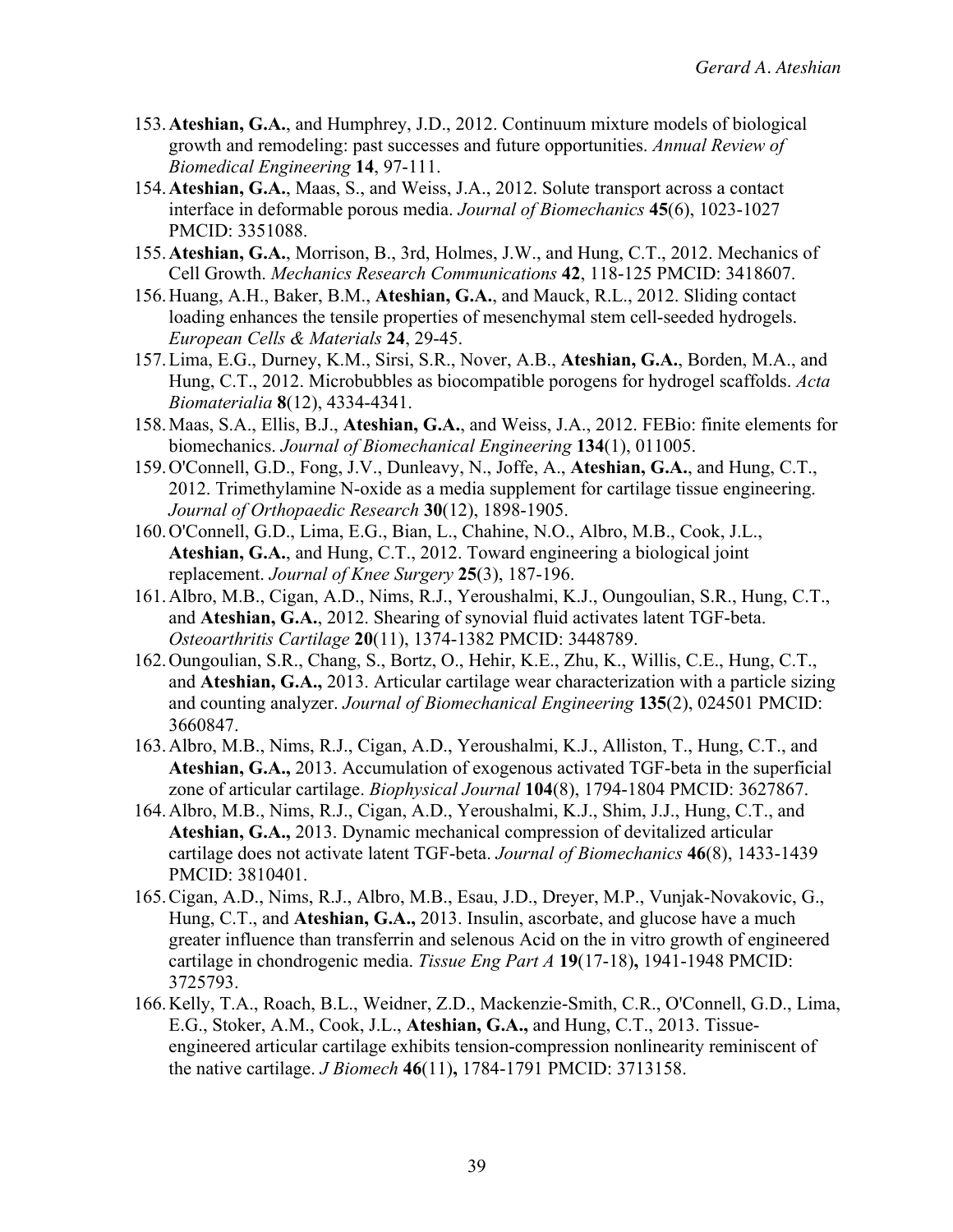- 153.**Ateshian, G.A.**, and Humphrey, J.D., 2012. Continuum mixture models of biological growth and remodeling: past successes and future opportunities. *Annual Review of Biomedical Engineering* **14**, 97-111.
- 154.**Ateshian, G.A.**, Maas, S., and Weiss, J.A., 2012. Solute transport across a contact interface in deformable porous media. *Journal of Biomechanics* **45**(6), 1023-1027 PMCID: 3351088.
- 155.**Ateshian, G.A.**, Morrison, B., 3rd, Holmes, J.W., and Hung, C.T., 2012. Mechanics of Cell Growth. *Mechanics Research Communications* **42**, 118-125 PMCID: 3418607.
- 156.Huang, A.H., Baker, B.M., **Ateshian, G.A.**, and Mauck, R.L., 2012. Sliding contact loading enhances the tensile properties of mesenchymal stem cell-seeded hydrogels. *European Cells & Materials* **24**, 29-45.
- 157.Lima, E.G., Durney, K.M., Sirsi, S.R., Nover, A.B., **Ateshian, G.A.**, Borden, M.A., and Hung, C.T., 2012. Microbubbles as biocompatible porogens for hydrogel scaffolds. *Acta Biomaterialia* **8**(12), 4334-4341.
- 158.Maas, S.A., Ellis, B.J., **Ateshian, G.A.**, and Weiss, J.A., 2012. FEBio: finite elements for biomechanics. *Journal of Biomechanical Engineering* **134**(1), 011005.
- 159.O'Connell, G.D., Fong, J.V., Dunleavy, N., Joffe, A., **Ateshian, G.A.**, and Hung, C.T., 2012. Trimethylamine N-oxide as a media supplement for cartilage tissue engineering. *Journal of Orthopaedic Research* **30**(12), 1898-1905.
- 160.O'Connell, G.D., Lima, E.G., Bian, L., Chahine, N.O., Albro, M.B., Cook, J.L., **Ateshian, G.A.**, and Hung, C.T., 2012. Toward engineering a biological joint replacement. *Journal of Knee Surgery* **25**(3), 187-196.
- 161.Albro, M.B., Cigan, A.D., Nims, R.J., Yeroushalmi, K.J., Oungoulian, S.R., Hung, C.T., and **Ateshian, G.A.**, 2012. Shearing of synovial fluid activates latent TGF-beta. *Osteoarthritis Cartilage* **20**(11), 1374-1382 PMCID: 3448789.
- 162.Oungoulian, S.R., Chang, S., Bortz, O., Hehir, K.E., Zhu, K., Willis, C.E., Hung, C.T., and **Ateshian, G.A.,** 2013. Articular cartilage wear characterization with a particle sizing and counting analyzer. *Journal of Biomechanical Engineering* **135**(2), 024501 PMCID: 3660847.
- 163.Albro, M.B., Nims, R.J., Cigan, A.D., Yeroushalmi, K.J., Alliston, T., Hung, C.T., and **Ateshian, G.A.,** 2013. Accumulation of exogenous activated TGF-beta in the superficial zone of articular cartilage. *Biophysical Journal* **104**(8), 1794-1804 PMCID: 3627867.
- 164.Albro, M.B., Nims, R.J., Cigan, A.D., Yeroushalmi, K.J., Shim, J.J., Hung, C.T., and **Ateshian, G.A.,** 2013. Dynamic mechanical compression of devitalized articular cartilage does not activate latent TGF-beta. *Journal of Biomechanics* **46**(8), 1433-1439 PMCID: 3810401.
- 165.Cigan, A.D., Nims, R.J., Albro, M.B., Esau, J.D., Dreyer, M.P., Vunjak-Novakovic, G., Hung, C.T., and **Ateshian, G.A.,** 2013. Insulin, ascorbate, and glucose have a much greater influence than transferrin and selenous Acid on the in vitro growth of engineered cartilage in chondrogenic media. *Tissue Eng Part A* **19**(17-18)**,** 1941-1948 PMCID: 3725793.
- 166.Kelly, T.A., Roach, B.L., Weidner, Z.D., Mackenzie-Smith, C.R., O'Connell, G.D., Lima, E.G., Stoker, A.M., Cook, J.L., **Ateshian, G.A.,** and Hung, C.T., 2013. Tissueengineered articular cartilage exhibits tension-compression nonlinearity reminiscent of the native cartilage. *J Biomech* **46**(11)**,** 1784-1791 PMCID: 3713158.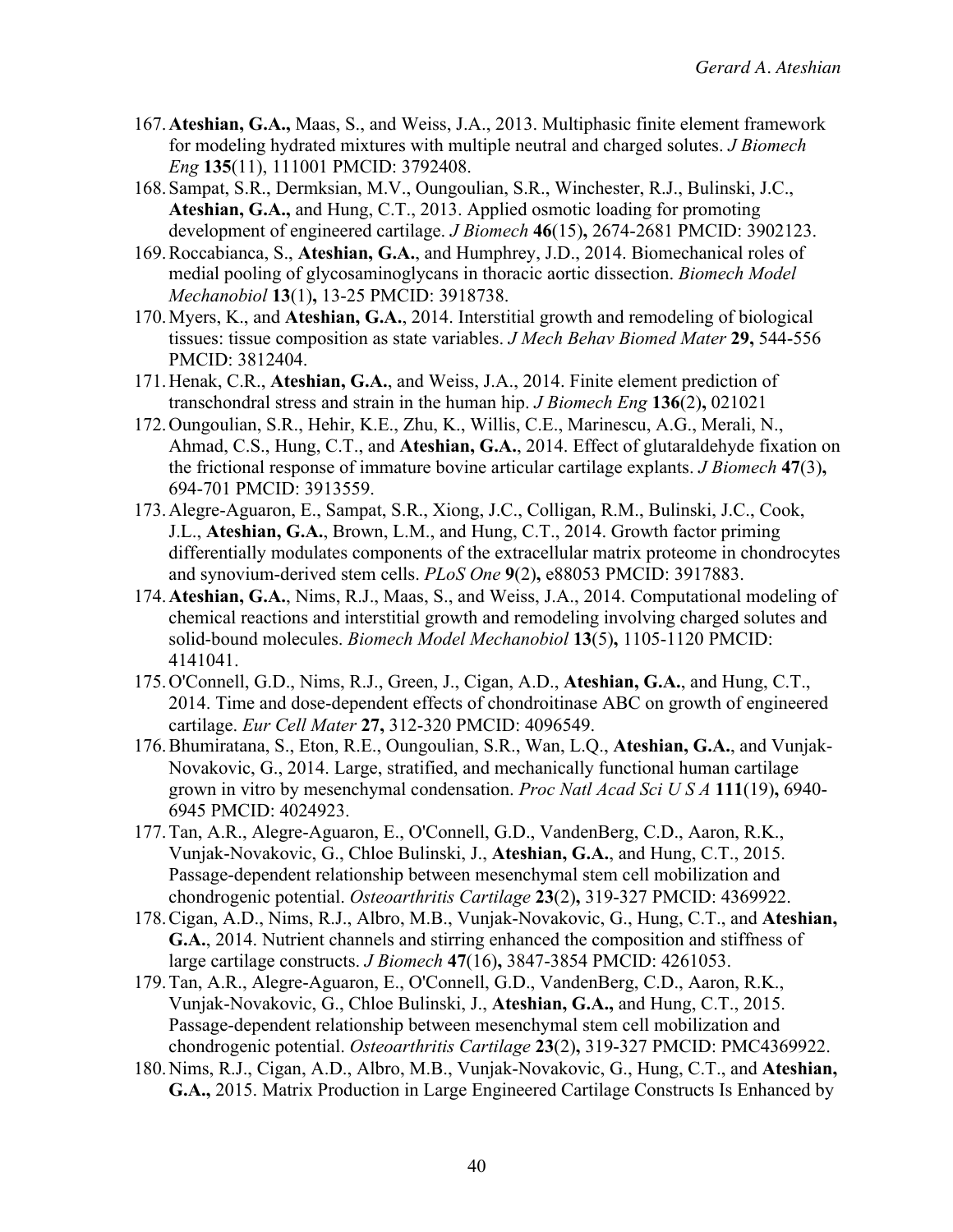- 167.**Ateshian, G.A.,** Maas, S., and Weiss, J.A., 2013. Multiphasic finite element framework for modeling hydrated mixtures with multiple neutral and charged solutes. *J Biomech Eng* **135**(11), 111001 PMCID: 3792408.
- 168.Sampat, S.R., Dermksian, M.V., Oungoulian, S.R., Winchester, R.J., Bulinski, J.C., **Ateshian, G.A.,** and Hung, C.T., 2013. Applied osmotic loading for promoting development of engineered cartilage. *J Biomech* **46**(15)**,** 2674-2681 PMCID: 3902123.
- 169.Roccabianca, S., **Ateshian, G.A.**, and Humphrey, J.D., 2014. Biomechanical roles of medial pooling of glycosaminoglycans in thoracic aortic dissection. *Biomech Model Mechanobiol* **13**(1)**,** 13-25 PMCID: 3918738.
- 170.Myers, K., and **Ateshian, G.A.**, 2014. Interstitial growth and remodeling of biological tissues: tissue composition as state variables. *J Mech Behav Biomed Mater* **29,** 544-556 PMCID: 3812404.
- 171.Henak, C.R., **Ateshian, G.A.**, and Weiss, J.A., 2014. Finite element prediction of transchondral stress and strain in the human hip. *J Biomech Eng* **136**(2)**,** 021021
- 172.Oungoulian, S.R., Hehir, K.E., Zhu, K., Willis, C.E., Marinescu, A.G., Merali, N., Ahmad, C.S., Hung, C.T., and **Ateshian, G.A.**, 2014. Effect of glutaraldehyde fixation on the frictional response of immature bovine articular cartilage explants. *J Biomech* **47**(3)**,** 694-701 PMCID: 3913559.
- 173.Alegre-Aguaron, E., Sampat, S.R., Xiong, J.C., Colligan, R.M., Bulinski, J.C., Cook, J.L., **Ateshian, G.A.**, Brown, L.M., and Hung, C.T., 2014. Growth factor priming differentially modulates components of the extracellular matrix proteome in chondrocytes and synovium-derived stem cells. *PLoS One* **9**(2)**,** e88053 PMCID: 3917883.
- 174.**Ateshian, G.A.**, Nims, R.J., Maas, S., and Weiss, J.A., 2014. Computational modeling of chemical reactions and interstitial growth and remodeling involving charged solutes and solid-bound molecules. *Biomech Model Mechanobiol* **13**(5)**,** 1105-1120 PMCID: 4141041.
- 175.O'Connell, G.D., Nims, R.J., Green, J., Cigan, A.D., **Ateshian, G.A.**, and Hung, C.T., 2014. Time and dose-dependent effects of chondroitinase ABC on growth of engineered cartilage. *Eur Cell Mater* **27,** 312-320 PMCID: 4096549.
- 176.Bhumiratana, S., Eton, R.E., Oungoulian, S.R., Wan, L.Q., **Ateshian, G.A.**, and Vunjak-Novakovic, G., 2014. Large, stratified, and mechanically functional human cartilage grown in vitro by mesenchymal condensation. *Proc Natl Acad Sci U S A* **111**(19)**,** 6940- 6945 PMCID: 4024923.
- 177.Tan, A.R., Alegre-Aguaron, E., O'Connell, G.D., VandenBerg, C.D., Aaron, R.K., Vunjak-Novakovic, G., Chloe Bulinski, J., **Ateshian, G.A.**, and Hung, C.T., 2015. Passage-dependent relationship between mesenchymal stem cell mobilization and chondrogenic potential. *Osteoarthritis Cartilage* **23**(2)**,** 319-327 PMCID: 4369922.
- 178.Cigan, A.D., Nims, R.J., Albro, M.B., Vunjak-Novakovic, G., Hung, C.T., and **Ateshian, G.A.**, 2014. Nutrient channels and stirring enhanced the composition and stiffness of large cartilage constructs. *J Biomech* **47**(16)**,** 3847-3854 PMCID: 4261053.
- 179.Tan, A.R., Alegre-Aguaron, E., O'Connell, G.D., VandenBerg, C.D., Aaron, R.K., Vunjak-Novakovic, G., Chloe Bulinski, J., **Ateshian, G.A.,** and Hung, C.T., 2015. Passage-dependent relationship between mesenchymal stem cell mobilization and chondrogenic potential. *Osteoarthritis Cartilage* **23**(2)**,** 319-327 PMCID: PMC4369922.
- 180.Nims, R.J., Cigan, A.D., Albro, M.B., Vunjak-Novakovic, G., Hung, C.T., and **Ateshian, G.A.,** 2015. Matrix Production in Large Engineered Cartilage Constructs Is Enhanced by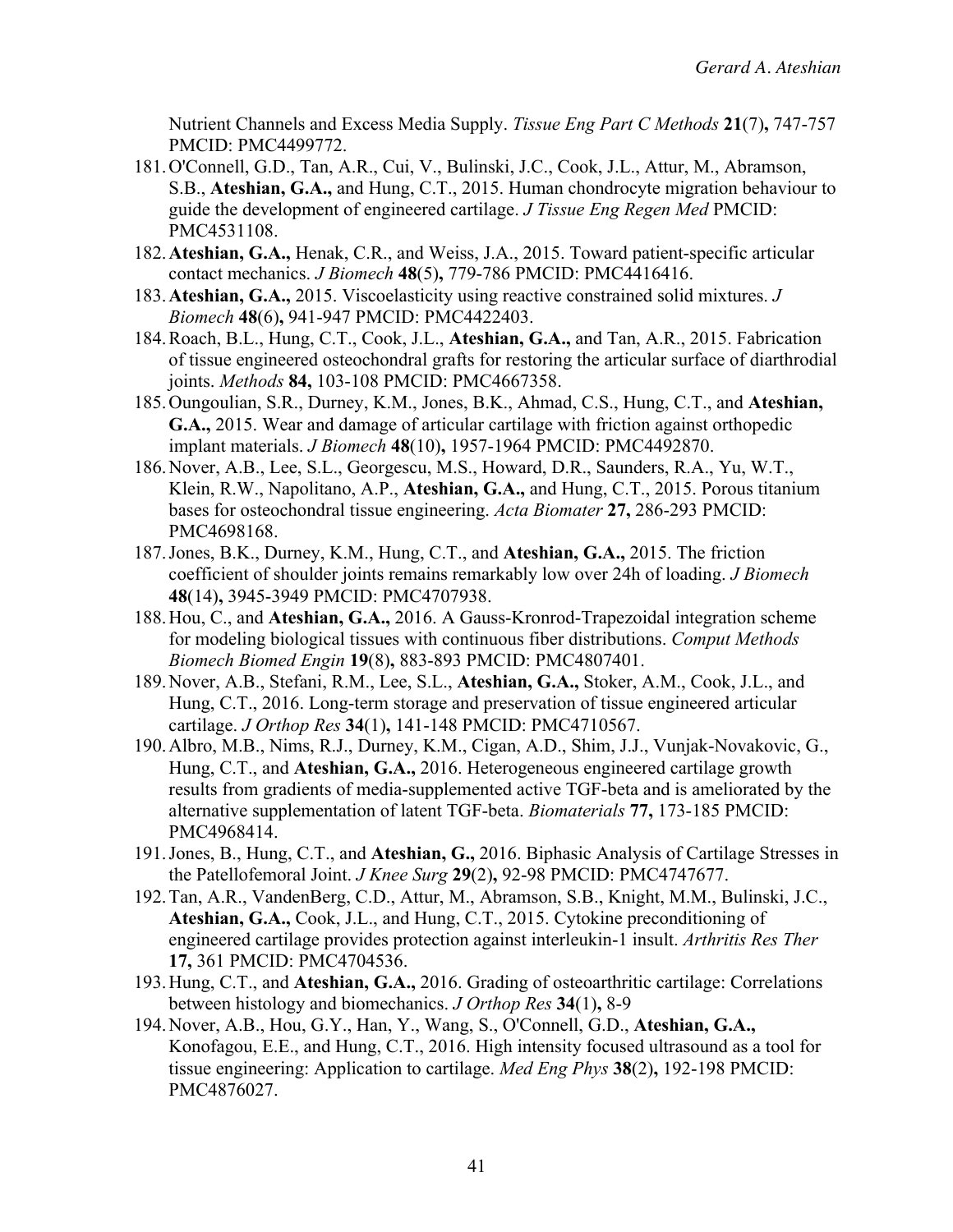Nutrient Channels and Excess Media Supply. *Tissue Eng Part C Methods* **21**(7)**,** 747-757 PMCID: PMC4499772.

- 181.O'Connell, G.D., Tan, A.R., Cui, V., Bulinski, J.C., Cook, J.L., Attur, M., Abramson, S.B., **Ateshian, G.A.,** and Hung, C.T., 2015. Human chondrocyte migration behaviour to guide the development of engineered cartilage. *J Tissue Eng Regen Med* PMCID: PMC4531108.
- 182.**Ateshian, G.A.,** Henak, C.R., and Weiss, J.A., 2015. Toward patient-specific articular contact mechanics. *J Biomech* **48**(5)**,** 779-786 PMCID: PMC4416416.
- 183.**Ateshian, G.A.,** 2015. Viscoelasticity using reactive constrained solid mixtures. *J Biomech* **48**(6)**,** 941-947 PMCID: PMC4422403.
- 184.Roach, B.L., Hung, C.T., Cook, J.L., **Ateshian, G.A.,** and Tan, A.R., 2015. Fabrication of tissue engineered osteochondral grafts for restoring the articular surface of diarthrodial joints. *Methods* **84,** 103-108 PMCID: PMC4667358.
- 185.Oungoulian, S.R., Durney, K.M., Jones, B.K., Ahmad, C.S., Hung, C.T., and **Ateshian, G.A.,** 2015. Wear and damage of articular cartilage with friction against orthopedic implant materials. *J Biomech* **48**(10)**,** 1957-1964 PMCID: PMC4492870.
- 186.Nover, A.B., Lee, S.L., Georgescu, M.S., Howard, D.R., Saunders, R.A., Yu, W.T., Klein, R.W., Napolitano, A.P., **Ateshian, G.A.,** and Hung, C.T., 2015. Porous titanium bases for osteochondral tissue engineering. *Acta Biomater* **27,** 286-293 PMCID: PMC4698168.
- 187.Jones, B.K., Durney, K.M., Hung, C.T., and **Ateshian, G.A.,** 2015. The friction coefficient of shoulder joints remains remarkably low over 24h of loading. *J Biomech* **48**(14)**,** 3945-3949 PMCID: PMC4707938.
- 188.Hou, C., and **Ateshian, G.A.,** 2016. A Gauss-Kronrod-Trapezoidal integration scheme for modeling biological tissues with continuous fiber distributions. *Comput Methods Biomech Biomed Engin* **19**(8)**,** 883-893 PMCID: PMC4807401.
- 189.Nover, A.B., Stefani, R.M., Lee, S.L., **Ateshian, G.A.,** Stoker, A.M., Cook, J.L., and Hung, C.T., 2016. Long-term storage and preservation of tissue engineered articular cartilage. *J Orthop Res* **34**(1)**,** 141-148 PMCID: PMC4710567.
- 190.Albro, M.B., Nims, R.J., Durney, K.M., Cigan, A.D., Shim, J.J., Vunjak-Novakovic, G., Hung, C.T., and **Ateshian, G.A.,** 2016. Heterogeneous engineered cartilage growth results from gradients of media-supplemented active TGF-beta and is ameliorated by the alternative supplementation of latent TGF-beta. *Biomaterials* **77,** 173-185 PMCID: PMC4968414.
- 191.Jones, B., Hung, C.T., and **Ateshian, G.,** 2016. Biphasic Analysis of Cartilage Stresses in the Patellofemoral Joint. *J Knee Surg* **29**(2)**,** 92-98 PMCID: PMC4747677.
- 192.Tan, A.R., VandenBerg, C.D., Attur, M., Abramson, S.B., Knight, M.M., Bulinski, J.C., **Ateshian, G.A.,** Cook, J.L., and Hung, C.T., 2015. Cytokine preconditioning of engineered cartilage provides protection against interleukin-1 insult. *Arthritis Res Ther* **17,** 361 PMCID: PMC4704536.
- 193.Hung, C.T., and **Ateshian, G.A.,** 2016. Grading of osteoarthritic cartilage: Correlations between histology and biomechanics. *J Orthop Res* **34**(1)**,** 8-9
- 194.Nover, A.B., Hou, G.Y., Han, Y., Wang, S., O'Connell, G.D., **Ateshian, G.A.,** Konofagou, E.E., and Hung, C.T., 2016. High intensity focused ultrasound as a tool for tissue engineering: Application to cartilage. *Med Eng Phys* **38**(2)**,** 192-198 PMCID: PMC4876027.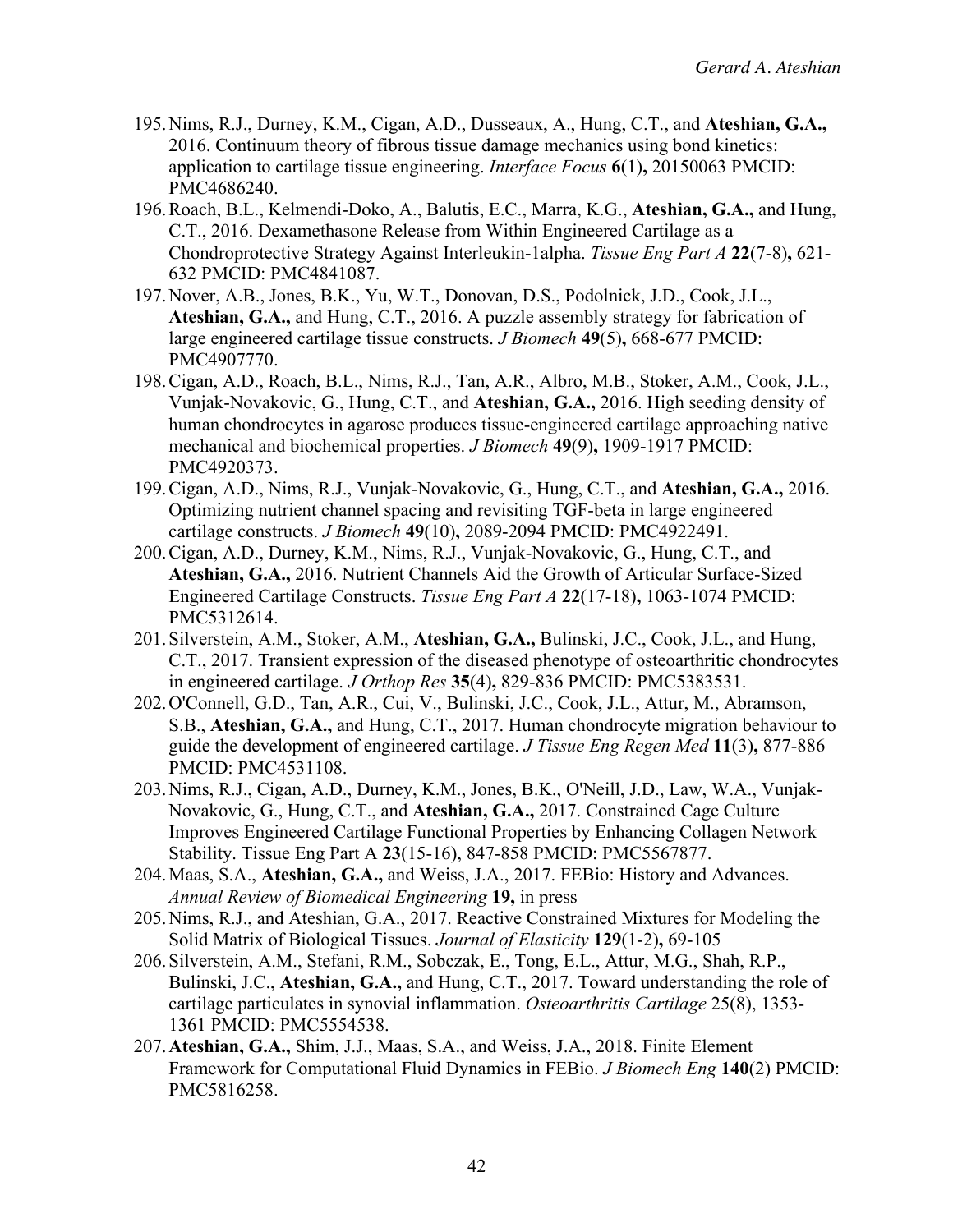- 195.Nims, R.J., Durney, K.M., Cigan, A.D., Dusseaux, A., Hung, C.T., and **Ateshian, G.A.,** 2016. Continuum theory of fibrous tissue damage mechanics using bond kinetics: application to cartilage tissue engineering. *Interface Focus* **6**(1)**,** 20150063 PMCID: PMC4686240.
- 196.Roach, B.L., Kelmendi-Doko, A., Balutis, E.C., Marra, K.G., **Ateshian, G.A.,** and Hung, C.T., 2016. Dexamethasone Release from Within Engineered Cartilage as a Chondroprotective Strategy Against Interleukin-1alpha. *Tissue Eng Part A* **22**(7-8)**,** 621- 632 PMCID: PMC4841087.
- 197.Nover, A.B., Jones, B.K., Yu, W.T., Donovan, D.S., Podolnick, J.D., Cook, J.L., **Ateshian, G.A.,** and Hung, C.T., 2016. A puzzle assembly strategy for fabrication of large engineered cartilage tissue constructs. *J Biomech* **49**(5)**,** 668-677 PMCID: PMC4907770.
- 198.Cigan, A.D., Roach, B.L., Nims, R.J., Tan, A.R., Albro, M.B., Stoker, A.M., Cook, J.L., Vunjak-Novakovic, G., Hung, C.T., and **Ateshian, G.A.,** 2016. High seeding density of human chondrocytes in agarose produces tissue-engineered cartilage approaching native mechanical and biochemical properties. *J Biomech* **49**(9)**,** 1909-1917 PMCID: PMC4920373.
- 199.Cigan, A.D., Nims, R.J., Vunjak-Novakovic, G., Hung, C.T., and **Ateshian, G.A.,** 2016. Optimizing nutrient channel spacing and revisiting TGF-beta in large engineered cartilage constructs. *J Biomech* **49**(10)**,** 2089-2094 PMCID: PMC4922491.
- 200.Cigan, A.D., Durney, K.M., Nims, R.J., Vunjak-Novakovic, G., Hung, C.T., and **Ateshian, G.A.,** 2016. Nutrient Channels Aid the Growth of Articular Surface-Sized Engineered Cartilage Constructs. *Tissue Eng Part A* **22**(17-18)**,** 1063-1074 PMCID: PMC5312614.
- 201.Silverstein, A.M., Stoker, A.M., **Ateshian, G.A.,** Bulinski, J.C., Cook, J.L., and Hung, C.T., 2017. Transient expression of the diseased phenotype of osteoarthritic chondrocytes in engineered cartilage. *J Orthop Res* **35**(4)**,** 829-836 PMCID: PMC5383531.
- 202.O'Connell, G.D., Tan, A.R., Cui, V., Bulinski, J.C., Cook, J.L., Attur, M., Abramson, S.B., **Ateshian, G.A.,** and Hung, C.T., 2017. Human chondrocyte migration behaviour to guide the development of engineered cartilage. *J Tissue Eng Regen Med* **11**(3)**,** 877-886 PMCID: PMC4531108.
- 203.Nims, R.J., Cigan, A.D., Durney, K.M., Jones, B.K., O'Neill, J.D., Law, W.A., Vunjak-Novakovic, G., Hung, C.T., and **Ateshian, G.A.,** 2017. Constrained Cage Culture Improves Engineered Cartilage Functional Properties by Enhancing Collagen Network Stability. Tissue Eng Part A **23**(15-16), 847-858 PMCID: PMC5567877.
- 204.Maas, S.A., **Ateshian, G.A.,** and Weiss, J.A., 2017. FEBio: History and Advances. *Annual Review of Biomedical Engineering* **19,** in press
- 205.Nims, R.J., and Ateshian, G.A., 2017. Reactive Constrained Mixtures for Modeling the Solid Matrix of Biological Tissues. *Journal of Elasticity* **129**(1-2)**,** 69-105
- 206.Silverstein, A.M., Stefani, R.M., Sobczak, E., Tong, E.L., Attur, M.G., Shah, R.P., Bulinski, J.C., **Ateshian, G.A.,** and Hung, C.T., 2017. Toward understanding the role of cartilage particulates in synovial inflammation. *Osteoarthritis Cartilage* 25(8), 1353- 1361 PMCID: PMC5554538.
- 207.**Ateshian, G.A.,** Shim, J.J., Maas, S.A., and Weiss, J.A., 2018. Finite Element Framework for Computational Fluid Dynamics in FEBio. *J Biomech Eng* **140**(2) PMCID: PMC5816258.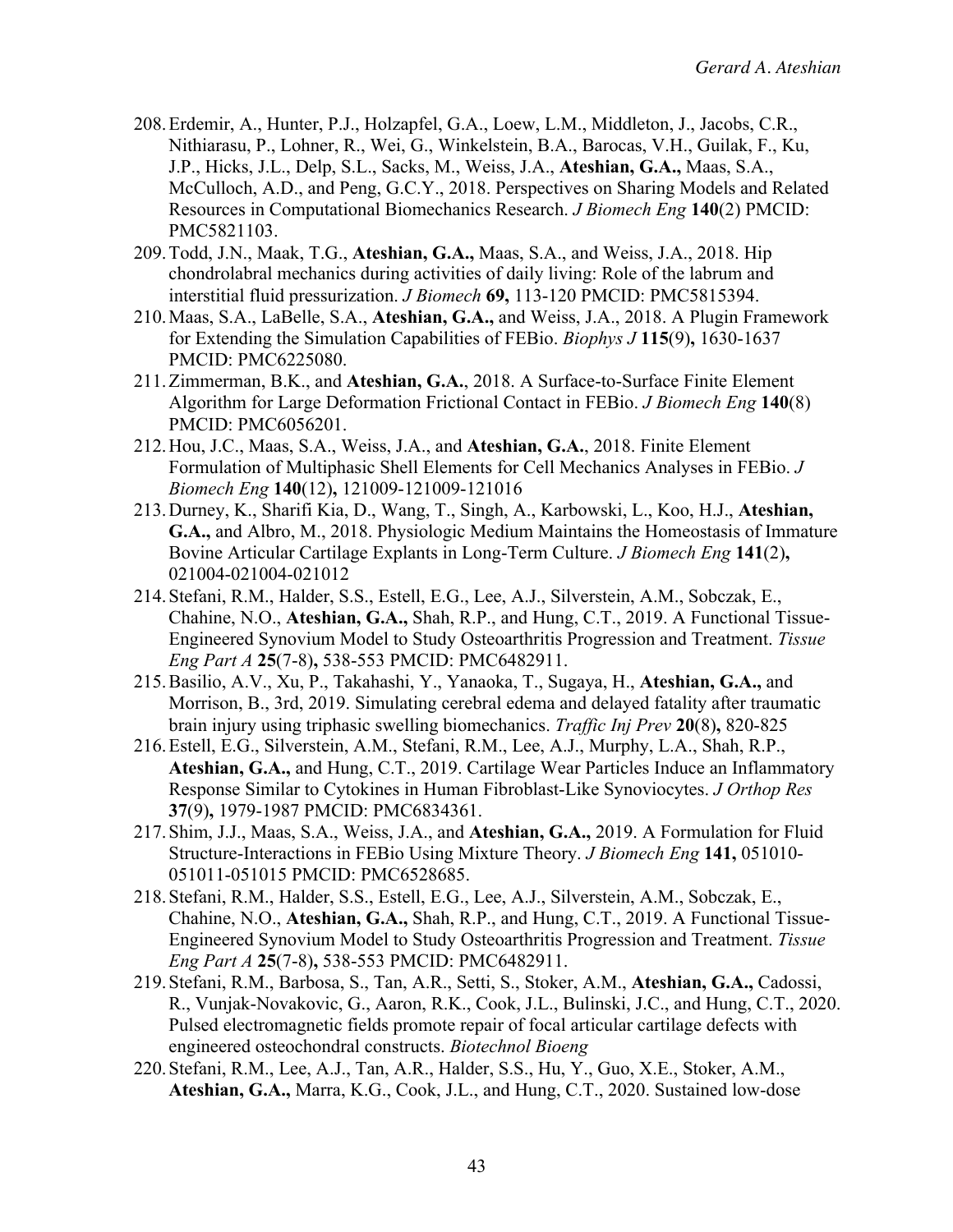- 208.Erdemir, A., Hunter, P.J., Holzapfel, G.A., Loew, L.M., Middleton, J., Jacobs, C.R., Nithiarasu, P., Lohner, R., Wei, G., Winkelstein, B.A., Barocas, V.H., Guilak, F., Ku, J.P., Hicks, J.L., Delp, S.L., Sacks, M., Weiss, J.A., **Ateshian, G.A.,** Maas, S.A., McCulloch, A.D., and Peng, G.C.Y., 2018. Perspectives on Sharing Models and Related Resources in Computational Biomechanics Research. *J Biomech Eng* **140**(2) PMCID: PMC5821103.
- 209.Todd, J.N., Maak, T.G., **Ateshian, G.A.,** Maas, S.A., and Weiss, J.A., 2018. Hip chondrolabral mechanics during activities of daily living: Role of the labrum and interstitial fluid pressurization. *J Biomech* **69,** 113-120 PMCID: PMC5815394.
- 210.Maas, S.A., LaBelle, S.A., **Ateshian, G.A.,** and Weiss, J.A., 2018. A Plugin Framework for Extending the Simulation Capabilities of FEBio. *Biophys J* **115**(9)**,** 1630-1637 PMCID: PMC6225080.
- 211.Zimmerman, B.K., and **Ateshian, G.A.**, 2018. A Surface-to-Surface Finite Element Algorithm for Large Deformation Frictional Contact in FEBio. *J Biomech Eng* **140**(8) PMCID: PMC6056201.
- 212.Hou, J.C., Maas, S.A., Weiss, J.A., and **Ateshian, G.A.**, 2018. Finite Element Formulation of Multiphasic Shell Elements for Cell Mechanics Analyses in FEBio. *J Biomech Eng* **140**(12)**,** 121009-121009-121016
- 213.Durney, K., Sharifi Kia, D., Wang, T., Singh, A., Karbowski, L., Koo, H.J., **Ateshian, G.A.,** and Albro, M., 2018. Physiologic Medium Maintains the Homeostasis of Immature Bovine Articular Cartilage Explants in Long-Term Culture. *J Biomech Eng* **141**(2)**,** 021004-021004-021012
- 214.Stefani, R.M., Halder, S.S., Estell, E.G., Lee, A.J., Silverstein, A.M., Sobczak, E., Chahine, N.O., **Ateshian, G.A.,** Shah, R.P., and Hung, C.T., 2019. A Functional Tissue-Engineered Synovium Model to Study Osteoarthritis Progression and Treatment. *Tissue Eng Part A* **25**(7-8)**,** 538-553 PMCID: PMC6482911.
- 215.Basilio, A.V., Xu, P., Takahashi, Y., Yanaoka, T., Sugaya, H., **Ateshian, G.A.,** and Morrison, B., 3rd, 2019. Simulating cerebral edema and delayed fatality after traumatic brain injury using triphasic swelling biomechanics. *Traffic Inj Prev* **20**(8)**,** 820-825
- 216.Estell, E.G., Silverstein, A.M., Stefani, R.M., Lee, A.J., Murphy, L.A., Shah, R.P., **Ateshian, G.A.,** and Hung, C.T., 2019. Cartilage Wear Particles Induce an Inflammatory Response Similar to Cytokines in Human Fibroblast-Like Synoviocytes. *J Orthop Res* **37**(9)**,** 1979-1987 PMCID: PMC6834361.
- 217.Shim, J.J., Maas, S.A., Weiss, J.A., and **Ateshian, G.A.,** 2019. A Formulation for Fluid Structure-Interactions in FEBio Using Mixture Theory. *J Biomech Eng* **141,** 051010- 051011-051015 PMCID: PMC6528685.
- 218.Stefani, R.M., Halder, S.S., Estell, E.G., Lee, A.J., Silverstein, A.M., Sobczak, E., Chahine, N.O., **Ateshian, G.A.,** Shah, R.P., and Hung, C.T., 2019. A Functional Tissue-Engineered Synovium Model to Study Osteoarthritis Progression and Treatment. *Tissue Eng Part A* **25**(7-8)**,** 538-553 PMCID: PMC6482911.
- 219.Stefani, R.M., Barbosa, S., Tan, A.R., Setti, S., Stoker, A.M., **Ateshian, G.A.,** Cadossi, R., Vunjak-Novakovic, G., Aaron, R.K., Cook, J.L., Bulinski, J.C., and Hung, C.T., 2020. Pulsed electromagnetic fields promote repair of focal articular cartilage defects with engineered osteochondral constructs. *Biotechnol Bioeng*
- 220.Stefani, R.M., Lee, A.J., Tan, A.R., Halder, S.S., Hu, Y., Guo, X.E., Stoker, A.M., **Ateshian, G.A.,** Marra, K.G., Cook, J.L., and Hung, C.T., 2020. Sustained low-dose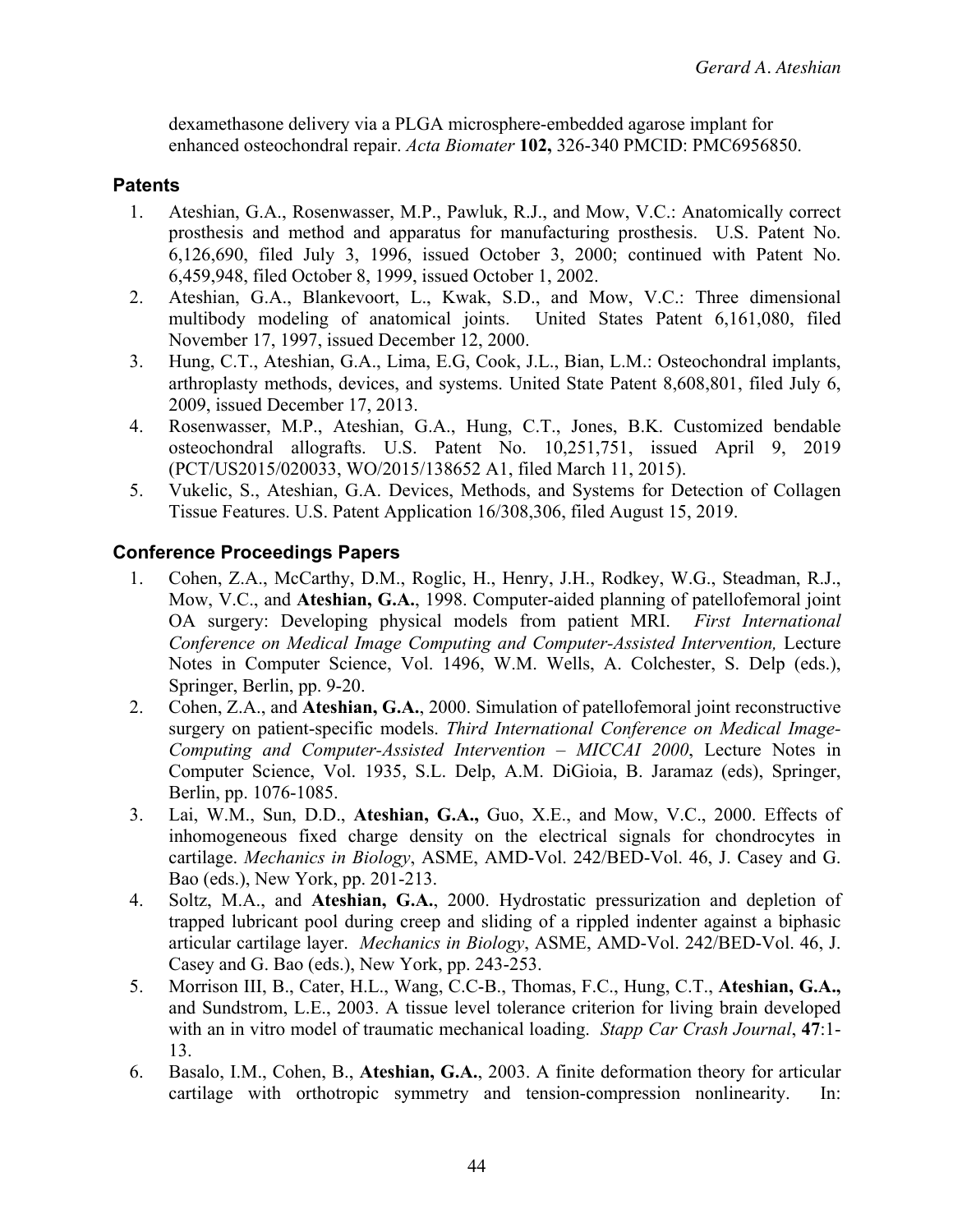dexamethasone delivery via a PLGA microsphere-embedded agarose implant for enhanced osteochondral repair. *Acta Biomater* **102,** 326-340 PMCID: PMC6956850.

## **Patents**

- 1. Ateshian, G.A., Rosenwasser, M.P., Pawluk, R.J., and Mow, V.C.: Anatomically correct prosthesis and method and apparatus for manufacturing prosthesis. U.S. Patent No. 6,126,690, filed July 3, 1996, issued October 3, 2000; continued with Patent No. 6,459,948, filed October 8, 1999, issued October 1, 2002.
- 2. Ateshian, G.A., Blankevoort, L., Kwak, S.D., and Mow, V.C.: Three dimensional multibody modeling of anatomical joints. United States Patent 6,161,080, filed November 17, 1997, issued December 12, 2000.
- 3. Hung, C.T., Ateshian, G.A., Lima, E.G, Cook, J.L., Bian, L.M.: Osteochondral implants, arthroplasty methods, devices, and systems. United State Patent 8,608,801, filed July 6, 2009, issued December 17, 2013.
- 4. Rosenwasser, M.P., Ateshian, G.A., Hung, C.T., Jones, B.K. Customized bendable osteochondral allografts. U.S. Patent No. 10,251,751, issued April 9, 2019 (PCT/US2015/020033, WO/2015/138652 A1, filed March 11, 2015).
- 5. Vukelic, S., Ateshian, G.A. Devices, Methods, and Systems for Detection of Collagen Tissue Features. U.S. Patent Application 16/308,306, filed August 15, 2019.

## **Conference Proceedings Papers**

- 1. Cohen, Z.A., McCarthy, D.M., Roglic, H., Henry, J.H., Rodkey, W.G., Steadman, R.J., Mow, V.C., and **Ateshian, G.A.**, 1998. Computer-aided planning of patellofemoral joint OA surgery: Developing physical models from patient MRI. *First International Conference on Medical Image Computing and Computer-Assisted Intervention,* Lecture Notes in Computer Science, Vol. 1496, W.M. Wells, A. Colchester, S. Delp (eds.), Springer, Berlin, pp. 9-20.
- 2. Cohen, Z.A., and **Ateshian, G.A.**, 2000. Simulation of patellofemoral joint reconstructive surgery on patient-specific models. *Third International Conference on Medical Image-Computing and Computer-Assisted Intervention – MICCAI 2000*, Lecture Notes in Computer Science, Vol. 1935, S.L. Delp, A.M. DiGioia, B. Jaramaz (eds), Springer, Berlin, pp. 1076-1085.
- 3. Lai, W.M., Sun, D.D., **Ateshian, G.A.,** Guo, X.E., and Mow, V.C., 2000. Effects of inhomogeneous fixed charge density on the electrical signals for chondrocytes in cartilage. *Mechanics in Biology*, ASME, AMD-Vol. 242/BED-Vol. 46, J. Casey and G. Bao (eds.), New York, pp. 201-213.
- 4. Soltz, M.A., and **Ateshian, G.A.**, 2000. Hydrostatic pressurization and depletion of trapped lubricant pool during creep and sliding of a rippled indenter against a biphasic articular cartilage layer. *Mechanics in Biology*, ASME, AMD-Vol. 242/BED-Vol. 46, J. Casey and G. Bao (eds.), New York, pp. 243-253.
- 5. Morrison III, B., Cater, H.L., Wang, C.C-B., Thomas, F.C., Hung, C.T., **Ateshian, G.A.,** and Sundstrom, L.E., 2003. A tissue level tolerance criterion for living brain developed with an in vitro model of traumatic mechanical loading. *Stapp Car Crash Journal*, **47**:1- 13.
- 6. Basalo, I.M., Cohen, B., **Ateshian, G.A.**, 2003. A finite deformation theory for articular cartilage with orthotropic symmetry and tension-compression nonlinearity. In: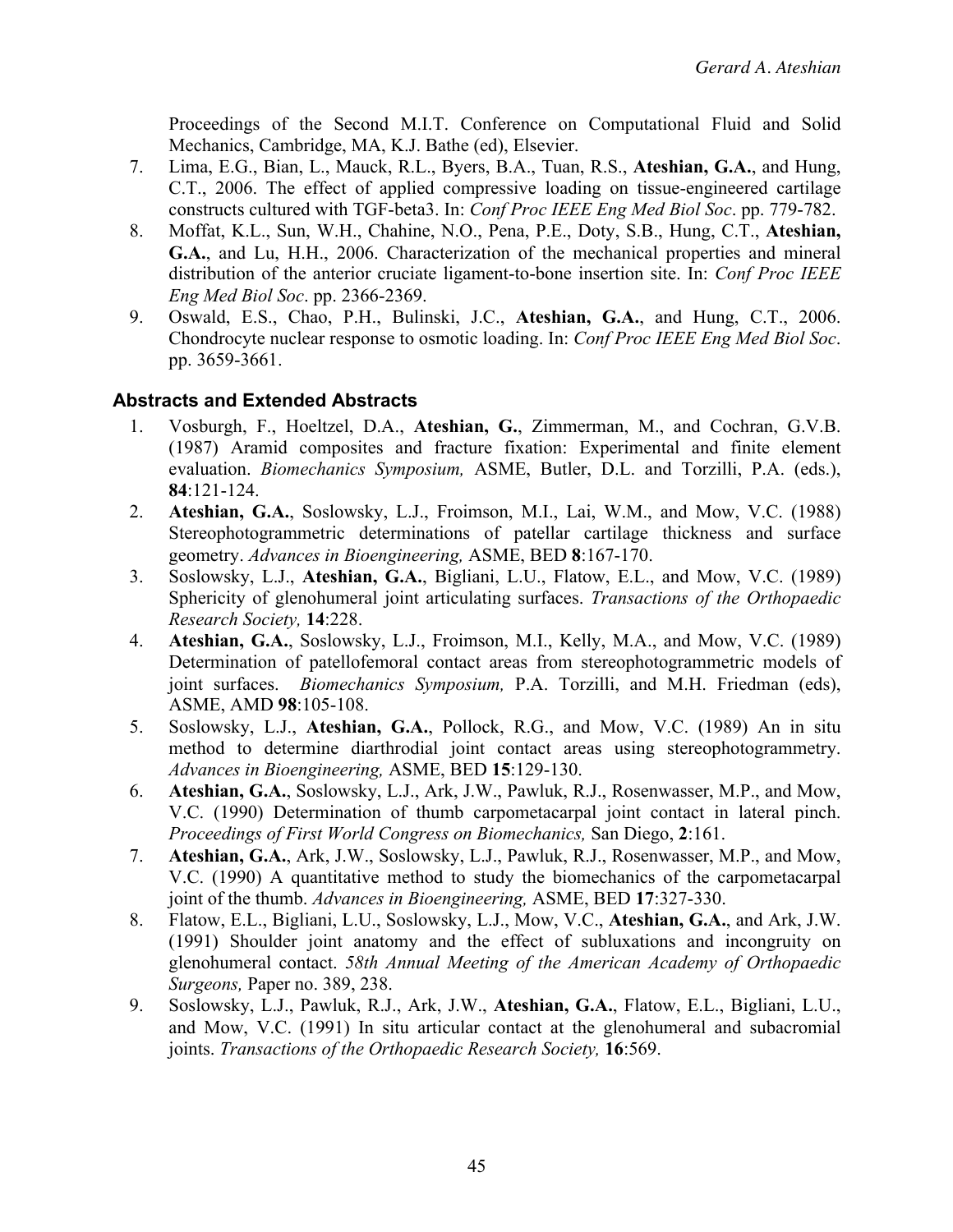Proceedings of the Second M.I.T. Conference on Computational Fluid and Solid Mechanics, Cambridge, MA, K.J. Bathe (ed), Elsevier.

- 7. Lima, E.G., Bian, L., Mauck, R.L., Byers, B.A., Tuan, R.S., **Ateshian, G.A.**, and Hung, C.T., 2006. The effect of applied compressive loading on tissue-engineered cartilage constructs cultured with TGF-beta3. In: *Conf Proc IEEE Eng Med Biol Soc*. pp. 779-782.
- 8. Moffat, K.L., Sun, W.H., Chahine, N.O., Pena, P.E., Doty, S.B., Hung, C.T., **Ateshian, G.A.**, and Lu, H.H., 2006. Characterization of the mechanical properties and mineral distribution of the anterior cruciate ligament-to-bone insertion site. In: *Conf Proc IEEE Eng Med Biol Soc*. pp. 2366-2369.
- 9. Oswald, E.S., Chao, P.H., Bulinski, J.C., **Ateshian, G.A.**, and Hung, C.T., 2006. Chondrocyte nuclear response to osmotic loading. In: *Conf Proc IEEE Eng Med Biol Soc*. pp. 3659-3661.

## **Abstracts and Extended Abstracts**

- 1. Vosburgh, F., Hoeltzel, D.A., **Ateshian, G.**, Zimmerman, M., and Cochran, G.V.B. (1987) Aramid composites and fracture fixation: Experimental and finite element evaluation. *Biomechanics Symposium,* ASME, Butler, D.L. and Torzilli, P.A. (eds.), **84**:121-124.
- 2. **Ateshian, G.A.**, Soslowsky, L.J., Froimson, M.I., Lai, W.M., and Mow, V.C. (1988) Stereophotogrammetric determinations of patellar cartilage thickness and surface geometry. *Advances in Bioengineering,* ASME, BED **8**:167-170.
- 3. Soslowsky, L.J., **Ateshian, G.A.**, Bigliani, L.U., Flatow, E.L., and Mow, V.C. (1989) Sphericity of glenohumeral joint articulating surfaces. *Transactions of the Orthopaedic Research Society,* **14**:228.
- 4. **Ateshian, G.A.**, Soslowsky, L.J., Froimson, M.I., Kelly, M.A., and Mow, V.C. (1989) Determination of patellofemoral contact areas from stereophotogrammetric models of joint surfaces. *Biomechanics Symposium,* P.A. Torzilli, and M.H. Friedman (eds), ASME, AMD **98**:105-108.
- 5. Soslowsky, L.J., **Ateshian, G.A.**, Pollock, R.G., and Mow, V.C. (1989) An in situ method to determine diarthrodial joint contact areas using stereophotogrammetry. *Advances in Bioengineering,* ASME, BED **15**:129-130.
- 6. **Ateshian, G.A.**, Soslowsky, L.J., Ark, J.W., Pawluk, R.J., Rosenwasser, M.P., and Mow, V.C. (1990) Determination of thumb carpometacarpal joint contact in lateral pinch. *Proceedings of First World Congress on Biomechanics,* San Diego, **2**:161.
- 7. **Ateshian, G.A.**, Ark, J.W., Soslowsky, L.J., Pawluk, R.J., Rosenwasser, M.P., and Mow, V.C. (1990) A quantitative method to study the biomechanics of the carpometacarpal joint of the thumb. *Advances in Bioengineering,* ASME, BED **17**:327-330.
- 8. Flatow, E.L., Bigliani, L.U., Soslowsky, L.J., Mow, V.C., **Ateshian, G.A.**, and Ark, J.W. (1991) Shoulder joint anatomy and the effect of subluxations and incongruity on glenohumeral contact. *58th Annual Meeting of the American Academy of Orthopaedic Surgeons,* Paper no. 389, 238.
- 9. Soslowsky, L.J., Pawluk, R.J., Ark, J.W., **Ateshian, G.A.**, Flatow, E.L., Bigliani, L.U., and Mow, V.C. (1991) In situ articular contact at the glenohumeral and subacromial joints. *Transactions of the Orthopaedic Research Society,* **16**:569.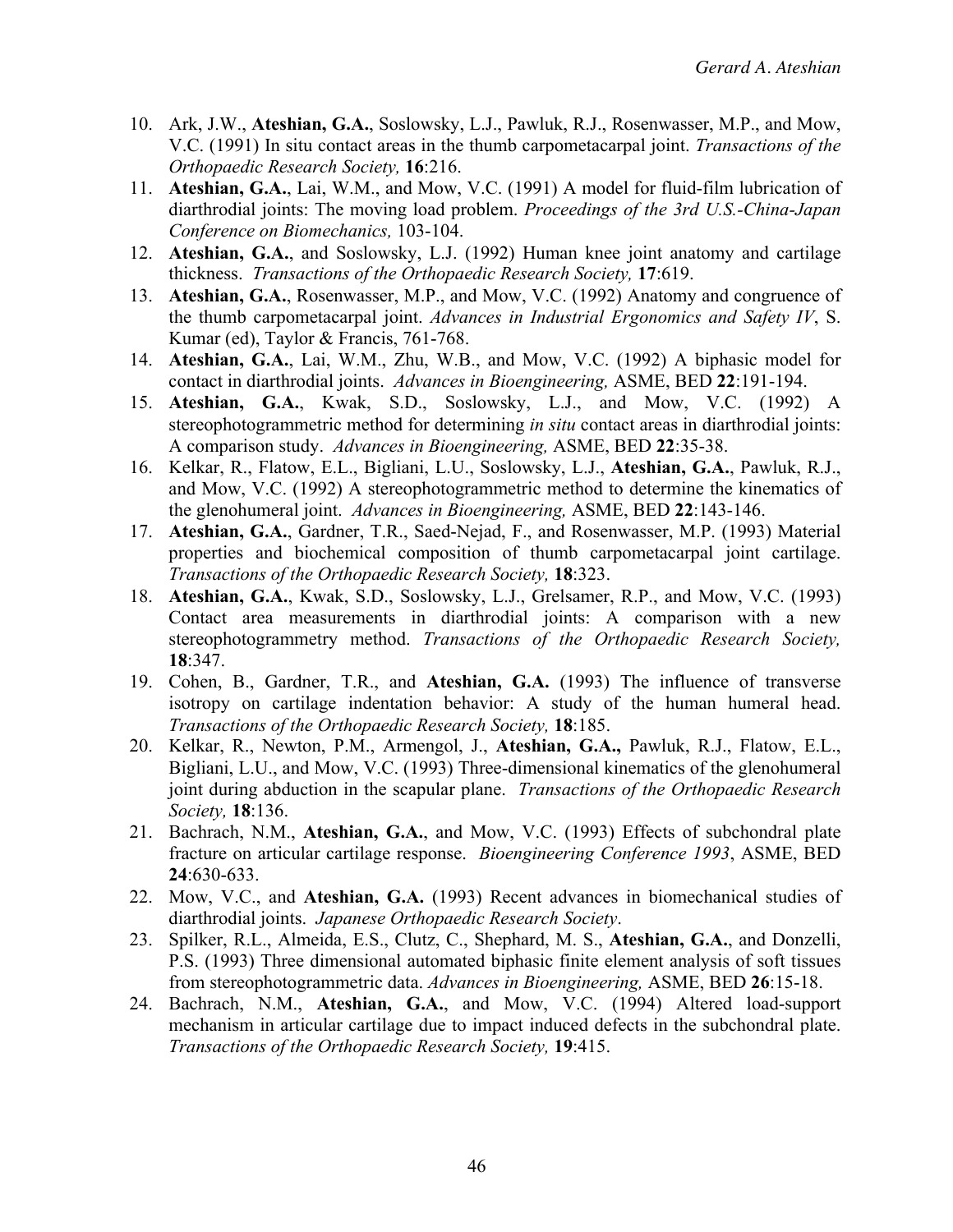- 10. Ark, J.W., **Ateshian, G.A.**, Soslowsky, L.J., Pawluk, R.J., Rosenwasser, M.P., and Mow, V.C. (1991) In situ contact areas in the thumb carpometacarpal joint. *Transactions of the Orthopaedic Research Society,* **16**:216.
- 11. **Ateshian, G.A.**, Lai, W.M., and Mow, V.C. (1991) A model for fluid-film lubrication of diarthrodial joints: The moving load problem. *Proceedings of the 3rd U.S.-China-Japan Conference on Biomechanics,* 103-104.
- 12. **Ateshian, G.A.**, and Soslowsky, L.J. (1992) Human knee joint anatomy and cartilage thickness. *Transactions of the Orthopaedic Research Society,* **17**:619.
- 13. **Ateshian, G.A.**, Rosenwasser, M.P., and Mow, V.C. (1992) Anatomy and congruence of the thumb carpometacarpal joint. *Advances in Industrial Ergonomics and Safety IV*, S. Kumar (ed), Taylor & Francis, 761-768.
- 14. **Ateshian, G.A.**, Lai, W.M., Zhu, W.B., and Mow, V.C. (1992) A biphasic model for contact in diarthrodial joints. *Advances in Bioengineering,* ASME, BED **22**:191-194.
- 15. **Ateshian, G.A.**, Kwak, S.D., Soslowsky, L.J., and Mow, V.C. (1992) A stereophotogrammetric method for determining *in situ* contact areas in diarthrodial joints: A comparison study. *Advances in Bioengineering,* ASME, BED **22**:35-38.
- 16. Kelkar, R., Flatow, E.L., Bigliani, L.U., Soslowsky, L.J., **Ateshian, G.A.**, Pawluk, R.J., and Mow, V.C. (1992) A stereophotogrammetric method to determine the kinematics of the glenohumeral joint. *Advances in Bioengineering,* ASME, BED **22**:143-146.
- 17. **Ateshian, G.A.**, Gardner, T.R., Saed-Nejad, F., and Rosenwasser, M.P. (1993) Material properties and biochemical composition of thumb carpometacarpal joint cartilage. *Transactions of the Orthopaedic Research Society,* **18**:323.
- 18. **Ateshian, G.A.**, Kwak, S.D., Soslowsky, L.J., Grelsamer, R.P., and Mow, V.C. (1993) Contact area measurements in diarthrodial joints: A comparison with a new stereophotogrammetry method. *Transactions of the Orthopaedic Research Society,*  **18**:347.
- 19. Cohen, B., Gardner, T.R., and **Ateshian, G.A.** (1993) The influence of transverse isotropy on cartilage indentation behavior: A study of the human humeral head. *Transactions of the Orthopaedic Research Society,* **18**:185.
- 20. Kelkar, R., Newton, P.M., Armengol, J., **Ateshian, G.A.,** Pawluk, R.J., Flatow, E.L., Bigliani, L.U., and Mow, V.C. (1993) Three-dimensional kinematics of the glenohumeral joint during abduction in the scapular plane. *Transactions of the Orthopaedic Research Society,* **18**:136.
- 21. Bachrach, N.M., **Ateshian, G.A.**, and Mow, V.C. (1993) Effects of subchondral plate fracture on articular cartilage response. *Bioengineering Conference 1993*, ASME, BED **24**:630-633.
- 22. Mow, V.C., and **Ateshian, G.A.** (1993) Recent advances in biomechanical studies of diarthrodial joints. *Japanese Orthopaedic Research Society*.
- 23. Spilker, R.L., Almeida, E.S., Clutz, C., Shephard, M. S., **Ateshian, G.A.**, and Donzelli, P.S. (1993) Three dimensional automated biphasic finite element analysis of soft tissues from stereophotogrammetric data. *Advances in Bioengineering,* ASME, BED **26**:15-18.
- 24. Bachrach, N.M., **Ateshian, G.A.**, and Mow, V.C. (1994) Altered load-support mechanism in articular cartilage due to impact induced defects in the subchondral plate. *Transactions of the Orthopaedic Research Society,* **19**:415.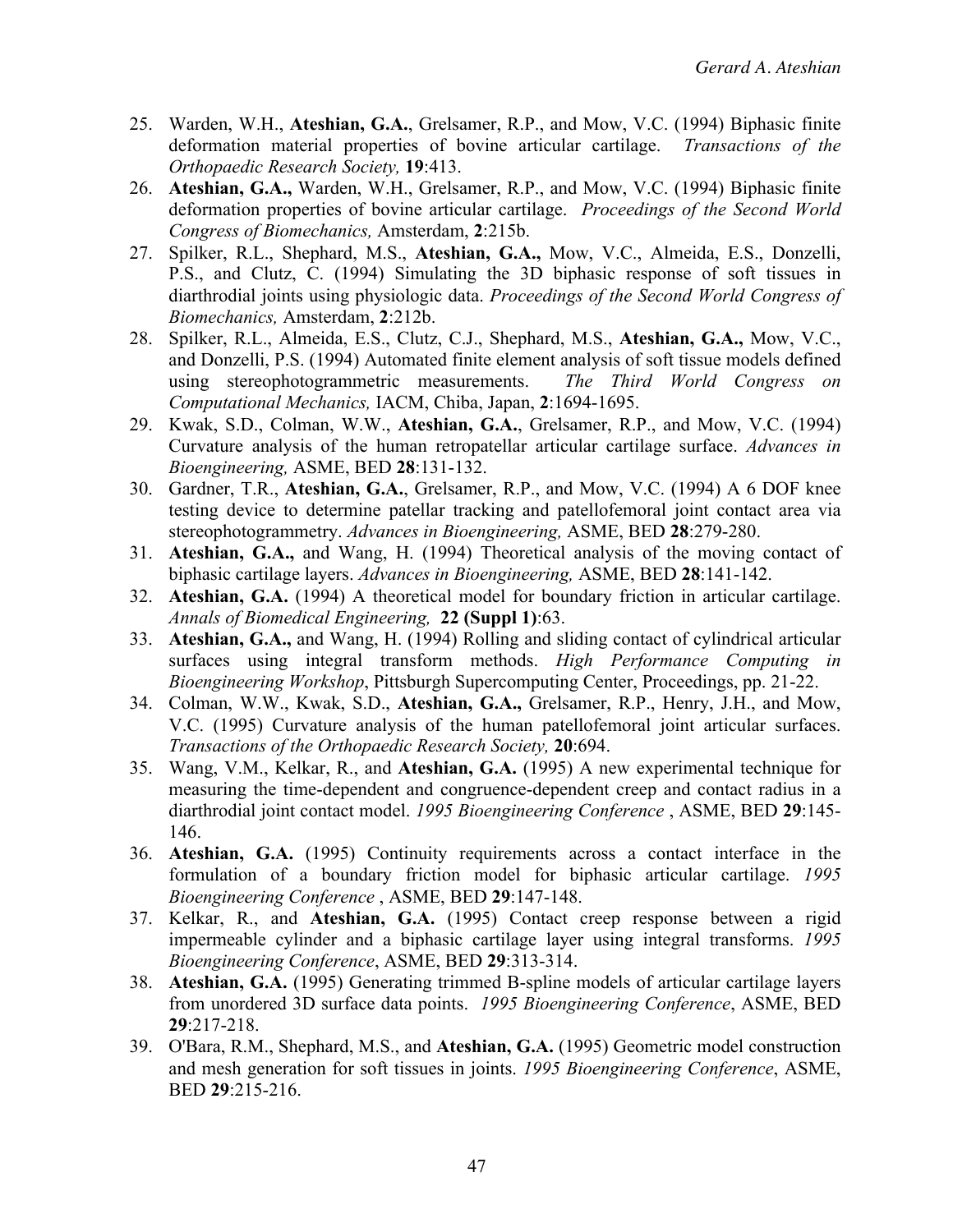- 25. Warden, W.H., **Ateshian, G.A.**, Grelsamer, R.P., and Mow, V.C. (1994) Biphasic finite deformation material properties of bovine articular cartilage. *Transactions of the Orthopaedic Research Society,* **19**:413.
- 26. **Ateshian, G.A.,** Warden, W.H., Grelsamer, R.P., and Mow, V.C. (1994) Biphasic finite deformation properties of bovine articular cartilage. *Proceedings of the Second World Congress of Biomechanics,* Amsterdam, **2**:215b.
- 27. Spilker, R.L., Shephard, M.S., **Ateshian, G.A.,** Mow, V.C., Almeida, E.S., Donzelli, P.S., and Clutz, C. (1994) Simulating the 3D biphasic response of soft tissues in diarthrodial joints using physiologic data. *Proceedings of the Second World Congress of Biomechanics,* Amsterdam, **2**:212b.
- 28. Spilker, R.L., Almeida, E.S., Clutz, C.J., Shephard, M.S., **Ateshian, G.A.,** Mow, V.C., and Donzelli, P.S. (1994) Automated finite element analysis of soft tissue models defined using stereophotogrammetric measurements. *The Third World Congress on Computational Mechanics,* IACM, Chiba, Japan, **2**:1694-1695.
- 29. Kwak, S.D., Colman, W.W., **Ateshian, G.A.**, Grelsamer, R.P., and Mow, V.C. (1994) Curvature analysis of the human retropatellar articular cartilage surface. *Advances in Bioengineering,* ASME, BED **28**:131-132.
- 30. Gardner, T.R., **Ateshian, G.A.**, Grelsamer, R.P., and Mow, V.C. (1994) A 6 DOF knee testing device to determine patellar tracking and patellofemoral joint contact area via stereophotogrammetry. *Advances in Bioengineering,* ASME, BED **28**:279-280.
- 31. **Ateshian, G.A.,** and Wang, H. (1994) Theoretical analysis of the moving contact of biphasic cartilage layers. *Advances in Bioengineering,* ASME, BED **28**:141-142.
- 32. **Ateshian, G.A.** (1994) A theoretical model for boundary friction in articular cartilage. *Annals of Biomedical Engineering,* **22 (Suppl 1)**:63.
- 33. **Ateshian, G.A.,** and Wang, H. (1994) Rolling and sliding contact of cylindrical articular surfaces using integral transform methods. *High Performance Computing in Bioengineering Workshop*, Pittsburgh Supercomputing Center, Proceedings, pp. 21-22.
- 34. Colman, W.W., Kwak, S.D., **Ateshian, G.A.,** Grelsamer, R.P., Henry, J.H., and Mow, V.C. (1995) Curvature analysis of the human patellofemoral joint articular surfaces. *Transactions of the Orthopaedic Research Society,* **20**:694.
- 35. Wang, V.M., Kelkar, R., and **Ateshian, G.A.** (1995) A new experimental technique for measuring the time-dependent and congruence-dependent creep and contact radius in a diarthrodial joint contact model. *1995 Bioengineering Conference* , ASME, BED **29**:145- 146.
- 36. **Ateshian, G.A.** (1995) Continuity requirements across a contact interface in the formulation of a boundary friction model for biphasic articular cartilage. *1995 Bioengineering Conference* , ASME, BED **29**:147-148.
- 37. Kelkar, R., and **Ateshian, G.A.** (1995) Contact creep response between a rigid impermeable cylinder and a biphasic cartilage layer using integral transforms. *1995 Bioengineering Conference*, ASME, BED **29**:313-314.
- 38. **Ateshian, G.A.** (1995) Generating trimmed B-spline models of articular cartilage layers from unordered 3D surface data points. *1995 Bioengineering Conference*, ASME, BED **29**:217-218.
- 39. O'Bara, R.M., Shephard, M.S., and **Ateshian, G.A.** (1995) Geometric model construction and mesh generation for soft tissues in joints. *1995 Bioengineering Conference*, ASME, BED **29**:215-216.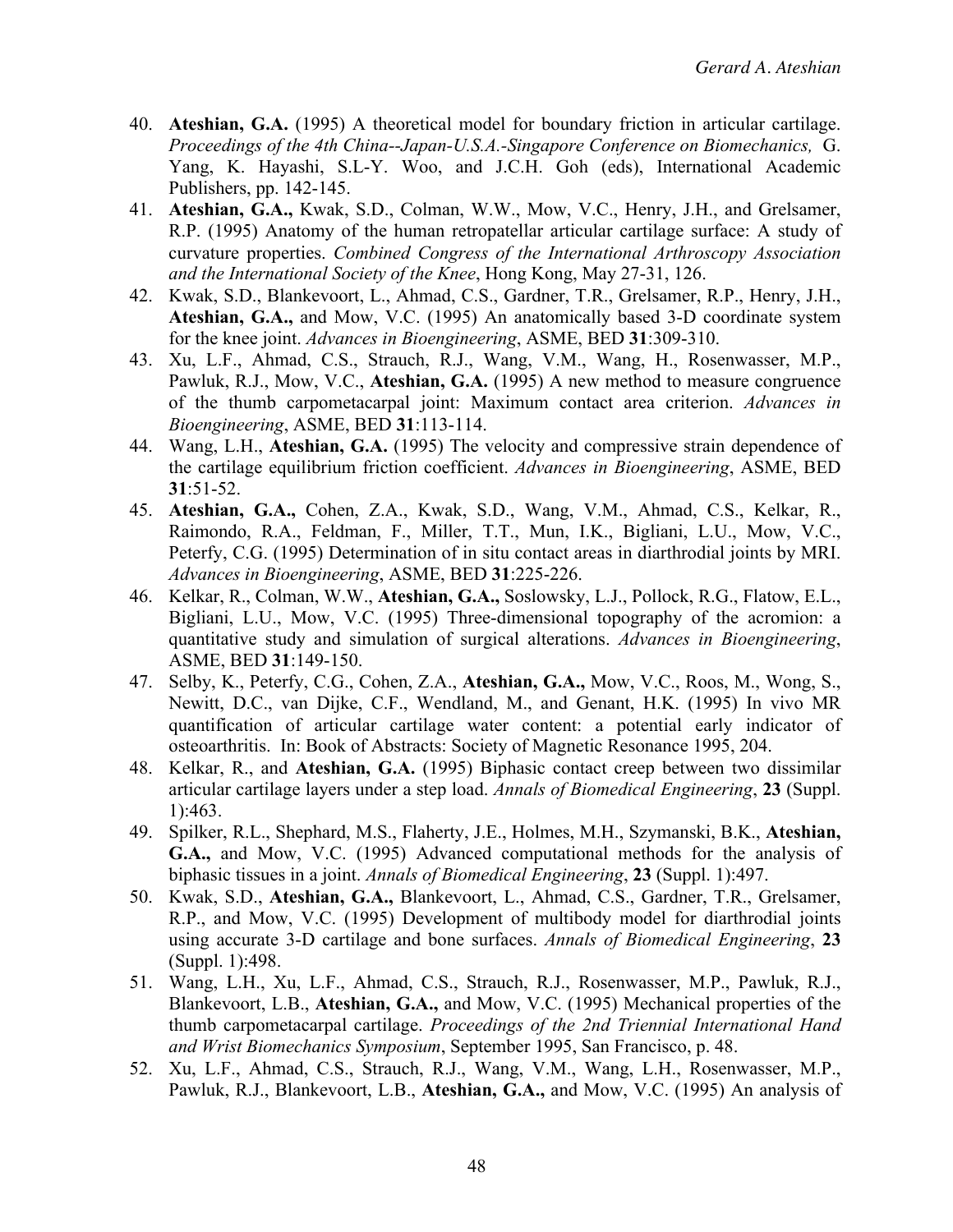- 40. **Ateshian, G.A.** (1995) A theoretical model for boundary friction in articular cartilage. *Proceedings of the 4th China--Japan-U.S.A.-Singapore Conference on Biomechanics,* G. Yang, K. Hayashi, S.L-Y. Woo, and J.C.H. Goh (eds), International Academic Publishers, pp. 142-145.
- 41. **Ateshian, G.A.,** Kwak, S.D., Colman, W.W., Mow, V.C., Henry, J.H., and Grelsamer, R.P. (1995) Anatomy of the human retropatellar articular cartilage surface: A study of curvature properties. *Combined Congress of the International Arthroscopy Association and the International Society of the Knee*, Hong Kong, May 27-31, 126.
- 42. Kwak, S.D., Blankevoort, L., Ahmad, C.S., Gardner, T.R., Grelsamer, R.P., Henry, J.H., **Ateshian, G.A.,** and Mow, V.C. (1995) An anatomically based 3-D coordinate system for the knee joint. *Advances in Bioengineering*, ASME, BED **31**:309-310.
- 43. Xu, L.F., Ahmad, C.S., Strauch, R.J., Wang, V.M., Wang, H., Rosenwasser, M.P., Pawluk, R.J., Mow, V.C., **Ateshian, G.A.** (1995) A new method to measure congruence of the thumb carpometacarpal joint: Maximum contact area criterion. *Advances in Bioengineering*, ASME, BED **31**:113-114.
- 44. Wang, L.H., **Ateshian, G.A.** (1995) The velocity and compressive strain dependence of the cartilage equilibrium friction coefficient. *Advances in Bioengineering*, ASME, BED **31**:51-52.
- 45. **Ateshian, G.A.,** Cohen, Z.A., Kwak, S.D., Wang, V.M., Ahmad, C.S., Kelkar, R., Raimondo, R.A., Feldman, F., Miller, T.T., Mun, I.K., Bigliani, L.U., Mow, V.C., Peterfy, C.G. (1995) Determination of in situ contact areas in diarthrodial joints by MRI. *Advances in Bioengineering*, ASME, BED **31**:225-226.
- 46. Kelkar, R., Colman, W.W., **Ateshian, G.A.,** Soslowsky, L.J., Pollock, R.G., Flatow, E.L., Bigliani, L.U., Mow, V.C. (1995) Three-dimensional topography of the acromion: a quantitative study and simulation of surgical alterations. *Advances in Bioengineering*, ASME, BED **31**:149-150.
- 47. Selby, K., Peterfy, C.G., Cohen, Z.A., **Ateshian, G.A.,** Mow, V.C., Roos, M., Wong, S., Newitt, D.C., van Dijke, C.F., Wendland, M., and Genant, H.K. (1995) In vivo MR quantification of articular cartilage water content: a potential early indicator of osteoarthritis. In: Book of Abstracts: Society of Magnetic Resonance 1995, 204.
- 48. Kelkar, R., and **Ateshian, G.A.** (1995) Biphasic contact creep between two dissimilar articular cartilage layers under a step load. *Annals of Biomedical Engineering*, **23** (Suppl. 1):463.
- 49. Spilker, R.L., Shephard, M.S., Flaherty, J.E., Holmes, M.H., Szymanski, B.K., **Ateshian, G.A.,** and Mow, V.C. (1995) Advanced computational methods for the analysis of biphasic tissues in a joint. *Annals of Biomedical Engineering*, **23** (Suppl. 1):497.
- 50. Kwak, S.D., **Ateshian, G.A.,** Blankevoort, L., Ahmad, C.S., Gardner, T.R., Grelsamer, R.P., and Mow, V.C. (1995) Development of multibody model for diarthrodial joints using accurate 3-D cartilage and bone surfaces. *Annals of Biomedical Engineering*, **23** (Suppl. 1):498.
- 51. Wang, L.H., Xu, L.F., Ahmad, C.S., Strauch, R.J., Rosenwasser, M.P., Pawluk, R.J., Blankevoort, L.B., **Ateshian, G.A.,** and Mow, V.C. (1995) Mechanical properties of the thumb carpometacarpal cartilage. *Proceedings of the 2nd Triennial International Hand and Wrist Biomechanics Symposium*, September 1995, San Francisco, p. 48.
- 52. Xu, L.F., Ahmad, C.S., Strauch, R.J., Wang, V.M., Wang, L.H., Rosenwasser, M.P., Pawluk, R.J., Blankevoort, L.B., **Ateshian, G.A.,** and Mow, V.C. (1995) An analysis of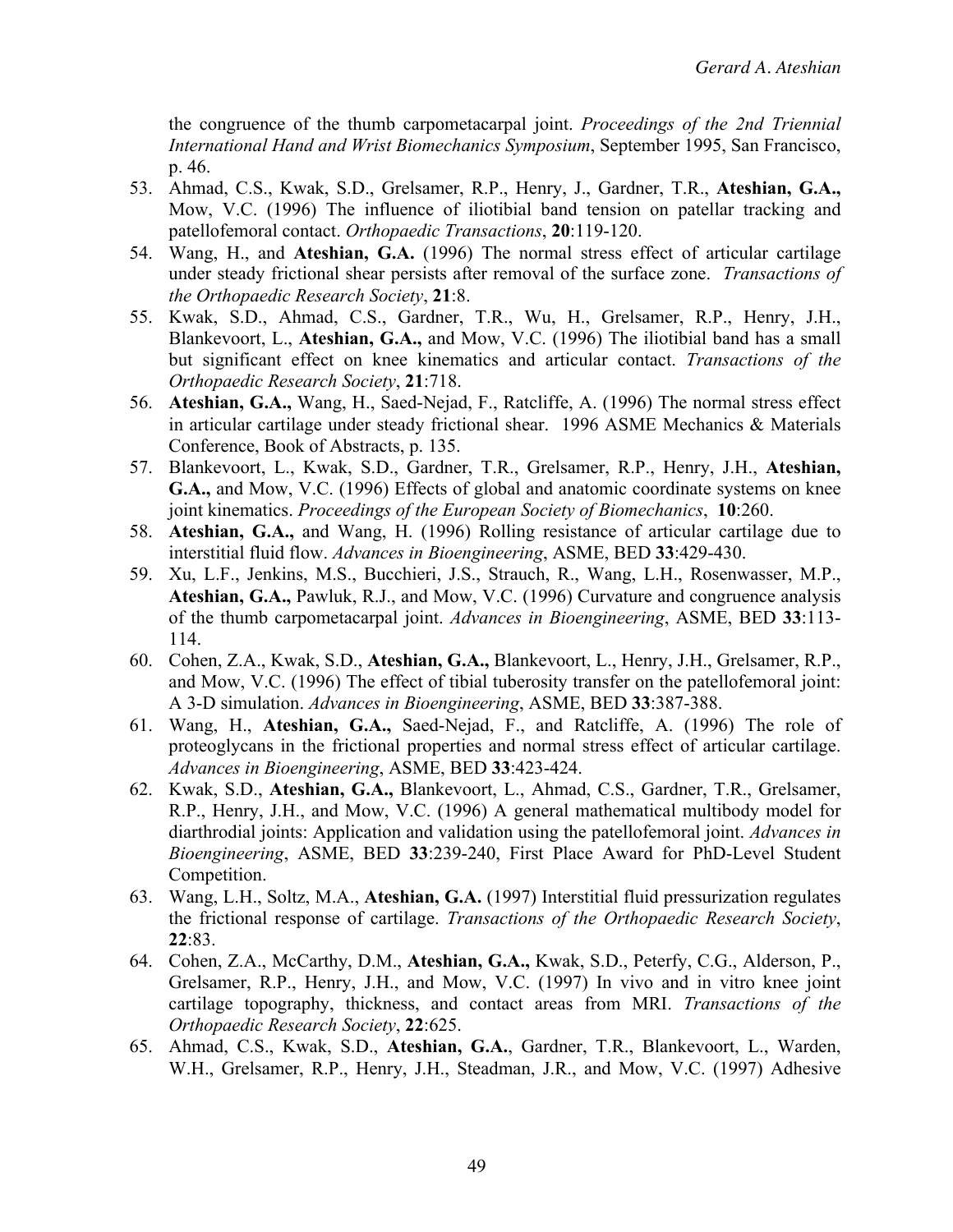the congruence of the thumb carpometacarpal joint. *Proceedings of the 2nd Triennial International Hand and Wrist Biomechanics Symposium*, September 1995, San Francisco, p. 46.

- 53. Ahmad, C.S., Kwak, S.D., Grelsamer, R.P., Henry, J., Gardner, T.R., **Ateshian, G.A.,** Mow, V.C. (1996) The influence of iliotibial band tension on patellar tracking and patellofemoral contact. *Orthopaedic Transactions*, **20**:119-120.
- 54. Wang, H., and **Ateshian, G.A.** (1996) The normal stress effect of articular cartilage under steady frictional shear persists after removal of the surface zone. *Transactions of the Orthopaedic Research Society*, **21**:8.
- 55. Kwak, S.D., Ahmad, C.S., Gardner, T.R., Wu, H., Grelsamer, R.P., Henry, J.H., Blankevoort, L., **Ateshian, G.A.,** and Mow, V.C. (1996) The iliotibial band has a small but significant effect on knee kinematics and articular contact. *Transactions of the Orthopaedic Research Society*, **21**:718.
- 56. **Ateshian, G.A.,** Wang, H., Saed-Nejad, F., Ratcliffe, A. (1996) The normal stress effect in articular cartilage under steady frictional shear. 1996 ASME Mechanics & Materials Conference, Book of Abstracts, p. 135.
- 57. Blankevoort, L., Kwak, S.D., Gardner, T.R., Grelsamer, R.P., Henry, J.H., **Ateshian, G.A.,** and Mow, V.C. (1996) Effects of global and anatomic coordinate systems on knee joint kinematics. *Proceedings of the European Society of Biomechanics*, **10**:260.
- 58. **Ateshian, G.A.,** and Wang, H. (1996) Rolling resistance of articular cartilage due to interstitial fluid flow. *Advances in Bioengineering*, ASME, BED **33**:429-430.
- 59. Xu, L.F., Jenkins, M.S., Bucchieri, J.S., Strauch, R., Wang, L.H., Rosenwasser, M.P., **Ateshian, G.A.,** Pawluk, R.J., and Mow, V.C. (1996) Curvature and congruence analysis of the thumb carpometacarpal joint. *Advances in Bioengineering*, ASME, BED **33**:113- 114.
- 60. Cohen, Z.A., Kwak, S.D., **Ateshian, G.A.,** Blankevoort, L., Henry, J.H., Grelsamer, R.P., and Mow, V.C. (1996) The effect of tibial tuberosity transfer on the patellofemoral joint: A 3-D simulation. *Advances in Bioengineering*, ASME, BED **33**:387-388.
- 61. Wang, H., **Ateshian, G.A.,** Saed-Nejad, F., and Ratcliffe, A. (1996) The role of proteoglycans in the frictional properties and normal stress effect of articular cartilage. *Advances in Bioengineering*, ASME, BED **33**:423-424.
- 62. Kwak, S.D., **Ateshian, G.A.,** Blankevoort, L., Ahmad, C.S., Gardner, T.R., Grelsamer, R.P., Henry, J.H., and Mow, V.C. (1996) A general mathematical multibody model for diarthrodial joints: Application and validation using the patellofemoral joint. *Advances in Bioengineering*, ASME, BED **33**:239-240, First Place Award for PhD-Level Student Competition.
- 63. Wang, L.H., Soltz, M.A., **Ateshian, G.A.** (1997) Interstitial fluid pressurization regulates the frictional response of cartilage. *Transactions of the Orthopaedic Research Society*, **22**:83.
- 64. Cohen, Z.A., McCarthy, D.M., **Ateshian, G.A.,** Kwak, S.D., Peterfy, C.G., Alderson, P., Grelsamer, R.P., Henry, J.H., and Mow, V.C. (1997) In vivo and in vitro knee joint cartilage topography, thickness, and contact areas from MRI. *Transactions of the Orthopaedic Research Society*, **22**:625.
- 65. Ahmad, C.S., Kwak, S.D., **Ateshian, G.A.**, Gardner, T.R., Blankevoort, L., Warden, W.H., Grelsamer, R.P., Henry, J.H., Steadman, J.R., and Mow, V.C. (1997) Adhesive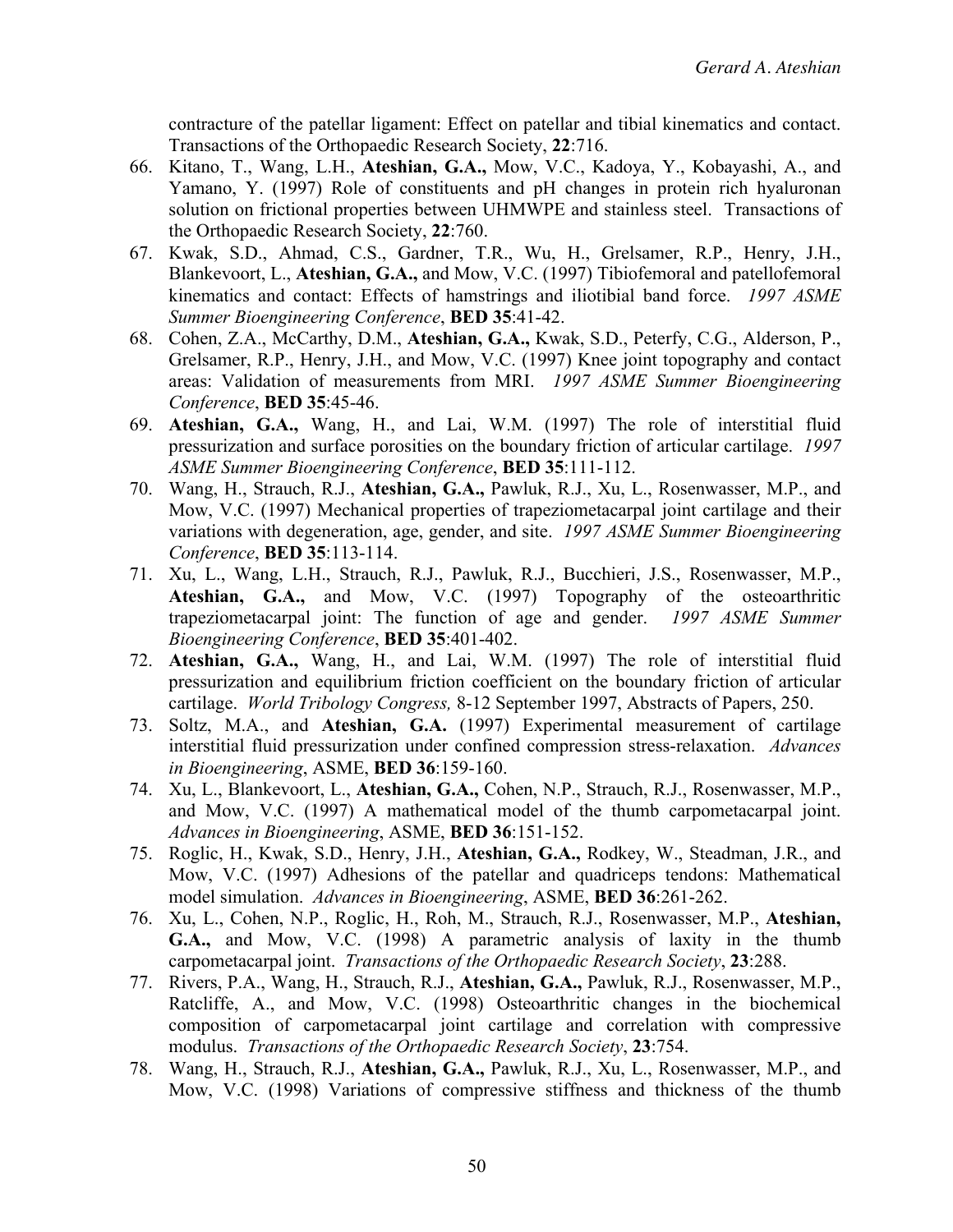contracture of the patellar ligament: Effect on patellar and tibial kinematics and contact. Transactions of the Orthopaedic Research Society, **22**:716.

- 66. Kitano, T., Wang, L.H., **Ateshian, G.A.,** Mow, V.C., Kadoya, Y., Kobayashi, A., and Yamano, Y. (1997) Role of constituents and pH changes in protein rich hyaluronan solution on frictional properties between UHMWPE and stainless steel. Transactions of the Orthopaedic Research Society, **22**:760.
- 67. Kwak, S.D., Ahmad, C.S., Gardner, T.R., Wu, H., Grelsamer, R.P., Henry, J.H., Blankevoort, L., **Ateshian, G.A.,** and Mow, V.C. (1997) Tibiofemoral and patellofemoral kinematics and contact: Effects of hamstrings and iliotibial band force. *1997 ASME Summer Bioengineering Conference*, **BED 35**:41-42.
- 68. Cohen, Z.A., McCarthy, D.M., **Ateshian, G.A.,** Kwak, S.D., Peterfy, C.G., Alderson, P., Grelsamer, R.P., Henry, J.H., and Mow, V.C. (1997) Knee joint topography and contact areas: Validation of measurements from MRI. *1997 ASME Summer Bioengineering Conference*, **BED 35**:45-46.
- 69. **Ateshian, G.A.,** Wang, H., and Lai, W.M. (1997) The role of interstitial fluid pressurization and surface porosities on the boundary friction of articular cartilage. *1997 ASME Summer Bioengineering Conference*, **BED 35**:111-112.
- 70. Wang, H., Strauch, R.J., **Ateshian, G.A.,** Pawluk, R.J., Xu, L., Rosenwasser, M.P., and Mow, V.C. (1997) Mechanical properties of trapeziometacarpal joint cartilage and their variations with degeneration, age, gender, and site. *1997 ASME Summer Bioengineering Conference*, **BED 35**:113-114.
- 71. Xu, L., Wang, L.H., Strauch, R.J., Pawluk, R.J., Bucchieri, J.S., Rosenwasser, M.P., **Ateshian, G.A.,** and Mow, V.C. (1997) Topography of the osteoarthritic trapeziometacarpal joint: The function of age and gender. *1997 ASME Summer Bioengineering Conference*, **BED 35**:401-402.
- 72. **Ateshian, G.A.,** Wang, H., and Lai, W.M. (1997) The role of interstitial fluid pressurization and equilibrium friction coefficient on the boundary friction of articular cartilage. *World Tribology Congress,* 8-12 September 1997, Abstracts of Papers, 250.
- 73. Soltz, M.A., and **Ateshian, G.A.** (1997) Experimental measurement of cartilage interstitial fluid pressurization under confined compression stress-relaxation. *Advances in Bioengineering*, ASME, **BED 36**:159-160.
- 74. Xu, L., Blankevoort, L., **Ateshian, G.A.,** Cohen, N.P., Strauch, R.J., Rosenwasser, M.P., and Mow, V.C. (1997) A mathematical model of the thumb carpometacarpal joint. *Advances in Bioengineering*, ASME, **BED 36**:151-152.
- 75. Roglic, H., Kwak, S.D., Henry, J.H., **Ateshian, G.A.,** Rodkey, W., Steadman, J.R., and Mow, V.C. (1997) Adhesions of the patellar and quadriceps tendons: Mathematical model simulation. *Advances in Bioengineering*, ASME, **BED 36**:261-262.
- 76. Xu, L., Cohen, N.P., Roglic, H., Roh, M., Strauch, R.J., Rosenwasser, M.P., **Ateshian, G.A.,** and Mow, V.C. (1998) A parametric analysis of laxity in the thumb carpometacarpal joint. *Transactions of the Orthopaedic Research Society*, **23**:288.
- 77. Rivers, P.A., Wang, H., Strauch, R.J., **Ateshian, G.A.,** Pawluk, R.J., Rosenwasser, M.P., Ratcliffe, A., and Mow, V.C. (1998) Osteoarthritic changes in the biochemical composition of carpometacarpal joint cartilage and correlation with compressive modulus. *Transactions of the Orthopaedic Research Society*, **23**:754.
- 78. Wang, H., Strauch, R.J., **Ateshian, G.A.,** Pawluk, R.J., Xu, L., Rosenwasser, M.P., and Mow, V.C. (1998) Variations of compressive stiffness and thickness of the thumb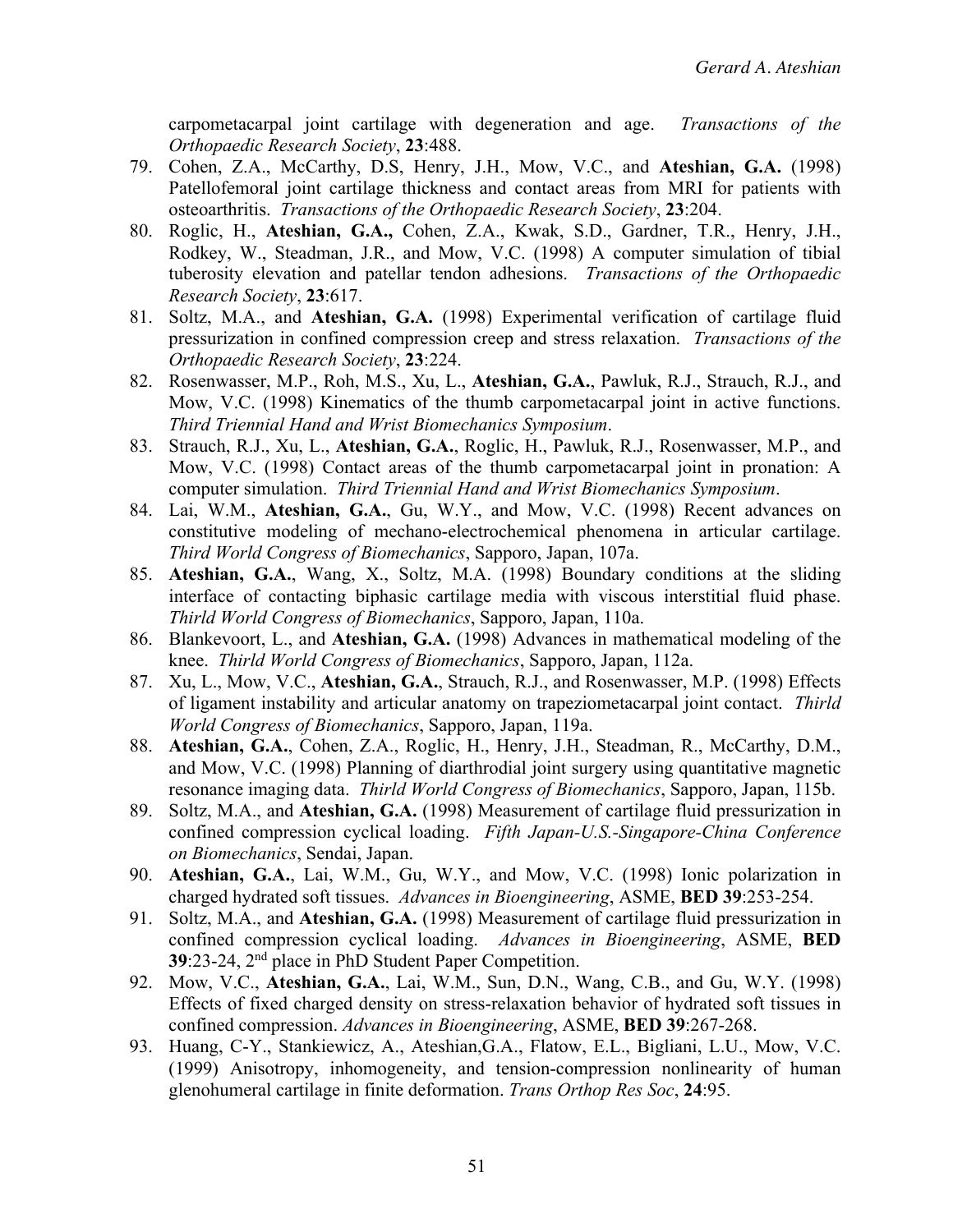carpometacarpal joint cartilage with degeneration and age. *Transactions of the Orthopaedic Research Society*, **23**:488.

- 79. Cohen, Z.A., McCarthy, D.S, Henry, J.H., Mow, V.C., and **Ateshian, G.A.** (1998) Patellofemoral joint cartilage thickness and contact areas from MRI for patients with osteoarthritis. *Transactions of the Orthopaedic Research Society*, **23**:204.
- 80. Roglic, H., **Ateshian, G.A.,** Cohen, Z.A., Kwak, S.D., Gardner, T.R., Henry, J.H., Rodkey, W., Steadman, J.R., and Mow, V.C. (1998) A computer simulation of tibial tuberosity elevation and patellar tendon adhesions. *Transactions of the Orthopaedic Research Society*, **23**:617.
- 81. Soltz, M.A., and **Ateshian, G.A.** (1998) Experimental verification of cartilage fluid pressurization in confined compression creep and stress relaxation. *Transactions of the Orthopaedic Research Society*, **23**:224.
- 82. Rosenwasser, M.P., Roh, M.S., Xu, L., **Ateshian, G.A.**, Pawluk, R.J., Strauch, R.J., and Mow, V.C. (1998) Kinematics of the thumb carpometacarpal joint in active functions. *Third Triennial Hand and Wrist Biomechanics Symposium*.
- 83. Strauch, R.J., Xu, L., **Ateshian, G.A.**, Roglic, H., Pawluk, R.J., Rosenwasser, M.P., and Mow, V.C. (1998) Contact areas of the thumb carpometacarpal joint in pronation: A computer simulation. *Third Triennial Hand and Wrist Biomechanics Symposium*.
- 84. Lai, W.M., **Ateshian, G.A.**, Gu, W.Y., and Mow, V.C. (1998) Recent advances on constitutive modeling of mechano-electrochemical phenomena in articular cartilage. *Third World Congress of Biomechanics*, Sapporo, Japan, 107a.
- 85. **Ateshian, G.A.**, Wang, X., Soltz, M.A. (1998) Boundary conditions at the sliding interface of contacting biphasic cartilage media with viscous interstitial fluid phase. *Thirld World Congress of Biomechanics*, Sapporo, Japan, 110a.
- 86. Blankevoort, L., and **Ateshian, G.A.** (1998) Advances in mathematical modeling of the knee. *Thirld World Congress of Biomechanics*, Sapporo, Japan, 112a.
- 87. Xu, L., Mow, V.C., **Ateshian, G.A.**, Strauch, R.J., and Rosenwasser, M.P. (1998) Effects of ligament instability and articular anatomy on trapeziometacarpal joint contact. *Thirld World Congress of Biomechanics*, Sapporo, Japan, 119a.
- 88. **Ateshian, G.A.**, Cohen, Z.A., Roglic, H., Henry, J.H., Steadman, R., McCarthy, D.M., and Mow, V.C. (1998) Planning of diarthrodial joint surgery using quantitative magnetic resonance imaging data. *Thirld World Congress of Biomechanics*, Sapporo, Japan, 115b.
- 89. Soltz, M.A., and **Ateshian, G.A.** (1998) Measurement of cartilage fluid pressurization in confined compression cyclical loading. *Fifth Japan-U.S.-Singapore-China Conference on Biomechanics*, Sendai, Japan.
- 90. **Ateshian, G.A.**, Lai, W.M., Gu, W.Y., and Mow, V.C. (1998) Ionic polarization in charged hydrated soft tissues. *Advances in Bioengineering*, ASME, **BED 39**:253-254.
- 91. Soltz, M.A., and **Ateshian, G.A.** (1998) Measurement of cartilage fluid pressurization in confined compression cyclical loading. *Advances in Bioengineering*, ASME, **BED 39**:23-24, 2nd place in PhD Student Paper Competition.
- 92. Mow, V.C., **Ateshian, G.A.**, Lai, W.M., Sun, D.N., Wang, C.B., and Gu, W.Y. (1998) Effects of fixed charged density on stress-relaxation behavior of hydrated soft tissues in confined compression. *Advances in Bioengineering*, ASME, **BED 39**:267-268.
- 93. Huang, C-Y., Stankiewicz, A., Ateshian,G.A., Flatow, E.L., Bigliani, L.U., Mow, V.C. (1999) Anisotropy, inhomogeneity, and tension-compression nonlinearity of human glenohumeral cartilage in finite deformation. *Trans Orthop Res Soc*, **24**:95.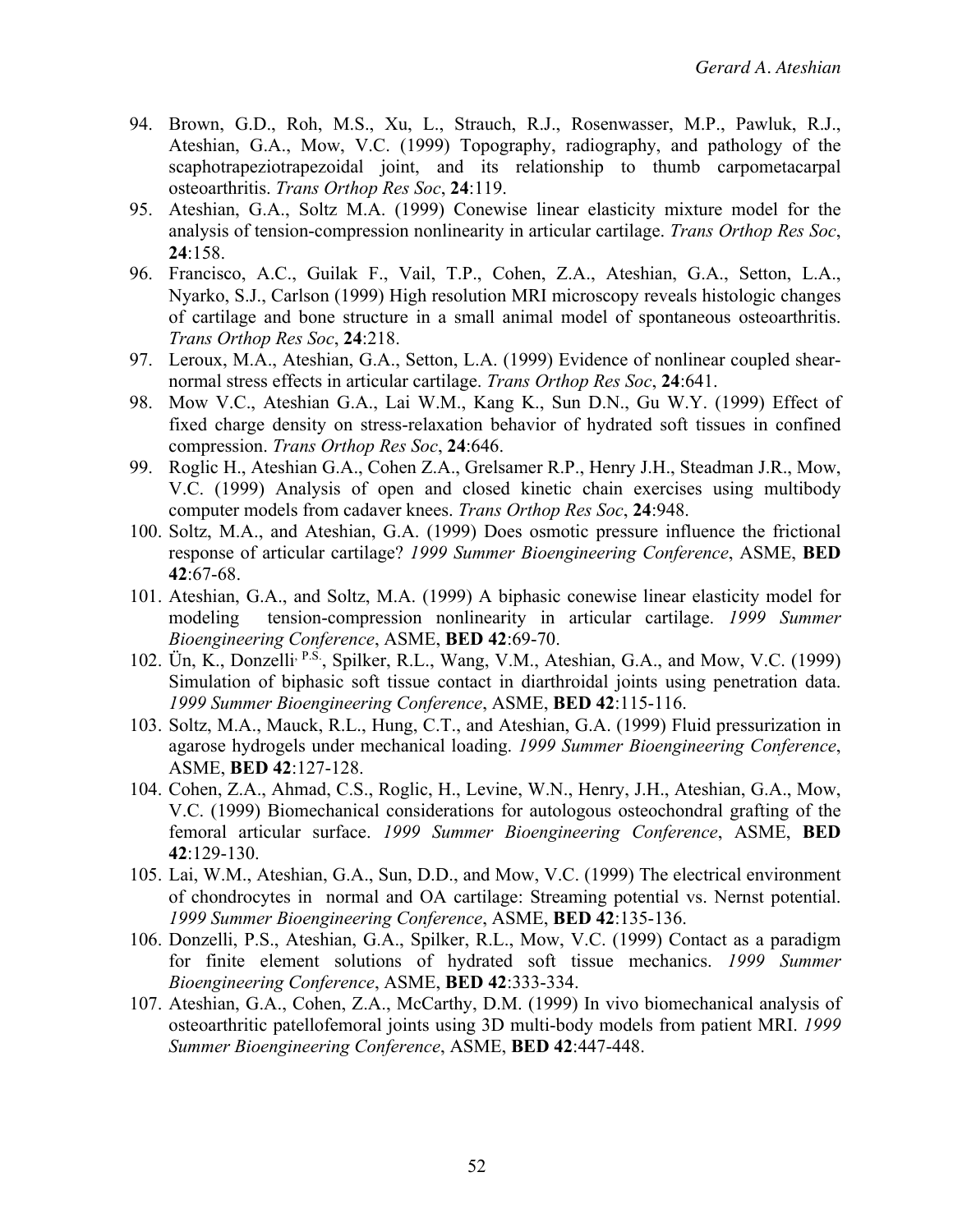- 94. Brown, G.D., Roh, M.S., Xu, L., Strauch, R.J., Rosenwasser, M.P., Pawluk, R.J., Ateshian, G.A., Mow, V.C. (1999) Topography, radiography, and pathology of the scaphotrapeziotrapezoidal joint, and its relationship to thumb carpometacarpal osteoarthritis. *Trans Orthop Res Soc*, **24**:119.
- 95. Ateshian, G.A., Soltz M.A. (1999) Conewise linear elasticity mixture model for the analysis of tension-compression nonlinearity in articular cartilage. *Trans Orthop Res Soc*, **24**:158.
- 96. Francisco, A.C., Guilak F., Vail, T.P., Cohen, Z.A., Ateshian, G.A., Setton, L.A., Nyarko, S.J., Carlson (1999) High resolution MRI microscopy reveals histologic changes of cartilage and bone structure in a small animal model of spontaneous osteoarthritis. *Trans Orthop Res Soc*, **24**:218.
- 97. Leroux, M.A., Ateshian, G.A., Setton, L.A. (1999) Evidence of nonlinear coupled shearnormal stress effects in articular cartilage. *Trans Orthop Res Soc*, **24**:641.
- 98. Mow V.C., Ateshian G.A., Lai W.M., Kang K., Sun D.N., Gu W.Y. (1999) Effect of fixed charge density on stress-relaxation behavior of hydrated soft tissues in confined compression. *Trans Orthop Res Soc*, **24**:646.
- 99. Roglic H., Ateshian G.A., Cohen Z.A., Grelsamer R.P., Henry J.H., Steadman J.R., Mow, V.C. (1999) Analysis of open and closed kinetic chain exercises using multibody computer models from cadaver knees. *Trans Orthop Res Soc*, **24**:948.
- 100. Soltz, M.A., and Ateshian, G.A. (1999) Does osmotic pressure influence the frictional response of articular cartilage? *1999 Summer Bioengineering Conference*, ASME, **BED 42**:67-68.
- 101. Ateshian, G.A., and Soltz, M.A. (1999) A biphasic conewise linear elasticity model for modeling tension-compression nonlinearity in articular cartilage. *1999 Summer Bioengineering Conference*, ASME, **BED 42**:69-70.
- 102. Ün, K., Donzelli, P.S., Spilker, R.L., Wang, V.M., Ateshian, G.A., and Mow, V.C. (1999) Simulation of biphasic soft tissue contact in diarthroidal joints using penetration data. *1999 Summer Bioengineering Conference*, ASME, **BED 42**:115-116.
- 103. Soltz, M.A., Mauck, R.L., Hung, C.T., and Ateshian, G.A. (1999) Fluid pressurization in agarose hydrogels under mechanical loading. *1999 Summer Bioengineering Conference*, ASME, **BED 42**:127-128.
- 104. Cohen, Z.A., Ahmad, C.S., Roglic, H., Levine, W.N., Henry, J.H., Ateshian, G.A., Mow, V.C. (1999) Biomechanical considerations for autologous osteochondral grafting of the femoral articular surface. *1999 Summer Bioengineering Conference*, ASME, **BED 42**:129-130.
- 105. Lai, W.M., Ateshian, G.A., Sun, D.D., and Mow, V.C. (1999) The electrical environment of chondrocytes in normal and OA cartilage: Streaming potential vs. Nernst potential. *1999 Summer Bioengineering Conference*, ASME, **BED 42**:135-136.
- 106. Donzelli, P.S., Ateshian, G.A., Spilker, R.L., Mow, V.C. (1999) Contact as a paradigm for finite element solutions of hydrated soft tissue mechanics. *1999 Summer Bioengineering Conference*, ASME, **BED 42**:333-334.
- 107. Ateshian, G.A., Cohen, Z.A., McCarthy, D.M. (1999) In vivo biomechanical analysis of osteoarthritic patellofemoral joints using 3D multi-body models from patient MRI. *1999 Summer Bioengineering Conference*, ASME, **BED 42**:447-448.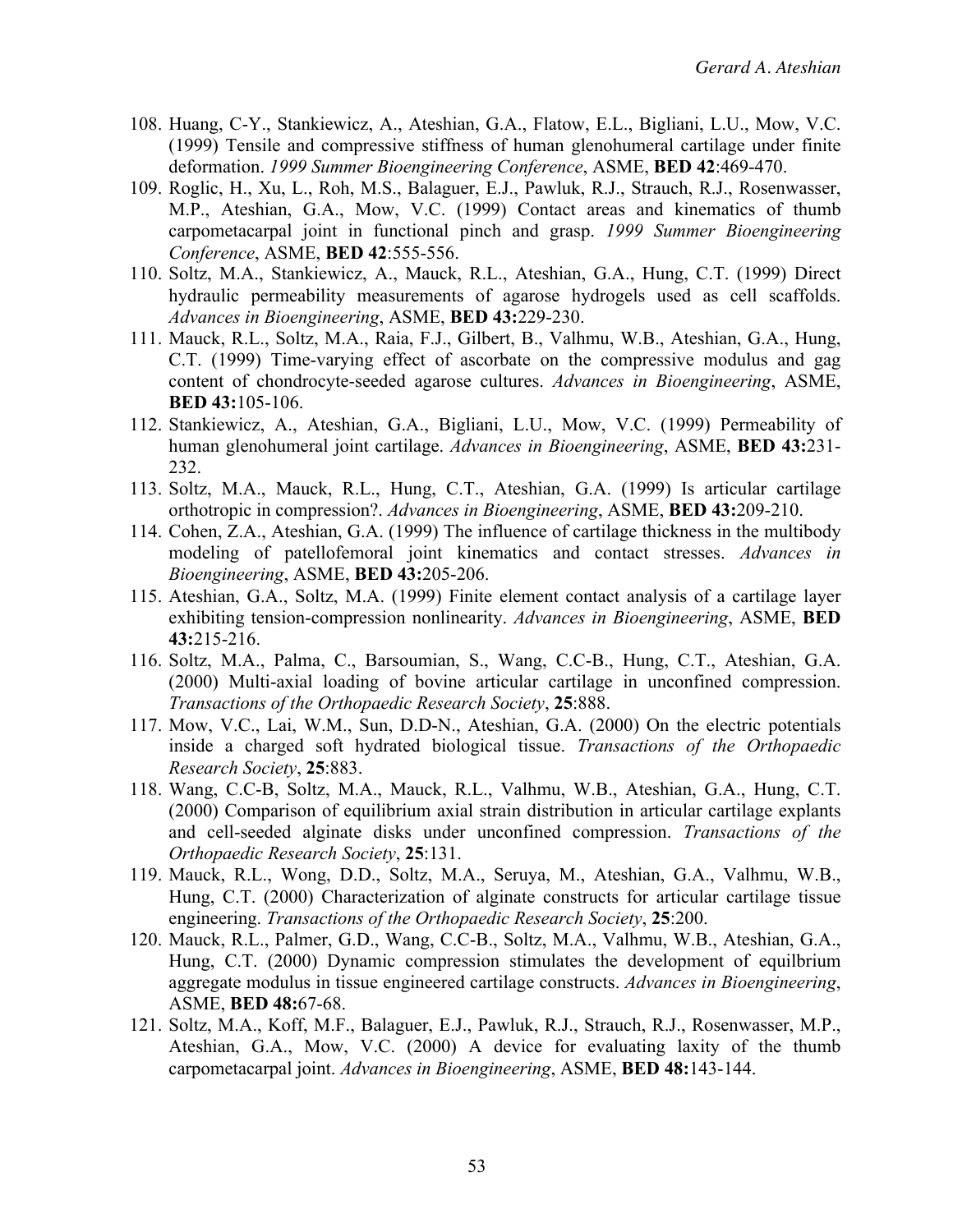- 108. Huang, C-Y., Stankiewicz, A., Ateshian, G.A., Flatow, E.L., Bigliani, L.U., Mow, V.C. (1999) Tensile and compressive stiffness of human glenohumeral cartilage under finite deformation. *1999 Summer Bioengineering Conference*, ASME, **BED 42**:469-470.
- 109. Roglic, H., Xu, L., Roh, M.S., Balaguer, E.J., Pawluk, R.J., Strauch, R.J., Rosenwasser, M.P., Ateshian, G.A., Mow, V.C. (1999) Contact areas and kinematics of thumb carpometacarpal joint in functional pinch and grasp. *1999 Summer Bioengineering Conference*, ASME, **BED 42**:555-556.
- 110. Soltz, M.A., Stankiewicz, A., Mauck, R.L., Ateshian, G.A., Hung, C.T. (1999) Direct hydraulic permeability measurements of agarose hydrogels used as cell scaffolds. *Advances in Bioengineering*, ASME, **BED 43:**229-230.
- 111. Mauck, R.L., Soltz, M.A., Raia, F.J., Gilbert, B., Valhmu, W.B., Ateshian, G.A., Hung, C.T. (1999) Time-varying effect of ascorbate on the compressive modulus and gag content of chondrocyte-seeded agarose cultures. *Advances in Bioengineering*, ASME, **BED 43:**105-106.
- 112. Stankiewicz, A., Ateshian, G.A., Bigliani, L.U., Mow, V.C. (1999) Permeability of human glenohumeral joint cartilage. *Advances in Bioengineering*, ASME, **BED 43:**231- 232.
- 113. Soltz, M.A., Mauck, R.L., Hung, C.T., Ateshian, G.A. (1999) Is articular cartilage orthotropic in compression?. *Advances in Bioengineering*, ASME, **BED 43:**209-210.
- 114. Cohen, Z.A., Ateshian, G.A. (1999) The influence of cartilage thickness in the multibody modeling of patellofemoral joint kinematics and contact stresses. *Advances in Bioengineering*, ASME, **BED 43:**205-206.
- 115. Ateshian, G.A., Soltz, M.A. (1999) Finite element contact analysis of a cartilage layer exhibiting tension-compression nonlinearity. *Advances in Bioengineering*, ASME, **BED 43:**215-216.
- 116. Soltz, M.A., Palma, C., Barsoumian, S., Wang, C.C-B., Hung, C.T., Ateshian, G.A. (2000) Multi-axial loading of bovine articular cartilage in unconfined compression. *Transactions of the Orthopaedic Research Society*, **25**:888.
- 117. Mow, V.C., Lai, W.M., Sun, D.D-N., Ateshian, G.A. (2000) On the electric potentials inside a charged soft hydrated biological tissue. *Transactions of the Orthopaedic Research Society*, **25**:883.
- 118. Wang, C.C-B, Soltz, M.A., Mauck, R.L., Valhmu, W.B., Ateshian, G.A., Hung, C.T. (2000) Comparison of equilibrium axial strain distribution in articular cartilage explants and cell-seeded alginate disks under unconfined compression. *Transactions of the Orthopaedic Research Society*, **25**:131.
- 119. Mauck, R.L., Wong, D.D., Soltz, M.A., Seruya, M., Ateshian, G.A., Valhmu, W.B., Hung, C.T. (2000) Characterization of alginate constructs for articular cartilage tissue engineering. *Transactions of the Orthopaedic Research Society*, **25**:200.
- 120. Mauck, R.L., Palmer, G.D., Wang, C.C-B., Soltz, M.A., Valhmu, W.B., Ateshian, G.A., Hung, C.T. (2000) Dynamic compression stimulates the development of equilbrium aggregate modulus in tissue engineered cartilage constructs. *Advances in Bioengineering*, ASME, **BED 48:**67-68.
- 121. Soltz, M.A., Koff, M.F., Balaguer, E.J., Pawluk, R.J., Strauch, R.J., Rosenwasser, M.P., Ateshian, G.A., Mow, V.C. (2000) A device for evaluating laxity of the thumb carpometacarpal joint. *Advances in Bioengineering*, ASME, **BED 48:**143-144.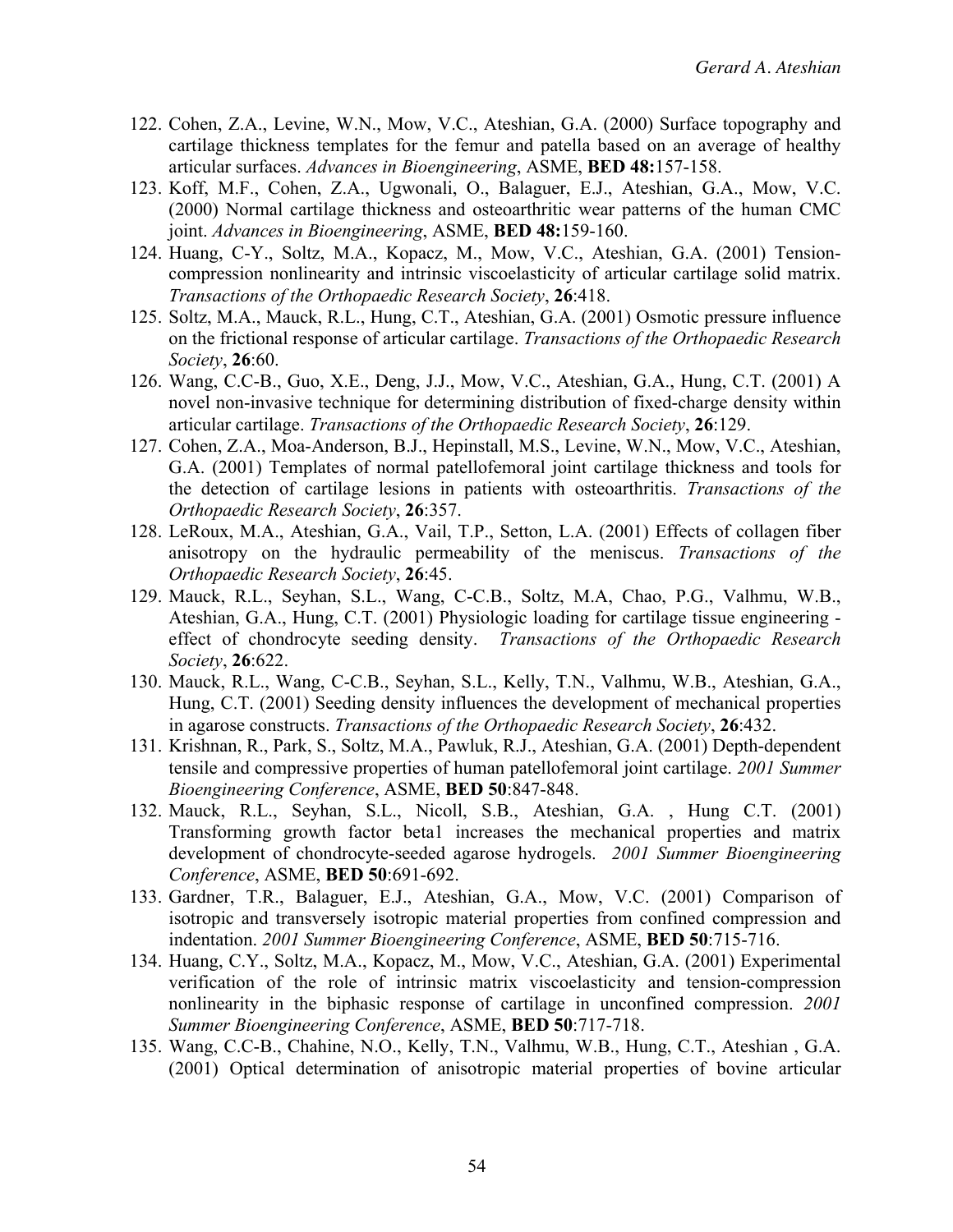- 122. Cohen, Z.A., Levine, W.N., Mow, V.C., Ateshian, G.A. (2000) Surface topography and cartilage thickness templates for the femur and patella based on an average of healthy articular surfaces. *Advances in Bioengineering*, ASME, **BED 48:**157-158.
- 123. Koff, M.F., Cohen, Z.A., Ugwonali, O., Balaguer, E.J., Ateshian, G.A., Mow, V.C. (2000) Normal cartilage thickness and osteoarthritic wear patterns of the human CMC joint. *Advances in Bioengineering*, ASME, **BED 48:**159-160.
- 124. Huang, C-Y., Soltz, M.A., Kopacz, M., Mow, V.C., Ateshian, G.A. (2001) Tensioncompression nonlinearity and intrinsic viscoelasticity of articular cartilage solid matrix. *Transactions of the Orthopaedic Research Society*, **26**:418.
- 125. Soltz, M.A., Mauck, R.L., Hung, C.T., Ateshian, G.A. (2001) Osmotic pressure influence on the frictional response of articular cartilage. *Transactions of the Orthopaedic Research Society*, **26**:60.
- 126. Wang, C.C-B., Guo, X.E., Deng, J.J., Mow, V.C., Ateshian, G.A., Hung, C.T. (2001) A novel non-invasive technique for determining distribution of fixed-charge density within articular cartilage. *Transactions of the Orthopaedic Research Society*, **26**:129.
- 127. Cohen, Z.A., Moa-Anderson, B.J., Hepinstall, M.S., Levine, W.N., Mow, V.C., Ateshian, G.A. (2001) Templates of normal patellofemoral joint cartilage thickness and tools for the detection of cartilage lesions in patients with osteoarthritis. *Transactions of the Orthopaedic Research Society*, **26**:357.
- 128. LeRoux, M.A., Ateshian, G.A., Vail, T.P., Setton, L.A. (2001) Effects of collagen fiber anisotropy on the hydraulic permeability of the meniscus. *Transactions of the Orthopaedic Research Society*, **26**:45.
- 129. Mauck, R.L., Seyhan, S.L., Wang, C-C.B., Soltz, M.A, Chao, P.G., Valhmu, W.B., Ateshian, G.A., Hung, C.T. (2001) Physiologic loading for cartilage tissue engineering effect of chondrocyte seeding density. *Transactions of the Orthopaedic Research Society*, **26**:622.
- 130. Mauck, R.L., Wang, C-C.B., Seyhan, S.L., Kelly, T.N., Valhmu, W.B., Ateshian, G.A., Hung, C.T. (2001) Seeding density influences the development of mechanical properties in agarose constructs. *Transactions of the Orthopaedic Research Society*, **26**:432.
- 131. Krishnan, R., Park, S., Soltz, M.A., Pawluk, R.J., Ateshian, G.A. (2001) Depth-dependent tensile and compressive properties of human patellofemoral joint cartilage. *2001 Summer Bioengineering Conference*, ASME, **BED 50**:847-848.
- 132. Mauck, R.L., Seyhan, S.L., Nicoll, S.B., Ateshian, G.A. , Hung C.T. (2001) Transforming growth factor beta1 increases the mechanical properties and matrix development of chondrocyte-seeded agarose hydrogels. *2001 Summer Bioengineering Conference*, ASME, **BED 50**:691-692.
- 133. Gardner, T.R., Balaguer, E.J., Ateshian, G.A., Mow, V.C. (2001) Comparison of isotropic and transversely isotropic material properties from confined compression and indentation. *2001 Summer Bioengineering Conference*, ASME, **BED 50**:715-716.
- 134. Huang, C.Y., Soltz, M.A., Kopacz, M., Mow, V.C., Ateshian, G.A. (2001) Experimental verification of the role of intrinsic matrix viscoelasticity and tension-compression nonlinearity in the biphasic response of cartilage in unconfined compression. *2001 Summer Bioengineering Conference*, ASME, **BED 50**:717-718.
- 135. Wang, C.C-B., Chahine, N.O., Kelly, T.N., Valhmu, W.B., Hung, C.T., Ateshian , G.A. (2001) Optical determination of anisotropic material properties of bovine articular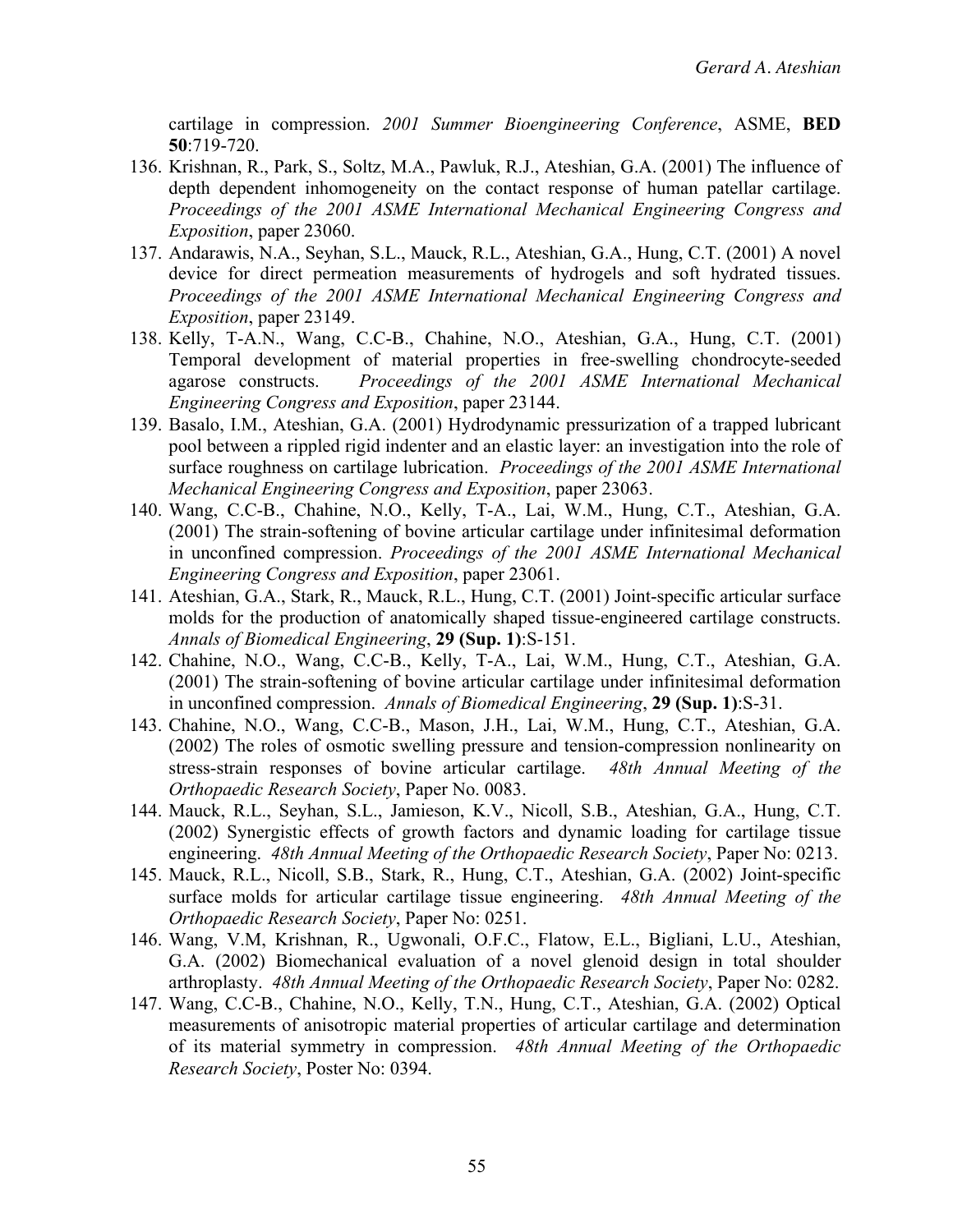cartilage in compression. *2001 Summer Bioengineering Conference*, ASME, **BED 50**:719-720.

- 136. Krishnan, R., Park, S., Soltz, M.A., Pawluk, R.J., Ateshian, G.A. (2001) The influence of depth dependent inhomogeneity on the contact response of human patellar cartilage. *Proceedings of the 2001 ASME International Mechanical Engineering Congress and Exposition*, paper 23060.
- 137. Andarawis, N.A., Seyhan, S.L., Mauck, R.L., Ateshian, G.A., Hung, C.T. (2001) A novel device for direct permeation measurements of hydrogels and soft hydrated tissues. *Proceedings of the 2001 ASME International Mechanical Engineering Congress and Exposition*, paper 23149.
- 138. Kelly, T-A.N., Wang, C.C-B., Chahine, N.O., Ateshian, G.A., Hung, C.T. (2001) Temporal development of material properties in free-swelling chondrocyte-seeded agarose constructs. *Proceedings of the 2001 ASME International Mechanical Engineering Congress and Exposition*, paper 23144.
- 139. Basalo, I.M., Ateshian, G.A. (2001) Hydrodynamic pressurization of a trapped lubricant pool between a rippled rigid indenter and an elastic layer: an investigation into the role of surface roughness on cartilage lubrication. *Proceedings of the 2001 ASME International Mechanical Engineering Congress and Exposition*, paper 23063.
- 140. Wang, C.C-B., Chahine, N.O., Kelly, T-A., Lai, W.M., Hung, C.T., Ateshian, G.A. (2001) The strain-softening of bovine articular cartilage under infinitesimal deformation in unconfined compression. *Proceedings of the 2001 ASME International Mechanical Engineering Congress and Exposition*, paper 23061.
- 141. Ateshian, G.A., Stark, R., Mauck, R.L., Hung, C.T. (2001) Joint-specific articular surface molds for the production of anatomically shaped tissue-engineered cartilage constructs. *Annals of Biomedical Engineering*, **29 (Sup. 1)**:S-151.
- 142. Chahine, N.O., Wang, C.C-B., Kelly, T-A., Lai, W.M., Hung, C.T., Ateshian, G.A. (2001) The strain-softening of bovine articular cartilage under infinitesimal deformation in unconfined compression. *Annals of Biomedical Engineering*, **29 (Sup. 1)**:S-31.
- 143. Chahine, N.O., Wang, C.C-B., Mason, J.H., Lai, W.M., Hung, C.T., Ateshian, G.A. (2002) The roles of osmotic swelling pressure and tension-compression nonlinearity on stress-strain responses of bovine articular cartilage. *48th Annual Meeting of the Orthopaedic Research Society*, Paper No. 0083.
- 144. Mauck, R.L., Seyhan, S.L., Jamieson, K.V., Nicoll, S.B., Ateshian, G.A., Hung, C.T. (2002) Synergistic effects of growth factors and dynamic loading for cartilage tissue engineering. *48th Annual Meeting of the Orthopaedic Research Society*, Paper No: 0213.
- 145. Mauck, R.L., Nicoll, S.B., Stark, R., Hung, C.T., Ateshian, G.A. (2002) Joint-specific surface molds for articular cartilage tissue engineering. *48th Annual Meeting of the Orthopaedic Research Society*, Paper No: 0251.
- 146. Wang, V.M, Krishnan, R., Ugwonali, O.F.C., Flatow, E.L., Bigliani, L.U., Ateshian, G.A. (2002) Biomechanical evaluation of a novel glenoid design in total shoulder arthroplasty. *48th Annual Meeting of the Orthopaedic Research Society*, Paper No: 0282.
- 147. Wang, C.C-B., Chahine, N.O., Kelly, T.N., Hung, C.T., Ateshian, G.A. (2002) Optical measurements of anisotropic material properties of articular cartilage and determination of its material symmetry in compression. *48th Annual Meeting of the Orthopaedic Research Society*, Poster No: 0394.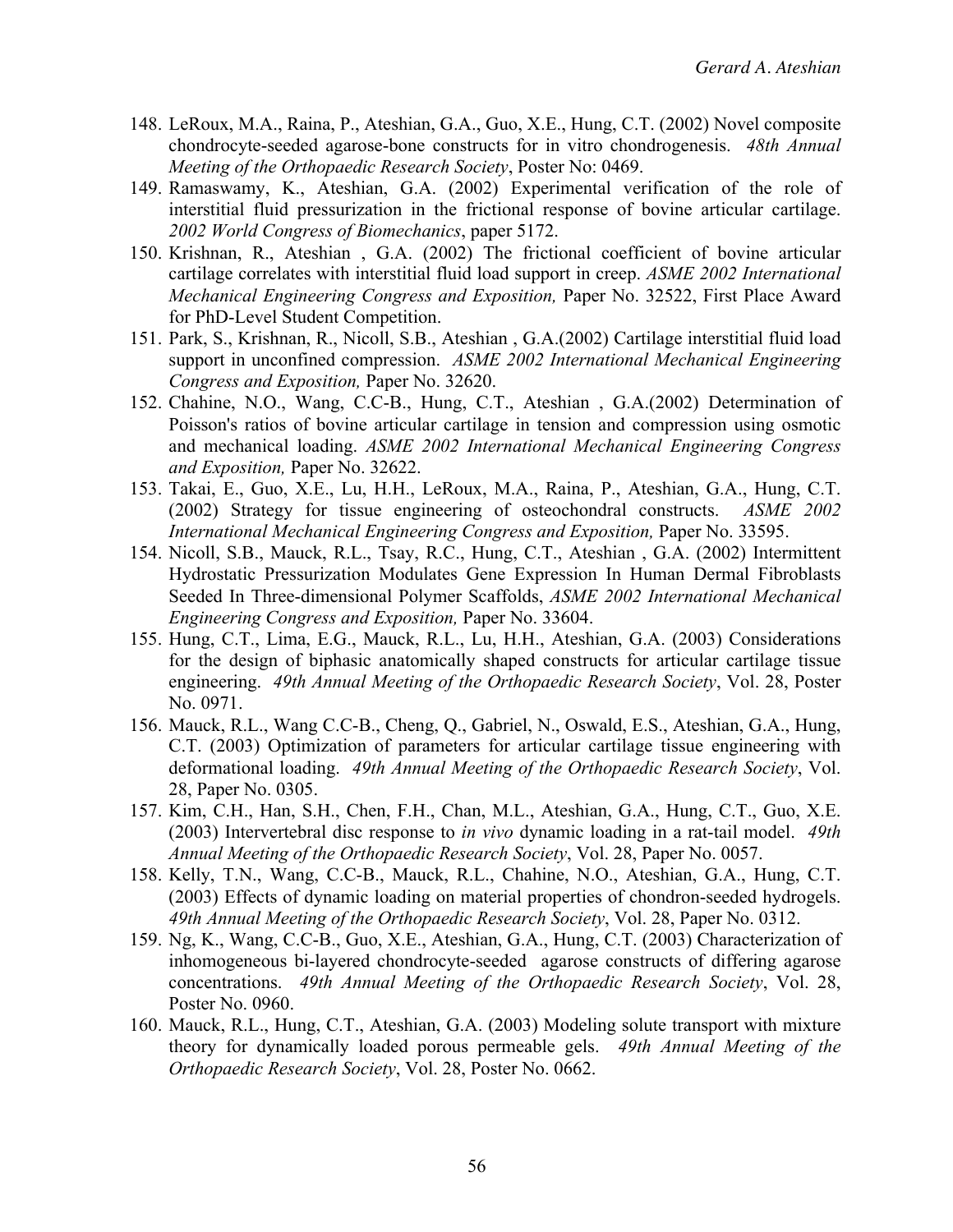- 148. LeRoux, M.A., Raina, P., Ateshian, G.A., Guo, X.E., Hung, C.T. (2002) Novel composite chondrocyte-seeded agarose-bone constructs for in vitro chondrogenesis. *48th Annual Meeting of the Orthopaedic Research Society*, Poster No: 0469.
- 149. Ramaswamy, K., Ateshian, G.A. (2002) Experimental verification of the role of interstitial fluid pressurization in the frictional response of bovine articular cartilage. *2002 World Congress of Biomechanics*, paper 5172.
- 150. Krishnan, R., Ateshian , G.A. (2002) The frictional coefficient of bovine articular cartilage correlates with interstitial fluid load support in creep. *ASME 2002 International Mechanical Engineering Congress and Exposition,* Paper No. 32522, First Place Award for PhD-Level Student Competition.
- 151. Park, S., Krishnan, R., Nicoll, S.B., Ateshian , G.A.(2002) Cartilage interstitial fluid load support in unconfined compression. *ASME 2002 International Mechanical Engineering Congress and Exposition,* Paper No. 32620.
- 152. Chahine, N.O., Wang, C.C-B., Hung, C.T., Ateshian , G.A.(2002) Determination of Poisson's ratios of bovine articular cartilage in tension and compression using osmotic and mechanical loading. *ASME 2002 International Mechanical Engineering Congress and Exposition,* Paper No. 32622.
- 153. Takai, E., Guo, X.E., Lu, H.H., LeRoux, M.A., Raina, P., Ateshian, G.A., Hung, C.T. (2002) Strategy for tissue engineering of osteochondral constructs. *ASME 2002 International Mechanical Engineering Congress and Exposition,* Paper No. 33595.
- 154. Nicoll, S.B., Mauck, R.L., Tsay, R.C., Hung, C.T., Ateshian , G.A. (2002) Intermittent Hydrostatic Pressurization Modulates Gene Expression In Human Dermal Fibroblasts Seeded In Three-dimensional Polymer Scaffolds, *ASME 2002 International Mechanical Engineering Congress and Exposition,* Paper No. 33604.
- 155. Hung, C.T., Lima, E.G., Mauck, R.L., Lu, H.H., Ateshian, G.A. (2003) Considerations for the design of biphasic anatomically shaped constructs for articular cartilage tissue engineering. *49th Annual Meeting of the Orthopaedic Research Society*, Vol. 28, Poster No. 0971.
- 156. Mauck, R.L., Wang C.C-B., Cheng, Q., Gabriel, N., Oswald, E.S., Ateshian, G.A., Hung, C.T. (2003) Optimization of parameters for articular cartilage tissue engineering with deformational loading. *49th Annual Meeting of the Orthopaedic Research Society*, Vol. 28, Paper No. 0305.
- 157. Kim, C.H., Han, S.H., Chen, F.H., Chan, M.L., Ateshian, G.A., Hung, C.T., Guo, X.E. (2003) Intervertebral disc response to *in vivo* dynamic loading in a rat-tail model. *49th Annual Meeting of the Orthopaedic Research Society*, Vol. 28, Paper No. 0057.
- 158. Kelly, T.N., Wang, C.C-B., Mauck, R.L., Chahine, N.O., Ateshian, G.A., Hung, C.T. (2003) Effects of dynamic loading on material properties of chondron-seeded hydrogels. *49th Annual Meeting of the Orthopaedic Research Society*, Vol. 28, Paper No. 0312.
- 159. Ng, K., Wang, C.C-B., Guo, X.E., Ateshian, G.A., Hung, C.T. (2003) Characterization of inhomogeneous bi-layered chondrocyte-seeded agarose constructs of differing agarose concentrations. *49th Annual Meeting of the Orthopaedic Research Society*, Vol. 28, Poster No. 0960.
- 160. Mauck, R.L., Hung, C.T., Ateshian, G.A. (2003) Modeling solute transport with mixture theory for dynamically loaded porous permeable gels. *49th Annual Meeting of the Orthopaedic Research Society*, Vol. 28, Poster No. 0662.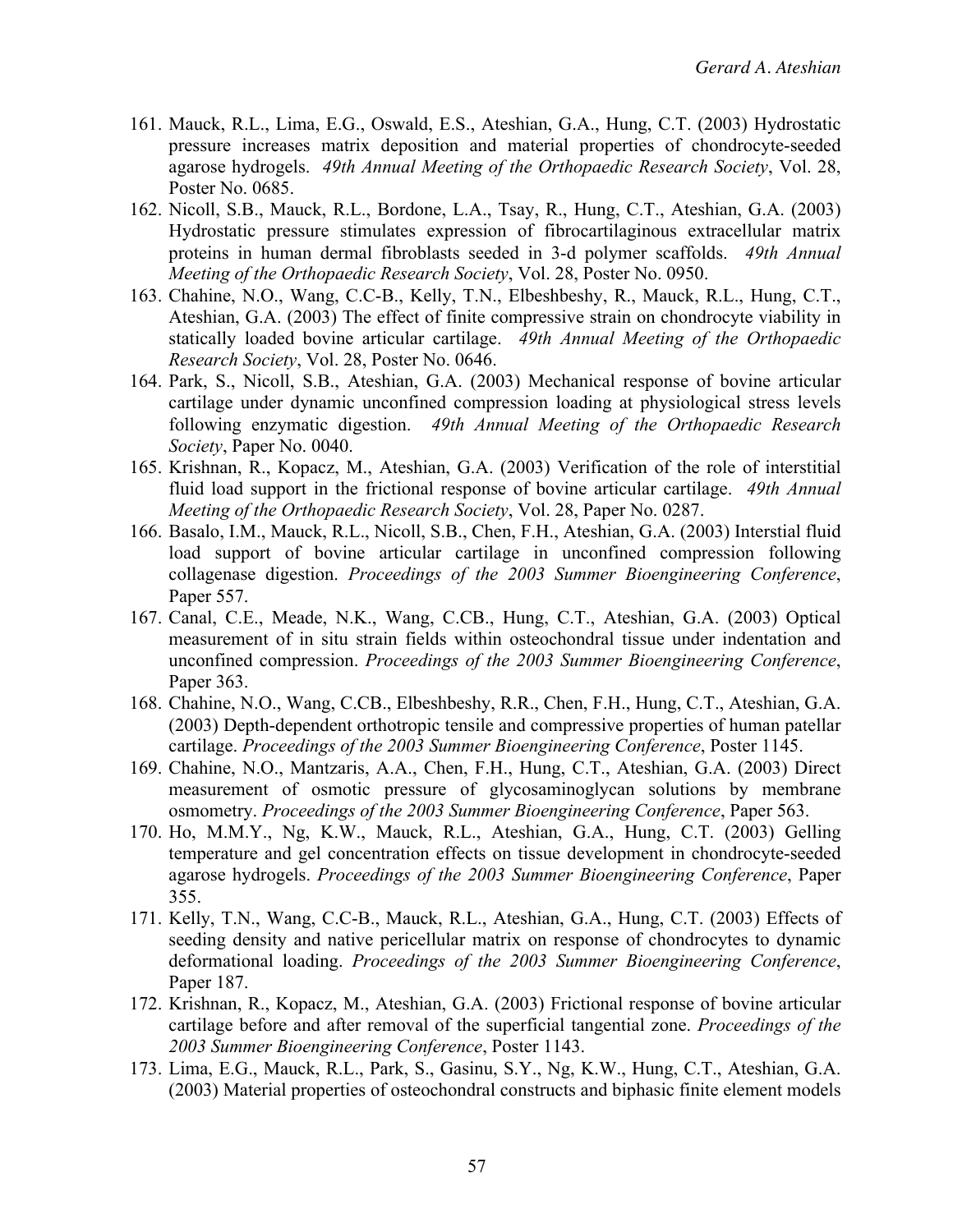- 161. Mauck, R.L., Lima, E.G., Oswald, E.S., Ateshian, G.A., Hung, C.T. (2003) Hydrostatic pressure increases matrix deposition and material properties of chondrocyte-seeded agarose hydrogels. *49th Annual Meeting of the Orthopaedic Research Society*, Vol. 28, Poster No. 0685.
- 162. Nicoll, S.B., Mauck, R.L., Bordone, L.A., Tsay, R., Hung, C.T., Ateshian, G.A. (2003) Hydrostatic pressure stimulates expression of fibrocartilaginous extracellular matrix proteins in human dermal fibroblasts seeded in 3-d polymer scaffolds. *49th Annual Meeting of the Orthopaedic Research Society*, Vol. 28, Poster No. 0950.
- 163. Chahine, N.O., Wang, C.C-B., Kelly, T.N., Elbeshbeshy, R., Mauck, R.L., Hung, C.T., Ateshian, G.A. (2003) The effect of finite compressive strain on chondrocyte viability in statically loaded bovine articular cartilage. *49th Annual Meeting of the Orthopaedic Research Society*, Vol. 28, Poster No. 0646.
- 164. Park, S., Nicoll, S.B., Ateshian, G.A. (2003) Mechanical response of bovine articular cartilage under dynamic unconfined compression loading at physiological stress levels following enzymatic digestion. *49th Annual Meeting of the Orthopaedic Research Society*, Paper No. 0040.
- 165. Krishnan, R., Kopacz, M., Ateshian, G.A. (2003) Verification of the role of interstitial fluid load support in the frictional response of bovine articular cartilage. *49th Annual Meeting of the Orthopaedic Research Society*, Vol. 28, Paper No. 0287.
- 166. Basalo, I.M., Mauck, R.L., Nicoll, S.B., Chen, F.H., Ateshian, G.A. (2003) Interstial fluid load support of bovine articular cartilage in unconfined compression following collagenase digestion. *Proceedings of the 2003 Summer Bioengineering Conference*, Paper 557.
- 167. Canal, C.E., Meade, N.K., Wang, C.CB., Hung, C.T., Ateshian, G.A. (2003) Optical measurement of in situ strain fields within osteochondral tissue under indentation and unconfined compression. *Proceedings of the 2003 Summer Bioengineering Conference*, Paper 363.
- 168. Chahine, N.O., Wang, C.CB., Elbeshbeshy, R.R., Chen, F.H., Hung, C.T., Ateshian, G.A. (2003) Depth-dependent orthotropic tensile and compressive properties of human patellar cartilage. *Proceedings of the 2003 Summer Bioengineering Conference*, Poster 1145.
- 169. Chahine, N.O., Mantzaris, A.A., Chen, F.H., Hung, C.T., Ateshian, G.A. (2003) Direct measurement of osmotic pressure of glycosaminoglycan solutions by membrane osmometry. *Proceedings of the 2003 Summer Bioengineering Conference*, Paper 563.
- 170. Ho, M.M.Y., Ng, K.W., Mauck, R.L., Ateshian, G.A., Hung, C.T. (2003) Gelling temperature and gel concentration effects on tissue development in chondrocyte-seeded agarose hydrogels. *Proceedings of the 2003 Summer Bioengineering Conference*, Paper 355.
- 171. Kelly, T.N., Wang, C.C-B., Mauck, R.L., Ateshian, G.A., Hung, C.T. (2003) Effects of seeding density and native pericellular matrix on response of chondrocytes to dynamic deformational loading. *Proceedings of the 2003 Summer Bioengineering Conference*, Paper 187.
- 172. Krishnan, R., Kopacz, M., Ateshian, G.A. (2003) Frictional response of bovine articular cartilage before and after removal of the superficial tangential zone. *Proceedings of the 2003 Summer Bioengineering Conference*, Poster 1143.
- 173. Lima, E.G., Mauck, R.L., Park, S., Gasinu, S.Y., Ng, K.W., Hung, C.T., Ateshian, G.A. (2003) Material properties of osteochondral constructs and biphasic finite element models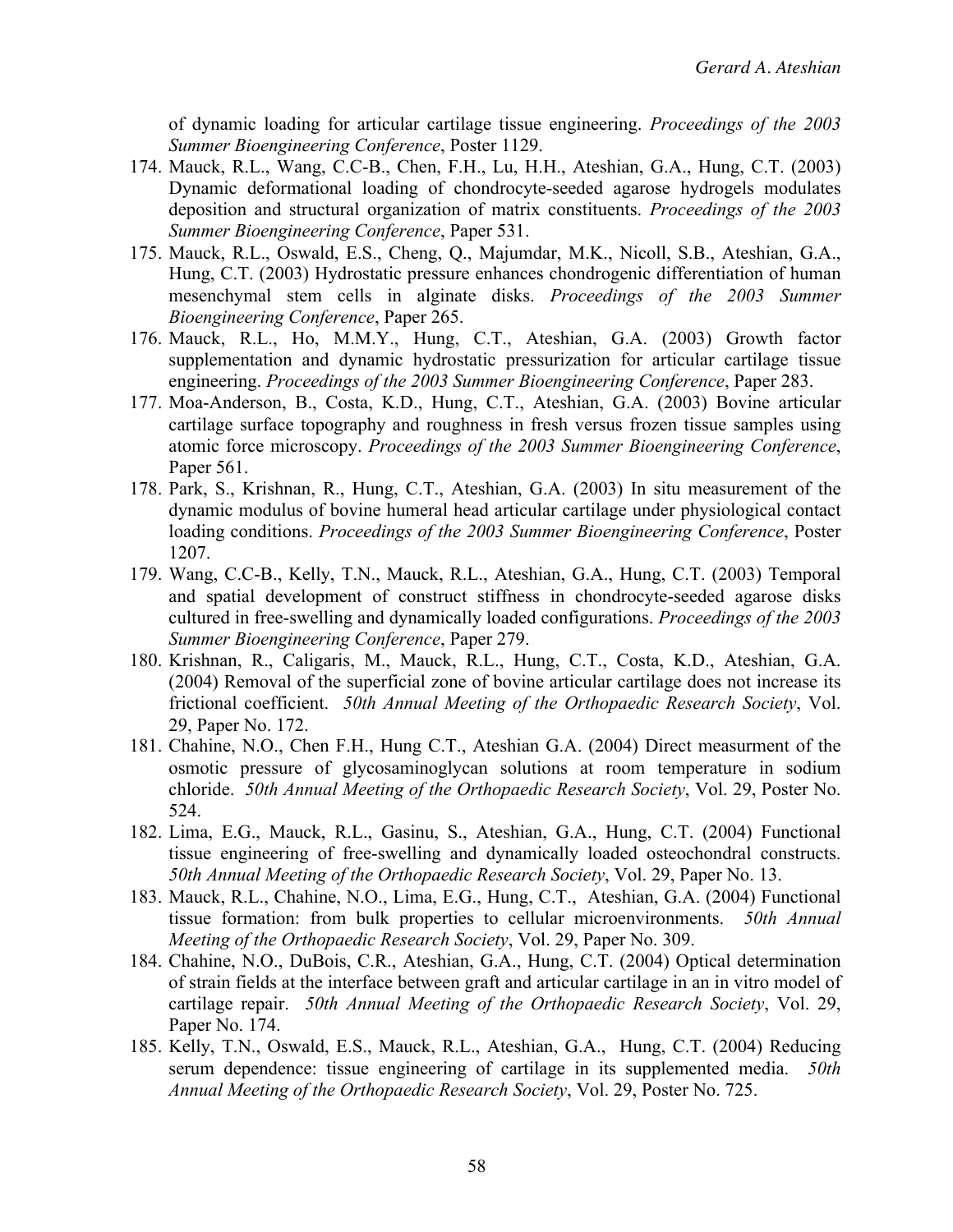of dynamic loading for articular cartilage tissue engineering. *Proceedings of the 2003 Summer Bioengineering Conference*, Poster 1129.

- 174. Mauck, R.L., Wang, C.C-B., Chen, F.H., Lu, H.H., Ateshian, G.A., Hung, C.T. (2003) Dynamic deformational loading of chondrocyte-seeded agarose hydrogels modulates deposition and structural organization of matrix constituents. *Proceedings of the 2003 Summer Bioengineering Conference*, Paper 531.
- 175. Mauck, R.L., Oswald, E.S., Cheng, Q., Majumdar, M.K., Nicoll, S.B., Ateshian, G.A., Hung, C.T. (2003) Hydrostatic pressure enhances chondrogenic differentiation of human mesenchymal stem cells in alginate disks. *Proceedings of the 2003 Summer Bioengineering Conference*, Paper 265.
- 176. Mauck, R.L., Ho, M.M.Y., Hung, C.T., Ateshian, G.A. (2003) Growth factor supplementation and dynamic hydrostatic pressurization for articular cartilage tissue engineering. *Proceedings of the 2003 Summer Bioengineering Conference*, Paper 283.
- 177. Moa-Anderson, B., Costa, K.D., Hung, C.T., Ateshian, G.A. (2003) Bovine articular cartilage surface topography and roughness in fresh versus frozen tissue samples using atomic force microscopy. *Proceedings of the 2003 Summer Bioengineering Conference*, Paper 561.
- 178. Park, S., Krishnan, R., Hung, C.T., Ateshian, G.A. (2003) In situ measurement of the dynamic modulus of bovine humeral head articular cartilage under physiological contact loading conditions. *Proceedings of the 2003 Summer Bioengineering Conference*, Poster 1207.
- 179. Wang, C.C-B., Kelly, T.N., Mauck, R.L., Ateshian, G.A., Hung, C.T. (2003) Temporal and spatial development of construct stiffness in chondrocyte-seeded agarose disks cultured in free-swelling and dynamically loaded configurations. *Proceedings of the 2003 Summer Bioengineering Conference*, Paper 279.
- 180. Krishnan, R., Caligaris, M., Mauck, R.L., Hung, C.T., Costa, K.D., Ateshian, G.A. (2004) Removal of the superficial zone of bovine articular cartilage does not increase its frictional coefficient. *50th Annual Meeting of the Orthopaedic Research Society*, Vol. 29, Paper No. 172.
- 181. Chahine, N.O., Chen F.H., Hung C.T., Ateshian G.A. (2004) Direct measurment of the osmotic pressure of glycosaminoglycan solutions at room temperature in sodium chloride. *50th Annual Meeting of the Orthopaedic Research Society*, Vol. 29, Poster No. 524.
- 182. Lima, E.G., Mauck, R.L., Gasinu, S., Ateshian, G.A., Hung, C.T. (2004) Functional tissue engineering of free-swelling and dynamically loaded osteochondral constructs. *50th Annual Meeting of the Orthopaedic Research Society*, Vol. 29, Paper No. 13.
- 183. Mauck, R.L., Chahine, N.O., Lima, E.G., Hung, C.T., Ateshian, G.A. (2004) Functional tissue formation: from bulk properties to cellular microenvironments. *50th Annual Meeting of the Orthopaedic Research Society*, Vol. 29, Paper No. 309.
- 184. Chahine, N.O., DuBois, C.R., Ateshian, G.A., Hung, C.T. (2004) Optical determination of strain fields at the interface between graft and articular cartilage in an in vitro model of cartilage repair. *50th Annual Meeting of the Orthopaedic Research Society*, Vol. 29, Paper No. 174.
- 185. Kelly, T.N., Oswald, E.S., Mauck, R.L., Ateshian, G.A., Hung, C.T. (2004) Reducing serum dependence: tissue engineering of cartilage in its supplemented media. *50th Annual Meeting of the Orthopaedic Research Society*, Vol. 29, Poster No. 725.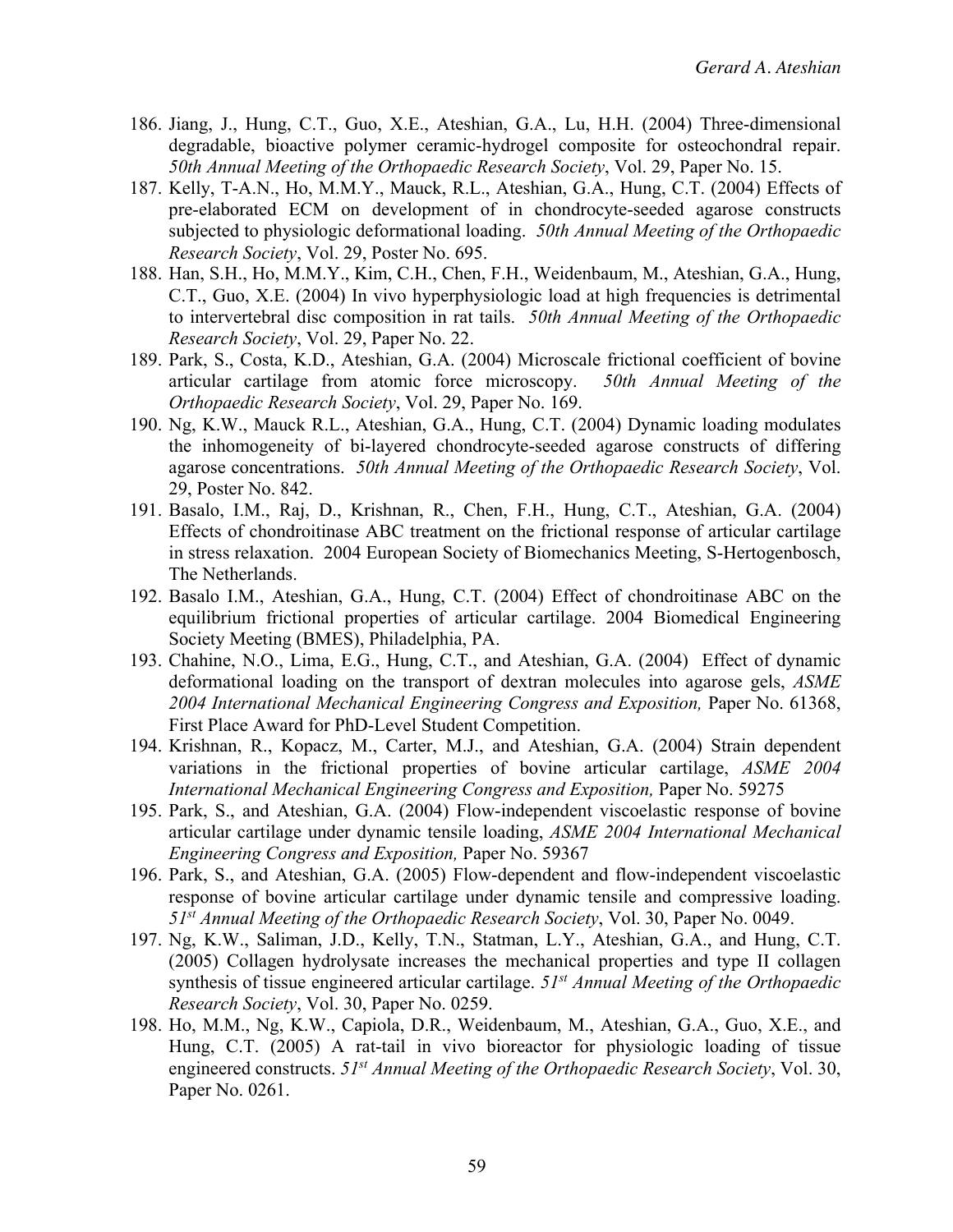- 186. Jiang, J., Hung, C.T., Guo, X.E., Ateshian, G.A., Lu, H.H. (2004) Three-dimensional degradable, bioactive polymer ceramic-hydrogel composite for osteochondral repair. *50th Annual Meeting of the Orthopaedic Research Society*, Vol. 29, Paper No. 15.
- 187. Kelly, T-A.N., Ho, M.M.Y., Mauck, R.L., Ateshian, G.A., Hung, C.T. (2004) Effects of pre-elaborated ECM on development of in chondrocyte-seeded agarose constructs subjected to physiologic deformational loading. *50th Annual Meeting of the Orthopaedic Research Society*, Vol. 29, Poster No. 695.
- 188. Han, S.H., Ho, M.M.Y., Kim, C.H., Chen, F.H., Weidenbaum, M., Ateshian, G.A., Hung, C.T., Guo, X.E. (2004) In vivo hyperphysiologic load at high frequencies is detrimental to intervertebral disc composition in rat tails. *50th Annual Meeting of the Orthopaedic Research Society*, Vol. 29, Paper No. 22.
- 189. Park, S., Costa, K.D., Ateshian, G.A. (2004) Microscale frictional coefficient of bovine articular cartilage from atomic force microscopy. *50th Annual Meeting of the Orthopaedic Research Society*, Vol. 29, Paper No. 169.
- 190. Ng, K.W., Mauck R.L., Ateshian, G.A., Hung, C.T. (2004) Dynamic loading modulates the inhomogeneity of bi-layered chondrocyte-seeded agarose constructs of differing agarose concentrations. *50th Annual Meeting of the Orthopaedic Research Society*, Vol. 29, Poster No. 842.
- 191. Basalo, I.M., Raj, D., Krishnan, R., Chen, F.H., Hung, C.T., Ateshian, G.A. (2004) Effects of chondroitinase ABC treatment on the frictional response of articular cartilage in stress relaxation. 2004 European Society of Biomechanics Meeting, S-Hertogenbosch, The Netherlands.
- 192. Basalo I.M., Ateshian, G.A., Hung, C.T. (2004) Effect of chondroitinase ABC on the equilibrium frictional properties of articular cartilage. 2004 Biomedical Engineering Society Meeting (BMES), Philadelphia, PA.
- 193. Chahine, N.O., Lima, E.G., Hung, C.T., and Ateshian, G.A. (2004) Effect of dynamic deformational loading on the transport of dextran molecules into agarose gels, *ASME 2004 International Mechanical Engineering Congress and Exposition,* Paper No. 61368, First Place Award for PhD-Level Student Competition.
- 194. Krishnan, R., Kopacz, M., Carter, M.J., and Ateshian, G.A. (2004) Strain dependent variations in the frictional properties of bovine articular cartilage, *ASME 2004 International Mechanical Engineering Congress and Exposition,* Paper No. 59275
- 195. Park, S., and Ateshian, G.A. (2004) Flow-independent viscoelastic response of bovine articular cartilage under dynamic tensile loading, *ASME 2004 International Mechanical Engineering Congress and Exposition,* Paper No. 59367
- 196. Park, S., and Ateshian, G.A. (2005) Flow-dependent and flow-independent viscoelastic response of bovine articular cartilage under dynamic tensile and compressive loading. *51st Annual Meeting of the Orthopaedic Research Society*, Vol. 30, Paper No. 0049.
- 197. Ng, K.W., Saliman, J.D., Kelly, T.N., Statman, L.Y., Ateshian, G.A., and Hung, C.T. (2005) Collagen hydrolysate increases the mechanical properties and type II collagen synthesis of tissue engineered articular cartilage. *51st Annual Meeting of the Orthopaedic Research Society*, Vol. 30, Paper No. 0259.
- 198. Ho, M.M., Ng, K.W., Capiola, D.R., Weidenbaum, M., Ateshian, G.A., Guo, X.E., and Hung, C.T. (2005) A rat-tail in vivo bioreactor for physiologic loading of tissue engineered constructs. *51st Annual Meeting of the Orthopaedic Research Society*, Vol. 30, Paper No. 0261.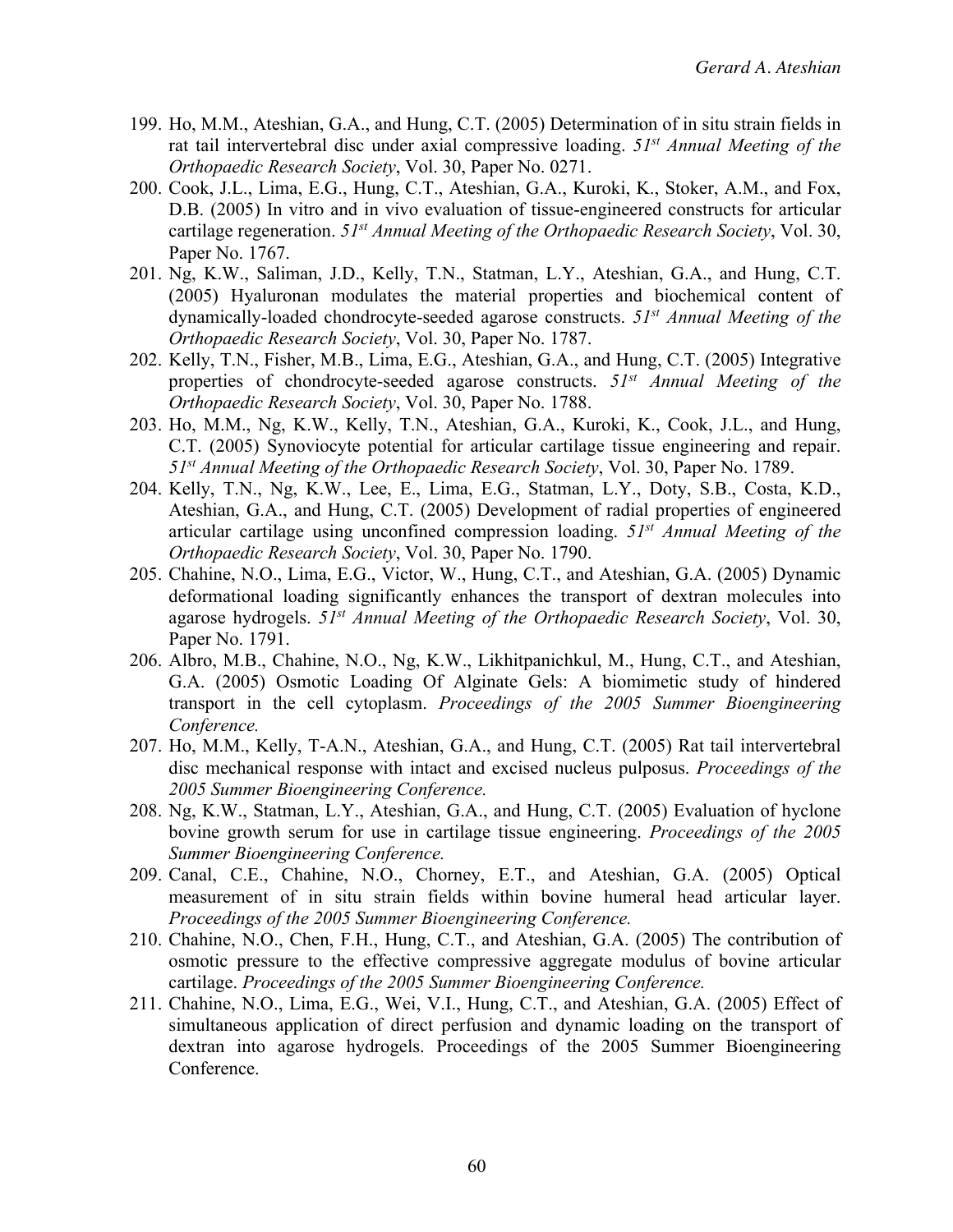- 199. Ho, M.M., Ateshian, G.A., and Hung, C.T. (2005) Determination of in situ strain fields in rat tail intervertebral disc under axial compressive loading. *51st Annual Meeting of the Orthopaedic Research Society*, Vol. 30, Paper No. 0271.
- 200. Cook, J.L., Lima, E.G., Hung, C.T., Ateshian, G.A., Kuroki, K., Stoker, A.M., and Fox, D.B. (2005) In vitro and in vivo evaluation of tissue-engineered constructs for articular cartilage regeneration. *51st Annual Meeting of the Orthopaedic Research Society*, Vol. 30, Paper No. 1767.
- 201. Ng, K.W., Saliman, J.D., Kelly, T.N., Statman, L.Y., Ateshian, G.A., and Hung, C.T. (2005) Hyaluronan modulates the material properties and biochemical content of dynamically-loaded chondrocyte-seeded agarose constructs. *51st Annual Meeting of the Orthopaedic Research Society*, Vol. 30, Paper No. 1787.
- 202. Kelly, T.N., Fisher, M.B., Lima, E.G., Ateshian, G.A., and Hung, C.T. (2005) Integrative properties of chondrocyte-seeded agarose constructs. *51st Annual Meeting of the Orthopaedic Research Society*, Vol. 30, Paper No. 1788.
- 203. Ho, M.M., Ng, K.W., Kelly, T.N., Ateshian, G.A., Kuroki, K., Cook, J.L., and Hung, C.T. (2005) Synoviocyte potential for articular cartilage tissue engineering and repair. *51st Annual Meeting of the Orthopaedic Research Society*, Vol. 30, Paper No. 1789.
- 204. Kelly, T.N., Ng, K.W., Lee, E., Lima, E.G., Statman, L.Y., Doty, S.B., Costa, K.D., Ateshian, G.A., and Hung, C.T. (2005) Development of radial properties of engineered articular cartilage using unconfined compression loading. *51st Annual Meeting of the Orthopaedic Research Society*, Vol. 30, Paper No. 1790.
- 205. Chahine, N.O., Lima, E.G., Victor, W., Hung, C.T., and Ateshian, G.A. (2005) Dynamic deformational loading significantly enhances the transport of dextran molecules into agarose hydrogels. *51st Annual Meeting of the Orthopaedic Research Society*, Vol. 30, Paper No. 1791.
- 206. Albro, M.B., Chahine, N.O., Ng, K.W., Likhitpanichkul, M., Hung, C.T., and Ateshian, G.A. (2005) Osmotic Loading Of Alginate Gels: A biomimetic study of hindered transport in the cell cytoplasm. *Proceedings of the 2005 Summer Bioengineering Conference.*
- 207. Ho, M.M., Kelly, T-A.N., Ateshian, G.A., and Hung, C.T. (2005) Rat tail intervertebral disc mechanical response with intact and excised nucleus pulposus. *Proceedings of the 2005 Summer Bioengineering Conference.*
- 208. Ng, K.W., Statman, L.Y., Ateshian, G.A., and Hung, C.T. (2005) Evaluation of hyclone bovine growth serum for use in cartilage tissue engineering. *Proceedings of the 2005 Summer Bioengineering Conference.*
- 209. Canal, C.E., Chahine, N.O., Chorney, E.T., and Ateshian, G.A. (2005) Optical measurement of in situ strain fields within bovine humeral head articular layer. *Proceedings of the 2005 Summer Bioengineering Conference.*
- 210. Chahine, N.O., Chen, F.H., Hung, C.T., and Ateshian, G.A. (2005) The contribution of osmotic pressure to the effective compressive aggregate modulus of bovine articular cartilage. *Proceedings of the 2005 Summer Bioengineering Conference.*
- 211. Chahine, N.O., Lima, E.G., Wei, V.I., Hung, C.T., and Ateshian, G.A. (2005) Effect of simultaneous application of direct perfusion and dynamic loading on the transport of dextran into agarose hydrogels. Proceedings of the 2005 Summer Bioengineering Conference.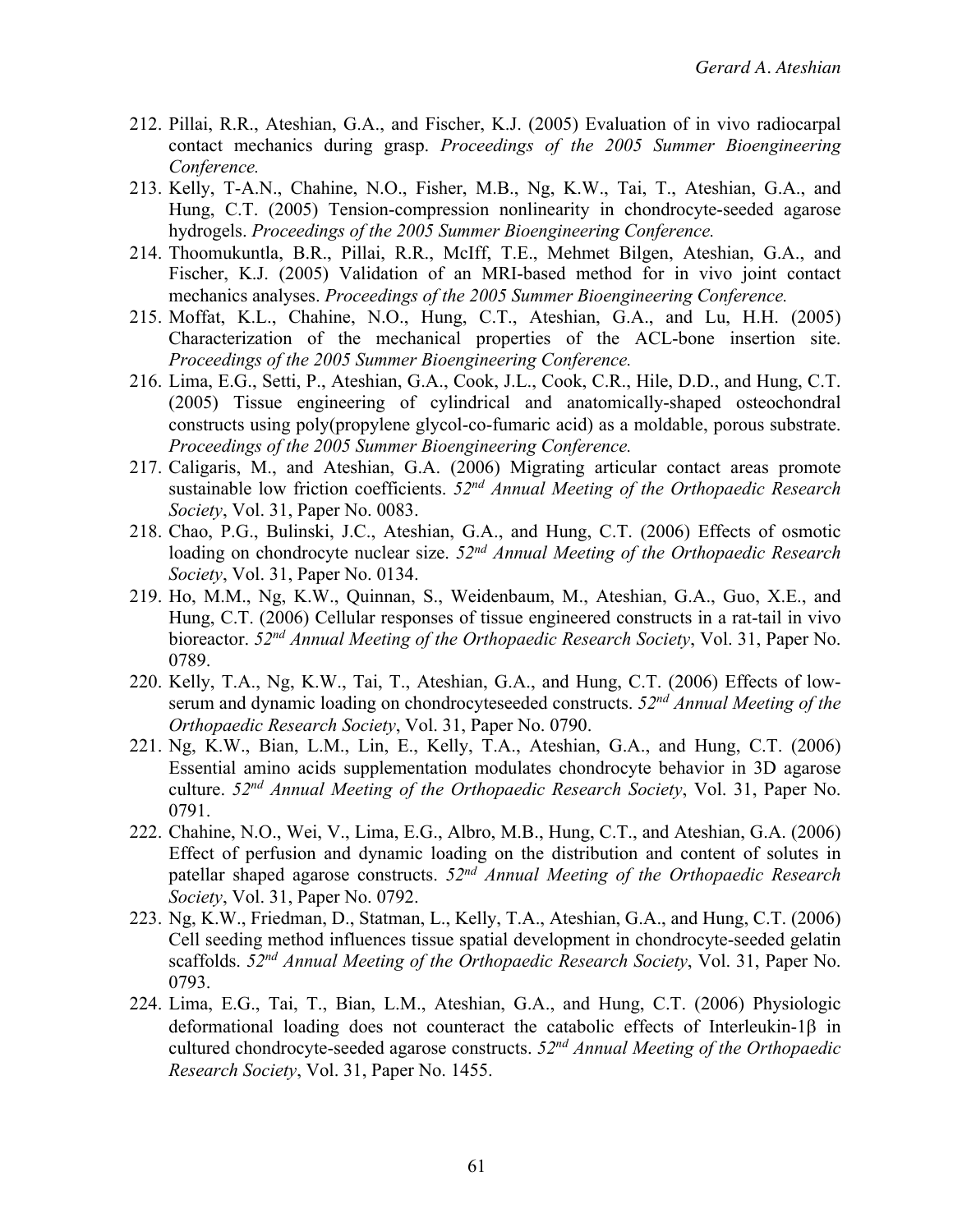- 212. Pillai, R.R., Ateshian, G.A., and Fischer, K.J. (2005) Evaluation of in vivo radiocarpal contact mechanics during grasp. *Proceedings of the 2005 Summer Bioengineering Conference.*
- 213. Kelly, T-A.N., Chahine, N.O., Fisher, M.B., Ng, K.W., Tai, T., Ateshian, G.A., and Hung, C.T. (2005) Tension-compression nonlinearity in chondrocyte-seeded agarose hydrogels. *Proceedings of the 2005 Summer Bioengineering Conference.*
- 214. Thoomukuntla, B.R., Pillai, R.R., McIff, T.E., Mehmet Bilgen, Ateshian, G.A., and Fischer, K.J. (2005) Validation of an MRI-based method for in vivo joint contact mechanics analyses. *Proceedings of the 2005 Summer Bioengineering Conference.*
- 215. Moffat, K.L., Chahine, N.O., Hung, C.T., Ateshian, G.A., and Lu, H.H. (2005) Characterization of the mechanical properties of the ACL-bone insertion site. *Proceedings of the 2005 Summer Bioengineering Conference.*
- 216. Lima, E.G., Setti, P., Ateshian, G.A., Cook, J.L., Cook, C.R., Hile, D.D., and Hung, C.T. (2005) Tissue engineering of cylindrical and anatomically-shaped osteochondral constructs using poly(propylene glycol-co-fumaric acid) as a moldable, porous substrate. *Proceedings of the 2005 Summer Bioengineering Conference.*
- 217. Caligaris, M., and Ateshian, G.A. (2006) Migrating articular contact areas promote sustainable low friction coefficients. *52nd Annual Meeting of the Orthopaedic Research Society*, Vol. 31, Paper No. 0083.
- 218. Chao, P.G., Bulinski, J.C., Ateshian, G.A., and Hung, C.T. (2006) Effects of osmotic loading on chondrocyte nuclear size. *52nd Annual Meeting of the Orthopaedic Research Society*, Vol. 31, Paper No. 0134.
- 219. Ho, M.M., Ng, K.W., Quinnan, S., Weidenbaum, M., Ateshian, G.A., Guo, X.E., and Hung, C.T. (2006) Cellular responses of tissue engineered constructs in a rat-tail in vivo bioreactor. *52nd Annual Meeting of the Orthopaedic Research Society*, Vol. 31, Paper No. 0789.
- 220. Kelly, T.A., Ng, K.W., Tai, T., Ateshian, G.A., and Hung, C.T. (2006) Effects of lowserum and dynamic loading on chondrocyteseeded constructs. *52nd Annual Meeting of the Orthopaedic Research Society*, Vol. 31, Paper No. 0790.
- 221. Ng, K.W., Bian, L.M., Lin, E., Kelly, T.A., Ateshian, G.A., and Hung, C.T. (2006) Essential amino acids supplementation modulates chondrocyte behavior in 3D agarose culture. *52nd Annual Meeting of the Orthopaedic Research Society*, Vol. 31, Paper No. 0791.
- 222. Chahine, N.O., Wei, V., Lima, E.G., Albro, M.B., Hung, C.T., and Ateshian, G.A. (2006) Effect of perfusion and dynamic loading on the distribution and content of solutes in patellar shaped agarose constructs. *52nd Annual Meeting of the Orthopaedic Research Society*, Vol. 31, Paper No. 0792.
- 223. Ng, K.W., Friedman, D., Statman, L., Kelly, T.A., Ateshian, G.A., and Hung, C.T. (2006) Cell seeding method influences tissue spatial development in chondrocyte-seeded gelatin scaffolds. *52nd Annual Meeting of the Orthopaedic Research Society*, Vol. 31, Paper No. 0793.
- 224. Lima, E.G., Tai, T., Bian, L.M., Ateshian, G.A., and Hung, C.T. (2006) Physiologic deformational loading does not counteract the catabolic effects of Interleukin-1 $\beta$  in cultured chondrocyte-seeded agarose constructs. *52nd Annual Meeting of the Orthopaedic Research Society*, Vol. 31, Paper No. 1455.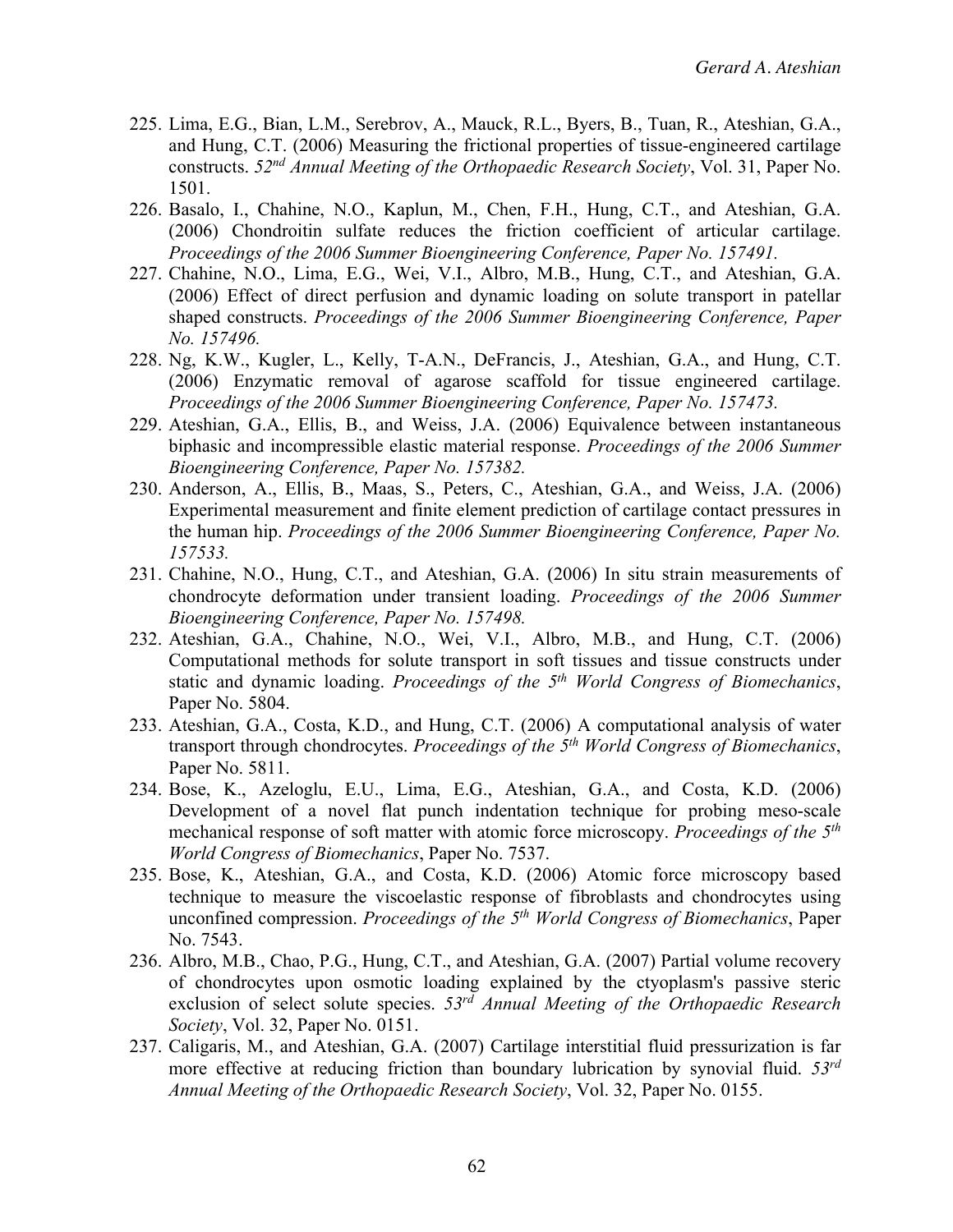- 225. Lima, E.G., Bian, L.M., Serebrov, A., Mauck, R.L., Byers, B., Tuan, R., Ateshian, G.A., and Hung, C.T. (2006) Measuring the frictional properties of tissue-engineered cartilage constructs. *52nd Annual Meeting of the Orthopaedic Research Society*, Vol. 31, Paper No. 1501.
- 226. Basalo, I., Chahine, N.O., Kaplun, M., Chen, F.H., Hung, C.T., and Ateshian, G.A. (2006) Chondroitin sulfate reduces the friction coefficient of articular cartilage. *Proceedings of the 2006 Summer Bioengineering Conference, Paper No. 157491.*
- 227. Chahine, N.O., Lima, E.G., Wei, V.I., Albro, M.B., Hung, C.T., and Ateshian, G.A. (2006) Effect of direct perfusion and dynamic loading on solute transport in patellar shaped constructs. *Proceedings of the 2006 Summer Bioengineering Conference, Paper No. 157496.*
- 228. Ng, K.W., Kugler, L., Kelly, T-A.N., DeFrancis, J., Ateshian, G.A., and Hung, C.T. (2006) Enzymatic removal of agarose scaffold for tissue engineered cartilage. *Proceedings of the 2006 Summer Bioengineering Conference, Paper No. 157473.*
- 229. Ateshian, G.A., Ellis, B., and Weiss, J.A. (2006) Equivalence between instantaneous biphasic and incompressible elastic material response. *Proceedings of the 2006 Summer Bioengineering Conference, Paper No. 157382.*
- 230. Anderson, A., Ellis, B., Maas, S., Peters, C., Ateshian, G.A., and Weiss, J.A. (2006) Experimental measurement and finite element prediction of cartilage contact pressures in the human hip. *Proceedings of the 2006 Summer Bioengineering Conference, Paper No. 157533.*
- 231. Chahine, N.O., Hung, C.T., and Ateshian, G.A. (2006) In situ strain measurements of chondrocyte deformation under transient loading. *Proceedings of the 2006 Summer Bioengineering Conference, Paper No. 157498.*
- 232. Ateshian, G.A., Chahine, N.O., Wei, V.I., Albro, M.B., and Hung, C.T. (2006) Computational methods for solute transport in soft tissues and tissue constructs under static and dynamic loading. *Proceedings of the 5th World Congress of Biomechanics*, Paper No. 5804.
- 233. Ateshian, G.A., Costa, K.D., and Hung, C.T. (2006) A computational analysis of water transport through chondrocytes. *Proceedings of the 5th World Congress of Biomechanics*, Paper No. 5811.
- 234. Bose, K., Azeloglu, E.U., Lima, E.G., Ateshian, G.A., and Costa, K.D. (2006) Development of a novel flat punch indentation technique for probing meso-scale mechanical response of soft matter with atomic force microscopy. *Proceedings of the 5th World Congress of Biomechanics*, Paper No. 7537.
- 235. Bose, K., Ateshian, G.A., and Costa, K.D. (2006) Atomic force microscopy based technique to measure the viscoelastic response of fibroblasts and chondrocytes using unconfined compression. *Proceedings of the 5th World Congress of Biomechanics*, Paper No. 7543.
- 236. Albro, M.B., Chao, P.G., Hung, C.T., and Ateshian, G.A. (2007) Partial volume recovery of chondrocytes upon osmotic loading explained by the ctyoplasm's passive steric exclusion of select solute species. *53rd Annual Meeting of the Orthopaedic Research Society*, Vol. 32, Paper No. 0151.
- 237. Caligaris, M., and Ateshian, G.A. (2007) Cartilage interstitial fluid pressurization is far more effective at reducing friction than boundary lubrication by synovial fluid. *53rd Annual Meeting of the Orthopaedic Research Society*, Vol. 32, Paper No. 0155.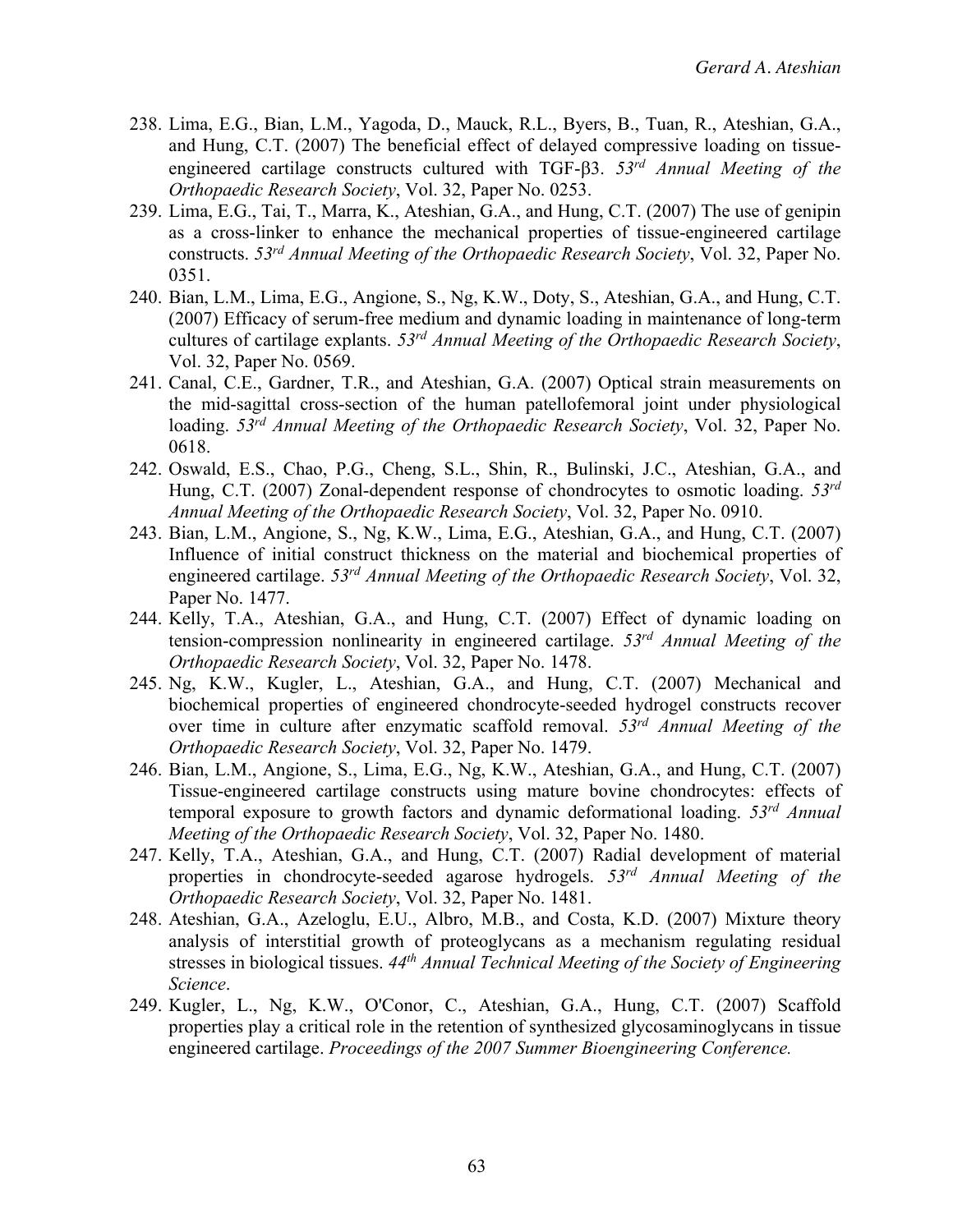- 238. Lima, E.G., Bian, L.M., Yagoda, D., Mauck, R.L., Byers, B., Tuan, R., Ateshian, G.A., and Hung, C.T. (2007) The beneficial effect of delayed compressive loading on tissueengineered cartilage constructs cultured with TGF-b3. *53rd Annual Meeting of the Orthopaedic Research Society*, Vol. 32, Paper No. 0253.
- 239. Lima, E.G., Tai, T., Marra, K., Ateshian, G.A., and Hung, C.T. (2007) The use of genipin as a cross-linker to enhance the mechanical properties of tissue-engineered cartilage constructs. *53rd Annual Meeting of the Orthopaedic Research Society*, Vol. 32, Paper No. 0351.
- 240. Bian, L.M., Lima, E.G., Angione, S., Ng, K.W., Doty, S., Ateshian, G.A., and Hung, C.T. (2007) Efficacy of serum-free medium and dynamic loading in maintenance of long-term cultures of cartilage explants. *53rd Annual Meeting of the Orthopaedic Research Society*, Vol. 32, Paper No. 0569.
- 241. Canal, C.E., Gardner, T.R., and Ateshian, G.A. (2007) Optical strain measurements on the mid-sagittal cross-section of the human patellofemoral joint under physiological loading. *53rd Annual Meeting of the Orthopaedic Research Society*, Vol. 32, Paper No. 0618.
- 242. Oswald, E.S., Chao, P.G., Cheng, S.L., Shin, R., Bulinski, J.C., Ateshian, G.A., and Hung, C.T. (2007) Zonal-dependent response of chondrocytes to osmotic loading. *53rd Annual Meeting of the Orthopaedic Research Society*, Vol. 32, Paper No. 0910.
- 243. Bian, L.M., Angione, S., Ng, K.W., Lima, E.G., Ateshian, G.A., and Hung, C.T. (2007) Influence of initial construct thickness on the material and biochemical properties of engineered cartilage. *53rd Annual Meeting of the Orthopaedic Research Society*, Vol. 32, Paper No. 1477.
- 244. Kelly, T.A., Ateshian, G.A., and Hung, C.T. (2007) Effect of dynamic loading on tension-compression nonlinearity in engineered cartilage. *53rd Annual Meeting of the Orthopaedic Research Society*, Vol. 32, Paper No. 1478.
- 245. Ng, K.W., Kugler, L., Ateshian, G.A., and Hung, C.T. (2007) Mechanical and biochemical properties of engineered chondrocyte-seeded hydrogel constructs recover over time in culture after enzymatic scaffold removal. *53rd Annual Meeting of the Orthopaedic Research Society*, Vol. 32, Paper No. 1479.
- 246. Bian, L.M., Angione, S., Lima, E.G., Ng, K.W., Ateshian, G.A., and Hung, C.T. (2007) Tissue-engineered cartilage constructs using mature bovine chondrocytes: effects of temporal exposure to growth factors and dynamic deformational loading. *53rd Annual Meeting of the Orthopaedic Research Society*, Vol. 32, Paper No. 1480.
- 247. Kelly, T.A., Ateshian, G.A., and Hung, C.T. (2007) Radial development of material properties in chondrocyte-seeded agarose hydrogels. *53rd Annual Meeting of the Orthopaedic Research Society*, Vol. 32, Paper No. 1481.
- 248. Ateshian, G.A., Azeloglu, E.U., Albro, M.B., and Costa, K.D. (2007) Mixture theory analysis of interstitial growth of proteoglycans as a mechanism regulating residual stresses in biological tissues. *44th Annual Technical Meeting of the Society of Engineering Science*.
- 249. Kugler, L., Ng, K.W., O'Conor, C., Ateshian, G.A., Hung, C.T. (2007) Scaffold properties play a critical role in the retention of synthesized glycosaminoglycans in tissue engineered cartilage. *Proceedings of the 2007 Summer Bioengineering Conference.*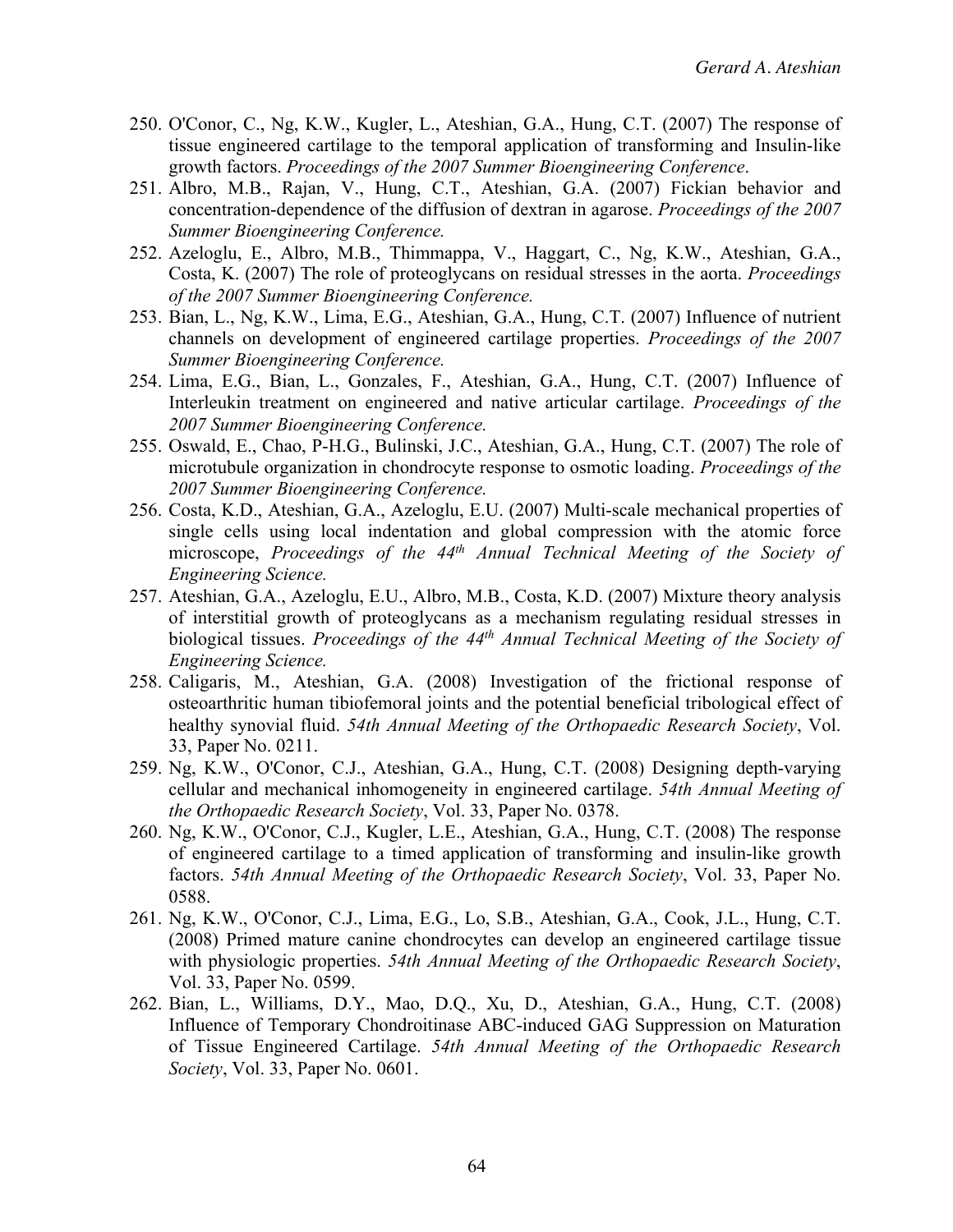- 250. O'Conor, C., Ng, K.W., Kugler, L., Ateshian, G.A., Hung, C.T. (2007) The response of tissue engineered cartilage to the temporal application of transforming and Insulin-like growth factors. *Proceedings of the 2007 Summer Bioengineering Conference*.
- 251. Albro, M.B., Rajan, V., Hung, C.T., Ateshian, G.A. (2007) Fickian behavior and concentration-dependence of the diffusion of dextran in agarose. *Proceedings of the 2007 Summer Bioengineering Conference.*
- 252. Azeloglu, E., Albro, M.B., Thimmappa, V., Haggart, C., Ng, K.W., Ateshian, G.A., Costa, K. (2007) The role of proteoglycans on residual stresses in the aorta. *Proceedings of the 2007 Summer Bioengineering Conference.*
- 253. Bian, L., Ng, K.W., Lima, E.G., Ateshian, G.A., Hung, C.T. (2007) Influence of nutrient channels on development of engineered cartilage properties. *Proceedings of the 2007 Summer Bioengineering Conference.*
- 254. Lima, E.G., Bian, L., Gonzales, F., Ateshian, G.A., Hung, C.T. (2007) Influence of Interleukin treatment on engineered and native articular cartilage. *Proceedings of the 2007 Summer Bioengineering Conference.*
- 255. Oswald, E., Chao, P-H.G., Bulinski, J.C., Ateshian, G.A., Hung, C.T. (2007) The role of microtubule organization in chondrocyte response to osmotic loading. *Proceedings of the 2007 Summer Bioengineering Conference.*
- 256. Costa, K.D., Ateshian, G.A., Azeloglu, E.U. (2007) Multi-scale mechanical properties of single cells using local indentation and global compression with the atomic force microscope, *Proceedings of the 44th Annual Technical Meeting of the Society of Engineering Science.*
- 257. Ateshian, G.A., Azeloglu, E.U., Albro, M.B., Costa, K.D. (2007) Mixture theory analysis of interstitial growth of proteoglycans as a mechanism regulating residual stresses in biological tissues. *Proceedings of the 44th Annual Technical Meeting of the Society of Engineering Science.*
- 258. Caligaris, M., Ateshian, G.A. (2008) Investigation of the frictional response of osteoarthritic human tibiofemoral joints and the potential beneficial tribological effect of healthy synovial fluid. *54th Annual Meeting of the Orthopaedic Research Society*, Vol. 33, Paper No. 0211.
- 259. Ng, K.W., O'Conor, C.J., Ateshian, G.A., Hung, C.T. (2008) Designing depth-varying cellular and mechanical inhomogeneity in engineered cartilage. *54th Annual Meeting of the Orthopaedic Research Society*, Vol. 33, Paper No. 0378.
- 260. Ng, K.W., O'Conor, C.J., Kugler, L.E., Ateshian, G.A., Hung, C.T. (2008) The response of engineered cartilage to a timed application of transforming and insulin-like growth factors. *54th Annual Meeting of the Orthopaedic Research Society*, Vol. 33, Paper No. 0588.
- 261. Ng, K.W., O'Conor, C.J., Lima, E.G., Lo, S.B., Ateshian, G.A., Cook, J.L., Hung, C.T. (2008) Primed mature canine chondrocytes can develop an engineered cartilage tissue with physiologic properties. *54th Annual Meeting of the Orthopaedic Research Society*, Vol. 33, Paper No. 0599.
- 262. Bian, L., Williams, D.Y., Mao, D.Q., Xu, D., Ateshian, G.A., Hung, C.T. (2008) Influence of Temporary Chondroitinase ABC-induced GAG Suppression on Maturation of Tissue Engineered Cartilage. *54th Annual Meeting of the Orthopaedic Research Society*, Vol. 33, Paper No. 0601.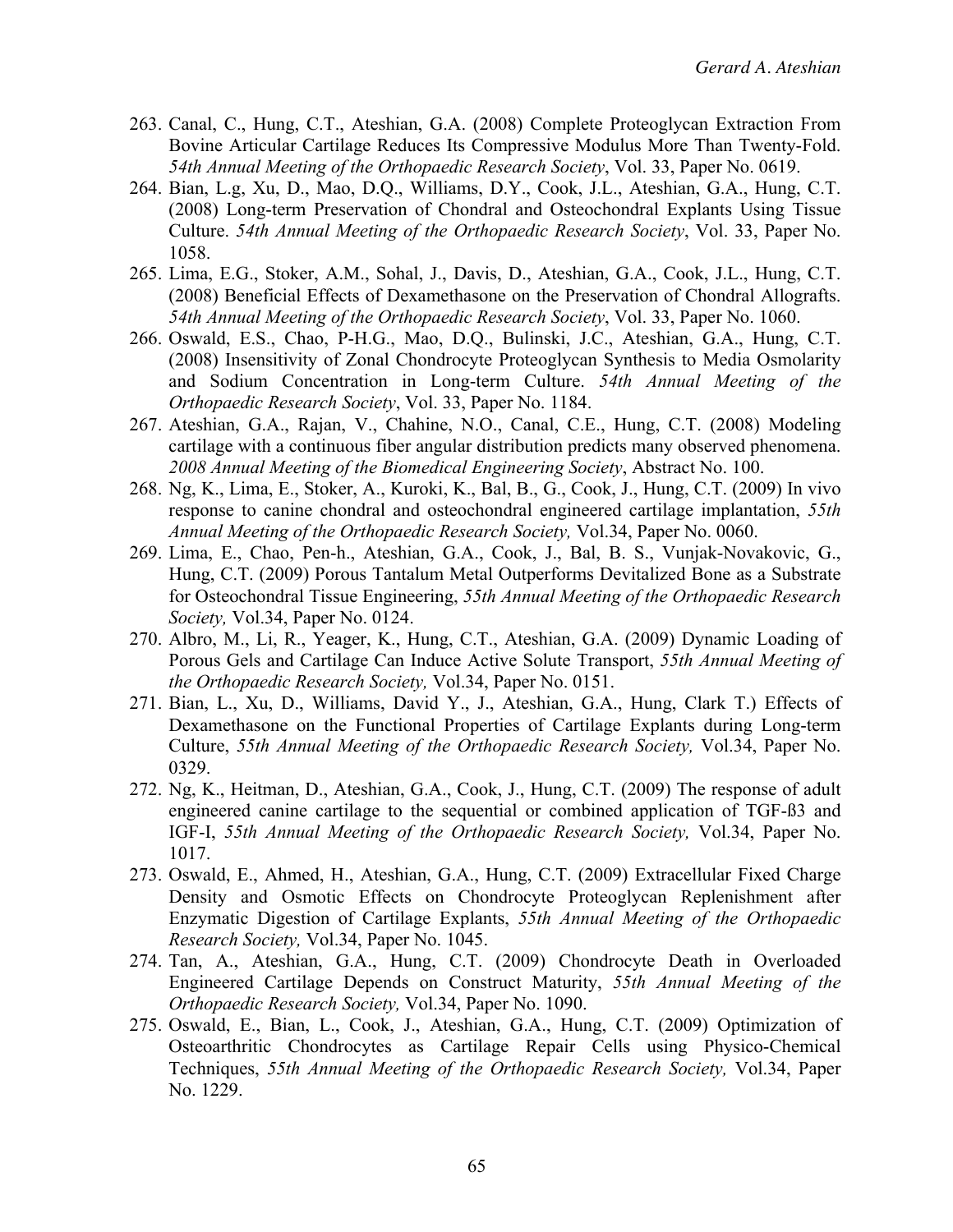- 263. Canal, C., Hung, C.T., Ateshian, G.A. (2008) Complete Proteoglycan Extraction From Bovine Articular Cartilage Reduces Its Compressive Modulus More Than Twenty-Fold. *54th Annual Meeting of the Orthopaedic Research Society*, Vol. 33, Paper No. 0619.
- 264. Bian, L.g, Xu, D., Mao, D.Q., Williams, D.Y., Cook, J.L., Ateshian, G.A., Hung, C.T. (2008) Long-term Preservation of Chondral and Osteochondral Explants Using Tissue Culture. *54th Annual Meeting of the Orthopaedic Research Society*, Vol. 33, Paper No. 1058.
- 265. Lima, E.G., Stoker, A.M., Sohal, J., Davis, D., Ateshian, G.A., Cook, J.L., Hung, C.T. (2008) Beneficial Effects of Dexamethasone on the Preservation of Chondral Allografts. *54th Annual Meeting of the Orthopaedic Research Society*, Vol. 33, Paper No. 1060.
- 266. Oswald, E.S., Chao, P-H.G., Mao, D.Q., Bulinski, J.C., Ateshian, G.A., Hung, C.T. (2008) Insensitivity of Zonal Chondrocyte Proteoglycan Synthesis to Media Osmolarity and Sodium Concentration in Long-term Culture. *54th Annual Meeting of the Orthopaedic Research Society*, Vol. 33, Paper No. 1184.
- 267. Ateshian, G.A., Rajan, V., Chahine, N.O., Canal, C.E., Hung, C.T. (2008) Modeling cartilage with a continuous fiber angular distribution predicts many observed phenomena. *2008 Annual Meeting of the Biomedical Engineering Society*, Abstract No. 100.
- 268. Ng, K., Lima, E., Stoker, A., Kuroki, K., Bal, B., G., Cook, J., Hung, C.T. (2009) In vivo response to canine chondral and osteochondral engineered cartilage implantation, *55th Annual Meeting of the Orthopaedic Research Society,* Vol.34, Paper No. 0060.
- 269. Lima, E., Chao, Pen-h., Ateshian, G.A., Cook, J., Bal, B. S., Vunjak-Novakovic, G., Hung, C.T. (2009) Porous Tantalum Metal Outperforms Devitalized Bone as a Substrate for Osteochondral Tissue Engineering, *55th Annual Meeting of the Orthopaedic Research Society,* Vol.34, Paper No. 0124.
- 270. Albro, M., Li, R., Yeager, K., Hung, C.T., Ateshian, G.A. (2009) Dynamic Loading of Porous Gels and Cartilage Can Induce Active Solute Transport, *55th Annual Meeting of the Orthopaedic Research Society,* Vol.34, Paper No. 0151.
- 271. Bian, L., Xu, D., Williams, David Y., J., Ateshian, G.A., Hung, Clark T.) Effects of Dexamethasone on the Functional Properties of Cartilage Explants during Long-term Culture, *55th Annual Meeting of the Orthopaedic Research Society,* Vol.34, Paper No. 0329.
- 272. Ng, K., Heitman, D., Ateshian, G.A., Cook, J., Hung, C.T. (2009) The response of adult engineered canine cartilage to the sequential or combined application of TGF-ß3 and IGF-I, *55th Annual Meeting of the Orthopaedic Research Society,* Vol.34, Paper No. 1017.
- 273. Oswald, E., Ahmed, H., Ateshian, G.A., Hung, C.T. (2009) Extracellular Fixed Charge Density and Osmotic Effects on Chondrocyte Proteoglycan Replenishment after Enzymatic Digestion of Cartilage Explants, *55th Annual Meeting of the Orthopaedic Research Society,* Vol.34, Paper No. 1045.
- 274. Tan, A., Ateshian, G.A., Hung, C.T. (2009) Chondrocyte Death in Overloaded Engineered Cartilage Depends on Construct Maturity, *55th Annual Meeting of the Orthopaedic Research Society,* Vol.34, Paper No. 1090.
- 275. Oswald, E., Bian, L., Cook, J., Ateshian, G.A., Hung, C.T. (2009) Optimization of Osteoarthritic Chondrocytes as Cartilage Repair Cells using Physico-Chemical Techniques, *55th Annual Meeting of the Orthopaedic Research Society,* Vol.34, Paper No. 1229.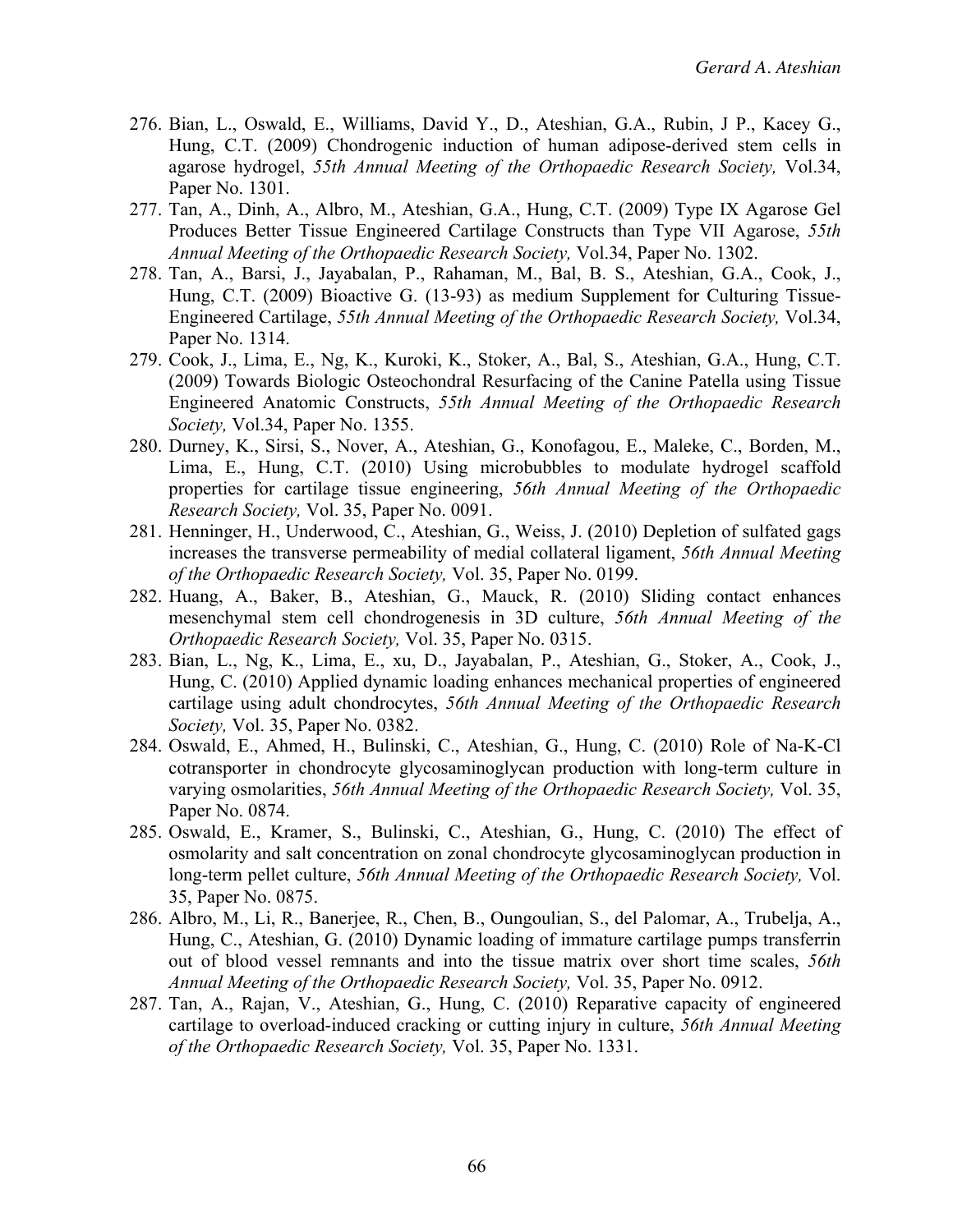- 276. Bian, L., Oswald, E., Williams, David Y., D., Ateshian, G.A., Rubin, J P., Kacey G., Hung, C.T. (2009) Chondrogenic induction of human adipose-derived stem cells in agarose hydrogel, *55th Annual Meeting of the Orthopaedic Research Society,* Vol.34, Paper No. 1301.
- 277. Tan, A., Dinh, A., Albro, M., Ateshian, G.A., Hung, C.T. (2009) Type IX Agarose Gel Produces Better Tissue Engineered Cartilage Constructs than Type VII Agarose, *55th Annual Meeting of the Orthopaedic Research Society,* Vol.34, Paper No. 1302.
- 278. Tan, A., Barsi, J., Jayabalan, P., Rahaman, M., Bal, B. S., Ateshian, G.A., Cook, J., Hung, C.T. (2009) Bioactive G. (13-93) as medium Supplement for Culturing Tissue-Engineered Cartilage, *55th Annual Meeting of the Orthopaedic Research Society,* Vol.34, Paper No. 1314.
- 279. Cook, J., Lima, E., Ng, K., Kuroki, K., Stoker, A., Bal, S., Ateshian, G.A., Hung, C.T. (2009) Towards Biologic Osteochondral Resurfacing of the Canine Patella using Tissue Engineered Anatomic Constructs, *55th Annual Meeting of the Orthopaedic Research Society,* Vol.34, Paper No. 1355.
- 280. Durney, K., Sirsi, S., Nover, A., Ateshian, G., Konofagou, E., Maleke, C., Borden, M., Lima, E., Hung, C.T. (2010) Using microbubbles to modulate hydrogel scaffold properties for cartilage tissue engineering, *56th Annual Meeting of the Orthopaedic Research Society,* Vol. 35, Paper No. 0091.
- 281. Henninger, H., Underwood, C., Ateshian, G., Weiss, J. (2010) Depletion of sulfated gags increases the transverse permeability of medial collateral ligament, *56th Annual Meeting of the Orthopaedic Research Society,* Vol. 35, Paper No. 0199.
- 282. Huang, A., Baker, B., Ateshian, G., Mauck, R. (2010) Sliding contact enhances mesenchymal stem cell chondrogenesis in 3D culture, *56th Annual Meeting of the Orthopaedic Research Society,* Vol. 35, Paper No. 0315.
- 283. Bian, L., Ng, K., Lima, E., xu, D., Jayabalan, P., Ateshian, G., Stoker, A., Cook, J., Hung, C. (2010) Applied dynamic loading enhances mechanical properties of engineered cartilage using adult chondrocytes, *56th Annual Meeting of the Orthopaedic Research Society,* Vol. 35, Paper No. 0382.
- 284. Oswald, E., Ahmed, H., Bulinski, C., Ateshian, G., Hung, C. (2010) Role of Na-K-Cl cotransporter in chondrocyte glycosaminoglycan production with long-term culture in varying osmolarities, *56th Annual Meeting of the Orthopaedic Research Society,* Vol. 35, Paper No. 0874.
- 285. Oswald, E., Kramer, S., Bulinski, C., Ateshian, G., Hung, C. (2010) The effect of osmolarity and salt concentration on zonal chondrocyte glycosaminoglycan production in long-term pellet culture, *56th Annual Meeting of the Orthopaedic Research Society,* Vol. 35, Paper No. 0875.
- 286. Albro, M., Li, R., Banerjee, R., Chen, B., Oungoulian, S., del Palomar, A., Trubelja, A., Hung, C., Ateshian, G. (2010) Dynamic loading of immature cartilage pumps transferrin out of blood vessel remnants and into the tissue matrix over short time scales, *56th Annual Meeting of the Orthopaedic Research Society,* Vol. 35, Paper No. 0912.
- 287. Tan, A., Rajan, V., Ateshian, G., Hung, C. (2010) Reparative capacity of engineered cartilage to overload-induced cracking or cutting injury in culture, *56th Annual Meeting of the Orthopaedic Research Society,* Vol. 35, Paper No. 1331.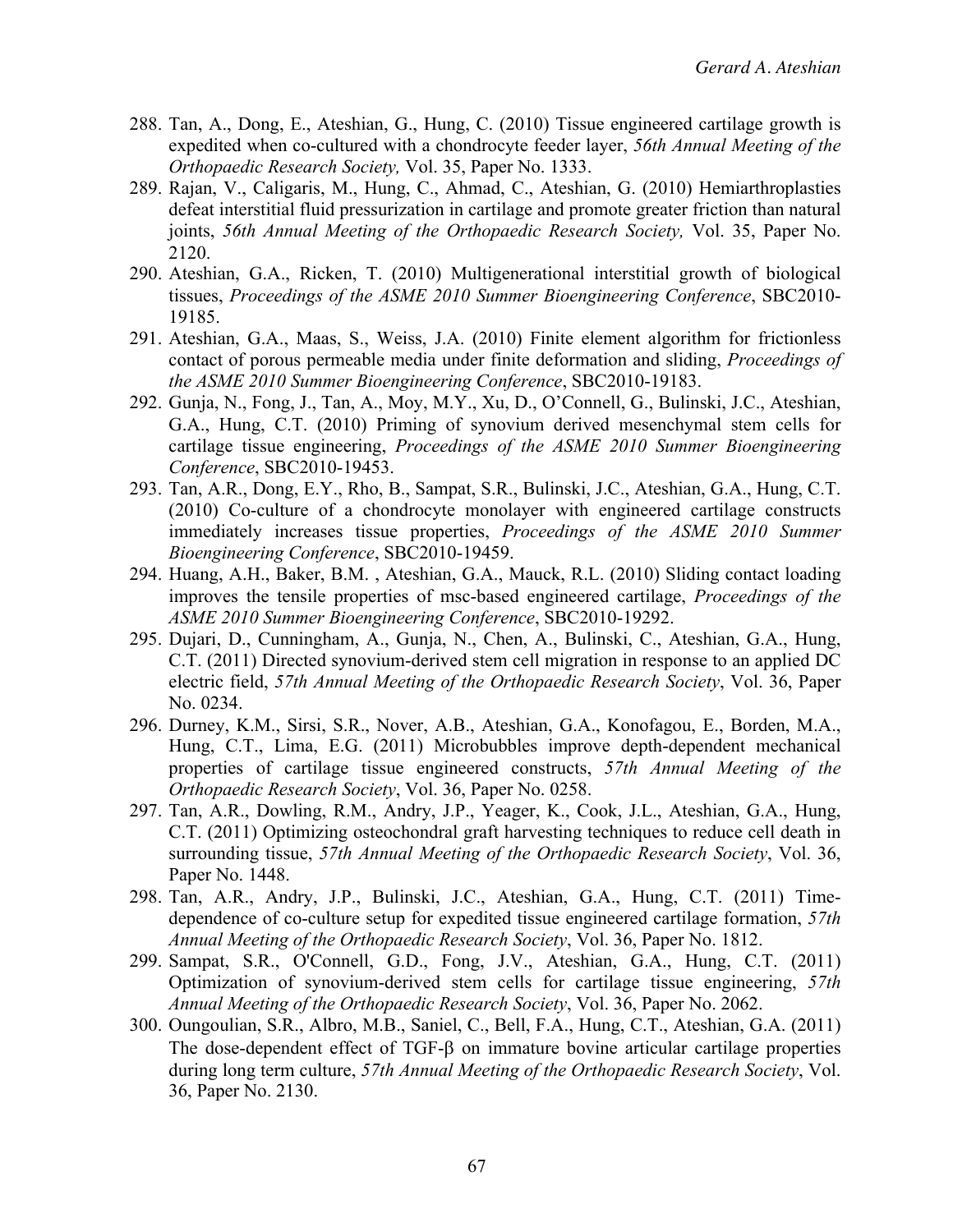- 288. Tan, A., Dong, E., Ateshian, G., Hung, C. (2010) Tissue engineered cartilage growth is expedited when co-cultured with a chondrocyte feeder layer, *56th Annual Meeting of the Orthopaedic Research Society,* Vol. 35, Paper No. 1333.
- 289. Rajan, V., Caligaris, M., Hung, C., Ahmad, C., Ateshian, G. (2010) Hemiarthroplasties defeat interstitial fluid pressurization in cartilage and promote greater friction than natural joints, *56th Annual Meeting of the Orthopaedic Research Society,* Vol. 35, Paper No. 2120.
- 290. Ateshian, G.A., Ricken, T. (2010) Multigenerational interstitial growth of biological tissues, *Proceedings of the ASME 2010 Summer Bioengineering Conference*, SBC2010- 19185.
- 291. Ateshian, G.A., Maas, S., Weiss, J.A. (2010) Finite element algorithm for frictionless contact of porous permeable media under finite deformation and sliding, *Proceedings of the ASME 2010 Summer Bioengineering Conference*, SBC2010-19183.
- 292. Gunja, N., Fong, J., Tan, A., Moy, M.Y., Xu, D., O'Connell, G., Bulinski, J.C., Ateshian, G.A., Hung, C.T. (2010) Priming of synovium derived mesenchymal stem cells for cartilage tissue engineering, *Proceedings of the ASME 2010 Summer Bioengineering Conference*, SBC2010-19453.
- 293. Tan, A.R., Dong, E.Y., Rho, B., Sampat, S.R., Bulinski, J.C., Ateshian, G.A., Hung, C.T. (2010) Co-culture of a chondrocyte monolayer with engineered cartilage constructs immediately increases tissue properties, *Proceedings of the ASME 2010 Summer Bioengineering Conference*, SBC2010-19459.
- 294. Huang, A.H., Baker, B.M. , Ateshian, G.A., Mauck, R.L. (2010) Sliding contact loading improves the tensile properties of msc-based engineered cartilage, *Proceedings of the ASME 2010 Summer Bioengineering Conference*, SBC2010-19292.
- 295. Dujari, D., Cunningham, A., Gunja, N., Chen, A., Bulinski, C., Ateshian, G.A., Hung, C.T. (2011) Directed synovium-derived stem cell migration in response to an applied DC electric field, *57th Annual Meeting of the Orthopaedic Research Society*, Vol. 36, Paper No. 0234.
- 296. Durney, K.M., Sirsi, S.R., Nover, A.B., Ateshian, G.A., Konofagou, E., Borden, M.A., Hung, C.T., Lima, E.G. (2011) Microbubbles improve depth-dependent mechanical properties of cartilage tissue engineered constructs, *57th Annual Meeting of the Orthopaedic Research Society*, Vol. 36, Paper No. 0258.
- 297. Tan, A.R., Dowling, R.M., Andry, J.P., Yeager, K., Cook, J.L., Ateshian, G.A., Hung, C.T. (2011) Optimizing osteochondral graft harvesting techniques to reduce cell death in surrounding tissue, *57th Annual Meeting of the Orthopaedic Research Society*, Vol. 36, Paper No. 1448.
- 298. Tan, A.R., Andry, J.P., Bulinski, J.C., Ateshian, G.A., Hung, C.T. (2011) Timedependence of co-culture setup for expedited tissue engineered cartilage formation, *57th Annual Meeting of the Orthopaedic Research Society*, Vol. 36, Paper No. 1812.
- 299. Sampat, S.R., O'Connell, G.D., Fong, J.V., Ateshian, G.A., Hung, C.T. (2011) Optimization of synovium-derived stem cells for cartilage tissue engineering, *57th Annual Meeting of the Orthopaedic Research Society*, Vol. 36, Paper No. 2062.
- 300. Oungoulian, S.R., Albro, M.B., Saniel, C., Bell, F.A., Hung, C.T., Ateshian, G.A. (2011) The dose-dependent effect of  $TGF- $\beta$  on immature bovine articular cartilage properties$ during long term culture, *57th Annual Meeting of the Orthopaedic Research Society*, Vol. 36, Paper No. 2130.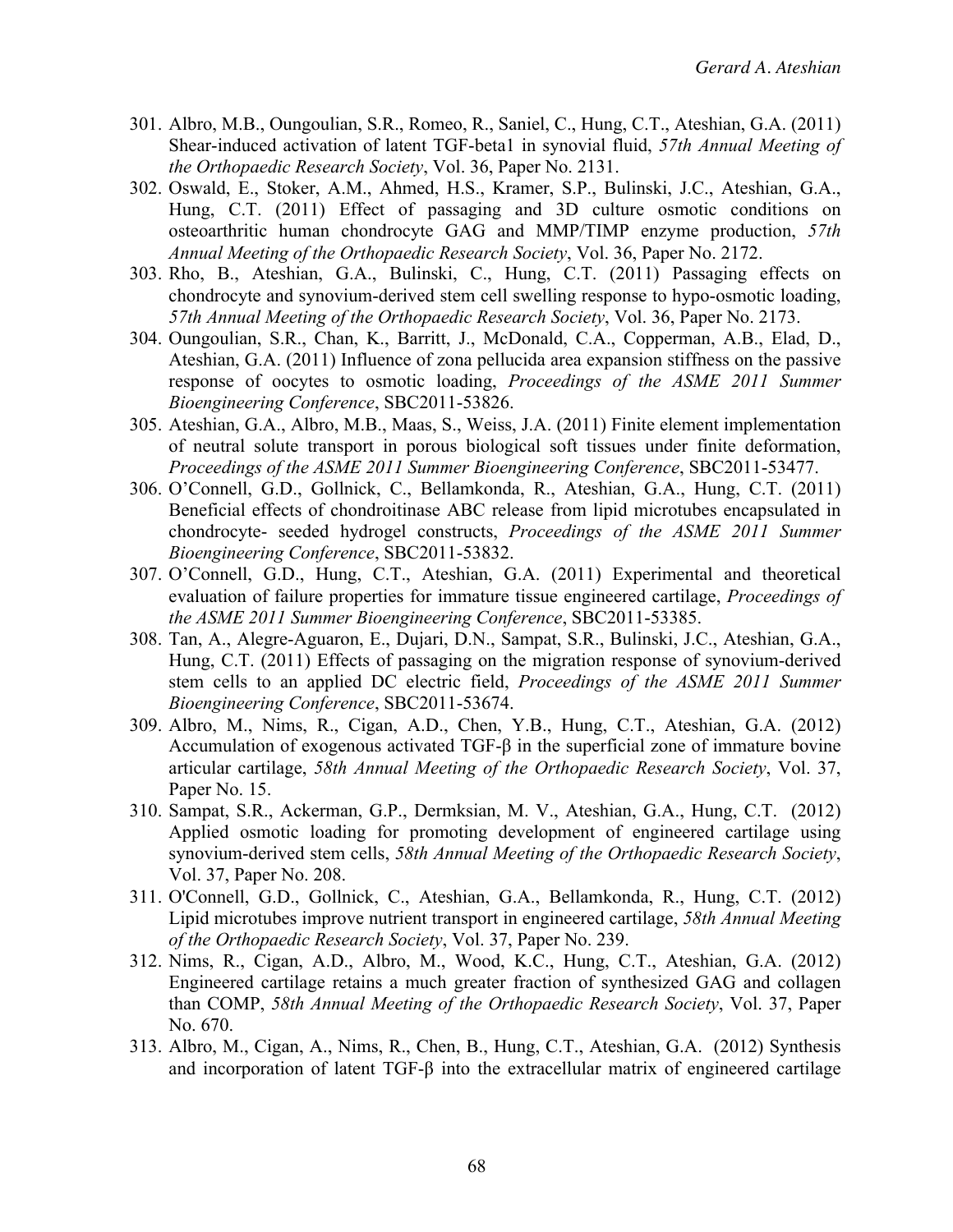- 301. Albro, M.B., Oungoulian, S.R., Romeo, R., Saniel, C., Hung, C.T., Ateshian, G.A. (2011) Shear-induced activation of latent TGF-beta1 in synovial fluid, *57th Annual Meeting of the Orthopaedic Research Society*, Vol. 36, Paper No. 2131.
- 302. Oswald, E., Stoker, A.M., Ahmed, H.S., Kramer, S.P., Bulinski, J.C., Ateshian, G.A., Hung, C.T. (2011) Effect of passaging and 3D culture osmotic conditions on osteoarthritic human chondrocyte GAG and MMP/TIMP enzyme production, *57th Annual Meeting of the Orthopaedic Research Society*, Vol. 36, Paper No. 2172.
- 303. Rho, B., Ateshian, G.A., Bulinski, C., Hung, C.T. (2011) Passaging effects on chondrocyte and synovium-derived stem cell swelling response to hypo-osmotic loading, *57th Annual Meeting of the Orthopaedic Research Society*, Vol. 36, Paper No. 2173.
- 304. Oungoulian, S.R., Chan, K., Barritt, J., McDonald, C.A., Copperman, A.B., Elad, D., Ateshian, G.A. (2011) Influence of zona pellucida area expansion stiffness on the passive response of oocytes to osmotic loading, *Proceedings of the ASME 2011 Summer Bioengineering Conference*, SBC2011-53826.
- 305. Ateshian, G.A., Albro, M.B., Maas, S., Weiss, J.A. (2011) Finite element implementation of neutral solute transport in porous biological soft tissues under finite deformation, *Proceedings of the ASME 2011 Summer Bioengineering Conference*, SBC2011-53477.
- 306. O'Connell, G.D., Gollnick, C., Bellamkonda, R., Ateshian, G.A., Hung, C.T. (2011) Beneficial effects of chondroitinase ABC release from lipid microtubes encapsulated in chondrocyte- seeded hydrogel constructs, *Proceedings of the ASME 2011 Summer Bioengineering Conference*, SBC2011-53832.
- 307. O'Connell, G.D., Hung, C.T., Ateshian, G.A. (2011) Experimental and theoretical evaluation of failure properties for immature tissue engineered cartilage, *Proceedings of the ASME 2011 Summer Bioengineering Conference*, SBC2011-53385.
- 308. Tan, A., Alegre-Aguaron, E., Dujari, D.N., Sampat, S.R., Bulinski, J.C., Ateshian, G.A., Hung, C.T. (2011) Effects of passaging on the migration response of synovium-derived stem cells to an applied DC electric field, *Proceedings of the ASME 2011 Summer Bioengineering Conference*, SBC2011-53674.
- 309. Albro, M., Nims, R., Cigan, A.D., Chen, Y.B., Hung, C.T., Ateshian, G.A. (2012) Accumulation of exogenous activated TGF-β in the superficial zone of immature bovine articular cartilage, *58th Annual Meeting of the Orthopaedic Research Society*, Vol. 37, Paper No. 15.
- 310. Sampat, S.R., Ackerman, G.P., Dermksian, M. V., Ateshian, G.A., Hung, C.T. (2012) Applied osmotic loading for promoting development of engineered cartilage using synovium-derived stem cells, *58th Annual Meeting of the Orthopaedic Research Society*, Vol. 37, Paper No. 208.
- 311. O'Connell, G.D., Gollnick, C., Ateshian, G.A., Bellamkonda, R., Hung, C.T. (2012) Lipid microtubes improve nutrient transport in engineered cartilage, *58th Annual Meeting of the Orthopaedic Research Society*, Vol. 37, Paper No. 239.
- 312. Nims, R., Cigan, A.D., Albro, M., Wood, K.C., Hung, C.T., Ateshian, G.A. (2012) Engineered cartilage retains a much greater fraction of synthesized GAG and collagen than COMP, *58th Annual Meeting of the Orthopaedic Research Society*, Vol. 37, Paper No. 670.
- 313. Albro, M., Cigan, A., Nims, R., Chen, B., Hung, C.T., Ateshian, G.A. (2012) Synthesis and incorporation of latent TGF-β into the extracellular matrix of engineered cartilage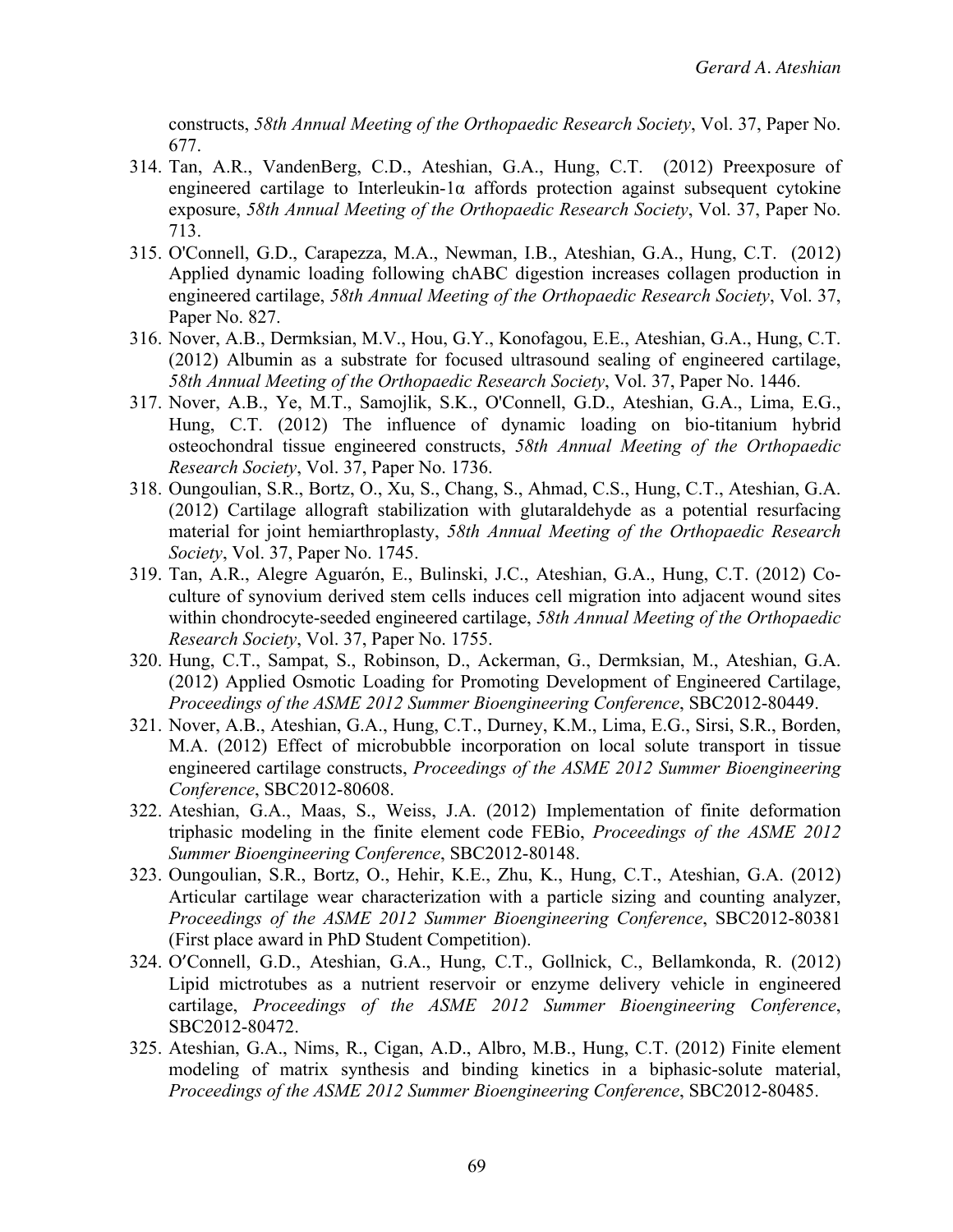constructs, *58th Annual Meeting of the Orthopaedic Research Society*, Vol. 37, Paper No. 677.

- 314. Tan, A.R., VandenBerg, C.D., Ateshian, G.A., Hung, C.T. (2012) Preexposure of engineered cartilage to Interleukin-1α affords protection against subsequent cytokine exposure, *58th Annual Meeting of the Orthopaedic Research Society*, Vol. 37, Paper No. 713.
- 315. O'Connell, G.D., Carapezza, M.A., Newman, I.B., Ateshian, G.A., Hung, C.T. (2012) Applied dynamic loading following chABC digestion increases collagen production in engineered cartilage, *58th Annual Meeting of the Orthopaedic Research Society*, Vol. 37, Paper No. 827.
- 316. Nover, A.B., Dermksian, M.V., Hou, G.Y., Konofagou, E.E., Ateshian, G.A., Hung, C.T. (2012) Albumin as a substrate for focused ultrasound sealing of engineered cartilage, *58th Annual Meeting of the Orthopaedic Research Society*, Vol. 37, Paper No. 1446.
- 317. Nover, A.B., Ye, M.T., Samojlik, S.K., O'Connell, G.D., Ateshian, G.A., Lima, E.G., Hung, C.T. (2012) The influence of dynamic loading on bio-titanium hybrid osteochondral tissue engineered constructs, *58th Annual Meeting of the Orthopaedic Research Society*, Vol. 37, Paper No. 1736.
- 318. Oungoulian, S.R., Bortz, O., Xu, S., Chang, S., Ahmad, C.S., Hung, C.T., Ateshian, G.A. (2012) Cartilage allograft stabilization with glutaraldehyde as a potential resurfacing material for joint hemiarthroplasty, *58th Annual Meeting of the Orthopaedic Research Society*, Vol. 37, Paper No. 1745.
- 319. Tan, A.R., Alegre Aguarón, E., Bulinski, J.C., Ateshian, G.A., Hung, C.T. (2012) Coculture of synovium derived stem cells induces cell migration into adjacent wound sites within chondrocyte-seeded engineered cartilage, *58th Annual Meeting of the Orthopaedic Research Society*, Vol. 37, Paper No. 1755.
- 320. Hung, C.T., Sampat, S., Robinson, D., Ackerman, G., Dermksian, M., Ateshian, G.A. (2012) Applied Osmotic Loading for Promoting Development of Engineered Cartilage, *Proceedings of the ASME 2012 Summer Bioengineering Conference*, SBC2012-80449.
- 321. Nover, A.B., Ateshian, G.A., Hung, C.T., Durney, K.M., Lima, E.G., Sirsi, S.R., Borden, M.A. (2012) Effect of microbubble incorporation on local solute transport in tissue engineered cartilage constructs, *Proceedings of the ASME 2012 Summer Bioengineering Conference*, SBC2012-80608.
- 322. Ateshian, G.A., Maas, S., Weiss, J.A. (2012) Implementation of finite deformation triphasic modeling in the finite element code FEBio, *Proceedings of the ASME 2012 Summer Bioengineering Conference*, SBC2012-80148.
- 323. Oungoulian, S.R., Bortz, O., Hehir, K.E., Zhu, K., Hung, C.T., Ateshian, G.A. (2012) Articular cartilage wear characterization with a particle sizing and counting analyzer, *Proceedings of the ASME 2012 Summer Bioengineering Conference*, SBC2012-80381 (First place award in PhD Student Competition).
- 324. O'Connell, G.D., Ateshian, G.A., Hung, C.T., Gollnick, C., Bellamkonda, R. (2012) Lipid mictrotubes as a nutrient reservoir or enzyme delivery vehicle in engineered cartilage, *Proceedings of the ASME 2012 Summer Bioengineering Conference*, SBC2012-80472.
- 325. Ateshian, G.A., Nims, R., Cigan, A.D., Albro, M.B., Hung, C.T. (2012) Finite element modeling of matrix synthesis and binding kinetics in a biphasic-solute material, *Proceedings of the ASME 2012 Summer Bioengineering Conference*, SBC2012-80485.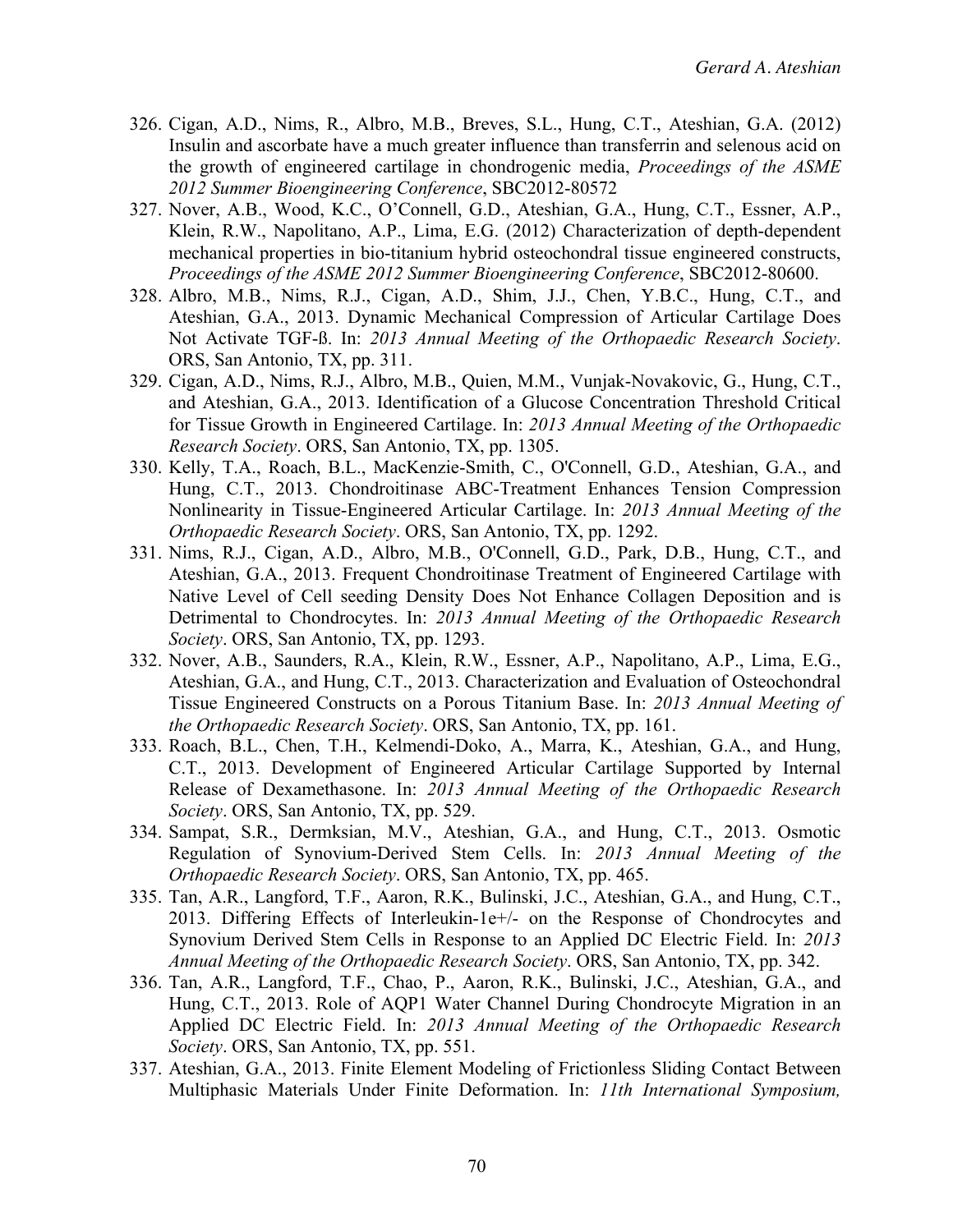- 326. Cigan, A.D., Nims, R., Albro, M.B., Breves, S.L., Hung, C.T., Ateshian, G.A. (2012) Insulin and ascorbate have a much greater influence than transferrin and selenous acid on the growth of engineered cartilage in chondrogenic media, *Proceedings of the ASME 2012 Summer Bioengineering Conference*, SBC2012-80572
- 327. Nover, A.B., Wood, K.C., O'Connell, G.D., Ateshian, G.A., Hung, C.T., Essner, A.P., Klein, R.W., Napolitano, A.P., Lima, E.G. (2012) Characterization of depth-dependent mechanical properties in bio-titanium hybrid osteochondral tissue engineered constructs, *Proceedings of the ASME 2012 Summer Bioengineering Conference*, SBC2012-80600.
- 328. Albro, M.B., Nims, R.J., Cigan, A.D., Shim, J.J., Chen, Y.B.C., Hung, C.T., and Ateshian, G.A., 2013. Dynamic Mechanical Compression of Articular Cartilage Does Not Activate TGF-ß. In: *2013 Annual Meeting of the Orthopaedic Research Society*. ORS, San Antonio, TX, pp. 311.
- 329. Cigan, A.D., Nims, R.J., Albro, M.B., Quien, M.M., Vunjak-Novakovic, G., Hung, C.T., and Ateshian, G.A., 2013. Identification of a Glucose Concentration Threshold Critical for Tissue Growth in Engineered Cartilage. In: *2013 Annual Meeting of the Orthopaedic Research Society*. ORS, San Antonio, TX, pp. 1305.
- 330. Kelly, T.A., Roach, B.L., MacKenzie-Smith, C., O'Connell, G.D., Ateshian, G.A., and Hung, C.T., 2013. Chondroitinase ABC-Treatment Enhances Tension Compression Nonlinearity in Tissue-Engineered Articular Cartilage. In: *2013 Annual Meeting of the Orthopaedic Research Society*. ORS, San Antonio, TX, pp. 1292.
- 331. Nims, R.J., Cigan, A.D., Albro, M.B., O'Connell, G.D., Park, D.B., Hung, C.T., and Ateshian, G.A., 2013. Frequent Chondroitinase Treatment of Engineered Cartilage with Native Level of Cell seeding Density Does Not Enhance Collagen Deposition and is Detrimental to Chondrocytes. In: *2013 Annual Meeting of the Orthopaedic Research Society*. ORS, San Antonio, TX, pp. 1293.
- 332. Nover, A.B., Saunders, R.A., Klein, R.W., Essner, A.P., Napolitano, A.P., Lima, E.G., Ateshian, G.A., and Hung, C.T., 2013. Characterization and Evaluation of Osteochondral Tissue Engineered Constructs on a Porous Titanium Base. In: *2013 Annual Meeting of the Orthopaedic Research Society*. ORS, San Antonio, TX, pp. 161.
- 333. Roach, B.L., Chen, T.H., Kelmendi-Doko, A., Marra, K., Ateshian, G.A., and Hung, C.T., 2013. Development of Engineered Articular Cartilage Supported by Internal Release of Dexamethasone. In: *2013 Annual Meeting of the Orthopaedic Research Society*. ORS, San Antonio, TX, pp. 529.
- 334. Sampat, S.R., Dermksian, M.V., Ateshian, G.A., and Hung, C.T., 2013. Osmotic Regulation of Synovium-Derived Stem Cells. In: *2013 Annual Meeting of the Orthopaedic Research Society*. ORS, San Antonio, TX, pp. 465.
- 335. Tan, A.R., Langford, T.F., Aaron, R.K., Bulinski, J.C., Ateshian, G.A., and Hung, C.T., 2013. Differing Effects of Interleukin-1e+/- on the Response of Chondrocytes and Synovium Derived Stem Cells in Response to an Applied DC Electric Field. In: *2013 Annual Meeting of the Orthopaedic Research Society*. ORS, San Antonio, TX, pp. 342.
- 336. Tan, A.R., Langford, T.F., Chao, P., Aaron, R.K., Bulinski, J.C., Ateshian, G.A., and Hung, C.T., 2013. Role of AQP1 Water Channel During Chondrocyte Migration in an Applied DC Electric Field. In: *2013 Annual Meeting of the Orthopaedic Research Society*. ORS, San Antonio, TX, pp. 551.
- 337. Ateshian, G.A., 2013. Finite Element Modeling of Frictionless Sliding Contact Between Multiphasic Materials Under Finite Deformation. In: *11th International Symposium,*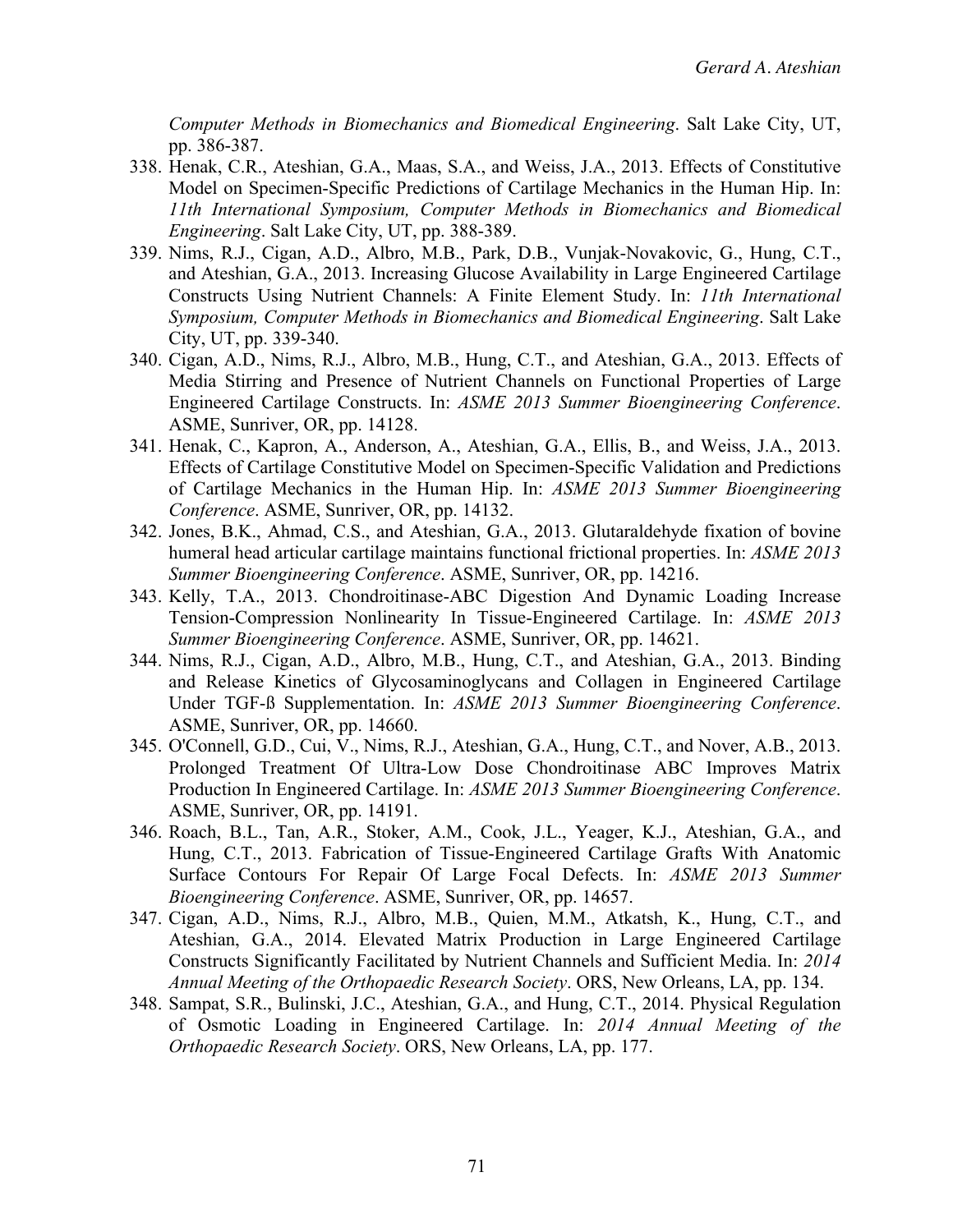*Computer Methods in Biomechanics and Biomedical Engineering*. Salt Lake City, UT, pp. 386-387.

- 338. Henak, C.R., Ateshian, G.A., Maas, S.A., and Weiss, J.A., 2013. Effects of Constitutive Model on Specimen-Specific Predictions of Cartilage Mechanics in the Human Hip. In: *11th International Symposium, Computer Methods in Biomechanics and Biomedical Engineering*. Salt Lake City, UT, pp. 388-389.
- 339. Nims, R.J., Cigan, A.D., Albro, M.B., Park, D.B., Vunjak-Novakovic, G., Hung, C.T., and Ateshian, G.A., 2013. Increasing Glucose Availability in Large Engineered Cartilage Constructs Using Nutrient Channels: A Finite Element Study. In: *11th International Symposium, Computer Methods in Biomechanics and Biomedical Engineering*. Salt Lake City, UT, pp. 339-340.
- 340. Cigan, A.D., Nims, R.J., Albro, M.B., Hung, C.T., and Ateshian, G.A., 2013. Effects of Media Stirring and Presence of Nutrient Channels on Functional Properties of Large Engineered Cartilage Constructs. In: *ASME 2013 Summer Bioengineering Conference*. ASME, Sunriver, OR, pp. 14128.
- 341. Henak, C., Kapron, A., Anderson, A., Ateshian, G.A., Ellis, B., and Weiss, J.A., 2013. Effects of Cartilage Constitutive Model on Specimen-Specific Validation and Predictions of Cartilage Mechanics in the Human Hip. In: *ASME 2013 Summer Bioengineering Conference*. ASME, Sunriver, OR, pp. 14132.
- 342. Jones, B.K., Ahmad, C.S., and Ateshian, G.A., 2013. Glutaraldehyde fixation of bovine humeral head articular cartilage maintains functional frictional properties. In: *ASME 2013 Summer Bioengineering Conference*. ASME, Sunriver, OR, pp. 14216.
- 343. Kelly, T.A., 2013. Chondroitinase-ABC Digestion And Dynamic Loading Increase Tension-Compression Nonlinearity In Tissue-Engineered Cartilage. In: *ASME 2013 Summer Bioengineering Conference*. ASME, Sunriver, OR, pp. 14621.
- 344. Nims, R.J., Cigan, A.D., Albro, M.B., Hung, C.T., and Ateshian, G.A., 2013. Binding and Release Kinetics of Glycosaminoglycans and Collagen in Engineered Cartilage Under TGF-ß Supplementation. In: *ASME 2013 Summer Bioengineering Conference*. ASME, Sunriver, OR, pp. 14660.
- 345. O'Connell, G.D., Cui, V., Nims, R.J., Ateshian, G.A., Hung, C.T., and Nover, A.B., 2013. Prolonged Treatment Of Ultra-Low Dose Chondroitinase ABC Improves Matrix Production In Engineered Cartilage. In: *ASME 2013 Summer Bioengineering Conference*. ASME, Sunriver, OR, pp. 14191.
- 346. Roach, B.L., Tan, A.R., Stoker, A.M., Cook, J.L., Yeager, K.J., Ateshian, G.A., and Hung, C.T., 2013. Fabrication of Tissue-Engineered Cartilage Grafts With Anatomic Surface Contours For Repair Of Large Focal Defects. In: *ASME 2013 Summer Bioengineering Conference*. ASME, Sunriver, OR, pp. 14657.
- 347. Cigan, A.D., Nims, R.J., Albro, M.B., Quien, M.M., Atkatsh, K., Hung, C.T., and Ateshian, G.A., 2014. Elevated Matrix Production in Large Engineered Cartilage Constructs Significantly Facilitated by Nutrient Channels and Sufficient Media. In: *2014 Annual Meeting of the Orthopaedic Research Society*. ORS, New Orleans, LA, pp. 134.
- 348. Sampat, S.R., Bulinski, J.C., Ateshian, G.A., and Hung, C.T., 2014. Physical Regulation of Osmotic Loading in Engineered Cartilage. In: *2014 Annual Meeting of the Orthopaedic Research Society*. ORS, New Orleans, LA, pp. 177.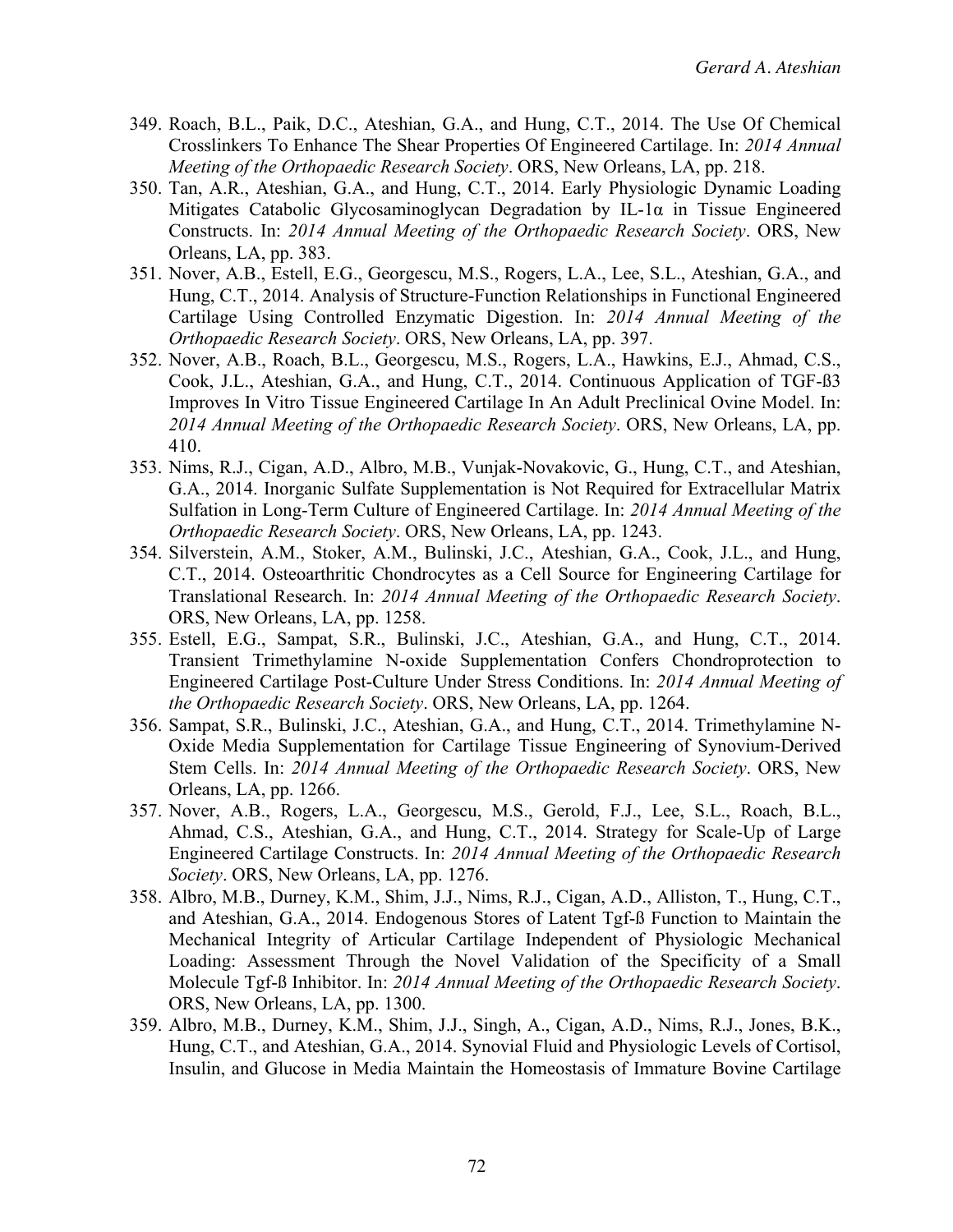- 349. Roach, B.L., Paik, D.C., Ateshian, G.A., and Hung, C.T., 2014. The Use Of Chemical Crosslinkers To Enhance The Shear Properties Of Engineered Cartilage. In: *2014 Annual Meeting of the Orthopaedic Research Society*. ORS, New Orleans, LA, pp. 218.
- 350. Tan, A.R., Ateshian, G.A., and Hung, C.T., 2014. Early Physiologic Dynamic Loading Mitigates Catabolic Glycosaminoglycan Degradation by IL-1 $\alpha$  in Tissue Engineered Constructs. In: *2014 Annual Meeting of the Orthopaedic Research Society*. ORS, New Orleans, LA, pp. 383.
- 351. Nover, A.B., Estell, E.G., Georgescu, M.S., Rogers, L.A., Lee, S.L., Ateshian, G.A., and Hung, C.T., 2014. Analysis of Structure-Function Relationships in Functional Engineered Cartilage Using Controlled Enzymatic Digestion. In: *2014 Annual Meeting of the Orthopaedic Research Society*. ORS, New Orleans, LA, pp. 397.
- 352. Nover, A.B., Roach, B.L., Georgescu, M.S., Rogers, L.A., Hawkins, E.J., Ahmad, C.S., Cook, J.L., Ateshian, G.A., and Hung, C.T., 2014. Continuous Application of TGF-ß3 Improves In Vitro Tissue Engineered Cartilage In An Adult Preclinical Ovine Model. In: *2014 Annual Meeting of the Orthopaedic Research Society*. ORS, New Orleans, LA, pp. 410.
- 353. Nims, R.J., Cigan, A.D., Albro, M.B., Vunjak-Novakovic, G., Hung, C.T., and Ateshian, G.A., 2014. Inorganic Sulfate Supplementation is Not Required for Extracellular Matrix Sulfation in Long-Term Culture of Engineered Cartilage. In: *2014 Annual Meeting of the Orthopaedic Research Society*. ORS, New Orleans, LA, pp. 1243.
- 354. Silverstein, A.M., Stoker, A.M., Bulinski, J.C., Ateshian, G.A., Cook, J.L., and Hung, C.T., 2014. Osteoarthritic Chondrocytes as a Cell Source for Engineering Cartilage for Translational Research. In: *2014 Annual Meeting of the Orthopaedic Research Society*. ORS, New Orleans, LA, pp. 1258.
- 355. Estell, E.G., Sampat, S.R., Bulinski, J.C., Ateshian, G.A., and Hung, C.T., 2014. Transient Trimethylamine N-oxide Supplementation Confers Chondroprotection to Engineered Cartilage Post-Culture Under Stress Conditions. In: *2014 Annual Meeting of the Orthopaedic Research Society*. ORS, New Orleans, LA, pp. 1264.
- 356. Sampat, S.R., Bulinski, J.C., Ateshian, G.A., and Hung, C.T., 2014. Trimethylamine N-Oxide Media Supplementation for Cartilage Tissue Engineering of Synovium-Derived Stem Cells. In: *2014 Annual Meeting of the Orthopaedic Research Society*. ORS, New Orleans, LA, pp. 1266.
- 357. Nover, A.B., Rogers, L.A., Georgescu, M.S., Gerold, F.J., Lee, S.L., Roach, B.L., Ahmad, C.S., Ateshian, G.A., and Hung, C.T., 2014. Strategy for Scale-Up of Large Engineered Cartilage Constructs. In: *2014 Annual Meeting of the Orthopaedic Research Society*. ORS, New Orleans, LA, pp. 1276.
- 358. Albro, M.B., Durney, K.M., Shim, J.J., Nims, R.J., Cigan, A.D., Alliston, T., Hung, C.T., and Ateshian, G.A., 2014. Endogenous Stores of Latent Tgf-ß Function to Maintain the Mechanical Integrity of Articular Cartilage Independent of Physiologic Mechanical Loading: Assessment Through the Novel Validation of the Specificity of a Small Molecule Tgf-ß Inhibitor. In: *2014 Annual Meeting of the Orthopaedic Research Society*. ORS, New Orleans, LA, pp. 1300.
- 359. Albro, M.B., Durney, K.M., Shim, J.J., Singh, A., Cigan, A.D., Nims, R.J., Jones, B.K., Hung, C.T., and Ateshian, G.A., 2014. Synovial Fluid and Physiologic Levels of Cortisol, Insulin, and Glucose in Media Maintain the Homeostasis of Immature Bovine Cartilage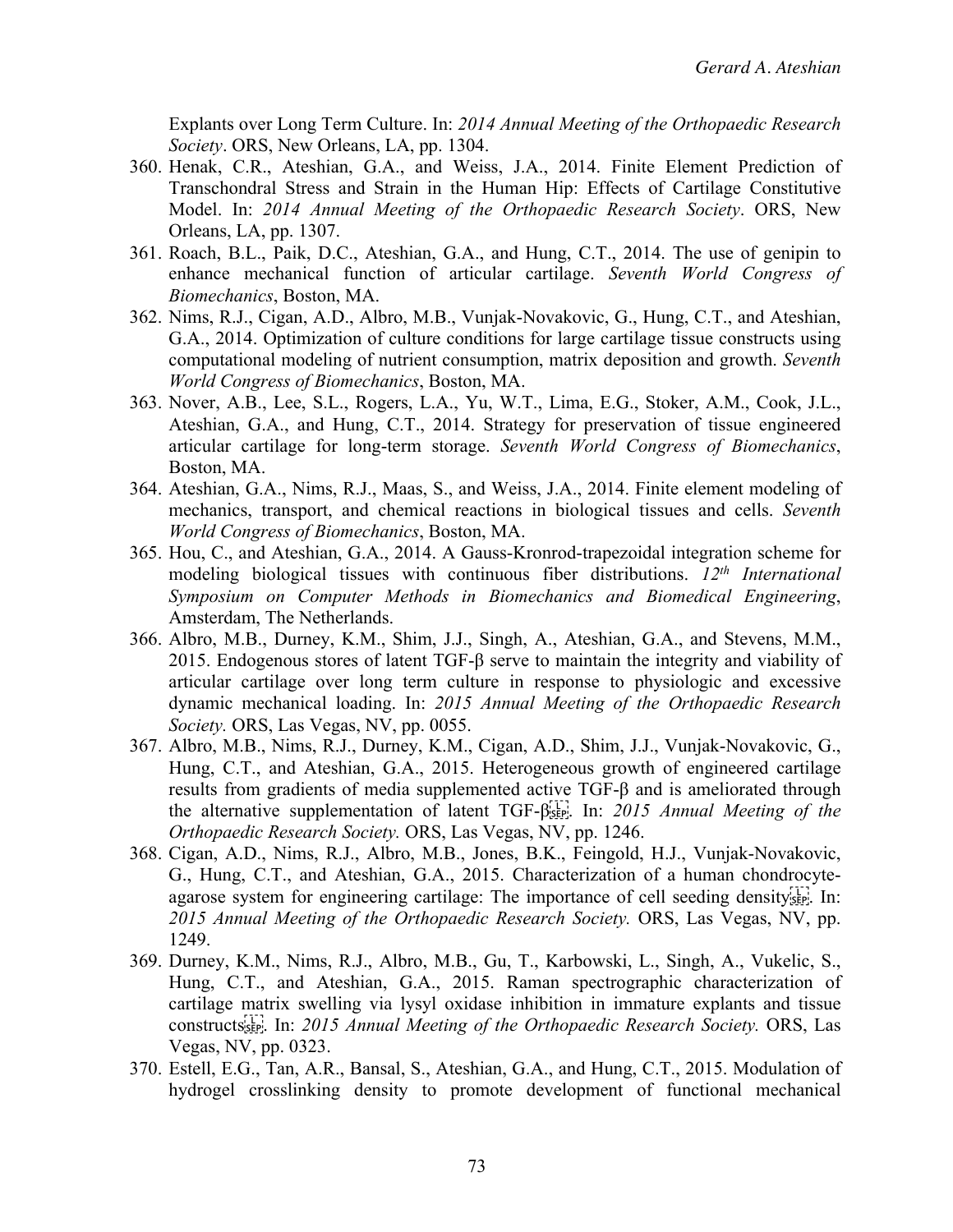Explants over Long Term Culture. In: *2014 Annual Meeting of the Orthopaedic Research Society*. ORS, New Orleans, LA, pp. 1304.

- 360. Henak, C.R., Ateshian, G.A., and Weiss, J.A., 2014. Finite Element Prediction of Transchondral Stress and Strain in the Human Hip: Effects of Cartilage Constitutive Model. In: *2014 Annual Meeting of the Orthopaedic Research Society*. ORS, New Orleans, LA, pp. 1307.
- 361. Roach, B.L., Paik, D.C., Ateshian, G.A., and Hung, C.T., 2014. The use of genipin to enhance mechanical function of articular cartilage. *Seventh World Congress of Biomechanics*, Boston, MA.
- 362. Nims, R.J., Cigan, A.D., Albro, M.B., Vunjak-Novakovic, G., Hung, C.T., and Ateshian, G.A., 2014. Optimization of culture conditions for large cartilage tissue constructs using computational modeling of nutrient consumption, matrix deposition and growth. *Seventh World Congress of Biomechanics*, Boston, MA.
- 363. Nover, A.B., Lee, S.L., Rogers, L.A., Yu, W.T., Lima, E.G., Stoker, A.M., Cook, J.L., Ateshian, G.A., and Hung, C.T., 2014. Strategy for preservation of tissue engineered articular cartilage for long-term storage. *Seventh World Congress of Biomechanics*, Boston, MA.
- 364. Ateshian, G.A., Nims, R.J., Maas, S., and Weiss, J.A., 2014. Finite element modeling of mechanics, transport, and chemical reactions in biological tissues and cells. *Seventh World Congress of Biomechanics*, Boston, MA.
- 365. Hou, C., and Ateshian, G.A., 2014. A Gauss-Kronrod-trapezoidal integration scheme for modeling biological tissues with continuous fiber distributions. *12th International Symposium on Computer Methods in Biomechanics and Biomedical Engineering*, Amsterdam, The Netherlands.
- 366. Albro, M.B., Durney, K.M., Shim, J.J., Singh, A., Ateshian, G.A., and Stevens, M.M., 2015. Endogenous stores of latent TGF-β serve to maintain the integrity and viability of articular cartilage over long term culture in response to physiologic and excessive dynamic mechanical loading. In: *2015 Annual Meeting of the Orthopaedic Research Society.* ORS, Las Vegas, NV, pp. 0055.
- 367. Albro, M.B., Nims, R.J., Durney, K.M., Cigan, A.D., Shim, J.J., Vunjak-Novakovic, G., Hung, C.T., and Ateshian, G.A., 2015. Heterogeneous growth of engineered cartilage results from gradients of media supplemented active TGF-β and is ameliorated through the alternative supplementation of latent TGF-β
. In: *2015 Annual Meeting of the Orthopaedic Research Society.* ORS, Las Vegas, NV, pp. 1246.
- 368. Cigan, A.D., Nims, R.J., Albro, M.B., Jones, B.K., Feingold, H.J., Vunjak-Novakovic, G., Hung, C.T., and Ateshian, G.A., 2015. Characterization of a human chondrocyteagarose system for engineering cartilage: The importance of cell seeding density $\overline{S_{\text{EP}}}$ . In: *2015 Annual Meeting of the Orthopaedic Research Society.* ORS, Las Vegas, NV, pp. 1249.
- 369. Durney, K.M., Nims, R.J., Albro, M.B., Gu, T., Karbowski, L., Singh, A., Vukelic, S., Hung, C.T., and Ateshian, G.A., 2015. Raman spectrographic characterization of cartilage matrix swelling via lysyl oxidase inhibition in immature explants and tissue constructs<sup>[17]</sup>, In: *2015 Annual Meeting of the Orthopaedic Research Society*. ORS, Las Vegas, NV, pp. 0323.
- 370. Estell, E.G., Tan, A.R., Bansal, S., Ateshian, G.A., and Hung, C.T., 2015. Modulation of hydrogel crosslinking density to promote development of functional mechanical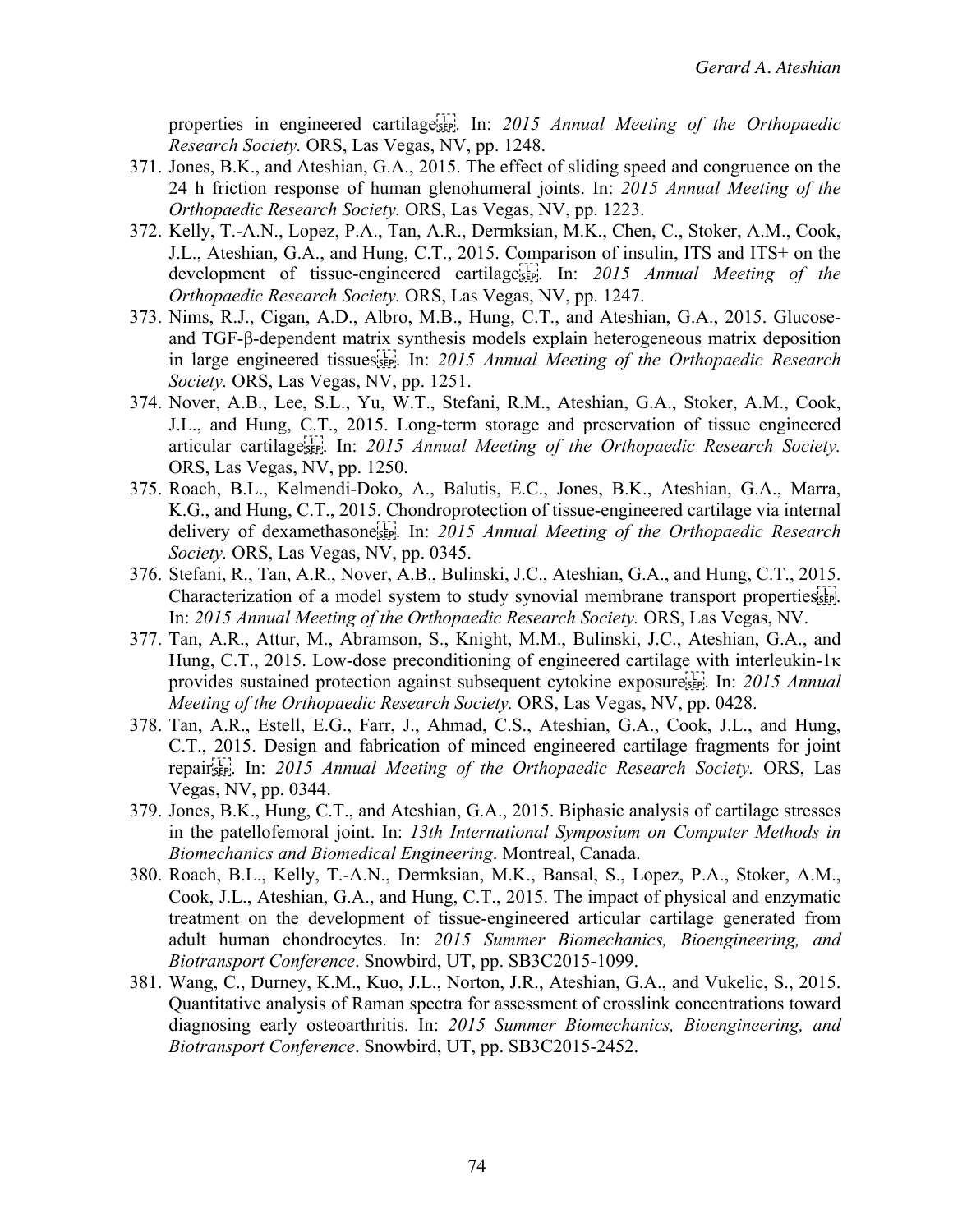properties in engineered cartilage<sup>[17]</sup>. In: 2015 Annual Meeting of the Orthopaedic *Research Society.* ORS, Las Vegas, NV, pp. 1248.

- 371. Jones, B.K., and Ateshian, G.A., 2015. The effect of sliding speed and congruence on the 24 h friction response of human glenohumeral joints. In: *2015 Annual Meeting of the Orthopaedic Research Society.* ORS, Las Vegas, NV, pp. 1223.
- 372. Kelly, T.-A.N., Lopez, P.A., Tan, A.R., Dermksian, M.K., Chen, C., Stoker, A.M., Cook, J.L., Ateshian, G.A., and Hung, C.T., 2015. Comparison of insulin, ITS and ITS+ on the development of tissue-engineered cartilage
. In: *2015 Annual Meeting of the Orthopaedic Research Society.* ORS, Las Vegas, NV, pp. 1247.
- 373. Nims, R.J., Cigan, A.D., Albro, M.B., Hung, C.T., and Ateshian, G.A., 2015. Glucoseand TGF-β-dependent matrix synthesis models explain heterogeneous matrix deposition in large engineered tissues
. In: *2015 Annual Meeting of the Orthopaedic Research Society.* ORS, Las Vegas, NV, pp. 1251.
- 374. Nover, A.B., Lee, S.L., Yu, W.T., Stefani, R.M., Ateshian, G.A., Stoker, A.M., Cook, J.L., and Hung, C.T., 2015. Long-term storage and preservation of tissue engineered articular cartilage
. In: *2015 Annual Meeting of the Orthopaedic Research Society.* ORS, Las Vegas, NV, pp. 1250.
- 375. Roach, B.L., Kelmendi-Doko, A., Balutis, E.C., Jones, B.K., Ateshian, G.A., Marra, K.G., and Hung, C.T., 2015. Chondroprotection of tissue-engineered cartilage via internal delivery of dexamethasone<sup>[11]</sup>. In: 2015 Annual Meeting of the Orthopaedic Research *Society.* ORS, Las Vegas, NV, pp. 0345.
- 376. Stefani, R., Tan, A.R., Nover, A.B., Bulinski, J.C., Ateshian, G.A., and Hung, C.T., 2015. Characterization of a model system to study synovial membrane transport properties sep. In: *2015 Annual Meeting of the Orthopaedic Research Society.* ORS, Las Vegas, NV.
- 377. Tan, A.R., Attur, M., Abramson, S., Knight, M.M., Bulinski, J.C., Ateshian, G.A., and Hung, C.T., 2015. Low-dose preconditioning of engineered cartilage with interleukin-1κ provides sustained protection against subsequent cytokine exposure
. In: *2015 Annual Meeting of the Orthopaedic Research Society.* ORS, Las Vegas, NV, pp. 0428.
- 378. Tan, A.R., Estell, E.G., Farr, J., Ahmad, C.S., Ateshian, G.A., Cook, J.L., and Hung, C.T., 2015. Design and fabrication of minced engineered cartilage fragments for joint repair
. In: *2015 Annual Meeting of the Orthopaedic Research Society.* ORS, Las Vegas, NV, pp. 0344.
- 379. Jones, B.K., Hung, C.T., and Ateshian, G.A., 2015. Biphasic analysis of cartilage stresses in the patellofemoral joint. In: *13th International Symposium on Computer Methods in Biomechanics and Biomedical Engineering*. Montreal, Canada.
- 380. Roach, B.L., Kelly, T.-A.N., Dermksian, M.K., Bansal, S., Lopez, P.A., Stoker, A.M., Cook, J.L., Ateshian, G.A., and Hung, C.T., 2015. The impact of physical and enzymatic treatment on the development of tissue-engineered articular cartilage generated from adult human chondrocytes. In: *2015 Summer Biomechanics, Bioengineering, and Biotransport Conference*. Snowbird, UT, pp. SB3C2015-1099.
- 381. Wang, C., Durney, K.M., Kuo, J.L., Norton, J.R., Ateshian, G.A., and Vukelic, S., 2015. Quantitative analysis of Raman spectra for assessment of crosslink concentrations toward diagnosing early osteoarthritis. In: *2015 Summer Biomechanics, Bioengineering, and Biotransport Conference*. Snowbird, UT, pp. SB3C2015-2452.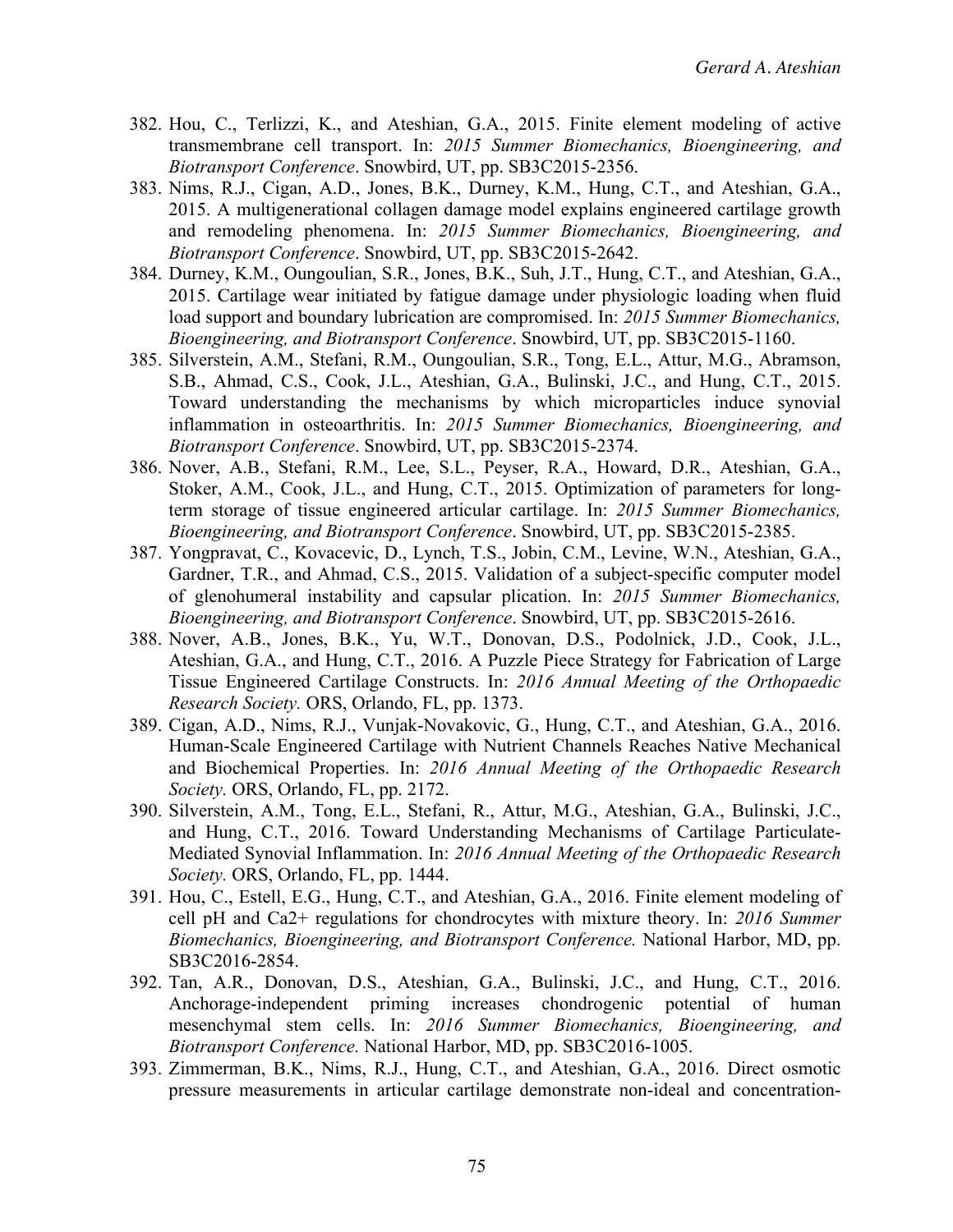- 382. Hou, C., Terlizzi, K., and Ateshian, G.A., 2015. Finite element modeling of active transmembrane cell transport. In: *2015 Summer Biomechanics, Bioengineering, and Biotransport Conference*. Snowbird, UT, pp. SB3C2015-2356.
- 383. Nims, R.J., Cigan, A.D., Jones, B.K., Durney, K.M., Hung, C.T., and Ateshian, G.A., 2015. A multigenerational collagen damage model explains engineered cartilage growth and remodeling phenomena. In: *2015 Summer Biomechanics, Bioengineering, and Biotransport Conference*. Snowbird, UT, pp. SB3C2015-2642.
- 384. Durney, K.M., Oungoulian, S.R., Jones, B.K., Suh, J.T., Hung, C.T., and Ateshian, G.A., 2015. Cartilage wear initiated by fatigue damage under physiologic loading when fluid load support and boundary lubrication are compromised. In: *2015 Summer Biomechanics, Bioengineering, and Biotransport Conference*. Snowbird, UT, pp. SB3C2015-1160.
- 385. Silverstein, A.M., Stefani, R.M., Oungoulian, S.R., Tong, E.L., Attur, M.G., Abramson, S.B., Ahmad, C.S., Cook, J.L., Ateshian, G.A., Bulinski, J.C., and Hung, C.T., 2015. Toward understanding the mechanisms by which microparticles induce synovial inflammation in osteoarthritis. In: *2015 Summer Biomechanics, Bioengineering, and Biotransport Conference*. Snowbird, UT, pp. SB3C2015-2374.
- 386. Nover, A.B., Stefani, R.M., Lee, S.L., Peyser, R.A., Howard, D.R., Ateshian, G.A., Stoker, A.M., Cook, J.L., and Hung, C.T., 2015. Optimization of parameters for longterm storage of tissue engineered articular cartilage. In: *2015 Summer Biomechanics, Bioengineering, and Biotransport Conference*. Snowbird, UT, pp. SB3C2015-2385.
- 387. Yongpravat, C., Kovacevic, D., Lynch, T.S., Jobin, C.M., Levine, W.N., Ateshian, G.A., Gardner, T.R., and Ahmad, C.S., 2015. Validation of a subject-specific computer model of glenohumeral instability and capsular plication. In: *2015 Summer Biomechanics, Bioengineering, and Biotransport Conference*. Snowbird, UT, pp. SB3C2015-2616.
- 388. Nover, A.B., Jones, B.K., Yu, W.T., Donovan, D.S., Podolnick, J.D., Cook, J.L., Ateshian, G.A., and Hung, C.T., 2016. A Puzzle Piece Strategy for Fabrication of Large Tissue Engineered Cartilage Constructs. In: *2016 Annual Meeting of the Orthopaedic Research Society.* ORS, Orlando, FL, pp. 1373.
- 389. Cigan, A.D., Nims, R.J., Vunjak-Novakovic, G., Hung, C.T., and Ateshian, G.A., 2016. Human-Scale Engineered Cartilage with Nutrient Channels Reaches Native Mechanical and Biochemical Properties. In: *2016 Annual Meeting of the Orthopaedic Research Society.* ORS, Orlando, FL, pp. 2172.
- 390. Silverstein, A.M., Tong, E.L., Stefani, R., Attur, M.G., Ateshian, G.A., Bulinski, J.C., and Hung, C.T., 2016. Toward Understanding Mechanisms of Cartilage Particulate-Mediated Synovial Inflammation. In: *2016 Annual Meeting of the Orthopaedic Research Society.* ORS, Orlando, FL, pp. 1444.
- 391. Hou, C., Estell, E.G., Hung, C.T., and Ateshian, G.A., 2016. Finite element modeling of cell pH and Ca2+ regulations for chondrocytes with mixture theory. In: *2016 Summer Biomechanics, Bioengineering, and Biotransport Conference.* National Harbor, MD, pp. SB3C2016-2854.
- 392. Tan, A.R., Donovan, D.S., Ateshian, G.A., Bulinski, J.C., and Hung, C.T., 2016. Anchorage-independent priming increases chondrogenic potential of human mesenchymal stem cells. In: *2016 Summer Biomechanics, Bioengineering, and Biotransport Conference.* National Harbor, MD, pp. SB3C2016-1005.
- 393. Zimmerman, B.K., Nims, R.J., Hung, C.T., and Ateshian, G.A., 2016. Direct osmotic pressure measurements in articular cartilage demonstrate non-ideal and concentration-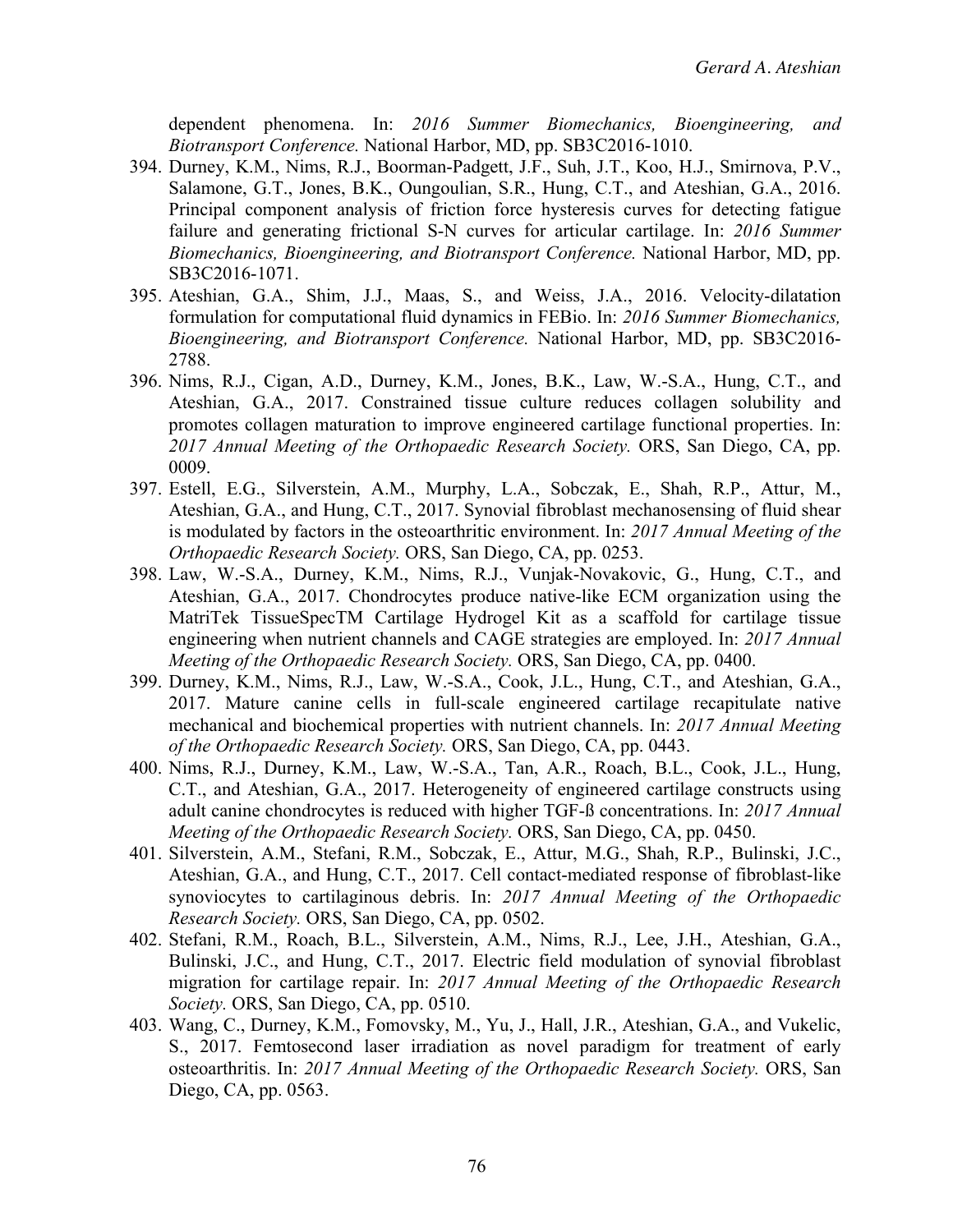dependent phenomena. In: *2016 Summer Biomechanics, Bioengineering, and Biotransport Conference.* National Harbor, MD, pp. SB3C2016-1010.

- 394. Durney, K.M., Nims, R.J., Boorman-Padgett, J.F., Suh, J.T., Koo, H.J., Smirnova, P.V., Salamone, G.T., Jones, B.K., Oungoulian, S.R., Hung, C.T., and Ateshian, G.A., 2016. Principal component analysis of friction force hysteresis curves for detecting fatigue failure and generating frictional S-N curves for articular cartilage. In: *2016 Summer Biomechanics, Bioengineering, and Biotransport Conference.* National Harbor, MD, pp. SB3C2016-1071.
- 395. Ateshian, G.A., Shim, J.J., Maas, S., and Weiss, J.A., 2016. Velocity-dilatation formulation for computational fluid dynamics in FEBio. In: *2016 Summer Biomechanics, Bioengineering, and Biotransport Conference.* National Harbor, MD, pp. SB3C2016- 2788.
- 396. Nims, R.J., Cigan, A.D., Durney, K.M., Jones, B.K., Law, W.-S.A., Hung, C.T., and Ateshian, G.A., 2017. Constrained tissue culture reduces collagen solubility and promotes collagen maturation to improve engineered cartilage functional properties. In: *2017 Annual Meeting of the Orthopaedic Research Society.* ORS, San Diego, CA, pp. 0009.
- 397. Estell, E.G., Silverstein, A.M., Murphy, L.A., Sobczak, E., Shah, R.P., Attur, M., Ateshian, G.A., and Hung, C.T., 2017. Synovial fibroblast mechanosensing of fluid shear is modulated by factors in the osteoarthritic environment. In: *2017 Annual Meeting of the Orthopaedic Research Society.* ORS, San Diego, CA, pp. 0253.
- 398. Law, W.-S.A., Durney, K.M., Nims, R.J., Vunjak-Novakovic, G., Hung, C.T., and Ateshian, G.A., 2017. Chondrocytes produce native-like ECM organization using the MatriTek TissueSpecTM Cartilage Hydrogel Kit as a scaffold for cartilage tissue engineering when nutrient channels and CAGE strategies are employed. In: *2017 Annual Meeting of the Orthopaedic Research Society.* ORS, San Diego, CA, pp. 0400.
- 399. Durney, K.M., Nims, R.J., Law, W.-S.A., Cook, J.L., Hung, C.T., and Ateshian, G.A., 2017. Mature canine cells in full-scale engineered cartilage recapitulate native mechanical and biochemical properties with nutrient channels. In: *2017 Annual Meeting of the Orthopaedic Research Society.* ORS, San Diego, CA, pp. 0443.
- 400. Nims, R.J., Durney, K.M., Law, W.-S.A., Tan, A.R., Roach, B.L., Cook, J.L., Hung, C.T., and Ateshian, G.A., 2017. Heterogeneity of engineered cartilage constructs using adult canine chondrocytes is reduced with higher TGF-ß concentrations. In: *2017 Annual Meeting of the Orthopaedic Research Society.* ORS, San Diego, CA, pp. 0450.
- 401. Silverstein, A.M., Stefani, R.M., Sobczak, E., Attur, M.G., Shah, R.P., Bulinski, J.C., Ateshian, G.A., and Hung, C.T., 2017. Cell contact-mediated response of fibroblast-like synoviocytes to cartilaginous debris. In: *2017 Annual Meeting of the Orthopaedic Research Society.* ORS, San Diego, CA, pp. 0502.
- 402. Stefani, R.M., Roach, B.L., Silverstein, A.M., Nims, R.J., Lee, J.H., Ateshian, G.A., Bulinski, J.C., and Hung, C.T., 2017. Electric field modulation of synovial fibroblast migration for cartilage repair. In: *2017 Annual Meeting of the Orthopaedic Research Society.* ORS, San Diego, CA, pp. 0510.
- 403. Wang, C., Durney, K.M., Fomovsky, M., Yu, J., Hall, J.R., Ateshian, G.A., and Vukelic, S., 2017. Femtosecond laser irradiation as novel paradigm for treatment of early osteoarthritis. In: *2017 Annual Meeting of the Orthopaedic Research Society.* ORS, San Diego, CA, pp. 0563.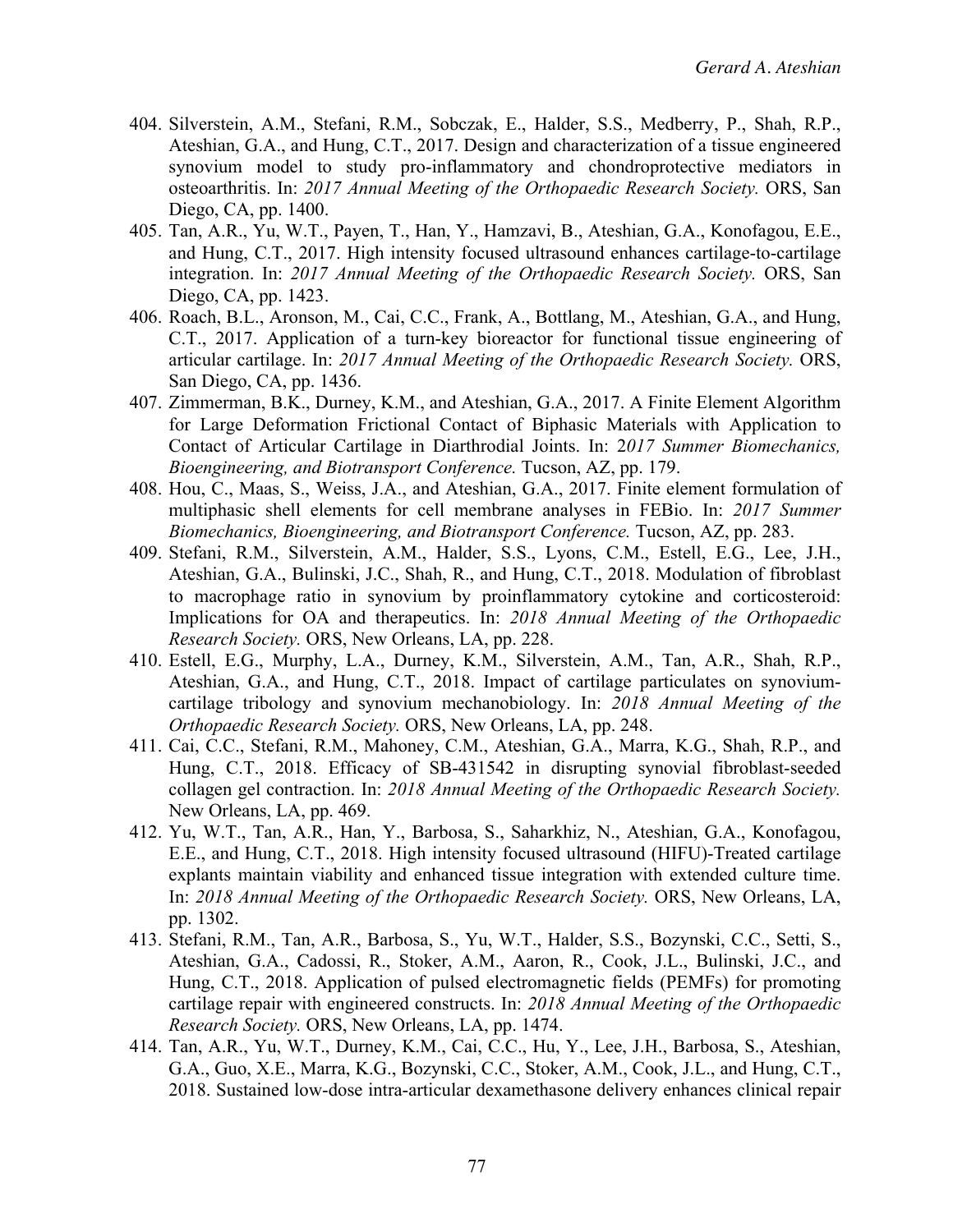- 404. Silverstein, A.M., Stefani, R.M., Sobczak, E., Halder, S.S., Medberry, P., Shah, R.P., Ateshian, G.A., and Hung, C.T., 2017. Design and characterization of a tissue engineered synovium model to study pro-inflammatory and chondroprotective mediators in osteoarthritis. In: *2017 Annual Meeting of the Orthopaedic Research Society.* ORS, San Diego, CA, pp. 1400.
- 405. Tan, A.R., Yu, W.T., Payen, T., Han, Y., Hamzavi, B., Ateshian, G.A., Konofagou, E.E., and Hung, C.T., 2017. High intensity focused ultrasound enhances cartilage-to-cartilage integration. In: *2017 Annual Meeting of the Orthopaedic Research Society.* ORS, San Diego, CA, pp. 1423.
- 406. Roach, B.L., Aronson, M., Cai, C.C., Frank, A., Bottlang, M., Ateshian, G.A., and Hung, C.T., 2017. Application of a turn-key bioreactor for functional tissue engineering of articular cartilage. In: *2017 Annual Meeting of the Orthopaedic Research Society.* ORS, San Diego, CA, pp. 1436.
- 407. Zimmerman, B.K., Durney, K.M., and Ateshian, G.A., 2017. A Finite Element Algorithm for Large Deformation Frictional Contact of Biphasic Materials with Application to Contact of Articular Cartilage in Diarthrodial Joints. In: 2*017 Summer Biomechanics, Bioengineering, and Biotransport Conference.* Tucson, AZ, pp. 179.
- 408. Hou, C., Maas, S., Weiss, J.A., and Ateshian, G.A., 2017. Finite element formulation of multiphasic shell elements for cell membrane analyses in FEBio. In: *2017 Summer Biomechanics, Bioengineering, and Biotransport Conference.* Tucson, AZ, pp. 283.
- 409. Stefani, R.M., Silverstein, A.M., Halder, S.S., Lyons, C.M., Estell, E.G., Lee, J.H., Ateshian, G.A., Bulinski, J.C., Shah, R., and Hung, C.T., 2018. Modulation of fibroblast to macrophage ratio in synovium by proinflammatory cytokine and corticosteroid: Implications for OA and therapeutics. In: *2018 Annual Meeting of the Orthopaedic Research Society.* ORS, New Orleans, LA, pp. 228.
- 410. Estell, E.G., Murphy, L.A., Durney, K.M., Silverstein, A.M., Tan, A.R., Shah, R.P., Ateshian, G.A., and Hung, C.T., 2018. Impact of cartilage particulates on synoviumcartilage tribology and synovium mechanobiology. In: *2018 Annual Meeting of the Orthopaedic Research Society.* ORS, New Orleans, LA, pp. 248.
- 411. Cai, C.C., Stefani, R.M., Mahoney, C.M., Ateshian, G.A., Marra, K.G., Shah, R.P., and Hung, C.T., 2018. Efficacy of SB-431542 in disrupting synovial fibroblast-seeded collagen gel contraction. In: *2018 Annual Meeting of the Orthopaedic Research Society.* New Orleans, LA, pp. 469.
- 412. Yu, W.T., Tan, A.R., Han, Y., Barbosa, S., Saharkhiz, N., Ateshian, G.A., Konofagou, E.E., and Hung, C.T., 2018. High intensity focused ultrasound (HIFU)-Treated cartilage explants maintain viability and enhanced tissue integration with extended culture time. In: *2018 Annual Meeting of the Orthopaedic Research Society.* ORS, New Orleans, LA, pp. 1302.
- 413. Stefani, R.M., Tan, A.R., Barbosa, S., Yu, W.T., Halder, S.S., Bozynski, C.C., Setti, S., Ateshian, G.A., Cadossi, R., Stoker, A.M., Aaron, R., Cook, J.L., Bulinski, J.C., and Hung, C.T., 2018. Application of pulsed electromagnetic fields (PEMFs) for promoting cartilage repair with engineered constructs. In: *2018 Annual Meeting of the Orthopaedic Research Society.* ORS, New Orleans, LA, pp. 1474.
- 414. Tan, A.R., Yu, W.T., Durney, K.M., Cai, C.C., Hu, Y., Lee, J.H., Barbosa, S., Ateshian, G.A., Guo, X.E., Marra, K.G., Bozynski, C.C., Stoker, A.M., Cook, J.L., and Hung, C.T., 2018. Sustained low-dose intra-articular dexamethasone delivery enhances clinical repair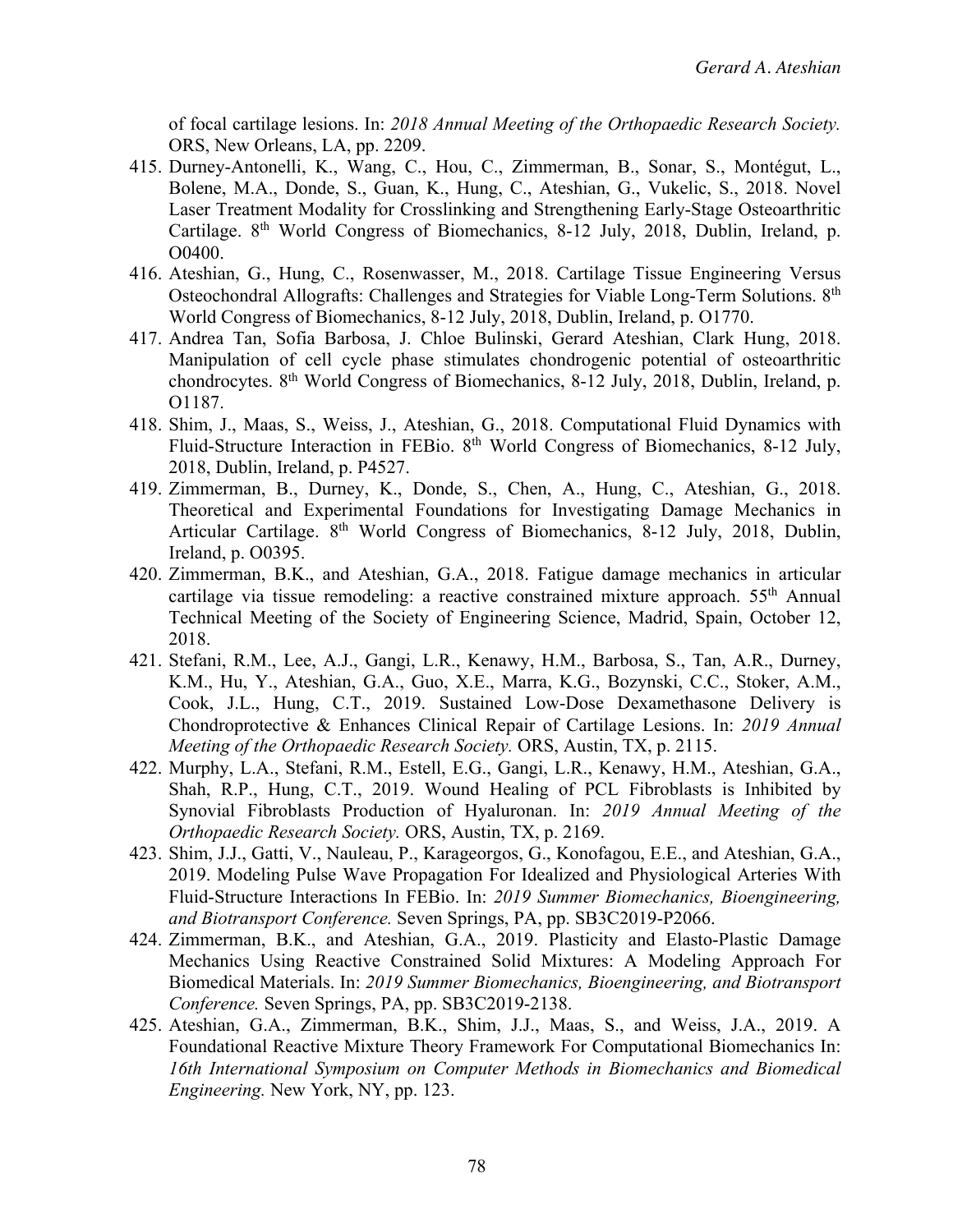of focal cartilage lesions. In: *2018 Annual Meeting of the Orthopaedic Research Society.* ORS, New Orleans, LA, pp. 2209.

- 415. Durney-Antonelli, K., Wang, C., Hou, C., Zimmerman, B., Sonar, S., Montégut, L., Bolene, M.A., Donde, S., Guan, K., Hung, C., Ateshian, G., Vukelic, S., 2018. Novel Laser Treatment Modality for Crosslinking and Strengthening Early-Stage Osteoarthritic Cartilage. 8<sup>th</sup> World Congress of Biomechanics, 8-12 July, 2018, Dublin, Ireland, p. O0400.
- 416. Ateshian, G., Hung, C., Rosenwasser, M., 2018. Cartilage Tissue Engineering Versus Osteochondral Allografts: Challenges and Strategies for Viable Long-Term Solutions. 8th World Congress of Biomechanics, 8-12 July, 2018, Dublin, Ireland, p. O1770.
- 417. Andrea Tan, Sofia Barbosa, J. Chloe Bulinski, Gerard Ateshian, Clark Hung, 2018. Manipulation of cell cycle phase stimulates chondrogenic potential of osteoarthritic chondrocytes. 8th World Congress of Biomechanics, 8-12 July, 2018, Dublin, Ireland, p. O1187.
- 418. Shim, J., Maas, S., Weiss, J., Ateshian, G., 2018. Computational Fluid Dynamics with Fluid-Structure Interaction in FEBio. 8th World Congress of Biomechanics, 8-12 July, 2018, Dublin, Ireland, p. P4527.
- 419. Zimmerman, B., Durney, K., Donde, S., Chen, A., Hung, C., Ateshian, G., 2018. Theoretical and Experimental Foundations for Investigating Damage Mechanics in Articular Cartilage. 8<sup>th</sup> World Congress of Biomechanics, 8-12 July, 2018, Dublin, Ireland, p. O0395.
- 420. Zimmerman, B.K., and Ateshian, G.A., 2018. Fatigue damage mechanics in articular cartilage via tissue remodeling: a reactive constrained mixture approach.  $55<sup>th</sup>$  Annual Technical Meeting of the Society of Engineering Science, Madrid, Spain, October 12, 2018.
- 421. Stefani, R.M., Lee, A.J., Gangi, L.R., Kenawy, H.M., Barbosa, S., Tan, A.R., Durney, K.M., Hu, Y., Ateshian, G.A., Guo, X.E., Marra, K.G., Bozynski, C.C., Stoker, A.M., Cook, J.L., Hung, C.T., 2019. Sustained Low-Dose Dexamethasone Delivery is Chondroprotective & Enhances Clinical Repair of Cartilage Lesions. In: *2019 Annual Meeting of the Orthopaedic Research Society.* ORS, Austin, TX, p. 2115.
- 422. Murphy, L.A., Stefani, R.M., Estell, E.G., Gangi, L.R., Kenawy, H.M., Ateshian, G.A., Shah, R.P., Hung, C.T., 2019. Wound Healing of PCL Fibroblasts is Inhibited by Synovial Fibroblasts Production of Hyaluronan. In: *2019 Annual Meeting of the Orthopaedic Research Society.* ORS, Austin, TX, p. 2169.
- 423. Shim, J.J., Gatti, V., Nauleau, P., Karageorgos, G., Konofagou, E.E., and Ateshian, G.A., 2019. Modeling Pulse Wave Propagation For Idealized and Physiological Arteries With Fluid-Structure Interactions In FEBio. In: *2019 Summer Biomechanics, Bioengineering, and Biotransport Conference.* Seven Springs, PA, pp. SB3C2019-P2066.
- 424. Zimmerman, B.K., and Ateshian, G.A., 2019. Plasticity and Elasto-Plastic Damage Mechanics Using Reactive Constrained Solid Mixtures: A Modeling Approach For Biomedical Materials. In: *2019 Summer Biomechanics, Bioengineering, and Biotransport Conference.* Seven Springs, PA, pp. SB3C2019-2138.
- 425. Ateshian, G.A., Zimmerman, B.K., Shim, J.J., Maas, S., and Weiss, J.A., 2019. A Foundational Reactive Mixture Theory Framework For Computational Biomechanics In: *16th International Symposium on Computer Methods in Biomechanics and Biomedical Engineering.* New York, NY, pp. 123.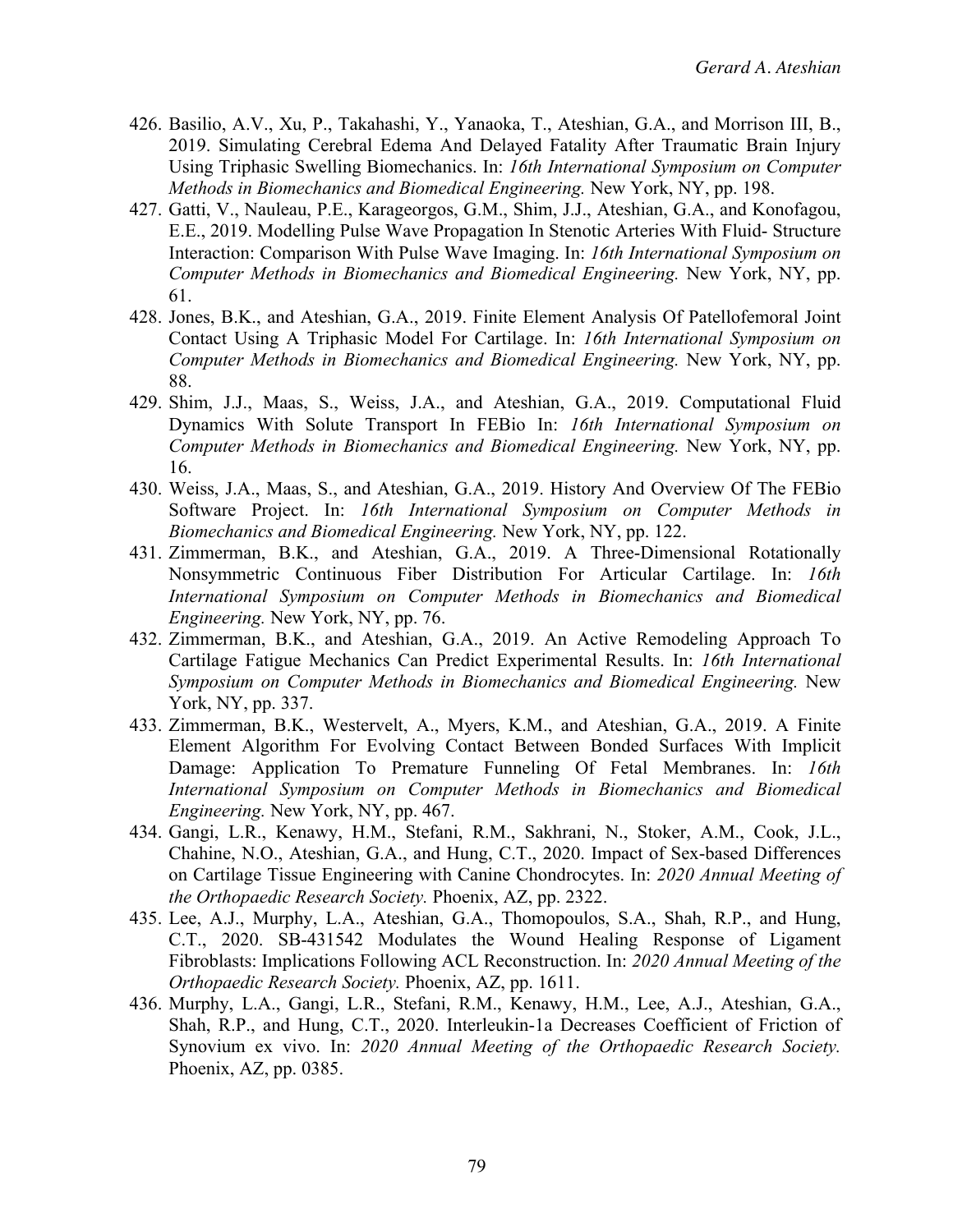- 426. Basilio, A.V., Xu, P., Takahashi, Y., Yanaoka, T., Ateshian, G.A., and Morrison III, B., 2019. Simulating Cerebral Edema And Delayed Fatality After Traumatic Brain Injury Using Triphasic Swelling Biomechanics. In: *16th International Symposium on Computer Methods in Biomechanics and Biomedical Engineering.* New York, NY, pp. 198.
- 427. Gatti, V., Nauleau, P.E., Karageorgos, G.M., Shim, J.J., Ateshian, G.A., and Konofagou, E.E., 2019. Modelling Pulse Wave Propagation In Stenotic Arteries With Fluid- Structure Interaction: Comparison With Pulse Wave Imaging. In: *16th International Symposium on Computer Methods in Biomechanics and Biomedical Engineering.* New York, NY, pp. 61.
- 428. Jones, B.K., and Ateshian, G.A., 2019. Finite Element Analysis Of Patellofemoral Joint Contact Using A Triphasic Model For Cartilage. In: *16th International Symposium on Computer Methods in Biomechanics and Biomedical Engineering.* New York, NY, pp. 88.
- 429. Shim, J.J., Maas, S., Weiss, J.A., and Ateshian, G.A., 2019. Computational Fluid Dynamics With Solute Transport In FEBio In: *16th International Symposium on Computer Methods in Biomechanics and Biomedical Engineering.* New York, NY, pp. 16.
- 430. Weiss, J.A., Maas, S., and Ateshian, G.A., 2019. History And Overview Of The FEBio Software Project. In: *16th International Symposium on Computer Methods in Biomechanics and Biomedical Engineering.* New York, NY, pp. 122.
- 431. Zimmerman, B.K., and Ateshian, G.A., 2019. A Three-Dimensional Rotationally Nonsymmetric Continuous Fiber Distribution For Articular Cartilage. In: *16th International Symposium on Computer Methods in Biomechanics and Biomedical Engineering.* New York, NY, pp. 76.
- 432. Zimmerman, B.K., and Ateshian, G.A., 2019. An Active Remodeling Approach To Cartilage Fatigue Mechanics Can Predict Experimental Results. In: *16th International Symposium on Computer Methods in Biomechanics and Biomedical Engineering.* New York, NY, pp. 337.
- 433. Zimmerman, B.K., Westervelt, A., Myers, K.M., and Ateshian, G.A., 2019. A Finite Element Algorithm For Evolving Contact Between Bonded Surfaces With Implicit Damage: Application To Premature Funneling Of Fetal Membranes. In: *16th International Symposium on Computer Methods in Biomechanics and Biomedical Engineering.* New York, NY, pp. 467.
- 434. Gangi, L.R., Kenawy, H.M., Stefani, R.M., Sakhrani, N., Stoker, A.M., Cook, J.L., Chahine, N.O., Ateshian, G.A., and Hung, C.T., 2020. Impact of Sex-based Differences on Cartilage Tissue Engineering with Canine Chondrocytes. In: *2020 Annual Meeting of the Orthopaedic Research Society.* Phoenix, AZ, pp. 2322.
- 435. Lee, A.J., Murphy, L.A., Ateshian, G.A., Thomopoulos, S.A., Shah, R.P., and Hung, C.T., 2020. SB-431542 Modulates the Wound Healing Response of Ligament Fibroblasts: Implications Following ACL Reconstruction. In: *2020 Annual Meeting of the Orthopaedic Research Society.* Phoenix, AZ, pp. 1611.
- 436. Murphy, L.A., Gangi, L.R., Stefani, R.M., Kenawy, H.M., Lee, A.J., Ateshian, G.A., Shah, R.P., and Hung, C.T., 2020. Interleukin-1a Decreases Coefficient of Friction of Synovium ex vivo. In: *2020 Annual Meeting of the Orthopaedic Research Society.* Phoenix, AZ, pp. 0385.